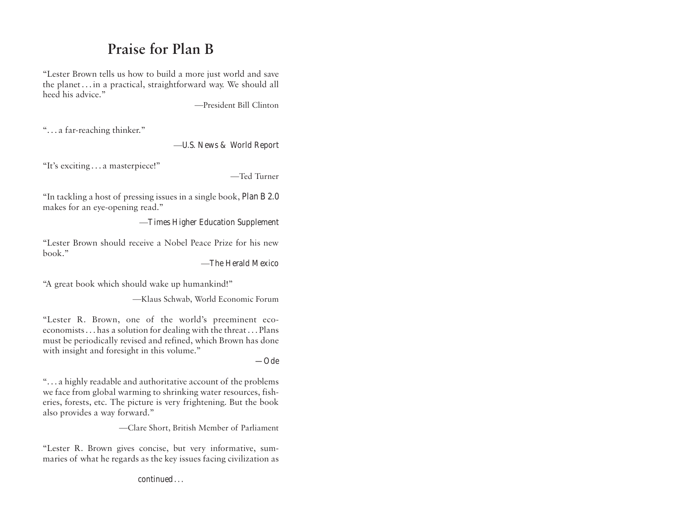### **Praise for Plan B**

"Lester Brown tells us how to build a more just world and save the planet . . . in a practical, straightforward way. We should all heed his advice."

—President Bill Clinton

". . . a far-reaching thinker."

—*U.S. News & World Report*

"It's exciting . . . a masterpiece!"

—Ted Turner

"In tackling a host of pressing issues in a single book, *Plan B 2.0* makes for an eye-opening read."

—*Times Higher Education Supplement*

"Lester Brown should receive a Nobel Peace Prize for his new book."

—*The Herald Mexico*

"A great book which should wake up humankind!"

—Klaus Schwab, World Economic Forum

"Lester R. Brown, one of the world's preeminent ecoeconomists. . . has a solution for dealing with the threat... Plans must be periodically revised and refined, which Brown has done with insight and foresight in this volume."

*—Ode* 

". . . a highly readable and authoritative account of the problems we face from global warming to shrinking water resources, fisheries, forests, etc. The picture is very frightening. But the book also provides a way forward."

—Clare Short, British Member of Parliament

"Lester R. Brown gives concise, but very informative, summaries of what he regards as the key issues facing civilization as

*continued...*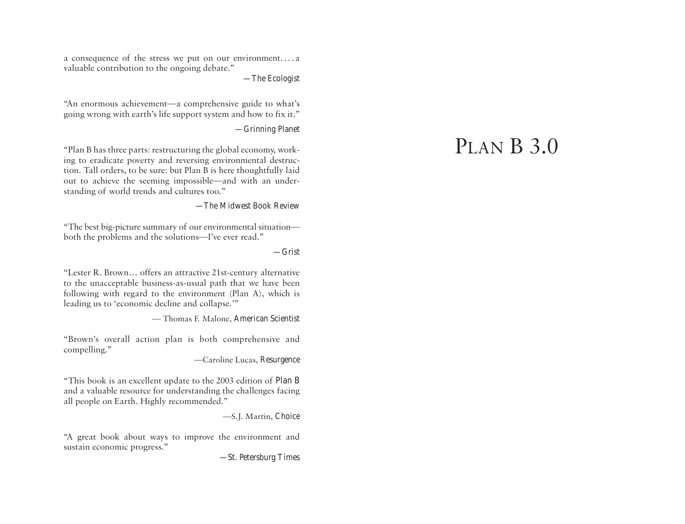a consequence of the stress we put on our environment....a valuable contribution to the ongoing debate."

*—The Ecologist*

"An enormous achievement—a comprehensive guide to what's going wrong with earth's life support system and how to fix it."

*—Grinning Planet*

"Plan B has three parts: restructuring the global economy, working to eradicate poverty and reversing environmental destruction. Tall orders, to be sure: but Plan B is here thoughtfully laid out to achieve the seeming impossible—and with an understanding of world trends and cultures too."

*—The Midwest Book Review*

"The best big-picture summary of our environmental situation both the problems and the solutions—I've ever read."

*—Grist*

"Lester R. Brown… offers an attractive 21st-century alternative to the unacceptable business-as-usual path that we have been following with regard to the environment (Plan A), which is leading us to 'economic decline and collapse.'"

— Thomas F. Malone, *American Scientist* 

"Brown's overall action plan is both comprehensive and compelling."

—Caroline Lucas, *Resurgence*

"This book is an excellent update to the 2003 edition of *Plan B* and a valuable resource for understanding the challenges facing all people on Earth. Highly recommended."

—S.J. Martin, *Choice*

"A great book about ways to improve the environment and sustain economic progress."

*—St. Petersburg Times*

# PLAN B 3.0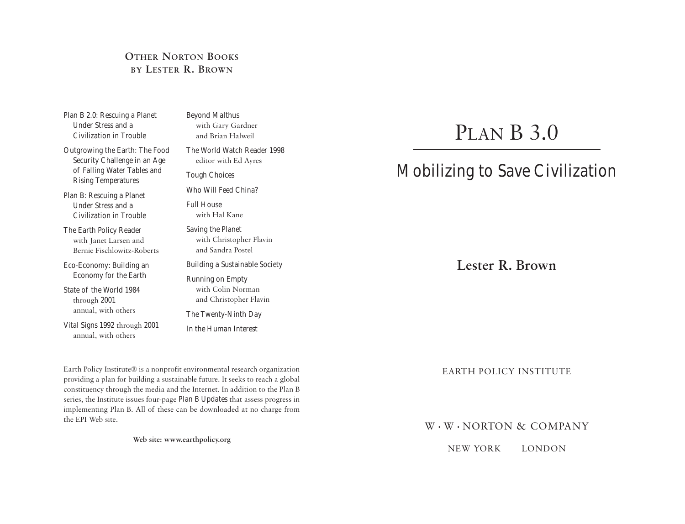### **OTHER NORTON BOOKS BY LESTER R. BROWN**

*Plan B 2.0: Rescuing a Planet Under Stress and a Civilization in Trouble*

*Outgrowing the Earth: The Food Security Challenge in an Age of Falling Water Tables and Rising Temperatures*

*Plan B: Rescuing a Planet Under Stress and a Civilization in Trouble*

*The Earth Policy Reader* with Janet Larsen and Bernie Fischlowitz-Roberts

*Eco-Economy: Building an Economy for the Earth*

*State of the World 1984* through *2001*  annual, with others

*Vital Signs 1992* through *2001* annual, with others

*Beyond Malthus* with Gary Gardner and Brian Halweil

*The World Watch Reader 1998* editor with Ed Ayres

*Tough Choices*

*Who Will Feed China?*

*Full House* with Hal Kane

- *Saving the Planet* with Christopher Flavin and Sandra Postel
- *Building a Sustainable Society Running on Empty* with Colin Norman
- and Christopher Flavin *The Twenty-Ninth Day*

*In the Human Interest*

Earth Policy Institute® is a nonprofit environmental research organization providing a plan for building a sustainable future. It seeks to reach a global constituency through the media and the Internet. In addition to the Plan B series, the Institute issues four-page *Plan B Updates* that assess progress in implementing Plan B. All of these can be downloaded at no charge from the EPI Web site.

**Web site: www.earthpolicy.org**

# PLAN B 3.0

## *Mobilizing to Save Civilization*

**Lester R. Brown**

EARTH POLICY INSTITUTE

### W • W • NORTON & COMPANY

NEW YORK LONDON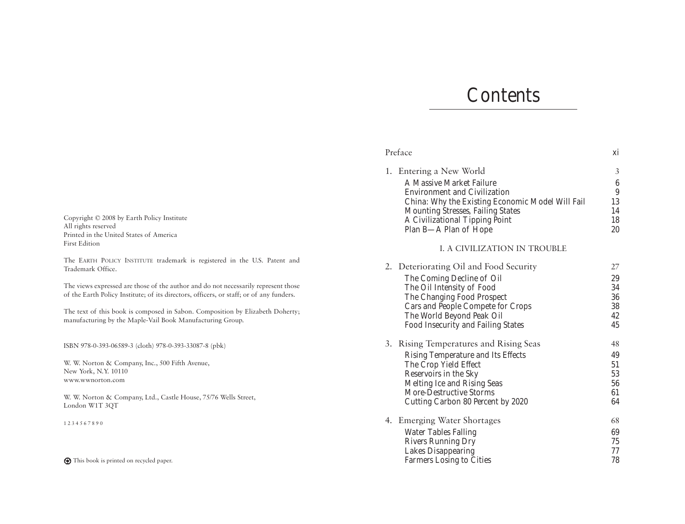## *Contents*

|                                                                                                                                                                               | Preface                                                                                                                                                                                                                    | Xİ                        |
|-------------------------------------------------------------------------------------------------------------------------------------------------------------------------------|----------------------------------------------------------------------------------------------------------------------------------------------------------------------------------------------------------------------------|---------------------------|
|                                                                                                                                                                               | 1. Entering a New World                                                                                                                                                                                                    | 3                         |
| Copyright © 2008 by Earth Policy Institute<br>All rights reserved<br>Printed in the United States of America                                                                  | A Massive Market Failure<br><b>Environment and Civilization</b><br>China: Why the Existing Economic Model Will Fail<br><b>Mounting Stresses, Failing States</b><br>A Civilizational Tipping Point<br>Plan B-A Plan of Hope | 6<br>13<br>14<br>18<br>20 |
| <b>First Edition</b>                                                                                                                                                          | I. A CIVILIZATION IN TROUBLE                                                                                                                                                                                               |                           |
| The EARTH POLICY INSTITUTE trademark is registered in the U.S. Patent and<br>Trademark Office.                                                                                | 2. Deteriorating Oil and Food Security                                                                                                                                                                                     | 27                        |
| The views expressed are those of the author and do not necessarily represent those<br>of the Earth Policy Institute; of its directors, officers, or staff; or of any funders. | The Coming Decline of Oil<br>The Oil Intensity of Food<br>The Changing Food Prospect                                                                                                                                       | 29<br>34<br>36            |
| The text of this book is composed in Sabon. Composition by Elizabeth Doherty;<br>manufacturing by the Maple-Vail Book Manufacturing Group.                                    | Cars and People Compete for Crops<br>The World Beyond Peak Oil<br><b>Food Insecurity and Failing States</b>                                                                                                                | 38<br>42<br>45            |
| ISBN 978-0-393-06589-3 (cloth) 978-0-393-33087-8 (pbk)                                                                                                                        | 3. Rising Temperatures and Rising Seas                                                                                                                                                                                     | 48                        |
| W. W. Norton & Company, Inc., 500 Fifth Avenue,<br>New York, N.Y. 10110<br>www.wwnorton.com                                                                                   | Rising Temperature and Its Effects<br>The Crop Yield Effect<br>Reservoirs in the Sky<br>Melting Ice and Rising Seas                                                                                                        | 49<br>51<br>53<br>56      |
| W. W. Norton & Company, Ltd., Castle House, 75/76 Wells Street,<br>London W1T 3QT                                                                                             | <b>More-Destructive Storms</b><br>Cutting Carbon 80 Percent by 2020                                                                                                                                                        | 61<br>64                  |
| 1234567890                                                                                                                                                                    | 4. Emerging Water Shortages                                                                                                                                                                                                | 68                        |
|                                                                                                                                                                               | <b>Water Tables Falling</b><br><b>Rivers Running Dry</b><br>Lakes Disappearing                                                                                                                                             | 69<br>75<br>77            |
| <b>B</b> This book is printed on recycled paper.                                                                                                                              | <b>Farmers Losing to Cities</b>                                                                                                                                                                                            | 78                        |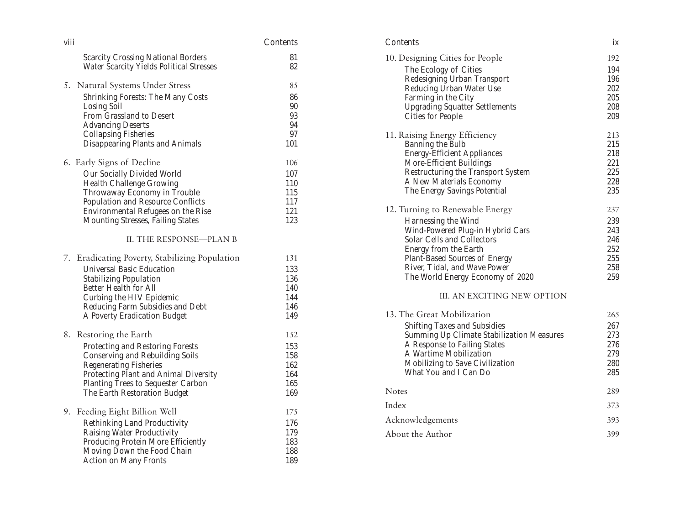| viii                                                                                         | Contents   |
|----------------------------------------------------------------------------------------------|------------|
| <b>Scarcity Crossing National Borders</b><br><b>Water Scarcity Yields Political Stresses</b> | 81<br>82   |
| 5.<br>Natural Systems Under Stress                                                           | 85         |
| <b>Shrinking Forests: The Many Costs</b>                                                     | 86         |
| Losing Soil                                                                                  | 90         |
| From Grassland to Desert                                                                     | 93         |
| <b>Advancing Deserts</b>                                                                     | 94         |
| <b>Collapsing Fisheries</b><br>Disappearing Plants and Animals                               | 97<br>101  |
| 6. Early Signs of Decline                                                                    | 106        |
| Our Socially Divided World                                                                   | 107        |
| Health Challenge Growing                                                                     | 110        |
| Throwaway Economy in Trouble                                                                 | 115        |
| <b>Population and Resource Conflicts</b>                                                     | 117<br>121 |
| Environmental Refugees on the Rise<br><b>Mounting Stresses, Failing States</b>               | 123        |
|                                                                                              |            |
| <b>II. THE RESPONSE—PLAN B</b>                                                               |            |
| Eradicating Poverty, Stabilizing Population<br>7.                                            | 131        |
| <b>Universal Basic Education</b>                                                             | 133        |
| <b>Stabilizing Population</b>                                                                | 136        |
| <b>Better Health for All</b>                                                                 | 140        |
| Curbing the HIV Epidemic                                                                     | 144        |
| Reducing Farm Subsidies and Debt                                                             | 146<br>149 |
| A Poverty Eradication Budget                                                                 |            |
| 8. Restoring the Earth                                                                       | 152        |
| Protecting and Restoring Forests                                                             | 153        |
| <b>Conserving and Rebuilding Soils</b>                                                       | 158        |
| <b>Regenerating Fisheries</b>                                                                | 162        |
| Protecting Plant and Animal Diversity                                                        | 164        |
| Planting Trees to Sequester Carbon                                                           | 165        |
| The Earth Restoration Budget                                                                 | 169        |
| Feeding Eight Billion Well<br>9.                                                             | 175        |
| Rethinking Land Productivity                                                                 | 176        |
| <b>Raising Water Productivity</b>                                                            | 179        |
| Producing Protein More Efficiently                                                           | 183        |
| Moving Down the Food Chain                                                                   | 188        |
| <b>Action on Many Fronts</b>                                                                 | 189        |

| Contents                                  | $i\mathbf{x}$ |
|-------------------------------------------|---------------|
| 10. Designing Cities for People           | 192           |
| The Ecology of Cities                     | 194           |
| Redesigning Urban Transport               | 196           |
| Reducing Urban Water Use                  | 202           |
| Farming in the City                       | 205           |
| <b>Upgrading Squatter Settlements</b>     | 208           |
| Cities for People                         | 209           |
| 11. Raising Energy Efficiency             | 213           |
| <b>Banning the Bulb</b>                   | 215           |
| <b>Energy-Efficient Appliances</b>        | 218           |
| More-Efficient Buildings                  | 221           |
| Restructuring the Transport System        | 225           |
| A New Materials Economy                   | 228<br>235    |
| The Energy Savings Potential              |               |
| 12. Turning to Renewable Energy           | 237           |
| Harnessing the Wind                       | 239           |
| Wind-Powered Plug-in Hybrid Cars          | 243           |
| Solar Cells and Collectors                | 246           |
| Energy from the Earth                     | 252           |
| <b>Plant-Based Sources of Energy</b>      | 255<br>258    |
| River, Tidal, and Wave Power              | 259           |
| The World Energy Economy of 2020          |               |
| III. AN EXCITING NEW OPTION               |               |
| 13. The Great Mobilization                | 265           |
| <b>Shifting Taxes and Subsidies</b>       | 267           |
| Summing Up Climate Stabilization Measures | 273           |
| A Response to Failing States              | 276           |
| A Wartime Mobilization                    | 279           |
| Mobilizing to Save Civilization           | 280           |
| What You and I Can Do                     | 285           |
| <b>Notes</b>                              | 289           |
| Index                                     | 373           |
| Acknowledgements                          | 393           |
| About the Author                          | 399           |
|                                           |               |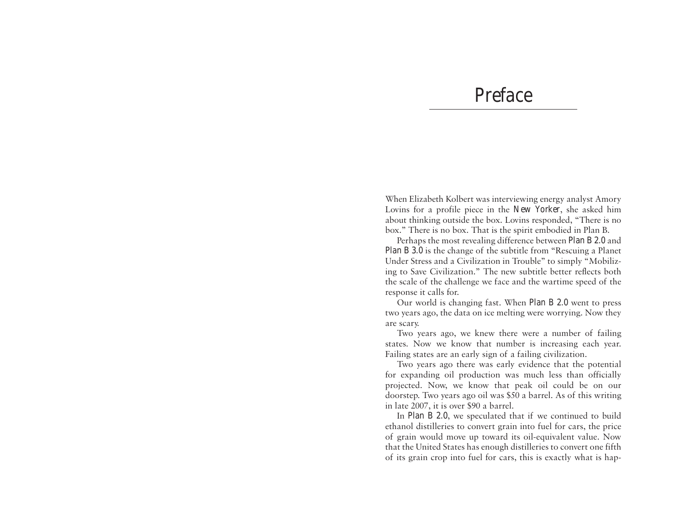## *Preface*

When Elizabeth Kolbert was interviewing energy analyst Amory Lovins for a profile piece in the *New Yorker*, she asked him about thinking outside the box. Lovins responded, "There is no box." There is no box. That is the spirit embodied in Plan B.

Perhaps the most revealing difference between *Plan B 2.0* and *Plan B 3.0* is the change of the subtitle from "Rescuing a Planet" Under Stress and a Civilization in Trouble" to simply "Mobilizing to Save Civilization." The new subtitle better reflects both the scale of the challenge we face and the wartime speed of the response it calls for.

Our world is changing fast. When *Plan B 2.0* went to press two years ago, the data on ice melting were worrying. Now they are scary.

Two years ago, we knew there were a number of failing states. Now we know that number is increasing each year. Failing states are an early sign of a failing civilization.

Two years ago there was early evidence that the potential for expanding oil production was much less than officially projected. Now, we know that peak oil could be on our doorstep. Two years ago oil was \$50 a barrel. As of this writing in late 2007, it is over \$90 a barrel.

In *Plan B 2.0*, we speculated that if we continued to build ethanol distilleries to convert grain into fuel for cars, the price of grain would move up toward its oil-equivalent value. Now that the United States has enough distilleries to convert one fifth of its grain crop into fuel for cars, this is exactly what is hap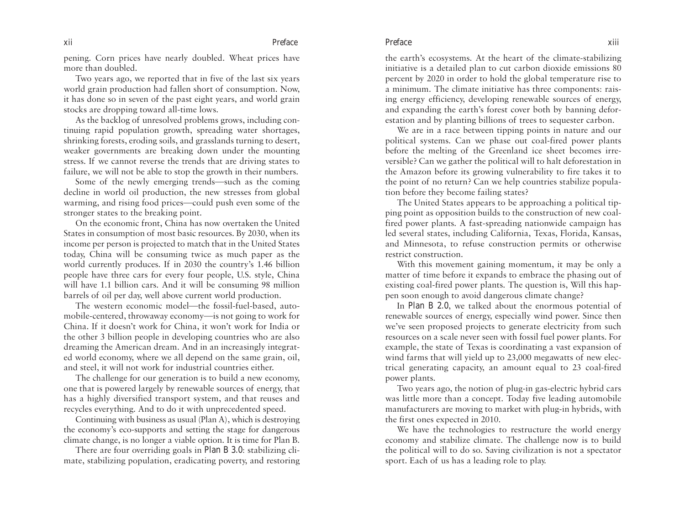*xii Preface Preface xiii*

pening. Corn prices have nearly doubled. Wheat prices have more than doubled.

Two years ago, we reported that in five of the last six years world grain production had fallen short of consumption. Now, it has done so in seven of the past eight years, and world grain stocks are dropping toward all-time lows.

As the backlog of unresolved problems grows, including continuing rapid population growth, spreading water shortages, shrinking forests, eroding soils, and grasslands turning to desert, weaker governments are breaking down under the mounting stress. If we cannot reverse the trends that are driving states to failure, we will not be able to stop the growth in their numbers.

Some of the newly emerging trends—such as the coming decline in world oil production, the new stresses from global warming, and rising food prices—could push even some of the stronger states to the breaking point.

On the economic front, China has now overtaken the United States in consumption of most basic resources. By 2030, when its income per person is projected to match that in the United States today, China will be consuming twice as much paper as the world currently produces. If in 2030 the country's 1.46 billion people have three cars for every four people, U.S. style, China will have 1.1 billion cars. And it will be consuming 98 million barrels of oil per day, well above current world production.

The western economic model—the fossil-fuel-based, automobile-centered, throwaway economy—is not going to work for China. If it doesn't work for China, it won't work for India or the other 3 billion people in developing countries who are also dreaming the American dream. And in an increasingly integrated world economy, where we all depend on the same grain, oil, and steel, it will not work for industrial countries either.

The challenge for our generation is to build a new economy, one that is powered largely by renewable sources of energy, that has a highly diversified transport system, and that reuses and recycles everything. And to do it with unprecedented speed.

Continuing with business as usual (Plan A), which is destroying the economy's eco-supports and setting the stage for dangerous climate change, is no longer a viable option. It is time for Plan B.

There are four overriding goals in *Plan B 3.0*: stabilizing climate, stabilizing population, eradicating poverty, and restoring

the earth's ecosystems. At the heart of the climate-stabilizing initiative is a detailed plan to cut carbon dioxide emissions 80 percent by 2020 in order to hold the global temperature rise to a minimum. The climate initiative has three components: raising energy efficiency, developing renewable sources of energy, and expanding the earth's forest cover both by banning deforestation and by planting billions of trees to sequester carbon.

We are in a race between tipping points in nature and our political systems. Can we phase out coal-fired power plants before the melting of the Greenland ice sheet becomes irreversible? Can we gather the political will to halt deforestation in the Amazon before its growing vulnerability to fire takes it to the point of no return? Can we help countries stabilize population before they become failing states?

The United States appears to be approaching a political tipping point as opposition builds to the construction of new coalfired power plants. A fast-spreading nationwide campaign has led several states, including California, Texas, Florida, Kansas, and Minnesota, to refuse construction permits or otherwise restrict construction.

With this movement gaining momentum, it may be only a matter of time before it expands to embrace the phasing out of existing coal-fired power plants. The question is, Will this happen soon enough to avoid dangerous climate change?

In *Plan B 2.0*, we talked about the enormous potential of renewable sources of energy, especially wind power. Since then we've seen proposed projects to generate electricity from such resources on a scale never seen with fossil fuel power plants. For example, the state of Texas is coordinating a vast expansion of wind farms that will yield up to 23,000 megawatts of new electrical generating capacity, an amount equal to 23 coal-fired power plants.

Two years ago, the notion of plug-in gas-electric hybrid cars was little more than a concept. Today five leading automobile manufacturers are moving to market with plug-in hybrids, with the first ones expected in 2010.

We have the technologies to restructure the world energy economy and stabilize climate. The challenge now is to build the political will to do so. Saving civilization is not a spectator sport. Each of us has a leading role to play.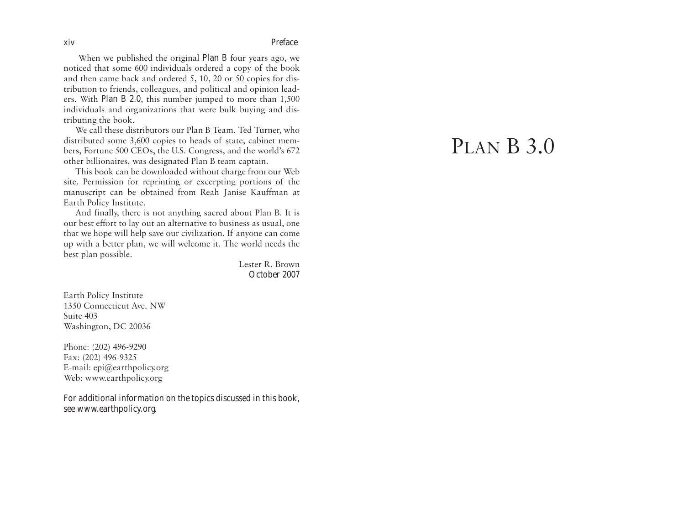When we published the original *Plan B* four years ago, we noticed that some 600 individuals ordered a copy of the book and then came back and ordered 5, 10, 20 or 50 copies for distribution to friends, colleagues, and political and opinion leaders. With *Plan B 2.0*, this number jumped to more than 1,500 individuals and organizations that were bulk buying and distributing the book.

We call these distributors our Plan B Team. Ted Turner, who distributed some 3,600 copies to heads of state, cabinet members, Fortune 500 CEOs, the U.S. Congress, and the world's 672 other billionaires, was designated Plan B team captain.

This book can be downloaded without charge from our Web site. Permission for reprinting or excerpting portions of the manuscript can be obtained from Reah Janise Kauffman at Earth Policy Institute.

And finally, there is not anything sacred about Plan B. It is our best effort to lay out an alternative to business as usual, one that we hope will help save our civilization. If anyone can come up with a better plan, we will welcome it. The world needs the best plan possible.

> Lester R. Brown *October 2007*

Earth Policy Institute 1350 Connecticut Ave. NW Suite 403 Washington, DC 20036

Phone: (202) 496-9290 Fax: (202) 496-9325 E-mail: epi@earthpolicy.org Web: www.earthpolicy.org

*For additional information on the topics discussed in this book, see www.earthpolicy.org.*

## PLAN B 3.0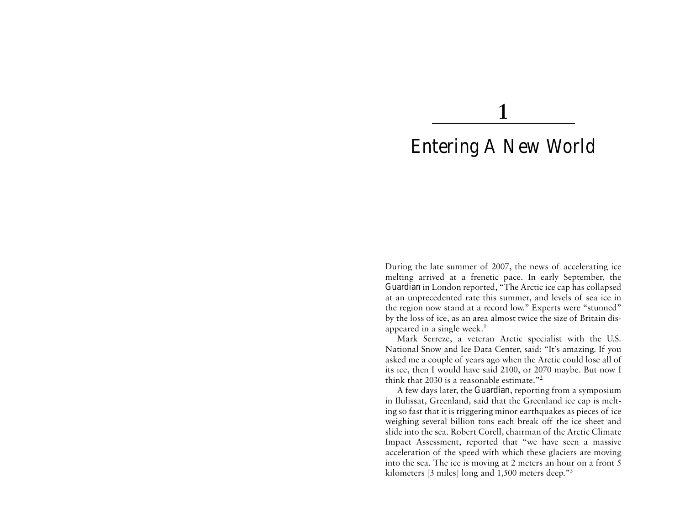# *Entering A New World*

**1**

During the late summer of 2007, the news of accelerating ice melting arrived at a frenetic pace. In early September, the *Guardian* in London reported, "The Arctic ice cap has collapsed at an unprecedented rate this summer, and levels of sea ice in the region now stand at a record low." Experts were "stunned" by the loss of ice, as an area almost twice the size of Britain disappeared in a single week.<sup>1</sup>

Mark Serreze, a veteran Arctic specialist with the U.S. National Snow and Ice Data Center, said: "It's amazing. If you asked me a couple of years ago when the Arctic could lose all of its ice, then I would have said 2100, or 2070 maybe. But now I think that 2030 is a reasonable estimate."2

A few days later, the *Guardian*, reporting from a symposium in Ilulissat, Greenland, said that the Greenland ice cap is melting so fast that it is triggering minor earthquakes as pieces of ice weighing several billion tons each break off the ice sheet and slide into the sea. Robert Corell, chairman of the Arctic Climate Impact Assessment, reported that "we have seen a massive acceleration of the speed with which these glaciers are moving into the sea. The ice is moving at 2 meters an hour on a front 5 kilometers [3 miles] long and 1,500 meters deep."3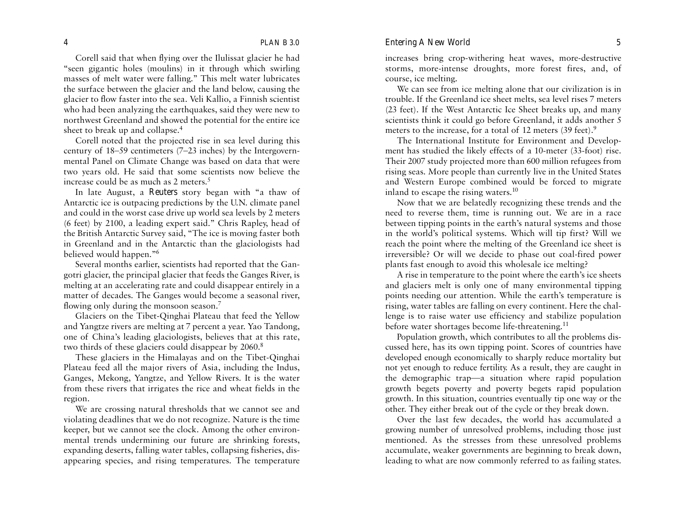Corell said that when flying over the Ilulissat glacier he had "seen gigantic holes (moulins) in it through which swirling masses of melt water were falling." This melt water lubricates the surface between the glacier and the land below, causing the glacier to flow faster into the sea. Veli Kallio, a Finnish scientist who had been analyzing the earthquakes, said they were new to northwest Greenland and showed the potential for the entire ice sheet to break up and collapse.<sup>4</sup>

Corell noted that the projected rise in sea level during this century of 18–59 centimeters (7–23 inches) by the Intergovernmental Panel on Climate Change was based on data that were two years old. He said that some scientists now believe the increase could be as much as 2 meters. $5$ 

In late August, a *Reuters* story began with "a thaw of Antarctic ice is outpacing predictions by the U.N. climate panel and could in the worst case drive up world sea levels by 2 meters (6 feet) by 2100, a leading expert said." Chris Rapley, head of the British Antarctic Survey said, "The ice is moving faster both in Greenland and in the Antarctic than the glaciologists had believed would happen."6

Several months earlier, scientists had reported that the Gangotri glacier, the principal glacier that feeds the Ganges River, is melting at an accelerating rate and could disappear entirely in a matter of decades. The Ganges would become a seasonal river, flowing only during the monsoon season.<sup>7</sup>

Glaciers on the Tibet-Qinghai Plateau that feed the Yellow and Yangtze rivers are melting at 7 percent a year. Yao Tandong, one of China's leading glaciologists, believes that at this rate, two thirds of these glaciers could disappear by 2060.8

These glaciers in the Himalayas and on the Tibet-Qinghai Plateau feed all the major rivers of Asia, including the Indus, Ganges, Mekong, Yangtze, and Yellow Rivers. It is the water from these rivers that irrigates the rice and wheat fields in the region.

We are crossing natural thresholds that we cannot see and violating deadlines that we do not recognize. Nature is the time keeper, but we cannot see the clock. Among the other environmental trends undermining our future are shrinking forests, expanding deserts, falling water tables, collapsing fisheries, disappearing species, and rising temperatures. The temperature increases bring crop-withering heat waves, more-destructive storms, more-intense droughts, more forest fires, and, of course, ice melting.

We can see from ice melting alone that our civilization is in trouble. If the Greenland ice sheet melts, sea level rises 7 meters (23 feet). If the West Antarctic Ice Sheet breaks up, and many scientists think it could go before Greenland, it adds another 5 meters to the increase, for a total of 12 meters (39 feet).<sup>9</sup>

The International Institute for Environment and Development has studied the likely effects of a 10-meter (33-foot) rise. Their 2007 study projected more than 600 million refugees from rising seas. More people than currently live in the United States and Western Europe combined would be forced to migrate inland to escape the rising waters.<sup>10</sup>

Now that we are belatedly recognizing these trends and the need to reverse them, time is running out. We are in a race between tipping points in the earth's natural systems and those in the world's political systems. Which will tip first? Will we reach the point where the melting of the Greenland ice sheet is irreversible? Or will we decide to phase out coal-fired power plants fast enough to avoid this wholesale ice melting?

A rise in temperature to the point where the earth's ice sheets and glaciers melt is only one of many environmental tipping points needing our attention. While the earth's temperature is rising, water tables are falling on every continent. Here the challenge is to raise water use efficiency and stabilize population before water shortages become life-threatening.<sup>11</sup>

Population growth, which contributes to all the problems discussed here, has its own tipping point. Scores of countries have developed enough economically to sharply reduce mortality but not yet enough to reduce fertility. As a result, they are caught in the demographic trap—a situation where rapid population growth begets poverty and poverty begets rapid population growth. In this situation, countries eventually tip one way or the other. They either break out of the cycle or they break down.

Over the last few decades, the world has accumulated a growing number of unresolved problems, including those just mentioned. As the stresses from these unresolved problems accumulate, weaker governments are beginning to break down, leading to what are now commonly referred to as failing states.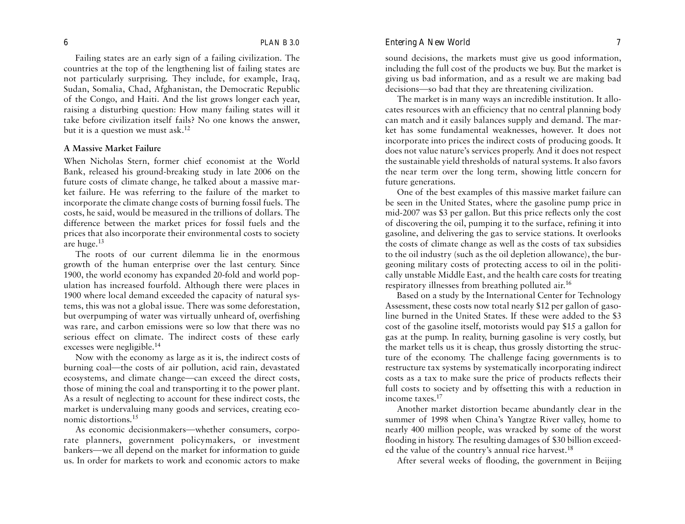Failing states are an early sign of a failing civilization. The countries at the top of the lengthening list of failing states are not particularly surprising. They include, for example, Iraq, Sudan, Somalia, Chad, Afghanistan, the Democratic Republic of the Congo, and Haiti. And the list grows longer each year, raising a disturbing question: How many failing states will it take before civilization itself fails? No one knows the answer, but it is a question we must ask.<sup>12</sup>

### **A Massive Market Failure**

When Nicholas Stern, former chief economist at the World Bank, released his ground-breaking study in late 2006 on the future costs of climate change, he talked about a massive market failure. He was referring to the failure of the market to incorporate the climate change costs of burning fossil fuels. The costs, he said, would be measured in the trillions of dollars. The difference between the market prices for fossil fuels and the prices that also incorporate their environmental costs to society are huge.13

The roots of our current dilemma lie in the enormous growth of the human enterprise over the last century. Since 1900, the world economy has expanded 20-fold and world population has increased fourfold. Although there were places in 1900 where local demand exceeded the capacity of natural systems, this was not a global issue. There was some deforestation, but overpumping of water was virtually unheard of, overfishing was rare, and carbon emissions were so low that there was no serious effect on climate. The indirect costs of these early excesses were negligible.14

Now with the economy as large as it is, the indirect costs of burning coal—the costs of air pollution, acid rain, devastated ecosystems, and climate change—can exceed the direct costs, those of mining the coal and transporting it to the power plant. As a result of neglecting to account for these indirect costs, the market is undervaluing many goods and services, creating economic distortions.15

As economic decisionmakers—whether consumers, corporate planners, government policymakers, or investment bankers—we all depend on the market for information to guide us. In order for markets to work and economic actors to make sound decisions, the markets must give us good information, including the full cost of the products we buy. But the market is giving us bad information, and as a result we are making bad decisions—so bad that they are threatening civilization.

The market is in many ways an incredible institution. It allocates resources with an efficiency that no central planning body can match and it easily balances supply and demand. The market has some fundamental weaknesses, however. It does not incorporate into prices the indirect costs of producing goods. It does not value nature's services properly. And it does not respect the sustainable yield thresholds of natural systems. It also favors the near term over the long term, showing little concern for future generations.

One of the best examples of this massive market failure can be seen in the United States, where the gasoline pump price in mid-2007 was \$3 per gallon. But this price reflects only the cost of discovering the oil, pumping it to the surface, refining it into gasoline, and delivering the gas to service stations. It overlooks the costs of climate change as well as the costs of tax subsidies to the oil industry (such as the oil depletion allowance), the burgeoning military costs of protecting access to oil in the politically unstable Middle East, and the health care costs for treating respiratory illnesses from breathing polluted air.16

Based on a study by the International Center for Technology Assessment, these costs now total nearly \$12 per gallon of gasoline burned in the United States. If these were added to the \$3 cost of the gasoline itself, motorists would pay \$15 a gallon for gas at the pump. In reality, burning gasoline is very costly, but the market tells us it is cheap, thus grossly distorting the structure of the economy. The challenge facing governments is to restructure tax systems by systematically incorporating indirect costs as a tax to make sure the price of products reflects their full costs to society and by offsetting this with a reduction in income taxes.17

Another market distortion became abundantly clear in the summer of 1998 when China's Yangtze River valley, home to nearly 400 million people, was wracked by some of the worst flooding in history. The resulting damages of \$30 billion exceeded the value of the country's annual rice harvest.<sup>18</sup>

After several weeks of flooding, the government in Beijing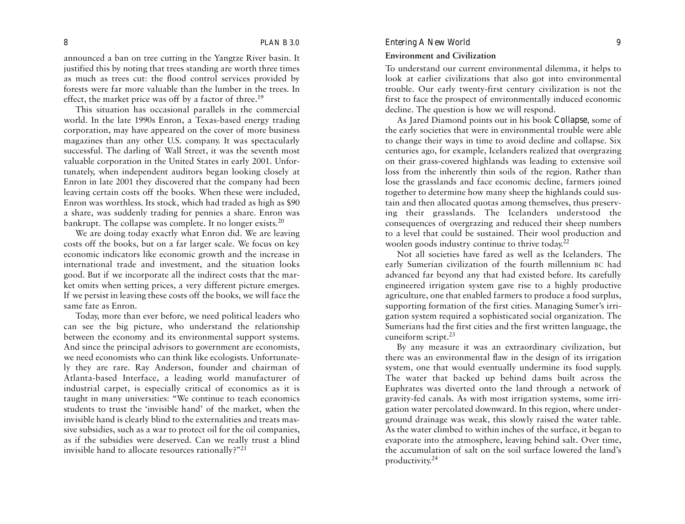announced a ban on tree cutting in the Yangtze River basin. It justified this by noting that trees standing are worth three times as much as trees cut: the flood control services provided by forests were far more valuable than the lumber in the trees. In effect, the market price was off by a factor of three.<sup>19</sup>

This situation has occasional parallels in the commercial world. In the late 1990s Enron, a Texas-based energy trading corporation, may have appeared on the cover of more business magazines than any other U.S. company. It was spectacularly successful. The darling of Wall Street, it was the seventh most valuable corporation in the United States in early 2001. Unfortunately, when independent auditors began looking closely at Enron in late 2001 they discovered that the company had been leaving certain costs off the books. When these were included, Enron was worthless. Its stock, which had traded as high as \$90 a share, was suddenly trading for pennies a share. Enron was bankrupt. The collapse was complete. It no longer exists.  $20$ 

We are doing today exactly what Enron did. We are leaving costs off the books, but on a far larger scale. We focus on key economic indicators like economic growth and the increase in international trade and investment, and the situation looks good. But if we incorporate all the indirect costs that the market omits when setting prices, a very different picture emerges. If we persist in leaving these costs off the books, we will face the same fate as Enron.

Today, more than ever before, we need political leaders who can see the big picture, who understand the relationship between the economy and its environmental support systems. And since the principal advisors to government are economists, we need economists who can think like ecologists. Unfortunately they are rare. Ray Anderson, founder and chairman of Atlanta-based Interface, a leading world manufacturer of industrial carpet, is especially critical of economics as it is taught in many universities: "We continue to teach economics students to trust the 'invisible hand' of the market, when the invisible hand is clearly blind to the externalities and treats massive subsidies, such as a war to protect oil for the oil companies, as if the subsidies were deserved. Can we really trust a blind invisible hand to allocate resources rationally?"21

### *Entering A New World 9*

#### **Environment and Civilization**

To understand our current environmental dilemma, it helps to look at earlier civilizations that also got into environmental trouble. Our early twenty-first century civilization is not the first to face the prospect of environmentally induced economic decline. The question is how we will respond.

As Jared Diamond points out in his book *Collapse*, some of the early societies that were in environmental trouble were able to change their ways in time to avoid decline and collapse. Six centuries ago, for example, Icelanders realized that overgrazing on their grass-covered highlands was leading to extensive soil loss from the inherently thin soils of the region. Rather than lose the grasslands and face economic decline, farmers joined together to determine how many sheep the highlands could sustain and then allocated quotas among themselves, thus preserving their grasslands. The Icelanders understood the consequences of overgrazing and reduced their sheep numbers to a level that could be sustained. Their wool production and woolen goods industry continue to thrive today.<sup>22</sup>

Not all societies have fared as well as the Icelanders. The early Sumerian civilization of the fourth millennium BC had advanced far beyond any that had existed before. Its carefully engineered irrigation system gave rise to a highly productive agriculture, one that enabled farmers to produce a food surplus, supporting formation of the first cities. Managing Sumer's irrigation system required a sophisticated social organization. The Sumerians had the first cities and the first written language, the cuneiform script. $23$ 

By any measure it was an extraordinary civilization, but there was an environmental flaw in the design of its irrigation system, one that would eventually undermine its food supply. The water that backed up behind dams built across the Euphrates was diverted onto the land through a network of gravity-fed canals. As with most irrigation systems, some irrigation water percolated downward. In this region, where underground drainage was weak, this slowly raised the water table. As the water climbed to within inches of the surface, it began to evaporate into the atmosphere, leaving behind salt. Over time, the accumulation of salt on the soil surface lowered the land's productivity.24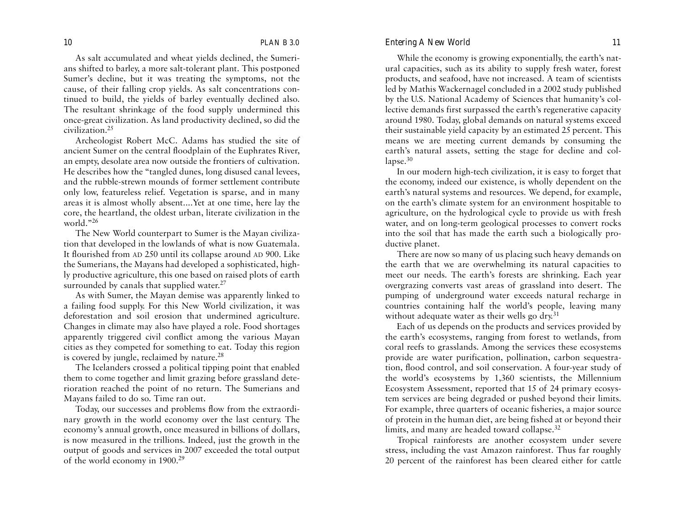As salt accumulated and wheat yields declined, the Sumerians shifted to barley, a more salt-tolerant plant. This postponed Sumer's decline, but it was treating the symptoms, not the cause, of their falling crop yields. As salt concentrations continued to build, the yields of barley eventually declined also. The resultant shrinkage of the food supply undermined this once-great civilization. As land productivity declined, so did the civilization.25

Archeologist Robert McC. Adams has studied the site of ancient Sumer on the central floodplain of the Euphrates River, an empty, desolate area now outside the frontiers of cultivation. He describes how the "tangled dunes, long disused canal levees, and the rubble-strewn mounds of former settlement contribute only low, featureless relief. Vegetation is sparse, and in many areas it is almost wholly absent....Yet at one time, here lay the core, the heartland, the oldest urban, literate civilization in the world."<sup>26</sup>

The New World counterpart to Sumer is the Mayan civilization that developed in the lowlands of what is now Guatemala. It flourished from AD 250 until its collapse around AD 900. Like the Sumerians, the Mayans had developed a sophisticated, highly productive agriculture, this one based on raised plots of earth surrounded by canals that supplied water. $27$ 

As with Sumer, the Mayan demise was apparently linked to a failing food supply. For this New World civilization, it was deforestation and soil erosion that undermined agriculture. Changes in climate may also have played a role. Food shortages apparently triggered civil conflict among the various Mayan cities as they competed for something to eat. Today this region is covered by jungle, reclaimed by nature. $^{28}$ 

The Icelanders crossed a political tipping point that enabled them to come together and limit grazing before grassland deterioration reached the point of no return. The Sumerians and Mayans failed to do so. Time ran out.

Today, our successes and problems flow from the extraordinary growth in the world economy over the last century. The economy's annual growth, once measured in billions of dollars, is now measured in the trillions. Indeed, just the growth in the output of goods and services in 2007 exceeded the total output of the world economy in 1900.29

### *Entering A New World 11*

While the economy is growing exponentially, the earth's natural capacities, such as its ability to supply fresh water, forest products, and seafood, have not increased. A team of scientists led by Mathis Wackernagel concluded in a 2002 study published by the U.S. National Academy of Sciences that humanity's collective demands first surpassed the earth's regenerative capacity around 1980. Today, global demands on natural systems exceed their sustainable yield capacity by an estimated 25 percent. This means we are meeting current demands by consuming the earth's natural assets, setting the stage for decline and col $l$ apse. $30$ 

In our modern high-tech civilization, it is easy to forget that the economy, indeed our existence, is wholly dependent on the earth's natural systems and resources. We depend, for example, on the earth's climate system for an environment hospitable to agriculture, on the hydrological cycle to provide us with fresh water, and on long-term geological processes to convert rocks into the soil that has made the earth such a biologically productive planet.

There are now so many of us placing such heavy demands on the earth that we are overwhelming its natural capacities to meet our needs. The earth's forests are shrinking. Each year overgrazing converts vast areas of grassland into desert. The pumping of underground water exceeds natural recharge in countries containing half the world's people, leaving many without adequate water as their wells go dry. $31$ 

Each of us depends on the products and services provided by the earth's ecosystems, ranging from forest to wetlands, from coral reefs to grasslands. Among the services these ecosystems provide are water purification, pollination, carbon sequestration, flood control, and soil conservation. A four-year study of the world's ecosystems by 1,360 scientists, the Millennium Ecosystem Assessment, reported that 15 of 24 primary ecosystem services are being degraded or pushed beyond their limits. For example, three quarters of oceanic fisheries, a major source of protein in the human diet, are being fished at or beyond their limits, and many are headed toward collapse.<sup>32</sup>

Tropical rainforests are another ecosystem under severe stress, including the vast Amazon rainforest. Thus far roughly 20 percent of the rainforest has been cleared either for cattle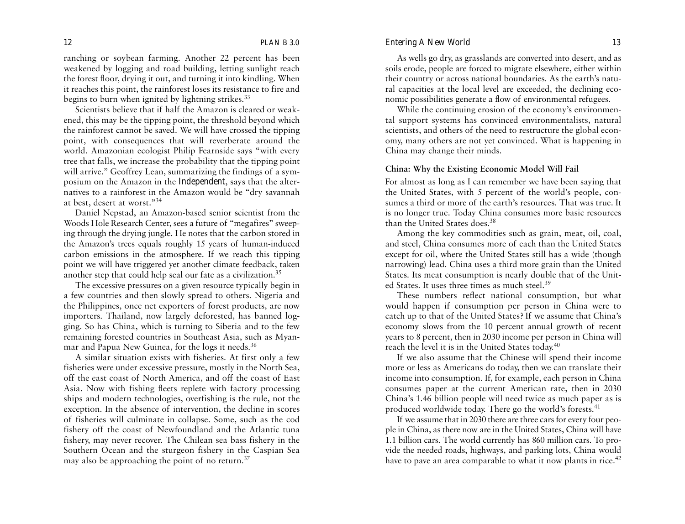As wells go dry, as grasslands are converted into desert, and as soils erode, people are forced to migrate elsewhere, either within their country or across national boundaries. As the earth's natural capacities at the local level are exceeded, the declining economic possibilities generate a flow of environmental refugees.

While the continuing erosion of the economy's environmental support systems has convinced environmentalists, natural scientists, and others of the need to restructure the global economy, many others are not yet convinced. What is happening in China may change their minds.

### **China: Why the Existing Economic Model Will Fail**

For almost as long as I can remember we have been saying that the United States, with 5 percent of the world's people, consumes a third or more of the earth's resources. That was true. It is no longer true. Today China consumes more basic resources than the United States does.38

Among the key commodities such as grain, meat, oil, coal, and steel, China consumes more of each than the United States except for oil, where the United States still has a wide (though narrowing) lead. China uses a third more grain than the United States. Its meat consumption is nearly double that of the United States. It uses three times as much steel.39

These numbers reflect national consumption, but what would happen if consumption per person in China were to catch up to that of the United States? If we assume that China's economy slows from the 10 percent annual growth of recent years to 8 percent, then in 2030 income per person in China will reach the level it is in the United States today.<sup>40</sup>

If we also assume that the Chinese will spend their income more or less as Americans do today, then we can translate their income into consumption. If, for example, each person in China consumes paper at the current American rate, then in 2030 China's 1.46 billion people will need twice as much paper as is produced worldwide today. There go the world's forests.<sup>41</sup>

If we assume that in 2030 there are three cars for every four people in China, as there now are in the United States, China will have 1.1 billion cars. The world currently has 860 million cars. To provide the needed roads, highways, and parking lots, China would have to pave an area comparable to what it now plants in rice.<sup>42</sup>

ranching or soybean farming. Another 22 percent has been weakened by logging and road building, letting sunlight reach the forest floor, drying it out, and turning it into kindling. When it reaches this point, the rainforest loses its resistance to fire and begins to burn when ignited by lightning strikes.33

Scientists believe that if half the Amazon is cleared or weakened, this may be the tipping point, the threshold beyond which the rainforest cannot be saved. We will have crossed the tipping point, with consequences that will reverberate around the world. Amazonian ecologist Philip Fearnside says "with every tree that falls, we increase the probability that the tipping point will arrive." Geoffrey Lean, summarizing the findings of a symposium on the Amazon in the *Independent*, says that the alternatives to a rainforest in the Amazon would be "dry savannah at best, desert at worst."34

Daniel Nepstad, an Amazon-based senior scientist from the Woods Hole Research Center, sees a future of "megafires" sweeping through the drying jungle. He notes that the carbon stored in the Amazon's trees equals roughly 15 years of human-induced carbon emissions in the atmosphere. If we reach this tipping point we will have triggered yet another climate feedback, taken another step that could help seal our fate as a civilization.<sup>35</sup>

The excessive pressures on a given resource typically begin in a few countries and then slowly spread to others. Nigeria and the Philippines, once net exporters of forest products, are now importers. Thailand, now largely deforested, has banned logging. So has China, which is turning to Siberia and to the few remaining forested countries in Southeast Asia, such as Myanmar and Papua New Guinea, for the logs it needs.<sup>36</sup>

A similar situation exists with fisheries. At first only a few fisheries were under excessive pressure, mostly in the North Sea, off the east coast of North America, and off the coast of East Asia. Now with fishing fleets replete with factory processing ships and modern technologies, overfishing is the rule, not the exception. In the absence of intervention, the decline in scores of fisheries will culminate in collapse. Some, such as the cod fishery off the coast of Newfoundland and the Atlantic tuna fishery, may never recover. The Chilean sea bass fishery in the Southern Ocean and the sturgeon fishery in the Caspian Sea may also be approaching the point of no return. $37$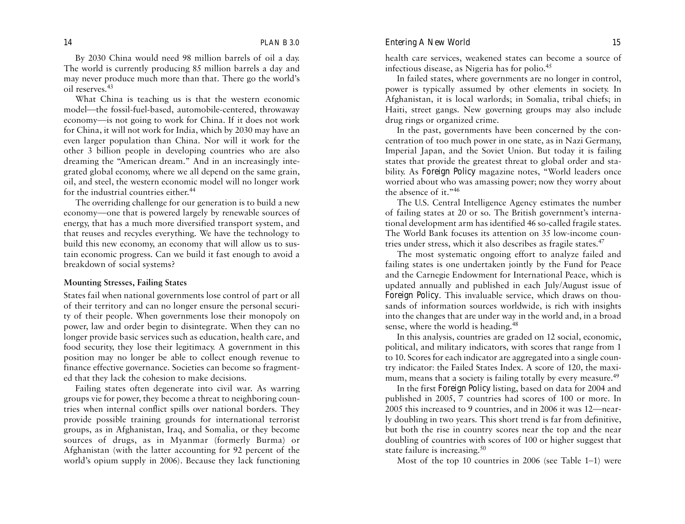By 2030 China would need 98 million barrels of oil a day. The world is currently producing 85 million barrels a day and may never produce much more than that. There go the world's oil reserves.43

What China is teaching us is that the western economic model—the fossil-fuel-based, automobile-centered, throwaway economy—is not going to work for China. If it does not work for China, it will not work for India, which by 2030 may have an even larger population than China. Nor will it work for the other 3 billion people in developing countries who are also dreaming the "American dream." And in an increasingly integrated global economy, where we all depend on the same grain, oil, and steel, the western economic model will no longer work for the industrial countries either.<sup>44</sup>

The overriding challenge for our generation is to build a new economy—one that is powered largely by renewable sources of energy, that has a much more diversified transport system, and that reuses and recycles everything. We have the technology to build this new economy, an economy that will allow us to sustain economic progress. Can we build it fast enough to avoid a breakdown of social systems?

### **Mounting Stresses, Failing States**

States fail when national governments lose control of part or all of their territory and can no longer ensure the personal security of their people. When governments lose their monopoly on power, law and order begin to disintegrate. When they can no longer provide basic services such as education, health care, and food security, they lose their legitimacy. A government in this position may no longer be able to collect enough revenue to finance effective governance. Societies can become so fragmented that they lack the cohesion to make decisions.

Failing states often degenerate into civil war. As warring groups vie for power, they become a threat to neighboring countries when internal conflict spills over national borders. They provide possible training grounds for international terrorist groups, as in Afghanistan, Iraq, and Somalia, or they become sources of drugs, as in Myanmar (formerly Burma) or Afghanistan (with the latter accounting for 92 percent of the world's opium supply in 2006). Because they lack functioning health care services, weakened states can become a source of infectious disease, as Nigeria has for polio.45

In failed states, where governments are no longer in control, power is typically assumed by other elements in society. In Afghanistan, it is local warlords; in Somalia, tribal chiefs; in Haiti, street gangs. New governing groups may also include drug rings or organized crime.

In the past, governments have been concerned by the concentration of too much power in one state, as in Nazi Germany, Imperial Japan, and the Soviet Union. But today it is failing states that provide the greatest threat to global order and stability. As *Foreign Policy* magazine notes, "World leaders once worried about who was amassing power; now they worry about the absence of it."46

The U.S. Central Intelligence Agency estimates the number of failing states at 20 or so. The British government's international development arm has identified 46 so-called fragile states. The World Bank focuses its attention on 35 low-income countries under stress, which it also describes as fragile states.<sup>47</sup>

The most systematic ongoing effort to analyze failed and failing states is one undertaken jointly by the Fund for Peace and the Carnegie Endowment for International Peace, which is updated annually and published in each July/August issue of *Foreign Policy*. This invaluable service, which draws on thousands of information sources worldwide, is rich with insights into the changes that are under way in the world and, in a broad sense, where the world is heading.<sup>48</sup>

In this analysis, countries are graded on 12 social, economic, political, and military indicators, with scores that range from 1 to 10. Scores for each indicator are aggregated into a single country indicator: the Failed States Index. A score of 120, the maximum, means that a society is failing totally by every measure.<sup>49</sup>

In the first *Foreign Policy* listing, based on data for 2004 and published in 2005, 7 countries had scores of 100 or more. In 2005 this increased to 9 countries, and in 2006 it was 12—nearly doubling in two years. This short trend is far from definitive, but both the rise in country scores near the top and the near doubling of countries with scores of 100 or higher suggest that state failure is increasing.<sup>50</sup>

Most of the top 10 countries in 2006 (see Table 1–1) were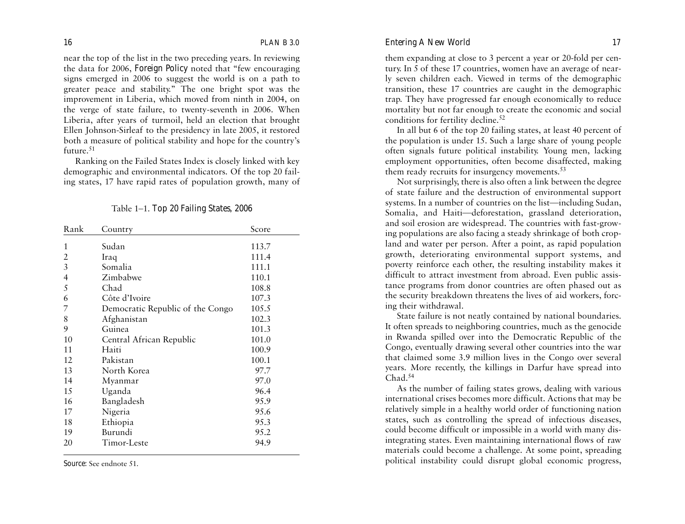near the top of the list in the two preceding years. In reviewing the data for 2006, *Foreign Policy* noted that "few encouraging signs emerged in 2006 to suggest the world is on a path to greater peace and stability." The one bright spot was the improvement in Liberia, which moved from ninth in 2004, on the verge of state failure, to twenty-seventh in 2006. When Liberia, after years of turmoil, held an election that brought Ellen Johnson-Sirleaf to the presidency in late 2005, it restored both a measure of political stability and hope for the country's future.<sup>51</sup>

Ranking on the Failed States Index is closely linked with key demographic and environmental indicators. Of the top 20 failing states, 17 have rapid rates of population growth, many of

| Table 1-1. Top 20 Failing States, 2006 |  |  |  |  |  |
|----------------------------------------|--|--|--|--|--|
|----------------------------------------|--|--|--|--|--|

| Rank           | Country                          | Score |
|----------------|----------------------------------|-------|
| 1              | Sudan                            | 113.7 |
| 2              | Iraq                             | 111.4 |
| $\overline{3}$ | Somalia                          | 111.1 |
| $\overline{4}$ | Zimbabwe                         | 110.1 |
| 5              | Chad                             | 108.8 |
| 6              | Côte d'Ivoire                    | 107.3 |
| 7              | Democratic Republic of the Congo | 105.5 |
| 8              | Afghanistan                      | 102.3 |
| 9              | Guinea                           | 101.3 |
| 10             | Central African Republic         | 101.0 |
| 11             | Haiti                            | 100.9 |
| 12             | Pakistan                         | 100.1 |
| 13             | North Korea                      | 97.7  |
| 14             | Myanmar                          | 97.0  |
| 15             | Uganda                           | 96.4  |
| 16             | Bangladesh                       | 95.9  |
| 17             | Nigeria                          | 95.6  |
| 18             | Ethiopia                         | 95.3  |
| 19             | Burundi                          | 95.2  |
| 20             | Timor-Leste                      | 94.9  |

*Source:* See endnote 51.

them expanding at close to 3 percent a year or 20-fold per century. In 5 of these 17 countries, women have an average of nearly seven children each. Viewed in terms of the demographic transition, these 17 countries are caught in the demographic trap. They have progressed far enough economically to reduce mortality but not far enough to create the economic and social conditions for fertility decline.<sup>52</sup>

In all but 6 of the top 20 failing states, at least 40 percent of the population is under 15. Such a large share of young people often signals future political instability. Young men, lacking employment opportunities, often become disaffected, making them ready recruits for insurgency movements.<sup>53</sup>

Not surprisingly, there is also often a link between the degree of state failure and the destruction of environmental support systems. In a number of countries on the list—including Sudan, Somalia, and Haiti—deforestation, grassland deterioration, and soil erosion are widespread. The countries with fast-growing populations are also facing a steady shrinkage of both cropland and water per person. After a point, as rapid population growth, deteriorating environmental support systems, and poverty reinforce each other, the resulting instability makes it difficult to attract investment from abroad. Even public assistance programs from donor countries are often phased out as the security breakdown threatens the lives of aid workers, forcing their withdrawal.

State failure is not neatly contained by national boundaries. It often spreads to neighboring countries, much as the genocide in Rwanda spilled over into the Democratic Republic of the Congo, eventually drawing several other countries into the war that claimed some 3.9 million lives in the Congo over several years. More recently, the killings in Darfur have spread into  $Chad.<sup>54</sup>$ 

As the number of failing states grows, dealing with various international crises becomes more difficult. Actions that may be relatively simple in a healthy world order of functioning nation states, such as controlling the spread of infectious diseases, could become difficult or impossible in a world with many disintegrating states. Even maintaining international flows of raw materials could become a challenge. At some point, spreading political instability could disrupt global economic progress,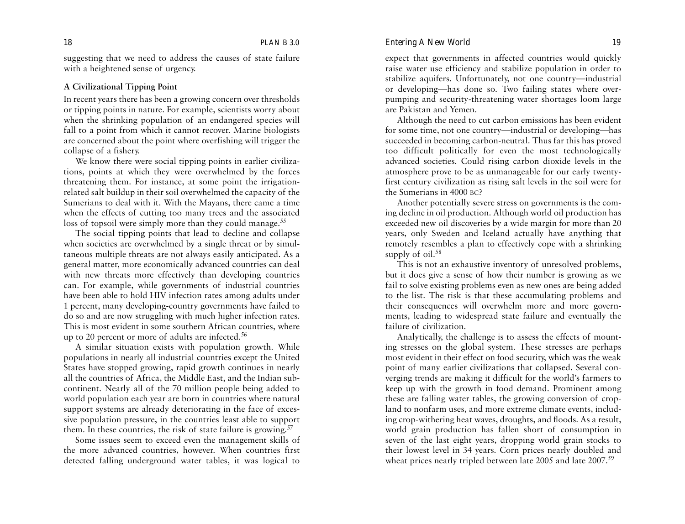suggesting that we need to address the causes of state failure with a heightened sense of urgency.

### **A Civilizational Tipping Point**

In recent years there has been a growing concern over thresholds or tipping points in nature. For example, scientists worry about when the shrinking population of an endangered species will fall to a point from which it cannot recover. Marine biologists are concerned about the point where overfishing will trigger the collapse of a fishery.

We know there were social tipping points in earlier civilizations, points at which they were overwhelmed by the forces threatening them. For instance, at some point the irrigationrelated salt buildup in their soil overwhelmed the capacity of the Sumerians to deal with it. With the Mayans, there came a time when the effects of cutting too many trees and the associated loss of topsoil were simply more than they could manage.<sup>55</sup>

The social tipping points that lead to decline and collapse when societies are overwhelmed by a single threat or by simultaneous multiple threats are not always easily anticipated. As a general matter, more economically advanced countries can deal with new threats more effectively than developing countries can. For example, while governments of industrial countries have been able to hold HIV infection rates among adults under 1 percent, many developing-country governments have failed to do so and are now struggling with much higher infection rates. This is most evident in some southern African countries, where up to 20 percent or more of adults are infected.<sup>56</sup>

A similar situation exists with population growth. While populations in nearly all industrial countries except the United States have stopped growing, rapid growth continues in nearly all the countries of Africa, the Middle East, and the Indian subcontinent. Nearly all of the 70 million people being added to world population each year are born in countries where natural support systems are already deteriorating in the face of excessive population pressure, in the countries least able to support them. In these countries, the risk of state failure is growing.<sup>57</sup>

Some issues seem to exceed even the management skills of the more advanced countries, however. When countries first detected falling underground water tables, it was logical to

### *Entering A New World 19*

expect that governments in affected countries would quickly raise water use efficiency and stabilize population in order to stabilize aquifers. Unfortunately, not one country—industrial or developing—has done so. Two failing states where overpumping and security-threatening water shortages loom large are Pakistan and Yemen.

Although the need to cut carbon emissions has been evident for some time, not one country—industrial or developing—has succeeded in becoming carbon-neutral. Thus far this has proved too difficult politically for even the most technologically advanced societies. Could rising carbon dioxide levels in the atmosphere prove to be as unmanageable for our early twentyfirst century civilization as rising salt levels in the soil were for the Sumerians in 4000 BC?

Another potentially severe stress on governments is the coming decline in oil production. Although world oil production has exceeded new oil discoveries by a wide margin for more than 20 years, only Sweden and Iceland actually have anything that remotely resembles a plan to effectively cope with a shrinking supply of  $oil.^58$ 

This is not an exhaustive inventory of unresolved problems, but it does give a sense of how their number is growing as we fail to solve existing problems even as new ones are being added to the list. The risk is that these accumulating problems and their consequences will overwhelm more and more governments, leading to widespread state failure and eventually the failure of civilization.

Analytically, the challenge is to assess the effects of mounting stresses on the global system. These stresses are perhaps most evident in their effect on food security, which was the weak point of many earlier civilizations that collapsed. Several converging trends are making it difficult for the world's farmers to keep up with the growth in food demand. Prominent among these are falling water tables, the growing conversion of cropland to nonfarm uses, and more extreme climate events, including crop-withering heat waves, droughts, and floods. As a result, world grain production has fallen short of consumption in seven of the last eight years, dropping world grain stocks to their lowest level in 34 years. Corn prices nearly doubled and wheat prices nearly tripled between late 2005 and late 2007.<sup>59</sup>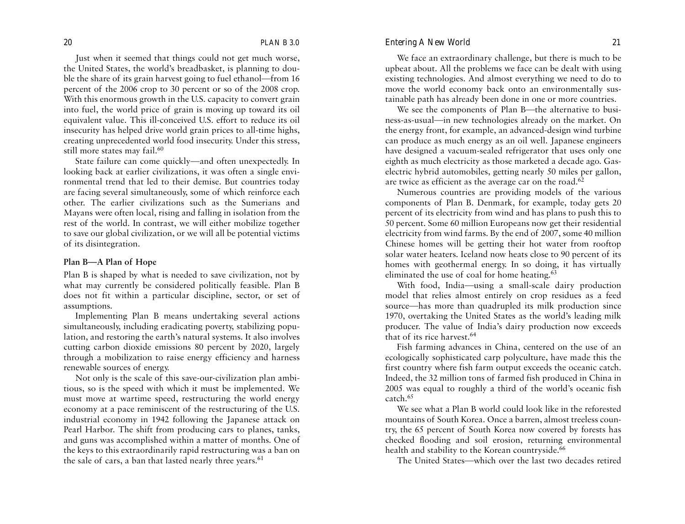Just when it seemed that things could not get much worse, the United States, the world's breadbasket, is planning to double the share of its grain harvest going to fuel ethanol—from 16 percent of the 2006 crop to 30 percent or so of the 2008 crop. With this enormous growth in the U.S. capacity to convert grain into fuel, the world price of grain is moving up toward its oil equivalent value. This ill-conceived U.S. effort to reduce its oil insecurity has helped drive world grain prices to all-time highs, creating unprecedented world food insecurity. Under this stress, still more states may fail.<sup>60</sup>

State failure can come quickly—and often unexpectedly. In looking back at earlier civilizations, it was often a single environmental trend that led to their demise. But countries today are facing several simultaneously, some of which reinforce each other. The earlier civilizations such as the Sumerians and Mayans were often local, rising and falling in isolation from the rest of the world. In contrast, we will either mobilize together to save our global civilization, or we will all be potential victims of its disintegration.

### **Plan B—A Plan of Hope**

Plan B is shaped by what is needed to save civilization, not by what may currently be considered politically feasible. Plan B does not fit within a particular discipline, sector, or set of assumptions.

Implementing Plan B means undertaking several actions simultaneously, including eradicating poverty, stabilizing population, and restoring the earth's natural systems. It also involves cutting carbon dioxide emissions 80 percent by 2020, largely through a mobilization to raise energy efficiency and harness renewable sources of energy.

Not only is the scale of this save-our-civilization plan ambitious, so is the speed with which it must be implemented. We must move at wartime speed, restructuring the world energy economy at a pace reminiscent of the restructuring of the U.S. industrial economy in 1942 following the Japanese attack on Pearl Harbor. The shift from producing cars to planes, tanks, and guns was accomplished within a matter of months. One of the keys to this extraordinarily rapid restructuring was a ban on the sale of cars, a ban that lasted nearly three years.  $61$ 

We face an extraordinary challenge, but there is much to be upbeat about. All the problems we face can be dealt with using existing technologies. And almost everything we need to do to move the world economy back onto an environmentally sustainable path has already been done in one or more countries.

We see the components of Plan B—the alternative to business-as-usual—in new technologies already on the market. On the energy front, for example, an advanced-design wind turbine can produce as much energy as an oil well. Japanese engineers have designed a vacuum-sealed refrigerator that uses only one eighth as much electricity as those marketed a decade ago. Gaselectric hybrid automobiles, getting nearly 50 miles per gallon, are twice as efficient as the average car on the road.<sup>62</sup>

Numerous countries are providing models of the various components of Plan B. Denmark, for example, today gets 20 percent of its electricity from wind and has plans to push this to 50 percent. Some 60 million Europeans now get their residential electricity from wind farms. By the end of 2007, some 40 million Chinese homes will be getting their hot water from rooftop solar water heaters. Iceland now heats close to 90 percent of its homes with geothermal energy. In so doing, it has virtually eliminated the use of coal for home heating.<sup>63</sup>

With food, India—using a small-scale dairy production model that relies almost entirely on crop residues as a feed source—has more than quadrupled its milk production since 1970, overtaking the United States as the world's leading milk producer. The value of India's dairy production now exceeds that of its rice harvest.<sup>64</sup>

Fish farming advances in China, centered on the use of an ecologically sophisticated carp polyculture, have made this the first country where fish farm output exceeds the oceanic catch. Indeed, the 32 million tons of farmed fish produced in China in 2005 was equal to roughly a third of the world's oceanic fish catch.<sup>65</sup>

We see what a Plan B world could look like in the reforested mountains of South Korea. Once a barren, almost treeless country, the 65 percent of South Korea now covered by forests has checked flooding and soil erosion, returning environmental health and stability to the Korean countryside.<sup>66</sup>

The United States—which over the last two decades retired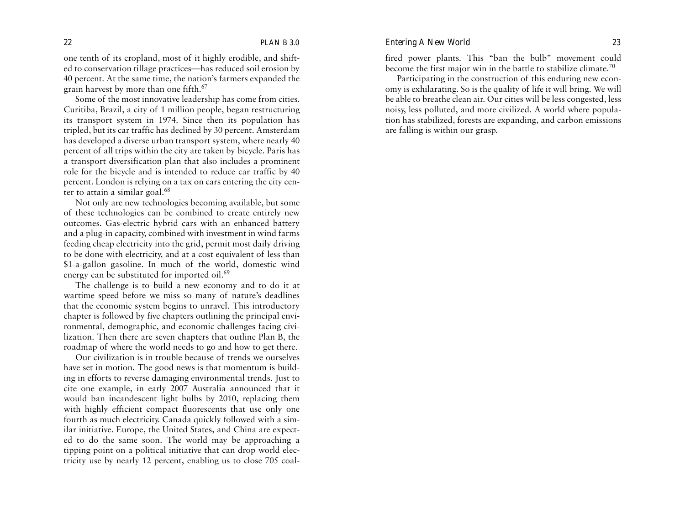one tenth of its cropland, most of it highly erodible, and shifted to conservation tillage practices—has reduced soil erosion by 40 percent. At the same time, the nation's farmers expanded the grain harvest by more than one fifth.<sup>67</sup>

Some of the most innovative leadership has come from cities. Curitiba, Brazil, a city of 1 million people, began restructuring its transport system in 1974. Since then its population has tripled, but its car traffic has declined by 30 percent. Amsterdam has developed a diverse urban transport system, where nearly 40 percent of all trips within the city are taken by bicycle. Paris has a transport diversification plan that also includes a prominent role for the bicycle and is intended to reduce car traffic by 40 percent. London is relying on a tax on cars entering the city center to attain a similar goal.68

Not only are new technologies becoming available, but some of these technologies can be combined to create entirely new outcomes. Gas-electric hybrid cars with an enhanced battery and a plug-in capacity, combined with investment in wind farms feeding cheap electricity into the grid, permit most daily driving to be done with electricity, and at a cost equivalent of less than \$1-a-gallon gasoline. In much of the world, domestic wind energy can be substituted for imported oil.<sup>69</sup>

The challenge is to build a new economy and to do it at wartime speed before we miss so many of nature's deadlines that the economic system begins to unravel. This introductory chapter is followed by five chapters outlining the principal environmental, demographic, and economic challenges facing civilization. Then there are seven chapters that outline Plan B, the roadmap of where the world needs to go and how to get there.

Our civilization is in trouble because of trends we ourselves have set in motion. The good news is that momentum is building in efforts to reverse damaging environmental trends. Just to cite one example, in early 2007 Australia announced that it would ban incandescent light bulbs by 2010, replacing them with highly efficient compact fluorescents that use only one fourth as much electricity. Canada quickly followed with a similar initiative. Europe, the United States, and China are expected to do the same soon. The world may be approaching a tipping point on a political initiative that can drop world electricity use by nearly 12 percent, enabling us to close 705 coalfired power plants. This "ban the bulb" movement could become the first major win in the battle to stabilize climate.<sup>70</sup>

Participating in the construction of this enduring new economy is exhilarating. So is the quality of life it will bring. We will be able to breathe clean air. Our cities will be less congested, less noisy, less polluted, and more civilized. A world where population has stabilized, forests are expanding, and carbon emissions are falling is within our grasp.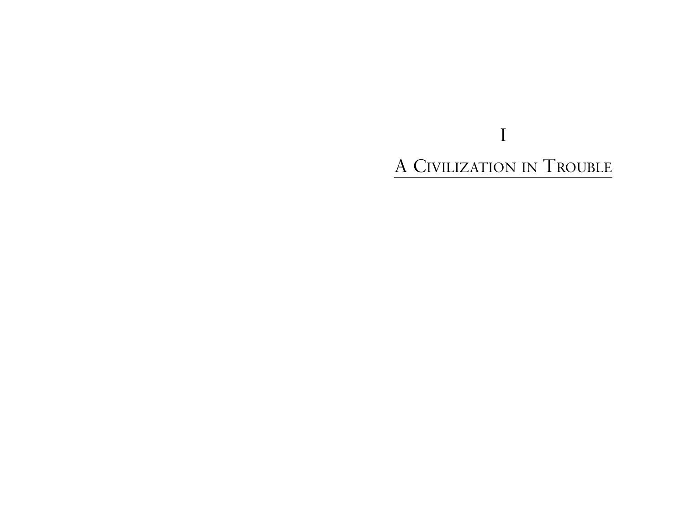# I A CIVILIZATION IN TROUBLE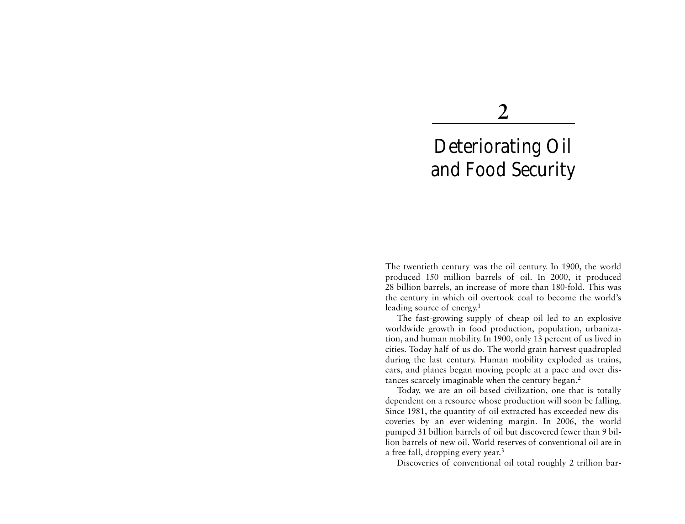## **2**

## *Deteriorating Oil and Food Security*

The twentieth century was the oil century. In 1900, the world produced 150 million barrels of oil. In 2000, it produced 28 billion barrels, an increase of more than 180-fold. This was the century in which oil overtook coal to become the world's leading source of energy. $\frac{1}{1}$ 

The fast-growing supply of cheap oil led to an explosive worldwide growth in food production, population, urbanization, and human mobility. In 1900, only 13 percent of us lived in cities. Today half of us do. The world grain harvest quadrupled during the last century. Human mobility exploded as trains, cars, and planes began moving people at a pace and over distances scarcely imaginable when the century began.<sup>2</sup>

Today, we are an oil-based civilization, one that is totally dependent on a resource whose production will soon be falling. Since 1981, the quantity of oil extracted has exceeded new discoveries by an ever-widening margin. In 2006, the world pumped 31 billion barrels of oil but discovered fewer than 9 billion barrels of new oil. World reserves of conventional oil are in a free fall, dropping every year.<sup>3</sup>

Discoveries of conventional oil total roughly 2 trillion bar-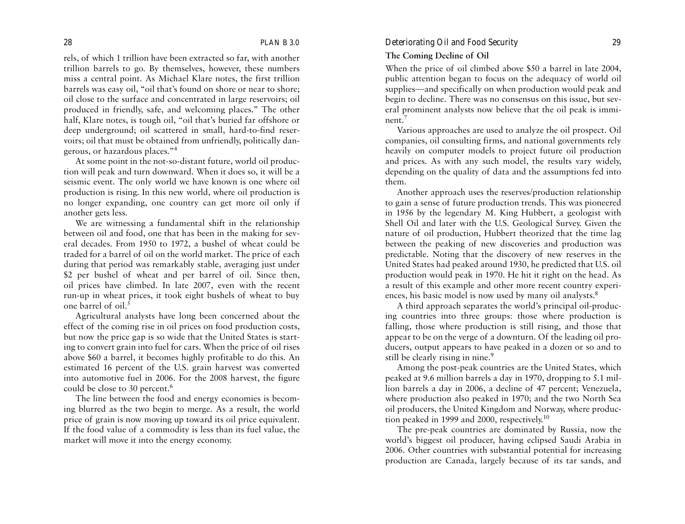rels, of which 1 trillion have been extracted so far, with another trillion barrels to go. By themselves, however, these numbers miss a central point. As Michael Klare notes, the first trillion barrels was easy oil, "oil that's found on shore or near to shore; oil close to the surface and concentrated in large reservoirs; oil produced in friendly, safe, and welcoming places." The other half, Klare notes, is tough oil, "oil that's buried far offshore or deep underground; oil scattered in small, hard-to-find reservoirs; oil that must be obtained from unfriendly, politically dangerous, or hazardous places."<sup>4</sup>

At some point in the not-so-distant future, world oil production will peak and turn downward. When it does so, it will be a seismic event. The only world we have known is one where oil production is rising. In this new world, where oil production is no longer expanding, one country can get more oil only if another gets less.

We are witnessing a fundamental shift in the relationship between oil and food, one that has been in the making for several decades. From 1950 to 1972, a bushel of wheat could be traded for a barrel of oil on the world market. The price of each during that period was remarkably stable, averaging just under \$2 per bushel of wheat and per barrel of oil. Since then, oil prices have climbed. In late 2007, even with the recent run-up in wheat prices, it took eight bushels of wheat to buy one barrel of oil.5

Agricultural analysts have long been concerned about the effect of the coming rise in oil prices on food production costs, but now the price gap is so wide that the United States is starting to convert grain into fuel for cars. When the price of oil rises above \$60 a barrel, it becomes highly profitable to do this. An estimated 16 percent of the U.S. grain harvest was converted into automotive fuel in 2006. For the 2008 harvest, the figure could be close to 30 percent.<sup>6</sup>

The line between the food and energy economies is becoming blurred as the two begin to merge. As a result, the world price of grain is now moving up toward its oil price equivalent. If the food value of a commodity is less than its fuel value, the market will move it into the energy economy.

### **The Coming Decline of Oil**

When the price of oil climbed above \$50 a barrel in late 2004, public attention began to focus on the adequacy of world oil supplies—and specifically on when production would peak and begin to decline. There was no consensus on this issue, but several prominent analysts now believe that the oil peak is imminent.<sup>7</sup>

Various approaches are used to analyze the oil prospect. Oil companies, oil consulting firms, and national governments rely heavily on computer models to project future oil production and prices. As with any such model, the results vary widely, depending on the quality of data and the assumptions fed into them.

Another approach uses the reserves/production relationship to gain a sense of future production trends. This was pioneered in 1956 by the legendary M. King Hubbert, a geologist with Shell Oil and later with the U.S. Geological Survey. Given the nature of oil production, Hubbert theorized that the time lag between the peaking of new discoveries and production was predictable. Noting that the discovery of new reserves in the United States had peaked around 1930, he predicted that U.S. oil production would peak in 1970. He hit it right on the head. As a result of this example and other more recent country experiences, his basic model is now used by many oil analysts.<sup>8</sup>

A third approach separates the world's principal oil-producing countries into three groups: those where production is falling, those where production is still rising, and those that appear to be on the verge of a downturn. Of the leading oil producers, output appears to have peaked in a dozen or so and to still be clearly rising in nine.<sup>9</sup>

Among the post-peak countries are the United States, which peaked at 9.6 million barrels a day in 1970, dropping to 5.1 million barrels a day in 2006, a decline of 47 percent; Venezuela, where production also peaked in 1970; and the two North Sea oil producers, the United Kingdom and Norway, where production peaked in 1999 and 2000, respectively.<sup>10</sup>

The pre-peak countries are dominated by Russia, now the world's biggest oil producer, having eclipsed Saudi Arabia in 2006. Other countries with substantial potential for increasing production are Canada, largely because of its tar sands, and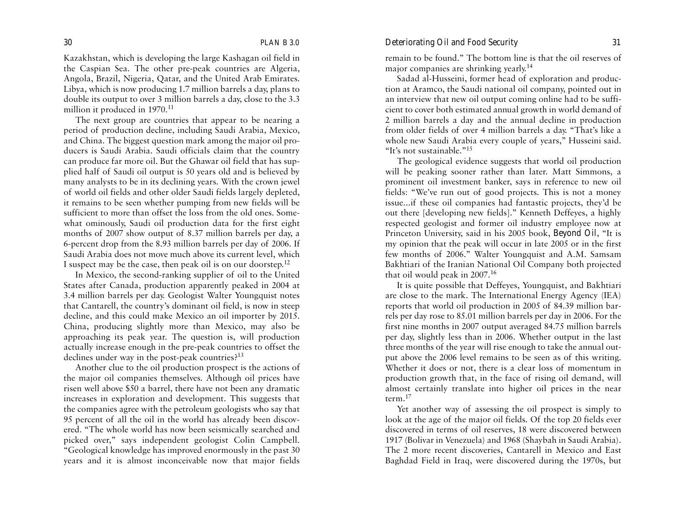Kazakhstan, which is developing the large Kashagan oil field in the Caspian Sea. The other pre-peak countries are Algeria, Angola, Brazil, Nigeria, Qatar, and the United Arab Emirates. Libya, which is now producing 1.7 million barrels a day, plans to double its output to over 3 million barrels a day, close to the 3.3 million it produced in  $1970.<sup>11</sup>$ 

The next group are countries that appear to be nearing a period of production decline, including Saudi Arabia, Mexico, and China. The biggest question mark among the major oil producers is Saudi Arabia. Saudi officials claim that the country can produce far more oil. But the Ghawar oil field that has supplied half of Saudi oil output is 50 years old and is believed by many analysts to be in its declining years. With the crown jewel of world oil fields and other older Saudi fields largely depleted, it remains to be seen whether pumping from new fields will be sufficient to more than offset the loss from the old ones. Somewhat ominously, Saudi oil production data for the first eight months of 2007 show output of 8.37 million barrels per day, a 6-percent drop from the 8.93 million barrels per day of 2006. If Saudi Arabia does not move much above its current level, which I suspect may be the case, then peak oil is on our doorstep.<sup>12</sup>

In Mexico, the second-ranking supplier of oil to the United States after Canada, production apparently peaked in 2004 at 3.4 million barrels per day. Geologist Walter Youngquist notes that Cantarell, the country's dominant oil field, is now in steep decline, and this could make Mexico an oil importer by 2015. China, producing slightly more than Mexico, may also be approaching its peak year. The question is, will production actually increase enough in the pre-peak countries to offset the declines under way in the post-peak countries?<sup>13</sup>

Another clue to the oil production prospect is the actions of the major oil companies themselves. Although oil prices have risen well above \$50 a barrel, there have not been any dramatic increases in exploration and development. This suggests that the companies agree with the petroleum geologists who say that 95 percent of all the oil in the world has already been discovered. "The whole world has now been seismically searched and picked over," says independent geologist Colin Campbell. "Geological knowledge has improved enormously in the past 30 years and it is almost inconceivable now that major fields remain to be found." The bottom line is that the oil reserves of major companies are shrinking yearly.<sup>14</sup>

Sadad al-Husseini, former head of exploration and production at Aramco, the Saudi national oil company, pointed out in an interview that new oil output coming online had to be sufficient to cover both estimated annual growth in world demand of 2 million barrels a day and the annual decline in production from older fields of over 4 million barrels a day. "That's like a whole new Saudi Arabia every couple of years," Husseini said. "It's not sustainable."<sup>15</sup>

The geological evidence suggests that world oil production will be peaking sooner rather than later. Matt Simmons, a prominent oil investment banker, says in reference to new oil fields: "We've run out of good projects. This is not a money issue...if these oil companies had fantastic projects, they'd be out there [developing new fields]." Kenneth Deffeyes, a highly respected geologist and former oil industry employee now at Princeton University, said in his 2005 book, *Beyond Oil*, "It is my opinion that the peak will occur in late 2005 or in the first few months of 2006." Walter Youngquist and A.M. Samsam Bakhtiari of the Iranian National Oil Company both projected that oil would peak in 2007.<sup>16</sup>

It is quite possible that Deffeyes, Youngquist, and Bakhtiari are close to the mark. The International Energy Agency (IEA) reports that world oil production in 2005 of 84.39 million barrels per day rose to 85.01 million barrels per day in 2006. For the first nine months in 2007 output averaged 84.75 million barrels per day, slightly less than in 2006. Whether output in the last three months of the year will rise enough to take the annual output above the 2006 level remains to be seen as of this writing. Whether it does or not, there is a clear loss of momentum in production growth that, in the face of rising oil demand, will almost certainly translate into higher oil prices in the near term.<sup>17</sup>

Yet another way of assessing the oil prospect is simply to look at the age of the major oil fields. Of the top 20 fields ever discovered in terms of oil reserves, 18 were discovered between 1917 (Bolivar in Venezuela) and 1968 (Shaybah in Saudi Arabia). The 2 more recent discoveries, Cantarell in Mexico and East Baghdad Field in Iraq, were discovered during the 1970s, but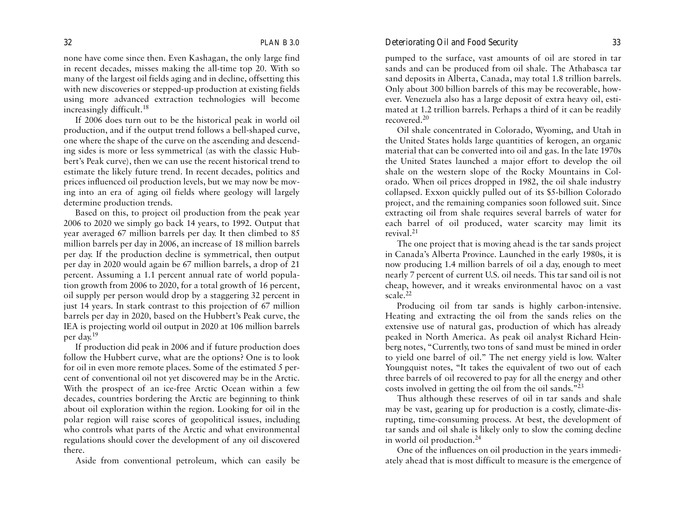none have come since then. Even Kashagan, the only large find in recent decades, misses making the all-time top 20. With so many of the largest oil fields aging and in decline, offsetting this with new discoveries or stepped-up production at existing fields using more advanced extraction technologies will become increasingly difficult.<sup>18</sup>

If 2006 does turn out to be the historical peak in world oil production, and if the output trend follows a bell-shaped curve, one where the shape of the curve on the ascending and descending sides is more or less symmetrical (as with the classic Hubbert's Peak curve), then we can use the recent historical trend to estimate the likely future trend. In recent decades, politics and prices influenced oil production levels, but we may now be moving into an era of aging oil fields where geology will largely determine production trends.

Based on this, to project oil production from the peak year 2006 to 2020 we simply go back 14 years, to 1992. Output that year averaged 67 million barrels per day. It then climbed to 85 million barrels per day in 2006, an increase of 18 million barrels per day. If the production decline is symmetrical, then output per day in 2020 would again be 67 million barrels, a drop of 21 percent. Assuming a 1.1 percent annual rate of world population growth from 2006 to 2020, for a total growth of 16 percent, oil supply per person would drop by a staggering 32 percent in just 14 years. In stark contrast to this projection of 67 million barrels per day in 2020, based on the Hubbert's Peak curve, the IEA is projecting world oil output in 2020 at 106 million barrels per day.<sup>19</sup>

If production did peak in 2006 and if future production does follow the Hubbert curve, what are the options? One is to look for oil in even more remote places. Some of the estimated 5 percent of conventional oil not yet discovered may be in the Arctic. With the prospect of an ice-free Arctic Ocean within a few decades, countries bordering the Arctic are beginning to think about oil exploration within the region. Looking for oil in the polar region will raise scores of geopolitical issues, including who controls what parts of the Arctic and what environmental regulations should cover the development of any oil discovered there.

Aside from conventional petroleum, which can easily be

pumped to the surface, vast amounts of oil are stored in tar sands and can be produced from oil shale. The Athabasca tar sand deposits in Alberta, Canada, may total 1.8 trillion barrels. Only about 300 billion barrels of this may be recoverable, however. Venezuela also has a large deposit of extra heavy oil, estimated at 1.2 trillion barrels. Perhaps a third of it can be readily recovered.<sup>20</sup>

Oil shale concentrated in Colorado, Wyoming, and Utah in the United States holds large quantities of kerogen, an organic material that can be converted into oil and gas. In the late 1970s the United States launched a major effort to develop the oil shale on the western slope of the Rocky Mountains in Colorado. When oil prices dropped in 1982, the oil shale industry collapsed. Exxon quickly pulled out of its \$5-billion Colorado project, and the remaining companies soon followed suit. Since extracting oil from shale requires several barrels of water for each barrel of oil produced, water scarcity may limit its revival.<sup>21</sup>

The one project that is moving ahead is the tar sands project in Canada's Alberta Province. Launched in the early 1980s, it is now producing 1.4 million barrels of oil a day, enough to meet nearly 7 percent of current U.S. oil needs. This tar sand oil is not cheap, however, and it wreaks environmental havoc on a vast scale.<sup>22</sup>

Producing oil from tar sands is highly carbon-intensive. Heating and extracting the oil from the sands relies on the extensive use of natural gas, production of which has already peaked in North America. As peak oil analyst Richard Heinberg notes, "Currently, two tons of sand must be mined in order to yield one barrel of oil." The net energy yield is low. Walter Youngquist notes, "It takes the equivalent of two out of each three barrels of oil recovered to pay for all the energy and other costs involved in getting the oil from the oil sands."<sup>23</sup>

Thus although these reserves of oil in tar sands and shale may be vast, gearing up for production is a costly, climate-disrupting, time-consuming process. At best, the development of tar sands and oil shale is likely only to slow the coming decline in world oil production.<sup>24</sup>

One of the influences on oil production in the years immediately ahead that is most difficult to measure is the emergence of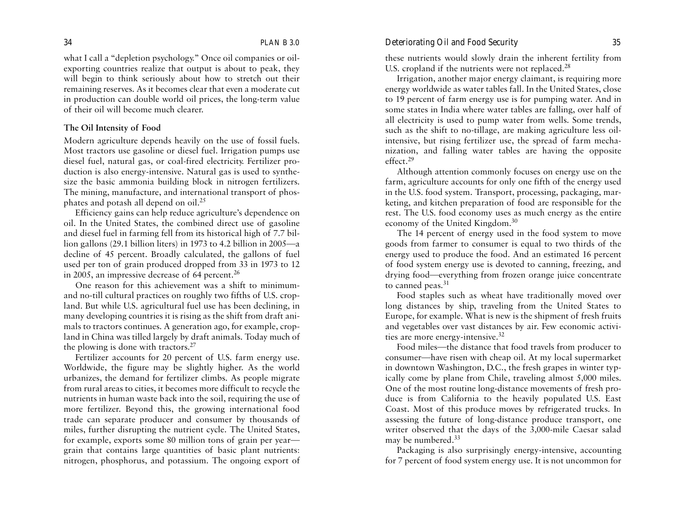what I call a "depletion psychology." Once oil companies or oilexporting countries realize that output is about to peak, they will begin to think seriously about how to stretch out their remaining reserves. As it becomes clear that even a moderate cut in production can double world oil prices, the long-term value of their oil will become much clearer.

### **The Oil Intensity of Food**

Modern agriculture depends heavily on the use of fossil fuels. Most tractors use gasoline or diesel fuel. Irrigation pumps use diesel fuel, natural gas, or coal-fired electricity. Fertilizer production is also energy-intensive. Natural gas is used to synthesize the basic ammonia building block in nitrogen fertilizers. The mining, manufacture, and international transport of phosphates and potash all depend on oil.<sup>25</sup>

Efficiency gains can help reduce agriculture's dependence on oil. In the United States, the combined direct use of gasoline and diesel fuel in farming fell from its historical high of 7.7 billion gallons (29.1 billion liters) in 1973 to 4.2 billion in 2005—a decline of 45 percent. Broadly calculated, the gallons of fuel used per ton of grain produced dropped from 33 in 1973 to 12 in 2005, an impressive decrease of 64 percent.<sup>26</sup>

One reason for this achievement was a shift to minimumand no-till cultural practices on roughly two fifths of U.S. cropland. But while U.S. agricultural fuel use has been declining, in many developing countries it is rising as the shift from draft animals to tractors continues. A generation ago, for example, cropland in China was tilled largely by draft animals. Today much of the plowing is done with tractors. $27$ 

Fertilizer accounts for 20 percent of U.S. farm energy use. Worldwide, the figure may be slightly higher. As the world urbanizes, the demand for fertilizer climbs. As people migrate from rural areas to cities, it becomes more difficult to recycle the nutrients in human waste back into the soil, requiring the use of more fertilizer. Beyond this, the growing international food trade can separate producer and consumer by thousands of miles, further disrupting the nutrient cycle. The United States, for example, exports some 80 million tons of grain per year grain that contains large quantities of basic plant nutrients: nitrogen, phosphorus, and potassium. The ongoing export of these nutrients would slowly drain the inherent fertility from U.S. cropland if the nutrients were not replaced.<sup>28</sup>

Irrigation, another major energy claimant, is requiring more energy worldwide as water tables fall. In the United States, close to 19 percent of farm energy use is for pumping water. And in some states in India where water tables are falling, over half of all electricity is used to pump water from wells. Some trends, such as the shift to no-tillage, are making agriculture less oilintensive, but rising fertilizer use, the spread of farm mechanization, and falling water tables are having the opposite effect.<sup>29</sup>

Although attention commonly focuses on energy use on the farm, agriculture accounts for only one fifth of the energy used in the U.S. food system. Transport, processing, packaging, marketing, and kitchen preparation of food are responsible for the rest. The U.S. food economy uses as much energy as the entire economy of the United Kingdom.30

The 14 percent of energy used in the food system to move goods from farmer to consumer is equal to two thirds of the energy used to produce the food. And an estimated 16 percent of food system energy use is devoted to canning, freezing, and drying food—everything from frozen orange juice concentrate to canned peas.<sup>31</sup>

Food staples such as wheat have traditionally moved over long distances by ship, traveling from the United States to Europe, for example. What is new is the shipment of fresh fruits and vegetables over vast distances by air. Few economic activities are more energy-intensive.<sup>32</sup>

Food miles—the distance that food travels from producer to consumer—have risen with cheap oil. At my local supermarket in downtown Washington, D.C., the fresh grapes in winter typically come by plane from Chile, traveling almost 5,000 miles. One of the most routine long-distance movements of fresh produce is from California to the heavily populated U.S. East Coast. Most of this produce moves by refrigerated trucks. In assessing the future of long-distance produce transport, one writer observed that the days of the 3,000-mile Caesar salad may be numbered.<sup>33</sup>

Packaging is also surprisingly energy-intensive, accounting for 7 percent of food system energy use. It is not uncommon for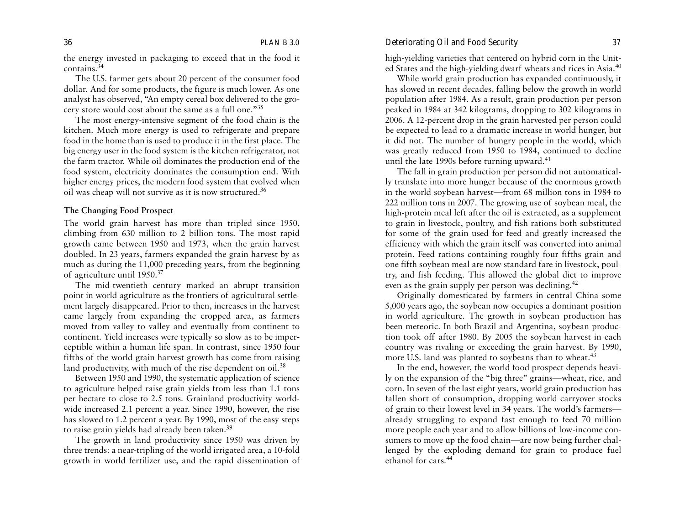the energy invested in packaging to exceed that in the food it contains.<sup>34</sup>

The U.S. farmer gets about 20 percent of the consumer food dollar. And for some products, the figure is much lower. As one analyst has observed, "An empty cereal box delivered to the grocery store would cost about the same as a full one."<sup>35</sup>

The most energy-intensive segment of the food chain is the kitchen. Much more energy is used to refrigerate and prepare food in the home than is used to produce it in the first place. The big energy user in the food system is the kitchen refrigerator, not the farm tractor. While oil dominates the production end of the food system, electricity dominates the consumption end. With higher energy prices, the modern food system that evolved when oil was cheap will not survive as it is now structured.36

### **The Changing Food Prospect**

The world grain harvest has more than tripled since 1950, climbing from 630 million to 2 billion tons. The most rapid growth came between 1950 and 1973, when the grain harvest doubled. In 23 years, farmers expanded the grain harvest by as much as during the 11,000 preceding years, from the beginning of agriculture until 1950.37

The mid-twentieth century marked an abrupt transition point in world agriculture as the frontiers of agricultural settlement largely disappeared. Prior to then, increases in the harvest came largely from expanding the cropped area, as farmers moved from valley to valley and eventually from continent to continent. Yield increases were typically so slow as to be imperceptible within a human life span. In contrast, since 1950 four fifths of the world grain harvest growth has come from raising land productivity, with much of the rise dependent on oil.<sup>38</sup>

Between 1950 and 1990, the systematic application of science to agriculture helped raise grain yields from less than 1.1 tons per hectare to close to 2.5 tons. Grainland productivity worldwide increased 2.1 percent a year. Since 1990, however, the rise has slowed to 1.2 percent a year. By 1990, most of the easy steps to raise grain yields had already been taken.39

The growth in land productivity since 1950 was driven by three trends: a near-tripling of the world irrigated area, a 10-fold growth in world fertilizer use, and the rapid dissemination of high-yielding varieties that centered on hybrid corn in the United States and the high-yielding dwarf wheats and rices in Asia.40

While world grain production has expanded continuously, it has slowed in recent decades, falling below the growth in world population after 1984. As a result, grain production per person peaked in 1984 at 342 kilograms, dropping to 302 kilograms in 2006. A 12-percent drop in the grain harvested per person could be expected to lead to a dramatic increase in world hunger, but it did not. The number of hungry people in the world, which was greatly reduced from 1950 to 1984, continued to decline until the late 1990s before turning upward.<sup>41</sup>

The fall in grain production per person did not automatically translate into more hunger because of the enormous growth in the world soybean harvest—from 68 million tons in 1984 to 222 million tons in 2007. The growing use of soybean meal, the high-protein meal left after the oil is extracted, as a supplement to grain in livestock, poultry, and fish rations both substituted for some of the grain used for feed and greatly increased the efficiency with which the grain itself was converted into animal protein. Feed rations containing roughly four fifths grain and one fifth soybean meal are now standard fare in livestock, poultry, and fish feeding. This allowed the global diet to improve even as the grain supply per person was declining.<sup>42</sup>

Originally domesticated by farmers in central China some 5,000 years ago, the soybean now occupies a dominant position in world agriculture. The growth in soybean production has been meteoric. In both Brazil and Argentina, soybean production took off after 1980. By 2005 the soybean harvest in each country was rivaling or exceeding the grain harvest. By 1990, more U.S. land was planted to soybeans than to wheat.<sup>43</sup>

In the end, however, the world food prospect depends heavily on the expansion of the "big three" grains—wheat, rice, and corn. In seven of the last eight years, world grain production has fallen short of consumption, dropping world carryover stocks of grain to their lowest level in 34 years. The world's farmers already struggling to expand fast enough to feed 70 million more people each year and to allow billions of low-income consumers to move up the food chain—are now being further challenged by the exploding demand for grain to produce fuel ethanol for cars.<sup>44</sup>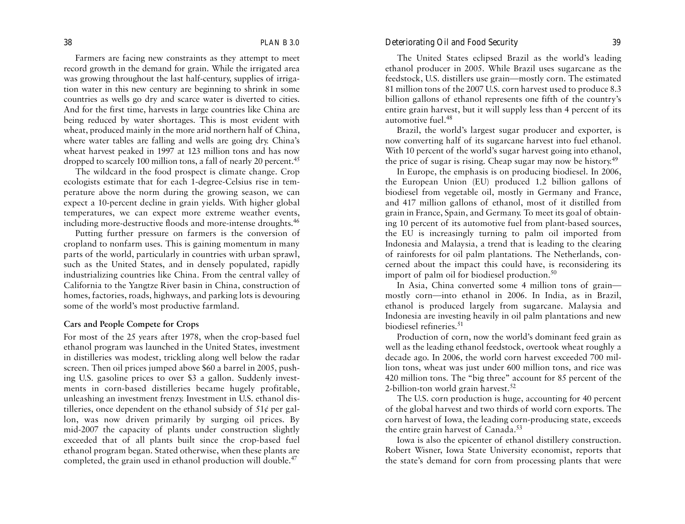Farmers are facing new constraints as they attempt to meet record growth in the demand for grain. While the irrigated area was growing throughout the last half-century, supplies of irrigation water in this new century are beginning to shrink in some countries as wells go dry and scarce water is diverted to cities. And for the first time, harvests in large countries like China are being reduced by water shortages. This is most evident with wheat, produced mainly in the more arid northern half of China, where water tables are falling and wells are going dry. China's wheat harvest peaked in 1997 at 123 million tons and has now dropped to scarcely 100 million tons, a fall of nearly 20 percent.<sup>45</sup>

The wildcard in the food prospect is climate change. Crop ecologists estimate that for each 1-degree-Celsius rise in temperature above the norm during the growing season, we can expect a 10-percent decline in grain yields. With higher global temperatures, we can expect more extreme weather events, including more-destructive floods and more-intense droughts.<sup>46</sup>

Putting further pressure on farmers is the conversion of cropland to nonfarm uses. This is gaining momentum in many parts of the world, particularly in countries with urban sprawl, such as the United States, and in densely populated, rapidly industrializing countries like China. From the central valley of California to the Yangtze River basin in China, construction of homes, factories, roads, highways, and parking lots is devouring some of the world's most productive farmland.

### **Cars and People Compete for Crops**

For most of the 25 years after 1978, when the crop-based fuel ethanol program was launched in the United States, investment in distilleries was modest, trickling along well below the radar screen. Then oil prices jumped above \$60 a barrel in 2005, pushing U.S. gasoline prices to over \$3 a gallon. Suddenly investments in corn-based distilleries became hugely profitable, unleashing an investment frenzy. Investment in U.S. ethanol distilleries, once dependent on the ethanol subsidy of 51¢ per gallon, was now driven primarily by surging oil prices. By mid-2007 the capacity of plants under construction slightly exceeded that of all plants built since the crop-based fuel ethanol program began. Stated otherwise, when these plants are completed, the grain used in ethanol production will double.<sup>47</sup>

The United States eclipsed Brazil as the world's leading ethanol producer in 2005. While Brazil uses sugarcane as the feedstock, U.S. distillers use grain—mostly corn. The estimated 81 million tons of the 2007 U.S. corn harvest used to produce 8.3 billion gallons of ethanol represents one fifth of the country's entire grain harvest, but it will supply less than 4 percent of its automotive fuel.<sup>48</sup>

Brazil, the world's largest sugar producer and exporter, is now converting half of its sugarcane harvest into fuel ethanol. With 10 percent of the world's sugar harvest going into ethanol, the price of sugar is rising. Cheap sugar may now be history.<sup>49</sup>

In Europe, the emphasis is on producing biodiesel. In 2006, the European Union (EU) produced 1.2 billion gallons of biodiesel from vegetable oil, mostly in Germany and France, and 417 million gallons of ethanol, most of it distilled from grain in France, Spain, and Germany. To meet its goal of obtaining 10 percent of its automotive fuel from plant-based sources, the EU is increasingly turning to palm oil imported from Indonesia and Malaysia, a trend that is leading to the clearing of rainforests for oil palm plantations. The Netherlands, concerned about the impact this could have, is reconsidering its import of palm oil for biodiesel production.<sup>50</sup>

In Asia, China converted some 4 million tons of grain mostly corn—into ethanol in 2006. In India, as in Brazil, ethanol is produced largely from sugarcane. Malaysia and Indonesia are investing heavily in oil palm plantations and new biodiesel refineries.<sup>51</sup>

Production of corn, now the world's dominant feed grain as well as the leading ethanol feedstock, overtook wheat roughly a decade ago. In 2006, the world corn harvest exceeded 700 million tons, wheat was just under 600 million tons, and rice was 420 million tons. The "big three" account for 85 percent of the 2-billion-ton world grain harvest. $52$ 

The U.S. corn production is huge, accounting for 40 percent of the global harvest and two thirds of world corn exports. The corn harvest of Iowa, the leading corn-producing state, exceeds the entire grain harvest of Canada.<sup>53</sup>

Iowa is also the epicenter of ethanol distillery construction. Robert Wisner, Iowa State University economist, reports that the state's demand for corn from processing plants that were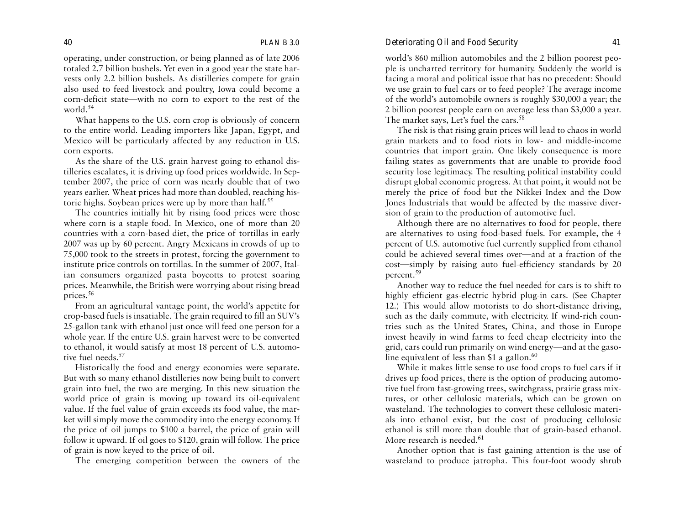operating, under construction, or being planned as of late 2006 totaled 2.7 billion bushels. Yet even in a good year the state harvests only 2.2 billion bushels. As distilleries compete for grain also used to feed livestock and poultry, Iowa could become a corn-deficit state—with no corn to export to the rest of the world.<sup>54</sup>

What happens to the U.S. corn crop is obviously of concern to the entire world. Leading importers like Japan, Egypt, and Mexico will be particularly affected by any reduction in U.S. corn exports.

As the share of the U.S. grain harvest going to ethanol distilleries escalates, it is driving up food prices worldwide. In September 2007, the price of corn was nearly double that of two years earlier. Wheat prices had more than doubled, reaching historic highs. Soybean prices were up by more than half.<sup>55</sup>

The countries initially hit by rising food prices were those where corn is a staple food. In Mexico, one of more than 20 countries with a corn-based diet, the price of tortillas in early 2007 was up by 60 percent. Angry Mexicans in crowds of up to 75,000 took to the streets in protest, forcing the government to institute price controls on tortillas. In the summer of 2007, Italian consumers organized pasta boycotts to protest soaring prices. Meanwhile, the British were worrying about rising bread prices.<sup>56</sup>

From an agricultural vantage point, the world's appetite for crop-based fuels is insatiable. The grain required to fill an SUV's 25-gallon tank with ethanol just once will feed one person for a whole year. If the entire U.S. grain harvest were to be converted to ethanol, it would satisfy at most 18 percent of U.S. automotive fuel needs.<sup>57</sup>

Historically the food and energy economies were separate. But with so many ethanol distilleries now being built to convert grain into fuel, the two are merging. In this new situation the world price of grain is moving up toward its oil-equivalent value. If the fuel value of grain exceeds its food value, the market will simply move the commodity into the energy economy. If the price of oil jumps to \$100 a barrel, the price of grain will follow it upward. If oil goes to \$120, grain will follow. The price of grain is now keyed to the price of oil.

The emerging competition between the owners of the

world's 860 million automobiles and the 2 billion poorest people is uncharted territory for humanity. Suddenly the world is facing a moral and political issue that has no precedent: Should we use grain to fuel cars or to feed people? The average income of the world's automobile owners is roughly \$30,000 a year; the 2 billion poorest people earn on average less than \$3,000 a year. The market says, Let's fuel the cars.<sup>58</sup>

The risk is that rising grain prices will lead to chaos in world grain markets and to food riots in low- and middle-income countries that import grain. One likely consequence is more failing states as governments that are unable to provide food security lose legitimacy. The resulting political instability could disrupt global economic progress. At that point, it would not be merely the price of food but the Nikkei Index and the Dow Jones Industrials that would be affected by the massive diversion of grain to the production of automotive fuel.

Although there are no alternatives to food for people, there are alternatives to using food-based fuels. For example, the 4 percent of U.S. automotive fuel currently supplied from ethanol could be achieved several times over—and at a fraction of the cost—simply by raising auto fuel-efficiency standards by 20 percent.<sup>59</sup>

Another way to reduce the fuel needed for cars is to shift to highly efficient gas-electric hybrid plug-in cars. (See Chapter 12.) This would allow motorists to do short-distance driving, such as the daily commute, with electricity. If wind-rich countries such as the United States, China, and those in Europe invest heavily in wind farms to feed cheap electricity into the grid, cars could run primarily on wind energy—and at the gasoline equivalent of less than \$1 a gallon. $60$ 

While it makes little sense to use food crops to fuel cars if it drives up food prices, there is the option of producing automotive fuel from fast-growing trees, switchgrass, prairie grass mixtures, or other cellulosic materials, which can be grown on wasteland. The technologies to convert these cellulosic materials into ethanol exist, but the cost of producing cellulosic ethanol is still more than double that of grain-based ethanol. More research is needed.<sup>61</sup>

Another option that is fast gaining attention is the use of wasteland to produce jatropha. This four-foot woody shrub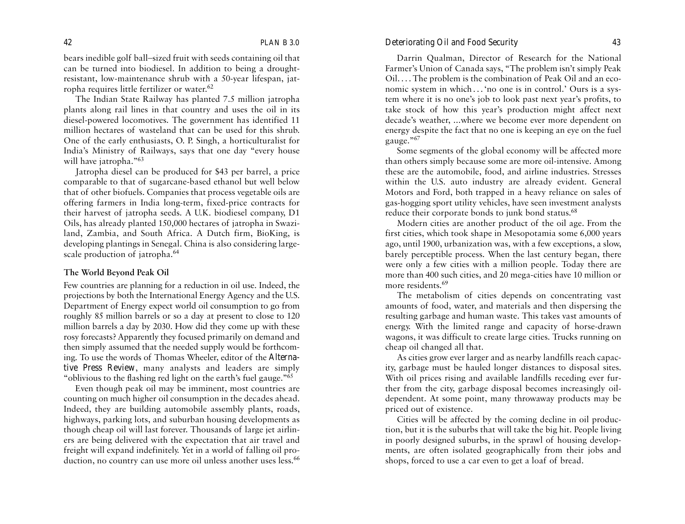bears inedible golf ball–sized fruit with seeds containing oil that can be turned into biodiesel. In addition to being a droughtresistant, low-maintenance shrub with a 50-year lifespan, jatropha requires little fertilizer or water.<sup>62</sup>

The Indian State Railway has planted 7.5 million jatropha plants along rail lines in that country and uses the oil in its diesel-powered locomotives. The government has identified 11 million hectares of wasteland that can be used for this shrub. One of the early enthusiasts, O. P. Singh, a horticulturalist for India's Ministry of Railways, says that one day "every house will have jatropha."<sup>63</sup>

Jatropha diesel can be produced for \$43 per barrel, a price comparable to that of sugarcane-based ethanol but well below that of other biofuels. Companies that process vegetable oils are offering farmers in India long-term, fixed-price contracts for their harvest of jatropha seeds. A U.K. biodiesel company, D1 Oils, has already planted 150,000 hectares of jatropha in Swaziland, Zambia, and South Africa. A Dutch firm, BioKing, is developing plantings in Senegal. China is also considering largescale production of jatropha.<sup>64</sup>

#### **The World Beyond Peak Oil**

Few countries are planning for a reduction in oil use. Indeed, the projections by both the International Energy Agency and the U.S. Department of Energy expect world oil consumption to go from roughly 85 million barrels or so a day at present to close to 120 million barrels a day by 2030. How did they come up with these rosy forecasts? Apparently they focused primarily on demand and then simply assumed that the needed supply would be forthcoming. To use the words of Thomas Wheeler, editor of the *Alternative Press Review*, many analysts and leaders are simply "oblivious to the flashing red light on the earth's fuel gauge."65

Even though peak oil may be imminent, most countries are counting on much higher oil consumption in the decades ahead. Indeed, they are building automobile assembly plants, roads, highways, parking lots, and suburban housing developments as though cheap oil will last forever. Thousands of large jet airliners are being delivered with the expectation that air travel and freight will expand indefinitely. Yet in a world of falling oil production, no country can use more oil unless another uses less.<sup>66</sup>

Darrin Qualman, Director of Research for the National Farmer's Union of Canada says, "The problem isn't simply Peak Oil. . . . The problem is the combination of Peak Oil and an economic system in which... 'no one is in control.' Ours is a system where it is no one's job to look past next year's profits, to take stock of how this year's production might affect next decade's weather, ...where we become ever more dependent on energy despite the fact that no one is keeping an eye on the fuel gauge."67

Some segments of the global economy will be affected more than others simply because some are more oil-intensive. Among these are the automobile, food, and airline industries. Stresses within the U.S. auto industry are already evident. General Motors and Ford, both trapped in a heavy reliance on sales of gas-hogging sport utility vehicles, have seen investment analysts reduce their corporate bonds to junk bond status.<sup>68</sup>

Modern cities are another product of the oil age. From the first cities, which took shape in Mesopotamia some 6,000 years ago, until 1900, urbanization was, with a few exceptions, a slow, barely perceptible process. When the last century began, there were only a few cities with a million people. Today there are more than 400 such cities, and 20 mega-cities have 10 million or more residents.<sup>69</sup>

The metabolism of cities depends on concentrating vast amounts of food, water, and materials and then dispersing the resulting garbage and human waste. This takes vast amounts of energy. With the limited range and capacity of horse-drawn wagons, it was difficult to create large cities. Trucks running on cheap oil changed all that.

As cities grow ever larger and as nearby landfills reach capacity, garbage must be hauled longer distances to disposal sites. With oil prices rising and available landfills receding ever further from the city, garbage disposal becomes increasingly oildependent. At some point, many throwaway products may be priced out of existence.

Cities will be affected by the coming decline in oil production, but it is the suburbs that will take the big hit. People living in poorly designed suburbs, in the sprawl of housing developments, are often isolated geographically from their jobs and shops, forced to use a car even to get a loaf of bread.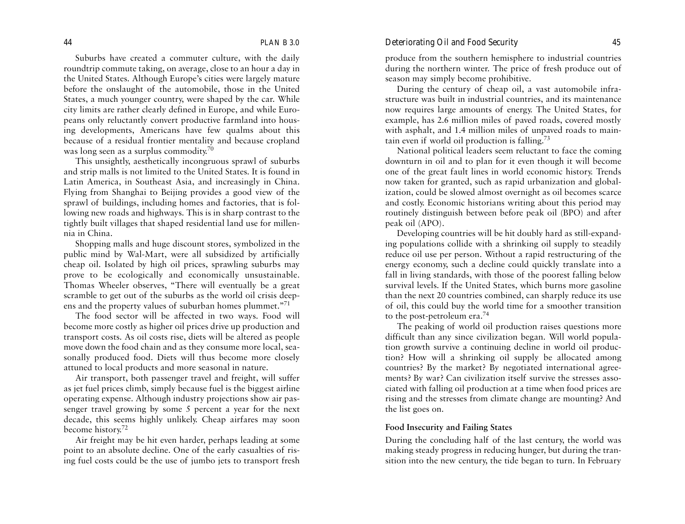Suburbs have created a commuter culture, with the daily roundtrip commute taking, on average, close to an hour a day in the United States. Although Europe's cities were largely mature before the onslaught of the automobile, those in the United States, a much younger country, were shaped by the car. While city limits are rather clearly defined in Europe, and while Europeans only reluctantly convert productive farmland into housing developments, Americans have few qualms about this because of a residual frontier mentality and because cropland was long seen as a surplus commodity.<sup>70</sup>

This unsightly, aesthetically incongruous sprawl of suburbs and strip malls is not limited to the United States. It is found in Latin America, in Southeast Asia, and increasingly in China. Flying from Shanghai to Beijing provides a good view of the sprawl of buildings, including homes and factories, that is following new roads and highways. This is in sharp contrast to the tightly built villages that shaped residential land use for millennia in China.

Shopping malls and huge discount stores, symbolized in the public mind by Wal-Mart, were all subsidized by artificially cheap oil. Isolated by high oil prices, sprawling suburbs may prove to be ecologically and economically unsustainable. Thomas Wheeler observes, "There will eventually be a great scramble to get out of the suburbs as the world oil crisis deepens and the property values of suburban homes plummet."<sup>71</sup>

The food sector will be affected in two ways. Food will become more costly as higher oil prices drive up production and transport costs. As oil costs rise, diets will be altered as people move down the food chain and as they consume more local, seasonally produced food. Diets will thus become more closely attuned to local products and more seasonal in nature.

Air transport, both passenger travel and freight, will suffer as jet fuel prices climb, simply because fuel is the biggest airline operating expense. Although industry projections show air passenger travel growing by some 5 percent a year for the next decade, this seems highly unlikely. Cheap airfares may soon become history.<sup>72</sup>

Air freight may be hit even harder, perhaps leading at some point to an absolute decline. One of the early casualties of rising fuel costs could be the use of jumbo jets to transport fresh produce from the southern hemisphere to industrial countries during the northern winter. The price of fresh produce out of season may simply become prohibitive.

During the century of cheap oil, a vast automobile infrastructure was built in industrial countries, and its maintenance now requires large amounts of energy. The United States, for example, has 2.6 million miles of paved roads, covered mostly with asphalt, and 1.4 million miles of unpaved roads to maintain even if world oil production is falling.<sup>73</sup>

National political leaders seem reluctant to face the coming downturn in oil and to plan for it even though it will become one of the great fault lines in world economic history. Trends now taken for granted, such as rapid urbanization and globalization, could be slowed almost overnight as oil becomes scarce and costly. Economic historians writing about this period may routinely distinguish between before peak oil (BPO) and after peak oil (APO).

Developing countries will be hit doubly hard as still-expanding populations collide with a shrinking oil supply to steadily reduce oil use per person. Without a rapid restructuring of the energy economy, such a decline could quickly translate into a fall in living standards, with those of the poorest falling below survival levels. If the United States, which burns more gasoline than the next 20 countries combined, can sharply reduce its use of oil, this could buy the world time for a smoother transition to the post-petroleum era.<sup>74</sup>

The peaking of world oil production raises questions more difficult than any since civilization began. Will world population growth survive a continuing decline in world oil production? How will a shrinking oil supply be allocated among countries? By the market? By negotiated international agreements? By war? Can civilization itself survive the stresses associated with falling oil production at a time when food prices are rising and the stresses from climate change are mounting? And the list goes on.

### **Food Insecurity and Failing States**

During the concluding half of the last century, the world was making steady progress in reducing hunger, but during the transition into the new century, the tide began to turn. In February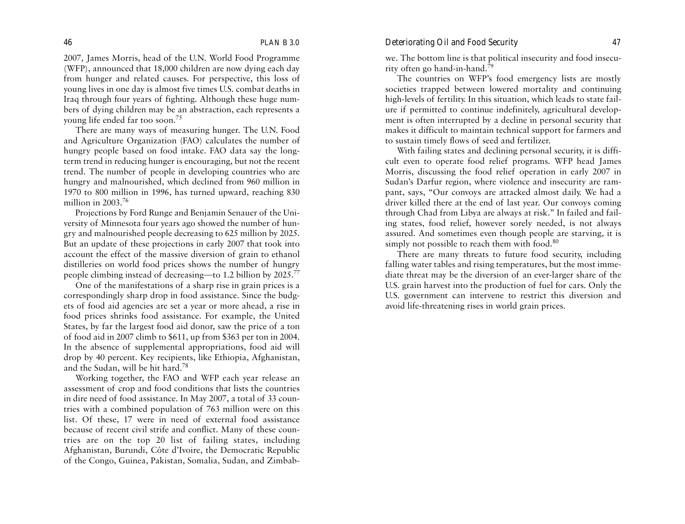2007, James Morris, head of the U.N. World Food Programme (WFP), announced that 18,000 children are now dying each day from hunger and related causes. For perspective, this loss of young lives in one day is almost five times U.S. combat deaths in Iraq through four years of fighting. Although these huge numbers of dying children may be an abstraction, each represents a young life ended far too soon.<sup>75</sup>

There are many ways of measuring hunger. The U.N. Food and Agriculture Organization (FAO) calculates the number of hungry people based on food intake. FAO data say the longterm trend in reducing hunger is encouraging, but not the recent trend. The number of people in developing countries who are hungry and malnourished, which declined from 960 million in 1970 to 800 million in 1996, has turned upward, reaching 830 million in 2003.<sup>76</sup>

Projections by Ford Runge and Benjamin Senauer of the University of Minnesota four years ago showed the number of hungry and malnourished people decreasing to 625 million by 2025. But an update of these projections in early 2007 that took into account the effect of the massive diversion of grain to ethanol distilleries on world food prices shows the number of hungry people climbing instead of decreasing—to 1.2 billion by 2025.<sup>77</sup>

One of the manifestations of a sharp rise in grain prices is a correspondingly sharp drop in food assistance. Since the budgets of food aid agencies are set a year or more ahead, a rise in food prices shrinks food assistance. For example, the United States, by far the largest food aid donor, saw the price of a ton of food aid in 2007 climb to \$611, up from \$363 per ton in 2004. In the absence of supplemental appropriations, food aid will drop by 40 percent. Key recipients, like Ethiopia, Afghanistan, and the Sudan, will be hit hard.<sup>78</sup>

Working together, the FAO and WFP each year release an assessment of crop and food conditions that lists the countries in dire need of food assistance. In May 2007, a total of 33 countries with a combined population of 763 million were on this list. Of these, 17 were in need of external food assistance because of recent civil strife and conflict. Many of these countries are on the top 20 list of failing states, including Afghanistan, Burundi, Côte d'Ivoire, the Democratic Republic of the Congo, Guinea, Pakistan, Somalia, Sudan, and Zimbabwe. The bottom line is that political insecurity and food insecurity often go hand-in-hand.<sup>79</sup>

The countries on WFP's food emergency lists are mostly societies trapped between lowered mortality and continuing high-levels of fertility. In this situation, which leads to state failure if permitted to continue indefinitely, agricultural development is often interrupted by a decline in personal security that makes it difficult to maintain technical support for farmers and to sustain timely flows of seed and fertilizer.

With failing states and declining personal security, it is difficult even to operate food relief programs. WFP head James Morris, discussing the food relief operation in early 2007 in Sudan's Darfur region, where violence and insecurity are rampant, says, "Our convoys are attacked almost daily. We had a driver killed there at the end of last year. Our convoys coming through Chad from Libya are always at risk." In failed and failing states, food relief, however sorely needed, is not always assured. And sometimes even though people are starving, it is simply not possible to reach them with food.<sup>80</sup>

There are many threats to future food security, including falling water tables and rising temperatures, but the most immediate threat may be the diversion of an ever-larger share of the U.S. grain harvest into the production of fuel for cars. Only the U.S. government can intervene to restrict this diversion and avoid life-threatening rises in world grain prices.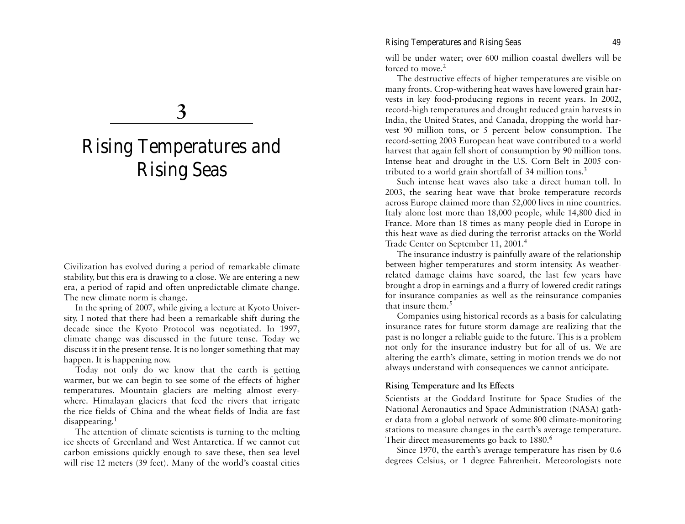### **3**

## *Rising Temperatures and Rising Seas*

Civilization has evolved during a period of remarkable climate stability, but this era is drawing to a close. We are entering a new era, a period of rapid and often unpredictable climate change. The new climate norm is change.

In the spring of 2007, while giving a lecture at Kyoto University, I noted that there had been a remarkable shift during the decade since the Kyoto Protocol was negotiated. In 1997, climate change was discussed in the future tense. Today we discuss it in the present tense. It is no longer something that may happen. It is happening now.

Today not only do we know that the earth is getting warmer, but we can begin to see some of the effects of higher temperatures. Mountain glaciers are melting almost everywhere. Himalayan glaciers that feed the rivers that irrigate the rice fields of China and the wheat fields of India are fast disappearing.<sup>1</sup>

The attention of climate scientists is turning to the melting ice sheets of Greenland and West Antarctica. If we cannot cut carbon emissions quickly enough to save these, then sea level will rise 12 meters (39 feet). Many of the world's coastal cities

### *Rising Temperatures and Rising Seas 49*

will be under water; over 600 million coastal dwellers will be forced to move.<sup>2</sup>

The destructive effects of higher temperatures are visible on many fronts. Crop-withering heat waves have lowered grain harvests in key food-producing regions in recent years. In 2002, record-high temperatures and drought reduced grain harvests in India, the United States, and Canada, dropping the world harvest 90 million tons, or 5 percent below consumption. The record-setting 2003 European heat wave contributed to a world harvest that again fell short of consumption by 90 million tons. Intense heat and drought in the U.S. Corn Belt in 2005 contributed to a world grain shortfall of 34 million tons.3

Such intense heat waves also take a direct human toll. In 2003, the searing heat wave that broke temperature records across Europe claimed more than 52,000 lives in nine countries. Italy alone lost more than 18,000 people, while 14,800 died in France. More than 18 times as many people died in Europe in this heat wave as died during the terrorist attacks on the World Trade Center on September 11, 2001.<sup>4</sup>

The insurance industry is painfully aware of the relationship between higher temperatures and storm intensity. As weatherrelated damage claims have soared, the last few years have brought a drop in earnings and a flurry of lowered credit ratings for insurance companies as well as the reinsurance companies that insure them. $5$ 

Companies using historical records as a basis for calculating insurance rates for future storm damage are realizing that the past is no longer a reliable guide to the future. This is a problem not only for the insurance industry but for all of us. We are altering the earth's climate, setting in motion trends we do not always understand with consequences we cannot anticipate.

### **Rising Temperature and Its Effects**

Scientists at the Goddard Institute for Space Studies of the National Aeronautics and Space Administration (NASA) gather data from a global network of some 800 climate-monitoring stations to measure changes in the earth's average temperature. Their direct measurements go back to 1880.<sup>6</sup>

Since 1970, the earth's average temperature has risen by 0.6 degrees Celsius, or 1 degree Fahrenheit. Meteorologists note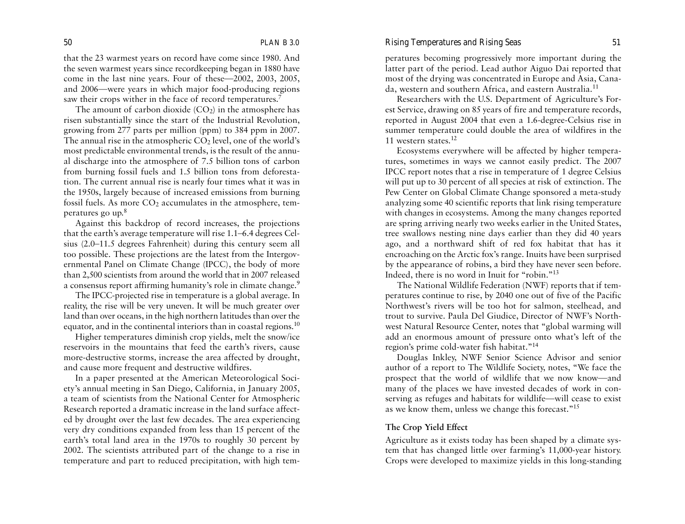that the 23 warmest years on record have come since 1980. And the seven warmest years since recordkeeping began in 1880 have come in the last nine years. Four of these—2002, 2003, 2005, and 2006—were years in which major food-producing regions saw their crops wither in the face of record temperatures.<sup>7</sup>

The amount of carbon dioxide  $(CO_2)$  in the atmosphere has risen substantially since the start of the Industrial Revolution, growing from 277 parts per million (ppm) to 384 ppm in 2007. The annual rise in the atmospheric  $CO<sub>2</sub>$  level, one of the world's most predictable environmental trends, is the result of the annual discharge into the atmosphere of 7.5 billion tons of carbon from burning fossil fuels and 1.5 billion tons from deforestation. The current annual rise is nearly four times what it was in the 1950s, largely because of increased emissions from burning fossil fuels. As more  $CO<sub>2</sub>$  accumulates in the atmosphere, temperatures go up.8

Against this backdrop of record increases, the projections that the earth's average temperature will rise 1.1–6.4 degrees Celsius (2.0–11.5 degrees Fahrenheit) during this century seem all too possible. These projections are the latest from the Intergovernmental Panel on Climate Change (IPCC), the body of more than 2,500 scientists from around the world that in 2007 released a consensus report affirming humanity's role in climate change.<sup>9</sup>

The IPCC-projected rise in temperature is a global average. In reality, the rise will be very uneven. It will be much greater over land than over oceans, in the high northern latitudes than over the equator, and in the continental interiors than in coastal regions.<sup>10</sup>

Higher temperatures diminish crop yields, melt the snow/ice reservoirs in the mountains that feed the earth's rivers, cause more-destructive storms, increase the area affected by drought, and cause more frequent and destructive wildfires.

In a paper presented at the American Meteorological Society's annual meeting in San Diego, California, in January 2005, a team of scientists from the National Center for Atmospheric Research reported a dramatic increase in the land surface affected by drought over the last few decades. The area experiencing very dry conditions expanded from less than 15 percent of the earth's total land area in the 1970s to roughly 30 percent by 2002. The scientists attributed part of the change to a rise in temperature and part to reduced precipitation, with high temperatures becoming progressively more important during the latter part of the period. Lead author Aiguo Dai reported that most of the drying was concentrated in Europe and Asia, Canada, western and southern Africa, and eastern Australia.<sup>11</sup>

Researchers with the U.S. Department of Agriculture's Forest Service, drawing on 85 years of fire and temperature records, reported in August 2004 that even a 1.6-degree-Celsius rise in summer temperature could double the area of wildfires in the 11 western states.<sup>12</sup>

Ecosystems everywhere will be affected by higher temperatures, sometimes in ways we cannot easily predict. The 2007 IPCC report notes that a rise in temperature of 1 degree Celsius will put up to 30 percent of all species at risk of extinction. The Pew Center on Global Climate Change sponsored a meta-study analyzing some 40 scientific reports that link rising temperature with changes in ecosystems. Among the many changes reported are spring arriving nearly two weeks earlier in the United States, tree swallows nesting nine days earlier than they did 40 years ago, and a northward shift of red fox habitat that has it encroaching on the Arctic fox's range. Inuits have been surprised by the appearance of robins, a bird they have never seen before. Indeed, there is no word in Inuit for "robin."13

The National Wildlife Federation (NWF) reports that if temperatures continue to rise, by 2040 one out of five of the Pacific Northwest's rivers will be too hot for salmon, steelhead, and trout to survive. Paula Del Giudice, Director of NWF's Northwest Natural Resource Center, notes that "global warming will add an enormous amount of pressure onto what's left of the region's prime cold-water fish habitat."14

Douglas Inkley, NWF Senior Science Advisor and senior author of a report to The Wildlife Society, notes, "We face the prospect that the world of wildlife that we now know—and many of the places we have invested decades of work in conserving as refuges and habitats for wildlife—will cease to exist as we know them, unless we change this forecast."15

### **The Crop Yield Effect**

Agriculture as it exists today has been shaped by a climate system that has changed little over farming's 11,000-year history. Crops were developed to maximize yields in this long-standing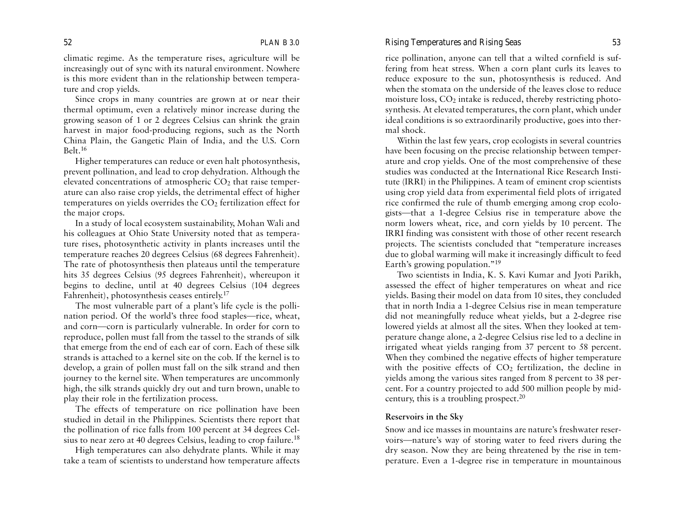climatic regime. As the temperature rises, agriculture will be increasingly out of sync with its natural environment. Nowhere is this more evident than in the relationship between temperature and crop yields.

Since crops in many countries are grown at or near their thermal optimum, even a relatively minor increase during the growing season of 1 or 2 degrees Celsius can shrink the grain harvest in major food-producing regions, such as the North China Plain, the Gangetic Plain of India, and the U.S. Corn Belt.<sup>16</sup>

Higher temperatures can reduce or even halt photosynthesis, prevent pollination, and lead to crop dehydration. Although the elevated concentrations of atmospheric  $CO<sub>2</sub>$  that raise temperature can also raise crop yields, the detrimental effect of higher temperatures on yields overrides the CO2 fertilization effect for the major crops.

In a study of local ecosystem sustainability, Mohan Wali and his colleagues at Ohio State University noted that as temperature rises, photosynthetic activity in plants increases until the temperature reaches 20 degrees Celsius (68 degrees Fahrenheit). The rate of photosynthesis then plateaus until the temperature hits 35 degrees Celsius (95 degrees Fahrenheit), whereupon it begins to decline, until at 40 degrees Celsius (104 degrees Fahrenheit), photosynthesis ceases entirely.17

The most vulnerable part of a plant's life cycle is the pollination period. Of the world's three food staples—rice, wheat, and corn—corn is particularly vulnerable. In order for corn to reproduce, pollen must fall from the tassel to the strands of silk that emerge from the end of each ear of corn. Each of these silk strands is attached to a kernel site on the cob. If the kernel is to develop, a grain of pollen must fall on the silk strand and then journey to the kernel site. When temperatures are uncommonly high, the silk strands quickly dry out and turn brown, unable to play their role in the fertilization process.

The effects of temperature on rice pollination have been studied in detail in the Philippines. Scientists there report that the pollination of rice falls from 100 percent at 34 degrees Celsius to near zero at 40 degrees Celsius, leading to crop failure.<sup>18</sup>

High temperatures can also dehydrate plants. While it may take a team of scientists to understand how temperature affects rice pollination, anyone can tell that a wilted cornfield is suffering from heat stress. When a corn plant curls its leaves to reduce exposure to the sun, photosynthesis is reduced. And when the stomata on the underside of the leaves close to reduce moisture loss,  $CO<sub>2</sub>$  intake is reduced, thereby restricting photosynthesis. At elevated temperatures, the corn plant, which under ideal conditions is so extraordinarily productive, goes into thermal shock.

Within the last few years, crop ecologists in several countries have been focusing on the precise relationship between temperature and crop yields. One of the most comprehensive of these studies was conducted at the International Rice Research Institute (IRRI) in the Philippines. A team of eminent crop scientists using crop yield data from experimental field plots of irrigated rice confirmed the rule of thumb emerging among crop ecologists—that a 1-degree Celsius rise in temperature above the norm lowers wheat, rice, and corn yields by 10 percent. The IRRI finding was consistent with those of other recent research projects. The scientists concluded that "temperature increases due to global warming will make it increasingly difficult to feed Earth's growing population."<sup>19</sup>

Two scientists in India, K. S. Kavi Kumar and Jyoti Parikh, assessed the effect of higher temperatures on wheat and rice yields. Basing their model on data from 10 sites, they concluded that in north India a 1-degree Celsius rise in mean temperature did not meaningfully reduce wheat yields, but a 2-degree rise lowered yields at almost all the sites. When they looked at temperature change alone, a 2-degree Celsius rise led to a decline in irrigated wheat yields ranging from 37 percent to 58 percent. When they combined the negative effects of higher temperature with the positive effects of  $CO<sub>2</sub>$  fertilization, the decline in yields among the various sites ranged from 8 percent to 38 percent. For a country projected to add 500 million people by midcentury, this is a troubling prospect.<sup>20</sup>

### **Reservoirs in the Sky**

Snow and ice masses in mountains are nature's freshwater reservoirs—nature's way of storing water to feed rivers during the dry season. Now they are being threatened by the rise in temperature. Even a 1-degree rise in temperature in mountainous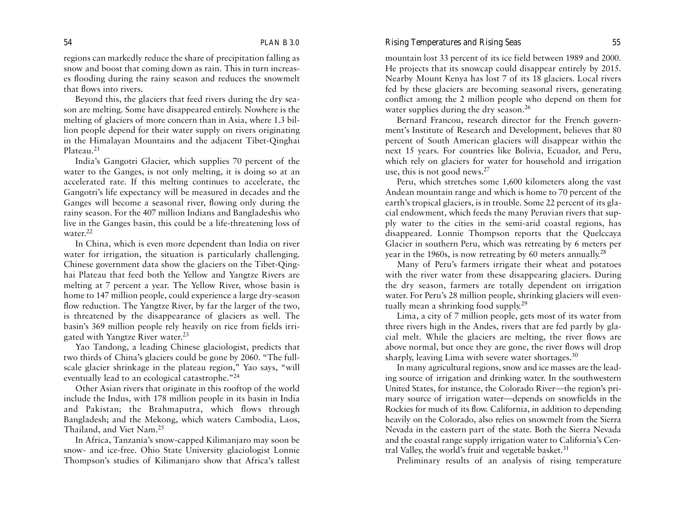regions can markedly reduce the share of precipitation falling as snow and boost that coming down as rain. This in turn increases flooding during the rainy season and reduces the snowmelt that flows into rivers.

Beyond this, the glaciers that feed rivers during the dry season are melting. Some have disappeared entirely. Nowhere is the melting of glaciers of more concern than in Asia, where 1.3 billion people depend for their water supply on rivers originating in the Himalayan Mountains and the adjacent Tibet-Qinghai Plateau.<sup>21</sup>

India's Gangotri Glacier, which supplies 70 percent of the water to the Ganges, is not only melting, it is doing so at an accelerated rate. If this melting continues to accelerate, the Gangotri's life expectancy will be measured in decades and the Ganges will become a seasonal river, flowing only during the rainy season. For the 407 million Indians and Bangladeshis who live in the Ganges basin, this could be a life-threatening loss of water.<sup>22</sup>

In China, which is even more dependent than India on river water for irrigation, the situation is particularly challenging. Chinese government data show the glaciers on the Tibet-Qinghai Plateau that feed both the Yellow and Yangtze Rivers are melting at 7 percent a year. The Yellow River, whose basin is home to 147 million people, could experience a large dry-season flow reduction. The Yangtze River, by far the larger of the two, is threatened by the disappearance of glaciers as well. The basin's 369 million people rely heavily on rice from fields irrigated with Yangtze River water.<sup>23</sup>

Yao Tandong, a leading Chinese glaciologist, predicts that two thirds of China's glaciers could be gone by 2060. "The fullscale glacier shrinkage in the plateau region," Yao says, "will eventually lead to an ecological catastrophe."24

Other Asian rivers that originate in this rooftop of the world include the Indus, with 178 million people in its basin in India and Pakistan; the Brahmaputra, which flows through Bangladesh; and the Mekong, which waters Cambodia, Laos, Thailand, and Viet Nam.25

In Africa, Tanzania's snow-capped Kilimanjaro may soon be snow- and ice-free. Ohio State University glaciologist Lonnie Thompson's studies of Kilimanjaro show that Africa's tallest

mountain lost 33 percent of its ice field between 1989 and 2000. He projects that its snowcap could disappear entirely by 2015. Nearby Mount Kenya has lost 7 of its 18 glaciers. Local rivers fed by these glaciers are becoming seasonal rivers, generating conflict among the 2 million people who depend on them for water supplies during the dry season.<sup>26</sup>

Bernard Francou, research director for the French government's Institute of Research and Development, believes that 80 percent of South American glaciers will disappear within the next 15 years. For countries like Bolivia, Ecuador, and Peru, which rely on glaciers for water for household and irrigation use, this is not good news. $27$ 

Peru, which stretches some 1,600 kilometers along the vast Andean mountain range and which is home to 70 percent of the earth's tropical glaciers, is in trouble. Some 22 percent of its glacial endowment, which feeds the many Peruvian rivers that supply water to the cities in the semi-arid coastal regions, has disappeared. Lonnie Thompson reports that the Quelccaya Glacier in southern Peru, which was retreating by 6 meters per year in the 1960s, is now retreating by 60 meters annually.<sup>28</sup>

Many of Peru's farmers irrigate their wheat and potatoes with the river water from these disappearing glaciers. During the dry season, farmers are totally dependent on irrigation water. For Peru's 28 million people, shrinking glaciers will eventually mean a shrinking food supply.<sup>29</sup>

Lima, a city of 7 million people, gets most of its water from three rivers high in the Andes, rivers that are fed partly by glacial melt. While the glaciers are melting, the river flows are above normal, but once they are gone, the river flows will drop sharply, leaving Lima with severe water shortages.<sup>30</sup>

In many agricultural regions, snow and ice masses are the leading source of irrigation and drinking water. In the southwestern United States, for instance, the Colorado River—the region's primary source of irrigation water—depends on snowfields in the Rockies for much of its flow. California, in addition to depending heavily on the Colorado, also relies on snowmelt from the Sierra Nevada in the eastern part of the state. Both the Sierra Nevada and the coastal range supply irrigation water to California's Central Valley, the world's fruit and vegetable basket.<sup>31</sup>

Preliminary results of an analysis of rising temperature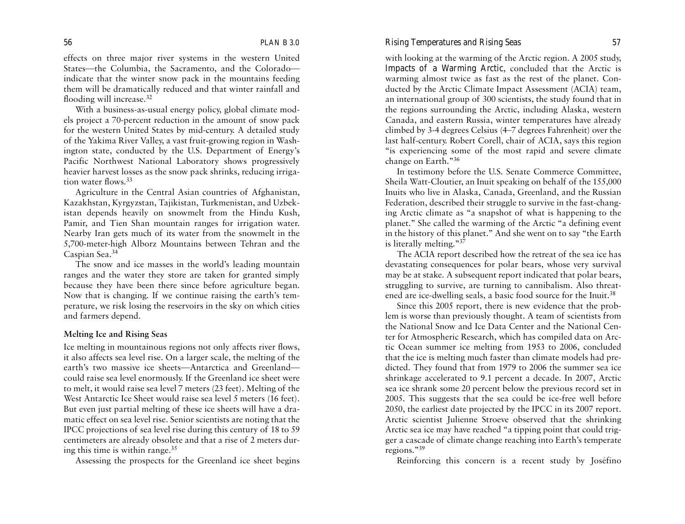effects on three major river systems in the western United States—the Columbia, the Sacramento, and the Colorado indicate that the winter snow pack in the mountains feeding them will be dramatically reduced and that winter rainfall and flooding will increase.<sup>32</sup>

With a business-as-usual energy policy, global climate models project a 70-percent reduction in the amount of snow pack for the western United States by mid-century. A detailed study of the Yakima River Valley, a vast fruit-growing region in Washington state, conducted by the U.S. Department of Energy's Pacific Northwest National Laboratory shows progressively heavier harvest losses as the snow pack shrinks, reducing irrigation water flows.33

Agriculture in the Central Asian countries of Afghanistan, Kazakhstan, Kyrgyzstan, Tajikistan, Turkmenistan, and Uzbekistan depends heavily on snowmelt from the Hindu Kush, Pamir, and Tien Shan mountain ranges for irrigation water. Nearby Iran gets much of its water from the snowmelt in the 5,700-meter-high Alborz Mountains between Tehran and the Caspian Sea.<sup>34</sup>

The snow and ice masses in the world's leading mountain ranges and the water they store are taken for granted simply because they have been there since before agriculture began. Now that is changing. If we continue raising the earth's temperature, we risk losing the reservoirs in the sky on which cities and farmers depend.

### **Melting Ice and Rising Seas**

Ice melting in mountainous regions not only affects river flows, it also affects sea level rise. On a larger scale, the melting of the earth's two massive ice sheets—Antarctica and Greenland could raise sea level enormously. If the Greenland ice sheet were to melt, it would raise sea level 7 meters (23 feet). Melting of the West Antarctic Ice Sheet would raise sea level 5 meters (16 feet). But even just partial melting of these ice sheets will have a dramatic effect on sea level rise. Senior scientists are noting that the IPCC projections of sea level rise during this century of 18 to 59 centimeters are already obsolete and that a rise of 2 meters during this time is within range.  $35$ 

Assessing the prospects for the Greenland ice sheet begins

with looking at the warming of the Arctic region. A 2005 study, *Impacts of a Warming Arctic*, concluded that the Arctic is warming almost twice as fast as the rest of the planet. Conducted by the Arctic Climate Impact Assessment (ACIA) team, an international group of 300 scientists, the study found that in the regions surrounding the Arctic, including Alaska, western Canada, and eastern Russia, winter temperatures have already climbed by 3-4 degrees Celsius (4–7 degrees Fahrenheit) over the last half-century. Robert Corell, chair of ACIA, says this region "is experiencing some of the most rapid and severe climate change on Earth."36

In testimony before the U.S. Senate Commerce Committee, Sheila Watt-Cloutier, an Inuit speaking on behalf of the 155,000 Inuits who live in Alaska, Canada, Greenland, and the Russian Federation, described their struggle to survive in the fast-changing Arctic climate as "a snapshot of what is happening to the planet." She called the warming of the Arctic "a defining event in the history of this planet." And she went on to say "the Earth is literally melting."37

The ACIA report described how the retreat of the sea ice has devastating consequences for polar bears, whose very survival may be at stake. A subsequent report indicated that polar bears, struggling to survive, are turning to cannibalism. Also threatened are ice-dwelling seals, a basic food source for the Inuit.<sup>38</sup>

Since this 2005 report, there is new evidence that the problem is worse than previously thought. A team of scientists from the National Snow and Ice Data Center and the National Center for Atmospheric Research, which has compiled data on Arctic Ocean summer ice melting from 1953 to 2006, concluded that the ice is melting much faster than climate models had predicted. They found that from 1979 to 2006 the summer sea ice shrinkage accelerated to 9.1 percent a decade. In 2007, Arctic sea ice shrank some 20 percent below the previous record set in 2005. This suggests that the sea could be ice-free well before 2050, the earliest date projected by the IPCC in its 2007 report. Arctic scientist Julienne Stroeve observed that the shrinking Arctic sea ice may have reached "a tipping point that could trigger a cascade of climate change reaching into Earth's temperate regions."39

Reinforcing this concern is a recent study by Joséfino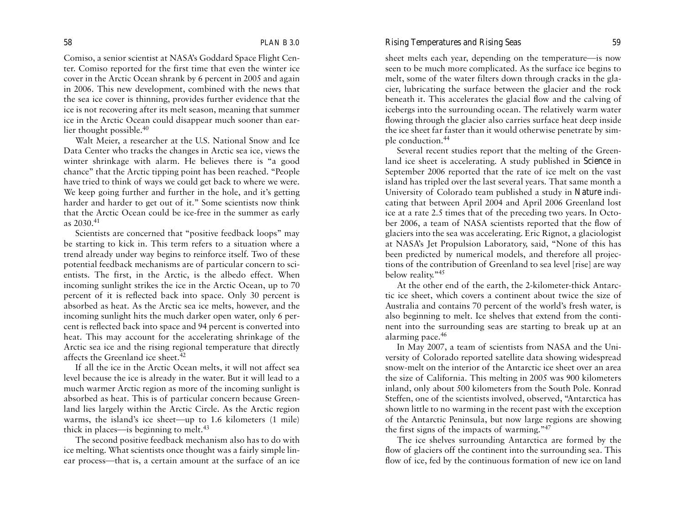Comiso, a senior scientist at NASA's Goddard Space Flight Center. Comiso reported for the first time that even the winter ice cover in the Arctic Ocean shrank by 6 percent in 2005 and again in 2006. This new development, combined with the news that the sea ice cover is thinning, provides further evidence that the ice is not recovering after its melt season, meaning that summer ice in the Arctic Ocean could disappear much sooner than earlier thought possible.<sup>40</sup>

Walt Meier, a researcher at the U.S. National Snow and Ice Data Center who tracks the changes in Arctic sea ice, views the winter shrinkage with alarm. He believes there is "a good chance" that the Arctic tipping point has been reached. "People have tried to think of ways we could get back to where we were. We keep going further and further in the hole, and it's getting harder and harder to get out of it." Some scientists now think that the Arctic Ocean could be ice-free in the summer as early as  $2030.^{41}$ 

Scientists are concerned that "positive feedback loops" may be starting to kick in. This term refers to a situation where a trend already under way begins to reinforce itself. Two of these potential feedback mechanisms are of particular concern to scientists. The first, in the Arctic, is the albedo effect. When incoming sunlight strikes the ice in the Arctic Ocean, up to 70 percent of it is reflected back into space. Only 30 percent is absorbed as heat. As the Arctic sea ice melts, however, and the incoming sunlight hits the much darker open water, only 6 percent is reflected back into space and 94 percent is converted into heat. This may account for the accelerating shrinkage of the Arctic sea ice and the rising regional temperature that directly affects the Greenland ice sheet.<sup>42</sup>

If all the ice in the Arctic Ocean melts, it will not affect sea level because the ice is already in the water. But it will lead to a much warmer Arctic region as more of the incoming sunlight is absorbed as heat. This is of particular concern because Greenland lies largely within the Arctic Circle. As the Arctic region warms, the island's ice sheet—up to 1.6 kilometers (1 mile) thick in places—is beginning to melt.<sup>43</sup>

The second positive feedback mechanism also has to do with ice melting. What scientists once thought was a fairly simple linear process—that is, a certain amount at the surface of an ice sheet melts each year, depending on the temperature—is now seen to be much more complicated. As the surface ice begins to melt, some of the water filters down through cracks in the glacier, lubricating the surface between the glacier and the rock beneath it. This accelerates the glacial flow and the calving of icebergs into the surrounding ocean. The relatively warm water flowing through the glacier also carries surface heat deep inside the ice sheet far faster than it would otherwise penetrate by simple conduction.<sup>44</sup>

Several recent studies report that the melting of the Greenland ice sheet is accelerating. A study published in *Science* in September 2006 reported that the rate of ice melt on the vast island has tripled over the last several years. That same month a University of Colorado team published a study in *Nature* indicating that between April 2004 and April 2006 Greenland lost ice at a rate 2.5 times that of the preceding two years. In October 2006, a team of NASA scientists reported that the flow of glaciers into the sea was accelerating. Eric Rignot, a glaciologist at NASA's Jet Propulsion Laboratory, said, "None of this has been predicted by numerical models, and therefore all projections of the contribution of Greenland to sea level [rise] are way below reality."45

At the other end of the earth, the 2-kilometer-thick Antarctic ice sheet, which covers a continent about twice the size of Australia and contains 70 percent of the world's fresh water, is also beginning to melt. Ice shelves that extend from the continent into the surrounding seas are starting to break up at an alarming pace.<sup>46</sup>

In May 2007, a team of scientists from NASA and the University of Colorado reported satellite data showing widespread snow-melt on the interior of the Antarctic ice sheet over an area the size of California. This melting in 2005 was 900 kilometers inland, only about 500 kilometers from the South Pole. Konrad Steffen, one of the scientists involved, observed, "Antarctica has shown little to no warming in the recent past with the exception of the Antarctic Peninsula, but now large regions are showing the first signs of the impacts of warming."47

The ice shelves surrounding Antarctica are formed by the flow of glaciers off the continent into the surrounding sea. This flow of ice, fed by the continuous formation of new ice on land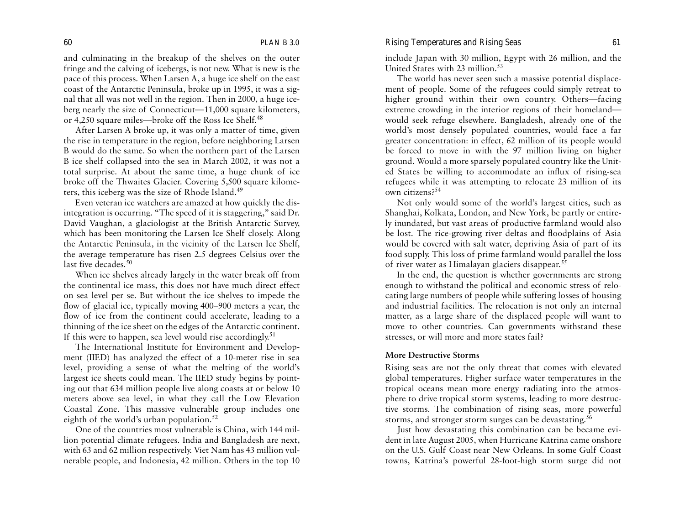and culminating in the breakup of the shelves on the outer fringe and the calving of icebergs, is not new. What is new is the pace of this process. When Larsen A, a huge ice shelf on the east coast of the Antarctic Peninsula, broke up in 1995, it was a signal that all was not well in the region. Then in 2000, a huge iceberg nearly the size of Connecticut—11,000 square kilometers, or 4,250 square miles—broke off the Ross Ice Shelf.<sup>48</sup>

After Larsen A broke up, it was only a matter of time, given the rise in temperature in the region, before neighboring Larsen B would do the same. So when the northern part of the Larsen B ice shelf collapsed into the sea in March 2002, it was not a total surprise. At about the same time, a huge chunk of ice broke off the Thwaites Glacier. Covering 5,500 square kilometers, this iceberg was the size of Rhode Island.49

Even veteran ice watchers are amazed at how quickly the disintegration is occurring. "The speed of it is staggering," said Dr. David Vaughan, a glaciologist at the British Antarctic Survey, which has been monitoring the Larsen Ice Shelf closely. Along the Antarctic Peninsula, in the vicinity of the Larsen Ice Shelf, the average temperature has risen 2.5 degrees Celsius over the last five decades.<sup>50</sup>

When ice shelves already largely in the water break off from the continental ice mass, this does not have much direct effect on sea level per se. But without the ice shelves to impede the flow of glacial ice, typically moving 400–900 meters a year, the flow of ice from the continent could accelerate, leading to a thinning of the ice sheet on the edges of the Antarctic continent. If this were to happen, sea level would rise accordingly.<sup>51</sup>

The International Institute for Environment and Development (IIED) has analyzed the effect of a 10-meter rise in sea level, providing a sense of what the melting of the world's largest ice sheets could mean. The IIED study begins by pointing out that 634 million people live along coasts at or below 10 meters above sea level, in what they call the Low Elevation Coastal Zone. This massive vulnerable group includes one eighth of the world's urban population.<sup>52</sup>

One of the countries most vulnerable is China, with 144 million potential climate refugees. India and Bangladesh are next, with 63 and 62 million respectively. Viet Nam has 43 million vulnerable people, and Indonesia, 42 million. Others in the top 10 include Japan with 30 million, Egypt with 26 million, and the United States with 23 million.<sup>53</sup>

The world has never seen such a massive potential displacement of people. Some of the refugees could simply retreat to higher ground within their own country. Others—facing extreme crowding in the interior regions of their homeland would seek refuge elsewhere. Bangladesh, already one of the world's most densely populated countries, would face a far greater concentration: in effect, 62 million of its people would be forced to move in with the 97 million living on higher ground. Would a more sparsely populated country like the United States be willing to accommodate an influx of rising-sea refugees while it was attempting to relocate 23 million of its own citizens?54

Not only would some of the world's largest cities, such as Shanghai, Kolkata, London, and New York, be partly or entirely inundated, but vast areas of productive farmland would also be lost. The rice-growing river deltas and floodplains of Asia would be covered with salt water, depriving Asia of part of its food supply. This loss of prime farmland would parallel the loss of river water as Himalayan glaciers disappear.55

In the end, the question is whether governments are strong enough to withstand the political and economic stress of relocating large numbers of people while suffering losses of housing and industrial facilities. The relocation is not only an internal matter, as a large share of the displaced people will want to move to other countries. Can governments withstand these stresses, or will more and more states fail?

#### **More Destructive Storms**

Rising seas are not the only threat that comes with elevated global temperatures. Higher surface water temperatures in the tropical oceans mean more energy radiating into the atmosphere to drive tropical storm systems, leading to more destructive storms. The combination of rising seas, more powerful storms, and stronger storm surges can be devastating.<sup>56</sup>

Just how devastating this combination can be became evident in late August 2005, when Hurricane Katrina came onshore on the U.S. Gulf Coast near New Orleans. In some Gulf Coast towns, Katrina's powerful 28-foot-high storm surge did not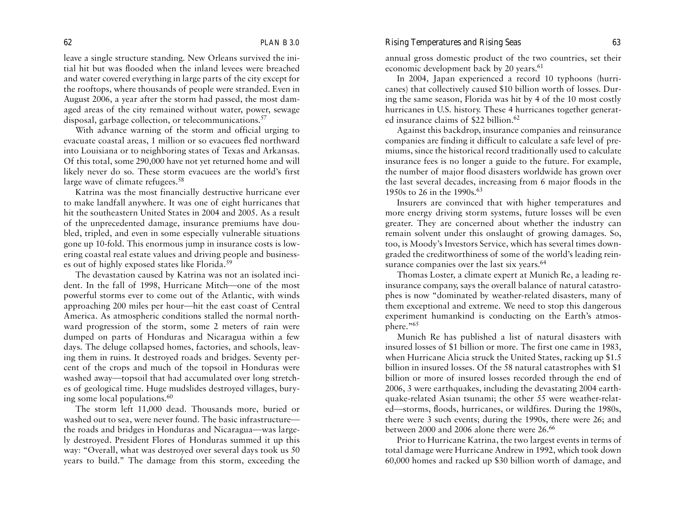leave a single structure standing. New Orleans survived the initial hit but was flooded when the inland levees were breached and water covered everything in large parts of the city except for the rooftops, where thousands of people were stranded. Even in August 2006, a year after the storm had passed, the most damaged areas of the city remained without water, power, sewage disposal, garbage collection, or telecommunications.<sup>57</sup>

With advance warning of the storm and official urging to evacuate coastal areas, 1 million or so evacuees fled northward into Louisiana or to neighboring states of Texas and Arkansas. Of this total, some 290,000 have not yet returned home and will likely never do so. These storm evacuees are the world's first large wave of climate refugees.<sup>58</sup>

Katrina was the most financially destructive hurricane ever to make landfall anywhere. It was one of eight hurricanes that hit the southeastern United States in 2004 and 2005. As a result of the unprecedented damage, insurance premiums have doubled, tripled, and even in some especially vulnerable situations gone up 10-fold. This enormous jump in insurance costs is lowering coastal real estate values and driving people and businesses out of highly exposed states like Florida.59

The devastation caused by Katrina was not an isolated incident. In the fall of 1998, Hurricane Mitch—one of the most powerful storms ever to come out of the Atlantic, with winds approaching 200 miles per hour—hit the east coast of Central America. As atmospheric conditions stalled the normal northward progression of the storm, some 2 meters of rain were dumped on parts of Honduras and Nicaragua within a few days. The deluge collapsed homes, factories, and schools, leaving them in ruins. It destroyed roads and bridges. Seventy percent of the crops and much of the topsoil in Honduras were washed away—topsoil that had accumulated over long stretches of geological time. Huge mudslides destroyed villages, burying some local populations. $60$ 

The storm left 11,000 dead. Thousands more, buried or washed out to sea, were never found. The basic infrastructure the roads and bridges in Honduras and Nicaragua—was largely destroyed. President Flores of Honduras summed it up this way: "Overall, what was destroyed over several days took us 50 years to build." The damage from this storm, exceeding the annual gross domestic product of the two countries, set their economic development back by 20 years.<sup>61</sup>

In 2004, Japan experienced a record 10 typhoons (hurricanes) that collectively caused \$10 billion worth of losses. During the same season, Florida was hit by 4 of the 10 most costly hurricanes in U.S. history. These 4 hurricanes together generated insurance claims of \$22 billion.<sup>62</sup>

Against this backdrop, insurance companies and reinsurance companies are finding it difficult to calculate a safe level of premiums, since the historical record traditionally used to calculate insurance fees is no longer a guide to the future. For example, the number of major flood disasters worldwide has grown over the last several decades, increasing from 6 major floods in the 1950s to 26 in the 1990s.<sup>63</sup>

Insurers are convinced that with higher temperatures and more energy driving storm systems, future losses will be even greater. They are concerned about whether the industry can remain solvent under this onslaught of growing damages. So, too, is Moody's Investors Service, which has several times downgraded the creditworthiness of some of the world's leading reinsurance companies over the last six years.<sup>64</sup>

Thomas Loster, a climate expert at Munich Re, a leading reinsurance company, says the overall balance of natural catastrophes is now "dominated by weather-related disasters, many of them exceptional and extreme. We need to stop this dangerous experiment humankind is conducting on the Earth's atmosphere."65

Munich Re has published a list of natural disasters with insured losses of \$1 billion or more. The first one came in 1983, when Hurricane Alicia struck the United States, racking up \$1.5 billion in insured losses. Of the 58 natural catastrophes with \$1 billion or more of insured losses recorded through the end of 2006, 3 were earthquakes, including the devastating 2004 earthquake-related Asian tsunami; the other 55 were weather-related—storms, floods, hurricanes, or wildfires. During the 1980s, there were 3 such events; during the 1990s, there were 26; and between 2000 and 2006 alone there were 26.<sup>66</sup>

Prior to Hurricane Katrina, the two largest events in terms of total damage were Hurricane Andrew in 1992, which took down 60,000 homes and racked up \$30 billion worth of damage, and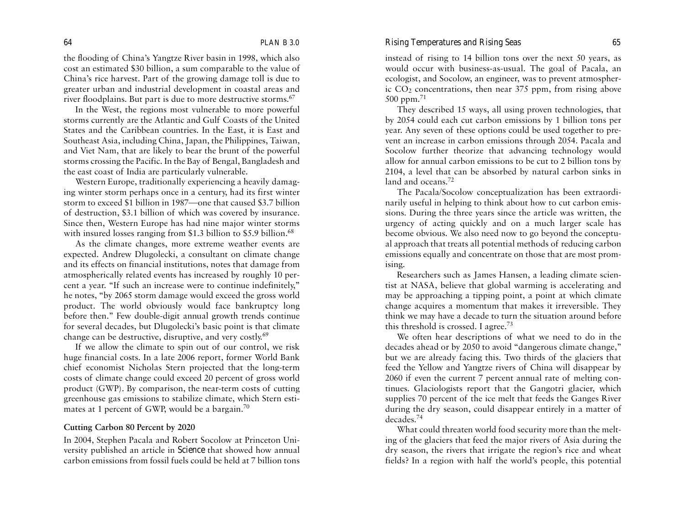the flooding of China's Yangtze River basin in 1998, which also cost an estimated \$30 billion, a sum comparable to the value of China's rice harvest. Part of the growing damage toll is due to greater urban and industrial development in coastal areas and river floodplains. But part is due to more destructive storms.<sup>67</sup>

In the West, the regions most vulnerable to more powerful storms currently are the Atlantic and Gulf Coasts of the United States and the Caribbean countries. In the East, it is East and Southeast Asia, including China, Japan, the Philippines, Taiwan, and Viet Nam, that are likely to bear the brunt of the powerful storms crossing the Pacific. In the Bay of Bengal, Bangladesh and the east coast of India are particularly vulnerable.

Western Europe, traditionally experiencing a heavily damaging winter storm perhaps once in a century, had its first winter storm to exceed \$1 billion in 1987—one that caused \$3.7 billion of destruction, \$3.1 billion of which was covered by insurance. Since then, Western Europe has had nine major winter storms with insured losses ranging from \$1.3 billion to \$5.9 billion.<sup>68</sup>

As the climate changes, more extreme weather events are expected. Andrew Dlugolecki, a consultant on climate change and its effects on financial institutions, notes that damage from atmospherically related events has increased by roughly 10 percent a year. "If such an increase were to continue indefinitely," he notes, "by 2065 storm damage would exceed the gross world product. The world obviously would face bankruptcy long before then." Few double-digit annual growth trends continue for several decades, but Dlugolecki's basic point is that climate change can be destructive, disruptive, and very costly.<sup>69</sup>

If we allow the climate to spin out of our control, we risk huge financial costs. In a late 2006 report, former World Bank chief economist Nicholas Stern projected that the long-term costs of climate change could exceed 20 percent of gross world product (GWP). By comparison, the near-term costs of cutting greenhouse gas emissions to stabilize climate, which Stern estimates at 1 percent of GWP, would be a bargain.<sup>70</sup>

#### **Cutting Carbon 80 Percent by 2020**

In 2004, Stephen Pacala and Robert Socolow at Princeton University published an article in *Science* that showed how annual carbon emissions from fossil fuels could be held at 7 billion tons instead of rising to 14 billion tons over the next 50 years, as would occur with business-as-usual. The goal of Pacala, an ecologist, and Socolow, an engineer, was to prevent atmospheric  $CO<sub>2</sub>$  concentrations, then near 375 ppm, from rising above 500 ppm.<sup>71</sup>

They described 15 ways, all using proven technologies, that by 2054 could each cut carbon emissions by 1 billion tons per year. Any seven of these options could be used together to prevent an increase in carbon emissions through 2054. Pacala and Socolow further theorize that advancing technology would allow for annual carbon emissions to be cut to 2 billion tons by 2104, a level that can be absorbed by natural carbon sinks in land and oceans.<sup>72</sup>

The Pacala/Socolow conceptualization has been extraordinarily useful in helping to think about how to cut carbon emissions. During the three years since the article was written, the urgency of acting quickly and on a much larger scale has become obvious. We also need now to go beyond the conceptual approach that treats all potential methods of reducing carbon emissions equally and concentrate on those that are most promising.

Researchers such as James Hansen, a leading climate scientist at NASA, believe that global warming is accelerating and may be approaching a tipping point, a point at which climate change acquires a momentum that makes it irreversible. They think we may have a decade to turn the situation around before this threshold is crossed. I agree.<sup>73</sup>

We often hear descriptions of what we need to do in the decades ahead or by 2050 to avoid "dangerous climate change," but we are already facing this. Two thirds of the glaciers that feed the Yellow and Yangtze rivers of China will disappear by 2060 if even the current 7 percent annual rate of melting continues. Glaciologists report that the Gangotri glacier, which supplies 70 percent of the ice melt that feeds the Ganges River during the dry season, could disappear entirely in a matter of decades.74

What could threaten world food security more than the melting of the glaciers that feed the major rivers of Asia during the dry season, the rivers that irrigate the region's rice and wheat fields? In a region with half the world's people, this potential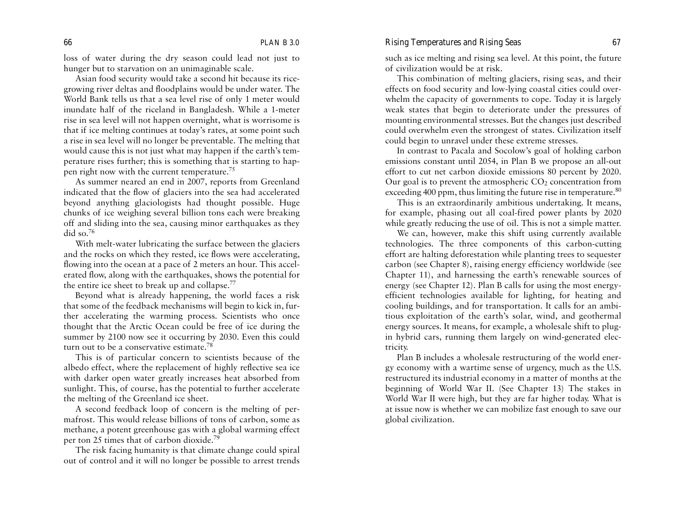loss of water during the dry season could lead not just to hunger but to starvation on an unimaginable scale.

Asian food security would take a second hit because its ricegrowing river deltas and floodplains would be under water. The World Bank tells us that a sea level rise of only 1 meter would inundate half of the riceland in Bangladesh. While a 1-meter rise in sea level will not happen overnight, what is worrisome is that if ice melting continues at today's rates, at some point such a rise in sea level will no longer be preventable. The melting that would cause this is not just what may happen if the earth's temperature rises further; this is something that is starting to happen right now with the current temperature.75

As summer neared an end in 2007, reports from Greenland indicated that the flow of glaciers into the sea had accelerated beyond anything glaciologists had thought possible. Huge chunks of ice weighing several billion tons each were breaking off and sliding into the sea, causing minor earthquakes as they did so.<sup>76</sup>

With melt-water lubricating the surface between the glaciers and the rocks on which they rested, ice flows were accelerating, flowing into the ocean at a pace of 2 meters an hour. This accelerated flow, along with the earthquakes, shows the potential for the entire ice sheet to break up and collapse.77

Beyond what is already happening, the world faces a risk that some of the feedback mechanisms will begin to kick in, further accelerating the warming process. Scientists who once thought that the Arctic Ocean could be free of ice during the summer by 2100 now see it occurring by 2030. Even this could turn out to be a conservative estimate.<sup>78</sup>

This is of particular concern to scientists because of the albedo effect, where the replacement of highly reflective sea ice with darker open water greatly increases heat absorbed from sunlight. This, of course, has the potential to further accelerate the melting of the Greenland ice sheet.

A second feedback loop of concern is the melting of permafrost. This would release billions of tons of carbon, some as methane, a potent greenhouse gas with a global warming effect per ton 25 times that of carbon dioxide.79

The risk facing humanity is that climate change could spiral out of control and it will no longer be possible to arrest trends such as ice melting and rising sea level. At this point, the future of civilization would be at risk.

This combination of melting glaciers, rising seas, and their effects on food security and low-lying coastal cities could overwhelm the capacity of governments to cope. Today it is largely weak states that begin to deteriorate under the pressures of mounting environmental stresses. But the changes just described could overwhelm even the strongest of states. Civilization itself could begin to unravel under these extreme stresses.

In contrast to Pacala and Socolow's goal of holding carbon emissions constant until 2054, in Plan B we propose an all-out effort to cut net carbon dioxide emissions 80 percent by 2020. Our goal is to prevent the atmospheric  $CO<sub>2</sub>$  concentration from exceeding 400 ppm, thus limiting the future rise in temperature.  $80$ 

This is an extraordinarily ambitious undertaking. It means, for example, phasing out all coal-fired power plants by 2020 while greatly reducing the use of oil. This is not a simple matter.

We can, however, make this shift using currently available technologies. The three components of this carbon-cutting effort are halting deforestation while planting trees to sequester carbon (see Chapter 8), raising energy efficiency worldwide (see Chapter 11), and harnessing the earth's renewable sources of energy (see Chapter 12). Plan B calls for using the most energyefficient technologies available for lighting, for heating and cooling buildings, and for transportation. It calls for an ambitious exploitation of the earth's solar, wind, and geothermal energy sources. It means, for example, a wholesale shift to plugin hybrid cars, running them largely on wind-generated electricity.

Plan B includes a wholesale restructuring of the world energy economy with a wartime sense of urgency, much as the U.S. restructured its industrial economy in a matter of months at the beginning of World War II. (See Chapter 13) The stakes in World War II were high, but they are far higher today. What is at issue now is whether we can mobilize fast enough to save our global civilization.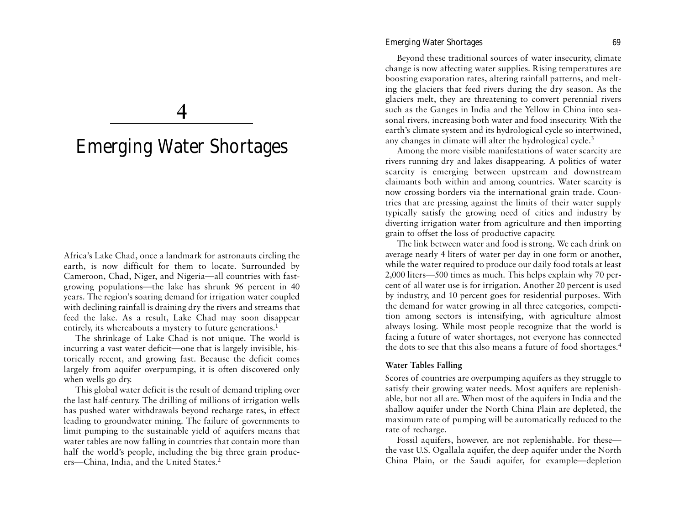### **4**

## *Emerging Water Shortages*

Africa's Lake Chad, once a landmark for astronauts circling the earth, is now difficult for them to locate. Surrounded by Cameroon, Chad, Niger, and Nigeria—all countries with fastgrowing populations—the lake has shrunk 96 percent in 40 years. The region's soaring demand for irrigation water coupled with declining rainfall is draining dry the rivers and streams that feed the lake. As a result, Lake Chad may soon disappear entirely, its whereabouts a mystery to future generations.<sup>1</sup>

The shrinkage of Lake Chad is not unique. The world is incurring a vast water deficit—one that is largely invisible, historically recent, and growing fast. Because the deficit comes largely from aquifer overpumping, it is often discovered only when wells go dry.

This global water deficit is the result of demand tripling over the last half-century. The drilling of millions of irrigation wells has pushed water withdrawals beyond recharge rates, in effect leading to groundwater mining. The failure of governments to limit pumping to the sustainable yield of aquifers means that water tables are now falling in countries that contain more than half the world's people, including the big three grain producers—China, India, and the United States.<sup>2</sup>

#### *Emerging Water Shortages 69*

Beyond these traditional sources of water insecurity, climate change is now affecting water supplies. Rising temperatures are boosting evaporation rates, altering rainfall patterns, and melting the glaciers that feed rivers during the dry season. As the glaciers melt, they are threatening to convert perennial rivers such as the Ganges in India and the Yellow in China into seasonal rivers, increasing both water and food insecurity. With the earth's climate system and its hydrological cycle so intertwined, any changes in climate will alter the hydrological cycle.3

Among the more visible manifestations of water scarcity are rivers running dry and lakes disappearing. A politics of water scarcity is emerging between upstream and downstream claimants both within and among countries. Water scarcity is now crossing borders via the international grain trade. Countries that are pressing against the limits of their water supply typically satisfy the growing need of cities and industry by diverting irrigation water from agriculture and then importing grain to offset the loss of productive capacity.

The link between water and food is strong. We each drink on average nearly 4 liters of water per day in one form or another, while the water required to produce our daily food totals at least 2,000 liters—500 times as much. This helps explain why 70 percent of all water use is for irrigation. Another 20 percent is used by industry, and 10 percent goes for residential purposes. With the demand for water growing in all three categories, competition among sectors is intensifying, with agriculture almost always losing. While most people recognize that the world is facing a future of water shortages, not everyone has connected the dots to see that this also means a future of food shortages.4

#### **Water Tables Falling**

Scores of countries are overpumping aquifers as they struggle to satisfy their growing water needs. Most aquifers are replenishable, but not all are. When most of the aquifers in India and the shallow aquifer under the North China Plain are depleted, the maximum rate of pumping will be automatically reduced to the rate of recharge.

Fossil aquifers, however, are not replenishable. For these the vast U.S. Ogallala aquifer, the deep aquifer under the North China Plain, or the Saudi aquifer, for example—depletion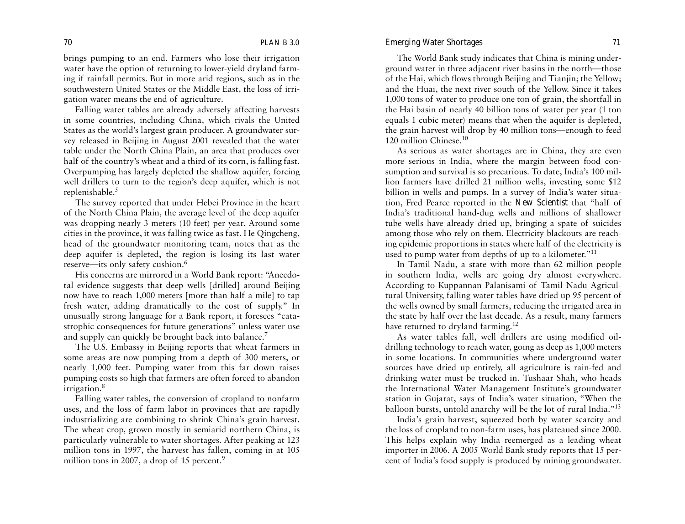brings pumping to an end. Farmers who lose their irrigation water have the option of returning to lower-yield dryland farming if rainfall permits. But in more arid regions, such as in the southwestern United States or the Middle East, the loss of irrigation water means the end of agriculture.

Falling water tables are already adversely affecting harvests in some countries, including China, which rivals the United States as the world's largest grain producer. A groundwater survey released in Beijing in August 2001 revealed that the water table under the North China Plain, an area that produces over half of the country's wheat and a third of its corn, is falling fast. Overpumping has largely depleted the shallow aquifer, forcing well drillers to turn to the region's deep aquifer, which is not replenishable.5

The survey reported that under Hebei Province in the heart of the North China Plain, the average level of the deep aquifer was dropping nearly 3 meters (10 feet) per year. Around some cities in the province, it was falling twice as fast. He Qingcheng, head of the groundwater monitoring team, notes that as the deep aquifer is depleted, the region is losing its last water reserve—its only safety cushion.<sup>6</sup>

His concerns are mirrored in a World Bank report: "Anecdotal evidence suggests that deep wells [drilled] around Beijing now have to reach 1,000 meters [more than half a mile] to tap fresh water, adding dramatically to the cost of supply." In unusually strong language for a Bank report, it foresees "catastrophic consequences for future generations" unless water use and supply can quickly be brought back into balance.<sup>7</sup>

The U.S. Embassy in Beijing reports that wheat farmers in some areas are now pumping from a depth of 300 meters, or nearly 1,000 feet. Pumping water from this far down raises pumping costs so high that farmers are often forced to abandon irrigation.8

Falling water tables, the conversion of cropland to nonfarm uses, and the loss of farm labor in provinces that are rapidly industrializing are combining to shrink China's grain harvest. The wheat crop, grown mostly in semiarid northern China, is particularly vulnerable to water shortages. After peaking at 123 million tons in 1997, the harvest has fallen, coming in at 105 million tons in 2007, a drop of 15 percent.<sup>9</sup>

The World Bank study indicates that China is mining underground water in three adjacent river basins in the north—those of the Hai, which flows through Beijing and Tianjin; the Yellow; and the Huai, the next river south of the Yellow. Since it takes 1,000 tons of water to produce one ton of grain, the shortfall in the Hai basin of nearly 40 billion tons of water per year (1 ton equals 1 cubic meter) means that when the aquifer is depleted, the grain harvest will drop by 40 million tons—enough to feed 120 million Chinese.<sup>10</sup>

As serious as water shortages are in China, they are even more serious in India, where the margin between food consumption and survival is so precarious. To date, India's 100 million farmers have drilled 21 million wells, investing some \$12 billion in wells and pumps. In a survey of India's water situation, Fred Pearce reported in the *New Scientist* that "half of India's traditional hand-dug wells and millions of shallower tube wells have already dried up, bringing a spate of suicides among those who rely on them. Electricity blackouts are reaching epidemic proportions in states where half of the electricity is used to pump water from depths of up to a kilometer."<sup>11</sup>

In Tamil Nadu, a state with more than 62 million people in southern India, wells are going dry almost everywhere. According to Kuppannan Palanisami of Tamil Nadu Agricultural University, falling water tables have dried up 95 percent of the wells owned by small farmers, reducing the irrigated area in the state by half over the last decade. As a result, many farmers have returned to dryland farming.<sup>12</sup>

As water tables fall, well drillers are using modified oildrilling technology to reach water, going as deep as 1,000 meters in some locations. In communities where underground water sources have dried up entirely, all agriculture is rain-fed and drinking water must be trucked in. Tushaar Shah, who heads the International Water Management Institute's groundwater station in Gujarat, says of India's water situation, "When the balloon bursts, untold anarchy will be the lot of rural India."13

India's grain harvest, squeezed both by water scarcity and the loss of cropland to non-farm uses, has plateaued since 2000. This helps explain why India reemerged as a leading wheat importer in 2006. A 2005 World Bank study reports that 15 percent of India's food supply is produced by mining groundwater.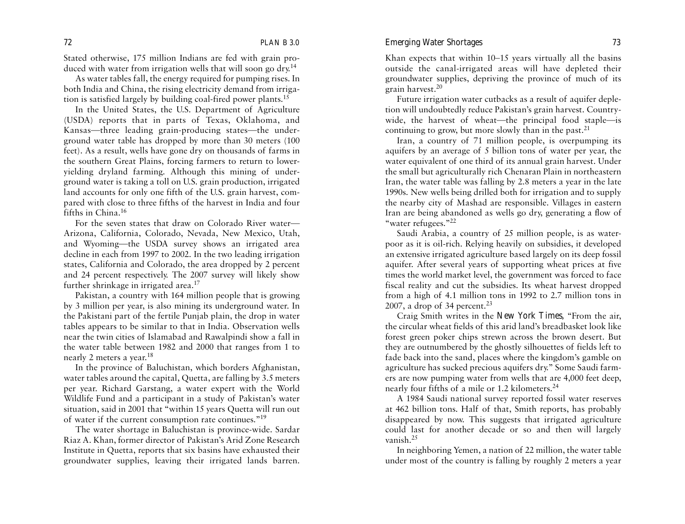Stated otherwise, 175 million Indians are fed with grain produced with water from irrigation wells that will soon go dry.<sup>14</sup>

As water tables fall, the energy required for pumping rises. In both India and China, the rising electricity demand from irrigation is satisfied largely by building coal-fired power plants.15

In the United States, the U.S. Department of Agriculture (USDA) reports that in parts of Texas, Oklahoma, and Kansas—three leading grain-producing states—the underground water table has dropped by more than 30 meters (100 feet). As a result, wells have gone dry on thousands of farms in the southern Great Plains, forcing farmers to return to loweryielding dryland farming. Although this mining of underground water is taking a toll on U.S. grain production, irrigated land accounts for only one fifth of the U.S. grain harvest, compared with close to three fifths of the harvest in India and four fifths in China.16

For the seven states that draw on Colorado River water— Arizona, California, Colorado, Nevada, New Mexico, Utah, and Wyoming—the USDA survey shows an irrigated area decline in each from 1997 to 2002. In the two leading irrigation states, California and Colorado, the area dropped by 2 percent and 24 percent respectively. The 2007 survey will likely show further shrinkage in irrigated area.<sup>17</sup>

Pakistan, a country with 164 million people that is growing by 3 million per year, is also mining its underground water. In the Pakistani part of the fertile Punjab plain, the drop in water tables appears to be similar to that in India. Observation wells near the twin cities of Islamabad and Rawalpindi show a fall in the water table between 1982 and 2000 that ranges from 1 to nearly 2 meters a year.<sup>18</sup>

In the province of Baluchistan, which borders Afghanistan, water tables around the capital, Quetta, are falling by 3.5 meters per year. Richard Garstang, a water expert with the World Wildlife Fund and a participant in a study of Pakistan's water situation, said in 2001 that "within 15 years Quetta will run out of water if the current consumption rate continues."19

The water shortage in Baluchistan is province-wide. Sardar Riaz A. Khan, former director of Pakistan's Arid Zone Research Institute in Quetta, reports that six basins have exhausted their groundwater supplies, leaving their irrigated lands barren. Khan expects that within 10–15 years virtually all the basins outside the canal-irrigated areas will have depleted their groundwater supplies, depriving the province of much of its grain harvest.20

Future irrigation water cutbacks as a result of aquifer depletion will undoubtedly reduce Pakistan's grain harvest. Countrywide, the harvest of wheat—the principal food staple—is continuing to grow, but more slowly than in the past. $^{21}$ 

Iran, a country of 71 million people, is overpumping its aquifers by an average of 5 billion tons of water per year, the water equivalent of one third of its annual grain harvest. Under the small but agriculturally rich Chenaran Plain in northeastern Iran, the water table was falling by 2.8 meters a year in the late 1990s. New wells being drilled both for irrigation and to supply the nearby city of Mashad are responsible. Villages in eastern Iran are being abandoned as wells go dry, generating a flow of "water refugees."<sup>22</sup>

Saudi Arabia, a country of 25 million people, is as waterpoor as it is oil-rich. Relying heavily on subsidies, it developed an extensive irrigated agriculture based largely on its deep fossil aquifer. After several years of supporting wheat prices at five times the world market level, the government was forced to face fiscal reality and cut the subsidies. Its wheat harvest dropped from a high of 4.1 million tons in 1992 to 2.7 million tons in 2007, a drop of 34 percent.<sup>23</sup>

Craig Smith writes in the *New York Times,* "From the air, the circular wheat fields of this arid land's breadbasket look like forest green poker chips strewn across the brown desert. But they are outnumbered by the ghostly silhouettes of fields left to fade back into the sand, places where the kingdom's gamble on agriculture has sucked precious aquifers dry." Some Saudi farmers are now pumping water from wells that are 4,000 feet deep, nearly four fifths of a mile or 1.2 kilometers.<sup>24</sup>

A 1984 Saudi national survey reported fossil water reserves at 462 billion tons. Half of that, Smith reports, has probably disappeared by now. This suggests that irrigated agriculture could last for another decade or so and then will largely vanish.<sup>25</sup>

In neighboring Yemen, a nation of 22 million, the water table under most of the country is falling by roughly 2 meters a year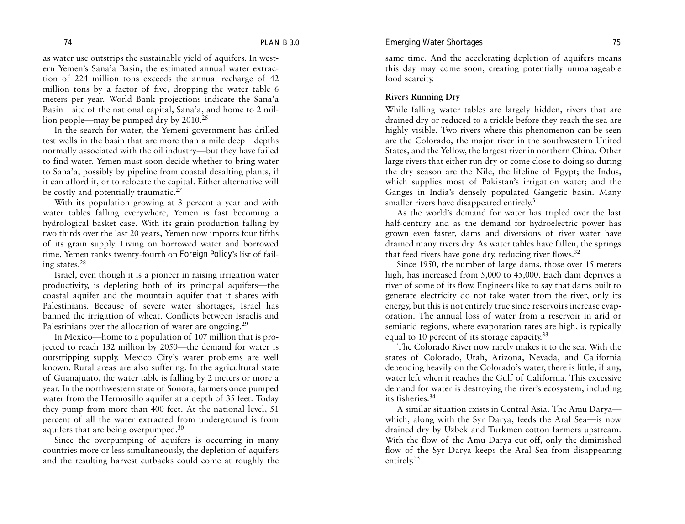as water use outstrips the sustainable yield of aquifers. In western Yemen's Sana'a Basin, the estimated annual water extraction of 224 million tons exceeds the annual recharge of 42 million tons by a factor of five, dropping the water table 6 meters per year. World Bank projections indicate the Sana'a Basin—site of the national capital, Sana'a, and home to 2 million people—may be pumped dry by 2010.<sup>26</sup>

In the search for water, the Yemeni government has drilled test wells in the basin that are more than a mile deep—depths normally associated with the oil industry—but they have failed to find water. Yemen must soon decide whether to bring water to Sana'a, possibly by pipeline from coastal desalting plants, if it can afford it, or to relocate the capital. Either alternative will be costly and potentially traumatic.<sup>27</sup>

With its population growing at 3 percent a year and with water tables falling everywhere, Yemen is fast becoming a hydrological basket case. With its grain production falling by two thirds over the last 20 years, Yemen now imports four fifths of its grain supply. Living on borrowed water and borrowed time, Yemen ranks twenty-fourth on *Foreign Policy*'s list of failing states.28

Israel, even though it is a pioneer in raising irrigation water productivity, is depleting both of its principal aquifers—the coastal aquifer and the mountain aquifer that it shares with Palestinians. Because of severe water shortages, Israel has banned the irrigation of wheat. Conflicts between Israelis and Palestinians over the allocation of water are ongoing.<sup>29</sup>

In Mexico—home to a population of 107 million that is projected to reach 132 million by 2050—the demand for water is outstripping supply. Mexico City's water problems are well known. Rural areas are also suffering. In the agricultural state of Guanajuato, the water table is falling by 2 meters or more a year. In the northwestern state of Sonora, farmers once pumped water from the Hermosillo aquifer at a depth of 35 feet. Today they pump from more than 400 feet. At the national level, 51 percent of all the water extracted from underground is from aquifers that are being overpumped.<sup>30</sup>

Since the overpumping of aquifers is occurring in many countries more or less simultaneously, the depletion of aquifers and the resulting harvest cutbacks could come at roughly the same time. And the accelerating depletion of aquifers means this day may come soon, creating potentially unmanageable food scarcity.

#### **Rivers Running Dry**

While falling water tables are largely hidden, rivers that are drained dry or reduced to a trickle before they reach the sea are highly visible. Two rivers where this phenomenon can be seen are the Colorado, the major river in the southwestern United States, and the Yellow, the largest river in northern China. Other large rivers that either run dry or come close to doing so during the dry season are the Nile, the lifeline of Egypt; the Indus, which supplies most of Pakistan's irrigation water; and the Ganges in India's densely populated Gangetic basin. Many smaller rivers have disappeared entirely.<sup>31</sup>

As the world's demand for water has tripled over the last half-century and as the demand for hydroelectric power has grown even faster, dams and diversions of river water have drained many rivers dry. As water tables have fallen, the springs that feed rivers have gone dry, reducing river flows.<sup>32</sup>

Since 1950, the number of large dams, those over 15 meters high, has increased from 5,000 to 45,000. Each dam deprives a river of some of its flow. Engineers like to say that dams built to generate electricity do not take water from the river, only its energy, but this is not entirely true since reservoirs increase evaporation. The annual loss of water from a reservoir in arid or semiarid regions, where evaporation rates are high, is typically equal to 10 percent of its storage capacity.<sup>33</sup>

The Colorado River now rarely makes it to the sea. With the states of Colorado, Utah, Arizona, Nevada, and California depending heavily on the Colorado's water, there is little, if any, water left when it reaches the Gulf of California. This excessive demand for water is destroying the river's ecosystem, including its fisheries.34

A similar situation exists in Central Asia. The Amu Darya which, along with the Syr Darya, feeds the Aral Sea—is now drained dry by Uzbek and Turkmen cotton farmers upstream. With the flow of the Amu Darya cut off, only the diminished flow of the Syr Darya keeps the Aral Sea from disappearing entirely.<sup>35</sup>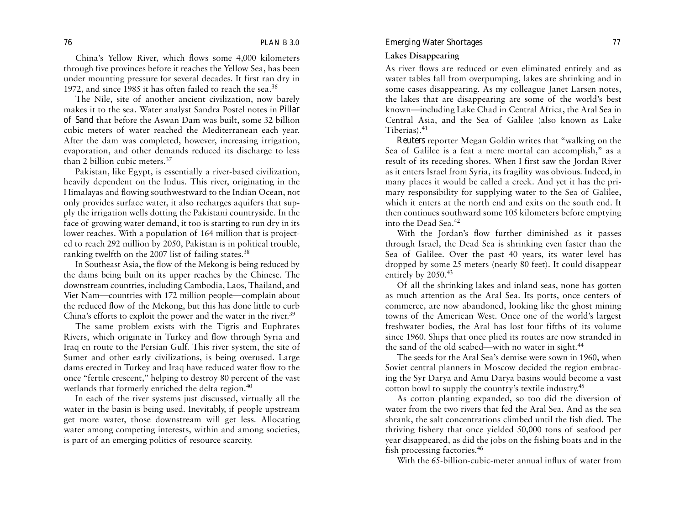China's Yellow River, which flows some 4,000 kilometers through five provinces before it reaches the Yellow Sea, has been under mounting pressure for several decades. It first ran dry in 1972, and since 1985 it has often failed to reach the sea.<sup>36</sup>

The Nile, site of another ancient civilization, now barely makes it to the sea. Water analyst Sandra Postel notes in *Pillar of Sand* that before the Aswan Dam was built, some 32 billion cubic meters of water reached the Mediterranean each year. After the dam was completed, however, increasing irrigation, evaporation, and other demands reduced its discharge to less than 2 billion cubic meters.37

Pakistan, like Egypt, is essentially a river-based civilization, heavily dependent on the Indus. This river, originating in the Himalayas and flowing southwestward to the Indian Ocean, not only provides surface water, it also recharges aquifers that supply the irrigation wells dotting the Pakistani countryside. In the face of growing water demand, it too is starting to run dry in its lower reaches. With a population of 164 million that is projected to reach 292 million by 2050, Pakistan is in political trouble, ranking twelfth on the 2007 list of failing states.<sup>38</sup>

In Southeast Asia, the flow of the Mekong is being reduced by the dams being built on its upper reaches by the Chinese. The downstream countries, including Cambodia, Laos, Thailand, and Viet Nam—countries with 172 million people—complain about the reduced flow of the Mekong, but this has done little to curb China's efforts to exploit the power and the water in the river.<sup>39</sup>

The same problem exists with the Tigris and Euphrates Rivers, which originate in Turkey and flow through Syria and Iraq en route to the Persian Gulf. This river system, the site of Sumer and other early civilizations, is being overused. Large dams erected in Turkey and Iraq have reduced water flow to the once "fertile crescent," helping to destroy 80 percent of the vast wetlands that formerly enriched the delta region.40

In each of the river systems just discussed, virtually all the water in the basin is being used. Inevitably, if people upstream get more water, those downstream will get less. Allocating water among competing interests, within and among societies, is part of an emerging politics of resource scarcity.

#### **Lakes Disappearing**

As river flows are reduced or even eliminated entirely and as water tables fall from overpumping, lakes are shrinking and in some cases disappearing. As my colleague Janet Larsen notes, the lakes that are disappearing are some of the world's best known—including Lake Chad in Central Africa, the Aral Sea in Central Asia, and the Sea of Galilee (also known as Lake Tiberias).41

*Reuters* reporter Megan Goldin writes that "walking on the Sea of Galilee is a feat a mere mortal can accomplish," as a result of its receding shores. When I first saw the Jordan River as it enters Israel from Syria, its fragility was obvious. Indeed, in many places it would be called a creek. And yet it has the primary responsibility for supplying water to the Sea of Galilee, which it enters at the north end and exits on the south end. It then continues southward some 105 kilometers before emptying into the Dead Sea.<sup>42</sup>

With the Jordan's flow further diminished as it passes through Israel, the Dead Sea is shrinking even faster than the Sea of Galilee. Over the past 40 years, its water level has dropped by some 25 meters (nearly 80 feet). It could disappear entirely by 2050.<sup>43</sup>

Of all the shrinking lakes and inland seas, none has gotten as much attention as the Aral Sea. Its ports, once centers of commerce, are now abandoned, looking like the ghost mining towns of the American West. Once one of the world's largest freshwater bodies, the Aral has lost four fifths of its volume since 1960. Ships that once plied its routes are now stranded in the sand of the old seabed—with no water in sight.<sup>44</sup>

The seeds for the Aral Sea's demise were sown in 1960, when Soviet central planners in Moscow decided the region embracing the Syr Darya and Amu Darya basins would become a vast cotton bowl to supply the country's textile industry.45

As cotton planting expanded, so too did the diversion of water from the two rivers that fed the Aral Sea. And as the sea shrank, the salt concentrations climbed until the fish died. The thriving fishery that once yielded 50,000 tons of seafood per year disappeared, as did the jobs on the fishing boats and in the fish processing factories.46

With the 65-billion-cubic-meter annual influx of water from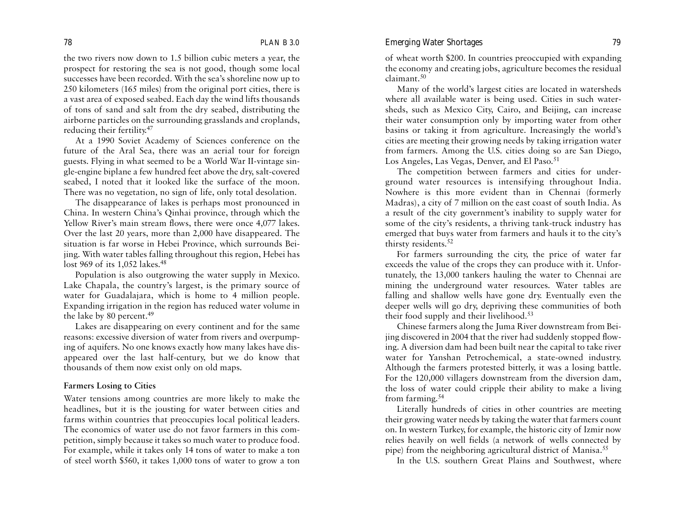the two rivers now down to 1.5 billion cubic meters a year, the prospect for restoring the sea is not good, though some local successes have been recorded. With the sea's shoreline now up to 250 kilometers (165 miles) from the original port cities, there is a vast area of exposed seabed. Each day the wind lifts thousands of tons of sand and salt from the dry seabed, distributing the airborne particles on the surrounding grasslands and croplands, reducing their fertility.<sup>47</sup>

At a 1990 Soviet Academy of Sciences conference on the future of the Aral Sea, there was an aerial tour for foreign guests. Flying in what seemed to be a World War II-vintage single-engine biplane a few hundred feet above the dry, salt-covered seabed, I noted that it looked like the surface of the moon. There was no vegetation, no sign of life, only total desolation.

The disappearance of lakes is perhaps most pronounced in China. In western China's Qinhai province, through which the Yellow River's main stream flows, there were once 4,077 lakes. Over the last 20 years, more than 2,000 have disappeared. The situation is far worse in Hebei Province, which surrounds Beijing. With water tables falling throughout this region, Hebei has lost 969 of its 1,052 lakes.<sup>48</sup>

Population is also outgrowing the water supply in Mexico. Lake Chapala, the country's largest, is the primary source of water for Guadalajara, which is home to 4 million people. Expanding irrigation in the region has reduced water volume in the lake by 80 percent.<sup>49</sup>

Lakes are disappearing on every continent and for the same reasons: excessive diversion of water from rivers and overpumping of aquifers. No one knows exactly how many lakes have disappeared over the last half-century, but we do know that thousands of them now exist only on old maps.

#### **Farmers Losing to Cities**

Water tensions among countries are more likely to make the headlines, but it is the jousting for water between cities and farms within countries that preoccupies local political leaders. The economics of water use do not favor farmers in this competition, simply because it takes so much water to produce food. For example, while it takes only 14 tons of water to make a ton of steel worth \$560, it takes 1,000 tons of water to grow a ton of wheat worth \$200. In countries preoccupied with expanding the economy and creating jobs, agriculture becomes the residual claimant.50

Many of the world's largest cities are located in watersheds where all available water is being used. Cities in such watersheds, such as Mexico City, Cairo, and Beijing, can increase their water consumption only by importing water from other basins or taking it from agriculture. Increasingly the world's cities are meeting their growing needs by taking irrigation water from farmers. Among the U.S. cities doing so are San Diego, Los Angeles, Las Vegas, Denver, and El Paso.<sup>51</sup>

The competition between farmers and cities for underground water resources is intensifying throughout India. Nowhere is this more evident than in Chennai (formerly Madras), a city of 7 million on the east coast of south India. As a result of the city government's inability to supply water for some of the city's residents, a thriving tank-truck industry has emerged that buys water from farmers and hauls it to the city's thirsty residents.<sup>52</sup>

For farmers surrounding the city, the price of water far exceeds the value of the crops they can produce with it. Unfortunately, the 13,000 tankers hauling the water to Chennai are mining the underground water resources. Water tables are falling and shallow wells have gone dry. Eventually even the deeper wells will go dry, depriving these communities of both their food supply and their livelihood.<sup>53</sup>

Chinese farmers along the Juma River downstream from Beijing discovered in 2004 that the river had suddenly stopped flowing. A diversion dam had been built near the capital to take river water for Yanshan Petrochemical, a state-owned industry. Although the farmers protested bitterly, it was a losing battle. For the 120,000 villagers downstream from the diversion dam, the loss of water could cripple their ability to make a living from farming.54

Literally hundreds of cities in other countries are meeting their growing water needs by taking the water that farmers count on. In western Turkey, for example, the historic city of Izmir now relies heavily on well fields (a network of wells connected by pipe) from the neighboring agricultural district of Manisa.55

In the U.S. southern Great Plains and Southwest, where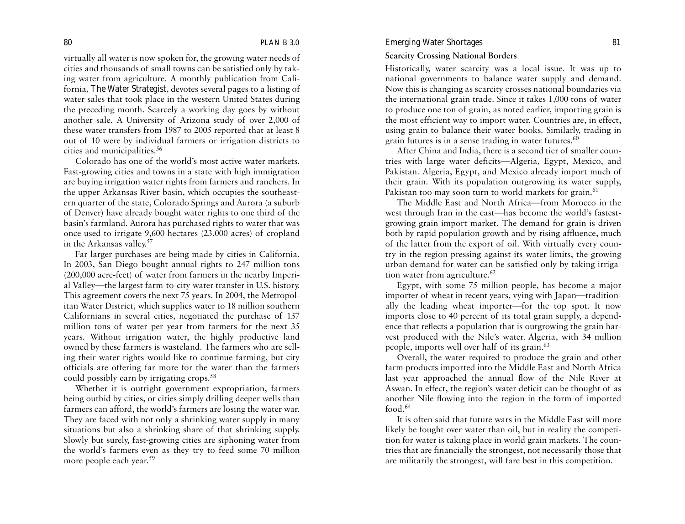virtually all water is now spoken for, the growing water needs of cities and thousands of small towns can be satisfied only by taking water from agriculture. A monthly publication from California, *The Water Strategist*, devotes several pages to a listing of water sales that took place in the western United States during the preceding month. Scarcely a working day goes by without another sale. A University of Arizona study of over 2,000 of these water transfers from 1987 to 2005 reported that at least 8 out of 10 were by individual farmers or irrigation districts to cities and municipalities.56

Colorado has one of the world's most active water markets. Fast-growing cities and towns in a state with high immigration are buying irrigation water rights from farmers and ranchers. In the upper Arkansas River basin, which occupies the southeastern quarter of the state, Colorado Springs and Aurora (a suburb of Denver) have already bought water rights to one third of the basin's farmland. Aurora has purchased rights to water that was once used to irrigate 9,600 hectares (23,000 acres) of cropland in the Arkansas valley.57

Far larger purchases are being made by cities in California. In 2003, San Diego bought annual rights to 247 million tons (200,000 acre-feet) of water from farmers in the nearby Imperial Valley—the largest farm-to-city water transfer in U.S. history. This agreement covers the next 75 years. In 2004, the Metropolitan Water District, which supplies water to 18 million southern Californians in several cities, negotiated the purchase of 137 million tons of water per year from farmers for the next 35 years. Without irrigation water, the highly productive land owned by these farmers is wasteland. The farmers who are selling their water rights would like to continue farming, but city officials are offering far more for the water than the farmers could possibly earn by irrigating crops.<sup>58</sup>

Whether it is outright government expropriation, farmers being outbid by cities, or cities simply drilling deeper wells than farmers can afford, the world's farmers are losing the water war. They are faced with not only a shrinking water supply in many situations but also a shrinking share of that shrinking supply. Slowly but surely, fast-growing cities are siphoning water from the world's farmers even as they try to feed some 70 million more people each year.<sup>59</sup>

#### *Emerging Water Shortages 81*

#### **Scarcity Crossing National Borders**

Historically, water scarcity was a local issue. It was up to national governments to balance water supply and demand. Now this is changing as scarcity crosses national boundaries via the international grain trade. Since it takes 1,000 tons of water to produce one ton of grain, as noted earlier, importing grain is the most efficient way to import water. Countries are, in effect, using grain to balance their water books. Similarly, trading in grain futures is in a sense trading in water futures.<sup>60</sup>

After China and India, there is a second tier of smaller countries with large water deficits—Algeria, Egypt, Mexico, and Pakistan. Algeria, Egypt, and Mexico already import much of their grain. With its population outgrowing its water supply, Pakistan too may soon turn to world markets for grain.<sup>61</sup>

The Middle East and North Africa—from Morocco in the west through Iran in the east—has become the world's fastestgrowing grain import market. The demand for grain is driven both by rapid population growth and by rising affluence, much of the latter from the export of oil. With virtually every country in the region pressing against its water limits, the growing urban demand for water can be satisfied only by taking irrigation water from agriculture.<sup>62</sup>

Egypt, with some 75 million people, has become a major importer of wheat in recent years, vying with Japan—traditionally the leading wheat importer—for the top spot. It now imports close to 40 percent of its total grain supply, a dependence that reflects a population that is outgrowing the grain harvest produced with the Nile's water. Algeria, with 34 million people, imports well over half of its grain.<sup>63</sup>

Overall, the water required to produce the grain and other farm products imported into the Middle East and North Africa last year approached the annual flow of the Nile River at Aswan. In effect, the region's water deficit can be thought of as another Nile flowing into the region in the form of imported food.<sup>64</sup>

It is often said that future wars in the Middle East will more likely be fought over water than oil, but in reality the competition for water is taking place in world grain markets. The countries that are financially the strongest, not necessarily those that are militarily the strongest, will fare best in this competition.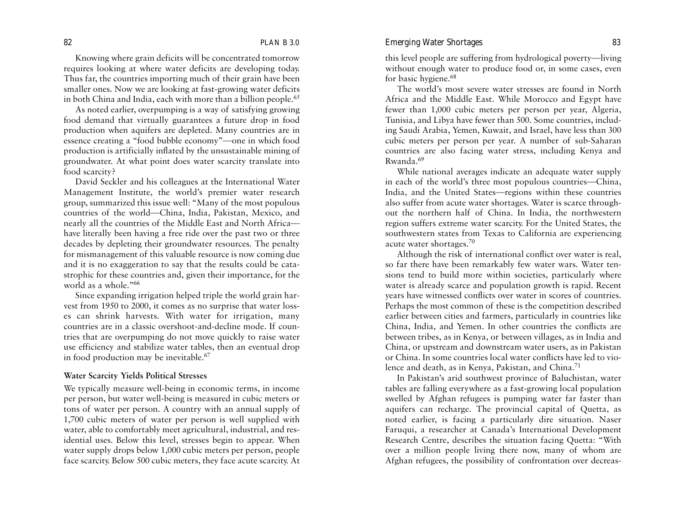Knowing where grain deficits will be concentrated tomorrow requires looking at where water deficits are developing today. Thus far, the countries importing much of their grain have been smaller ones. Now we are looking at fast-growing water deficits in both China and India, each with more than a billion people.<sup>65</sup>

As noted earlier, overpumping is a way of satisfying growing food demand that virtually guarantees a future drop in food production when aquifers are depleted. Many countries are in essence creating a "food bubble economy"—one in which food production is artificially inflated by the unsustainable mining of groundwater. At what point does water scarcity translate into food scarcity?

David Seckler and his colleagues at the International Water Management Institute, the world's premier water research group, summarized this issue well: "Many of the most populous countries of the world—China, India, Pakistan, Mexico, and nearly all the countries of the Middle East and North Africa have literally been having a free ride over the past two or three decades by depleting their groundwater resources. The penalty for mismanagement of this valuable resource is now coming due and it is no exaggeration to say that the results could be catastrophic for these countries and, given their importance, for the world as a whole."<sup>66</sup>

Since expanding irrigation helped triple the world grain harvest from 1950 to 2000, it comes as no surprise that water losses can shrink harvests. With water for irrigation, many countries are in a classic overshoot-and-decline mode. If countries that are overpumping do not move quickly to raise water use efficiency and stabilize water tables, then an eventual drop in food production may be inevitable.<sup>67</sup>

#### **Water Scarcity Yields Political Stresses**

We typically measure well-being in economic terms, in income per person, but water well-being is measured in cubic meters or tons of water per person. A country with an annual supply of 1,700 cubic meters of water per person is well supplied with water, able to comfortably meet agricultural, industrial, and residential uses. Below this level, stresses begin to appear. When water supply drops below 1,000 cubic meters per person, people face scarcity. Below 500 cubic meters, they face acute scarcity. At this level people are suffering from hydrological poverty—living without enough water to produce food or, in some cases, even for basic hygiene.68

The world's most severe water stresses are found in North Africa and the Middle East. While Morocco and Egypt have fewer than 1,000 cubic meters per person per year, Algeria, Tunisia, and Libya have fewer than 500. Some countries, including Saudi Arabia, Yemen, Kuwait, and Israel, have less than 300 cubic meters per person per year. A number of sub-Saharan countries are also facing water stress, including Kenya and Rwanda.<sup>69</sup>

While national averages indicate an adequate water supply in each of the world's three most populous countries—China, India, and the United States—regions within these countries also suffer from acute water shortages. Water is scarce throughout the northern half of China. In India, the northwestern region suffers extreme water scarcity. For the United States, the southwestern states from Texas to California are experiencing acute water shortages.70

Although the risk of international conflict over water is real, so far there have been remarkably few water wars. Water tensions tend to build more within societies, particularly where water is already scarce and population growth is rapid. Recent years have witnessed conflicts over water in scores of countries. Perhaps the most common of these is the competition described earlier between cities and farmers, particularly in countries like China, India, and Yemen. In other countries the conflicts are between tribes, as in Kenya, or between villages, as in India and China, or upstream and downstream water users, as in Pakistan or China. In some countries local water conflicts have led to violence and death, as in Kenya, Pakistan, and China.<sup>71</sup>

In Pakistan's arid southwest province of Baluchistan, water tables are falling everywhere as a fast-growing local population swelled by Afghan refugees is pumping water far faster than aquifers can recharge. The provincial capital of Quetta, as noted earlier, is facing a particularly dire situation. Naser Faruqui, a researcher at Canada's International Development Research Centre, describes the situation facing Quetta: "With over a million people living there now, many of whom are Afghan refugees, the possibility of confrontation over decreas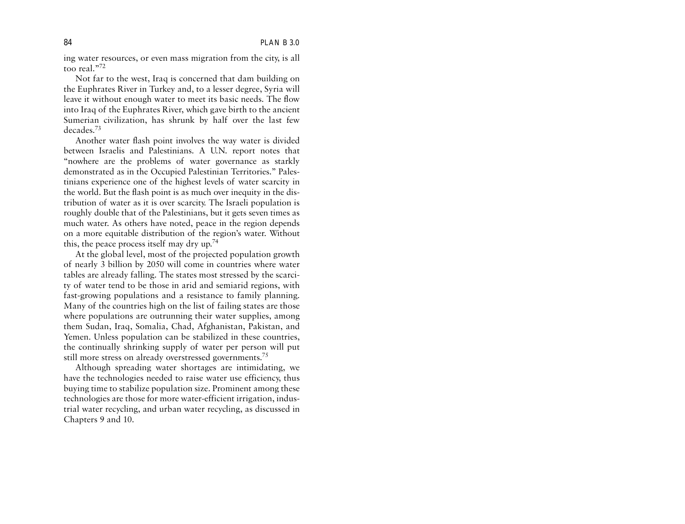ing water resources, or even mass migration from the city, is all too real."72

Not far to the west, Iraq is concerned that dam building on the Euphrates River in Turkey and, to a lesser degree, Syria will leave it without enough water to meet its basic needs. The flow into Iraq of the Euphrates River, which gave birth to the ancient Sumerian civilization, has shrunk by half over the last few decades.73

Another water flash point involves the way water is divided between Israelis and Palestinians. A U.N. report notes that "nowhere are the problems of water governance as starkly demonstrated as in the Occupied Palestinian Territories." Palestinians experience one of the highest levels of water scarcity in the world. But the flash point is as much over inequity in the distribution of water as it is over scarcity. The Israeli population is roughly double that of the Palestinians, but it gets seven times as much water. As others have noted, peace in the region depends on a more equitable distribution of the region's water. Without this, the peace process itself may dry  $up.^{74}$ 

At the global level, most of the projected population growth of nearly 3 billion by 2050 will come in countries where water tables are already falling. The states most stressed by the scarcity of water tend to be those in arid and semiarid regions, with fast-growing populations and a resistance to family planning. Many of the countries high on the list of failing states are those where populations are outrunning their water supplies, among them Sudan, Iraq, Somalia, Chad, Afghanistan, Pakistan, and Yemen. Unless population can be stabilized in these countries, the continually shrinking supply of water per person will put still more stress on already overstressed governments.<sup>75</sup>

Although spreading water shortages are intimidating, we have the technologies needed to raise water use efficiency, thus buying time to stabilize population size. Prominent among these technologies are those for more water-efficient irrigation, industrial water recycling, and urban water recycling, as discussed in Chapters 9 and 10.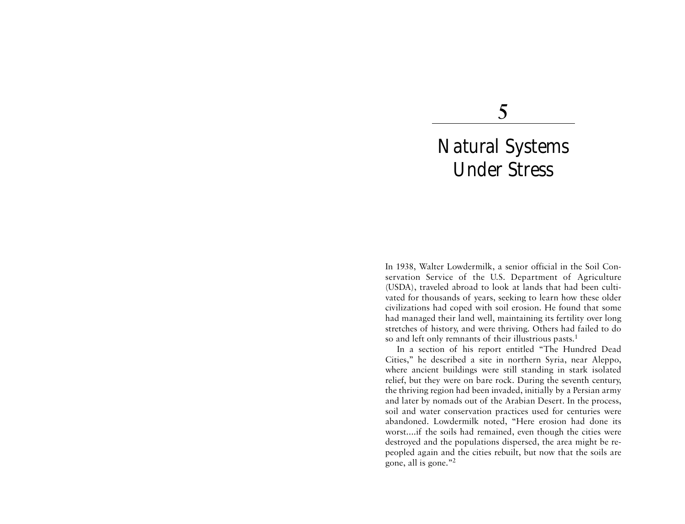### **5**

# *Natural Systems Under Stress*

In 1938, Walter Lowdermilk, a senior official in the Soil Conservation Service of the U.S. Department of Agriculture (USDA), traveled abroad to look at lands that had been cultivated for thousands of years, seeking to learn how these older civilizations had coped with soil erosion. He found that some had managed their land well, maintaining its fertility over long stretches of history, and were thriving. Others had failed to do so and left only remnants of their illustrious pasts.<sup>1</sup>

In a section of his report entitled "The Hundred Dead Cities," he described a site in northern Syria, near Aleppo, where ancient buildings were still standing in stark isolated relief, but they were on bare rock. During the seventh century, the thriving region had been invaded, initially by a Persian army and later by nomads out of the Arabian Desert. In the process, soil and water conservation practices used for centuries were abandoned. Lowdermilk noted, "Here erosion had done its worst....if the soils had remained, even though the cities were destroyed and the populations dispersed, the area might be repeopled again and the cities rebuilt, but now that the soils are gone, all is gone."2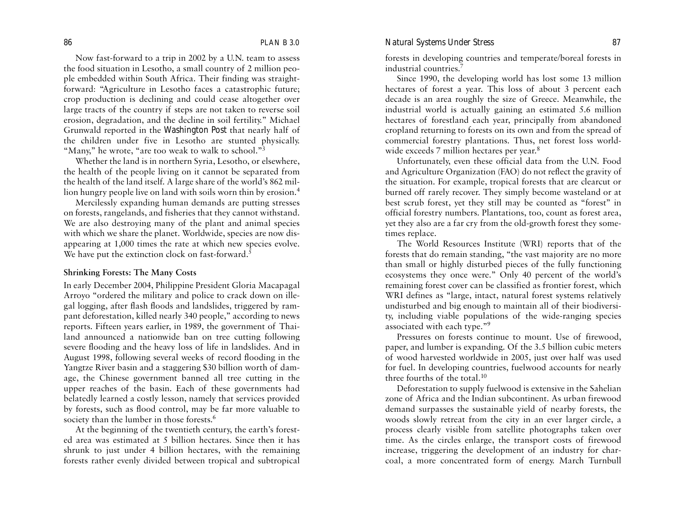Now fast-forward to a trip in 2002 by a U.N. team to assess the food situation in Lesotho, a small country of 2 million people embedded within South Africa. Their finding was straightforward: "Agriculture in Lesotho faces a catastrophic future; crop production is declining and could cease altogether over large tracts of the country if steps are not taken to reverse soil erosion, degradation, and the decline in soil fertility." Michael Grunwald reported in the *Washington Post* that nearly half of the children under five in Lesotho are stunted physically. "Many," he wrote, "are too weak to walk to school."<sup>3</sup>

Whether the land is in northern Syria, Lesotho, or elsewhere, the health of the people living on it cannot be separated from the health of the land itself. A large share of the world's 862 million hungry people live on land with soils worn thin by erosion.<sup>4</sup>

Mercilessly expanding human demands are putting stresses on forests, rangelands, and fisheries that they cannot withstand. We are also destroying many of the plant and animal species with which we share the planet. Worldwide, species are now disappearing at 1,000 times the rate at which new species evolve. We have put the extinction clock on fast-forward.<sup>5</sup>

#### **Shrinking Forests: The Many Costs**

In early December 2004, Philippine President Gloria Macapagal Arroyo "ordered the military and police to crack down on illegal logging, after flash floods and landslides, triggered by rampant deforestation, killed nearly 340 people," according to news reports. Fifteen years earlier, in 1989, the government of Thailand announced a nationwide ban on tree cutting following severe flooding and the heavy loss of life in landslides. And in August 1998, following several weeks of record flooding in the Yangtze River basin and a staggering \$30 billion worth of damage, the Chinese government banned all tree cutting in the upper reaches of the basin. Each of these governments had belatedly learned a costly lesson, namely that services provided by forests, such as flood control, may be far more valuable to society than the lumber in those forests.<sup>6</sup>

At the beginning of the twentieth century, the earth's forested area was estimated at 5 billion hectares. Since then it has shrunk to just under 4 billion hectares, with the remaining forests rather evenly divided between tropical and subtropical

forests in developing countries and temperate/boreal forests in industrial countries.7

Since 1990, the developing world has lost some 13 million hectares of forest a year. This loss of about 3 percent each decade is an area roughly the size of Greece. Meanwhile, the industrial world is actually gaining an estimated 5.6 million hectares of forestland each year, principally from abandoned cropland returning to forests on its own and from the spread of commercial forestry plantations. Thus, net forest loss worldwide exceeds 7 million hectares per year.<sup>8</sup>

Unfortunately, even these official data from the U.N. Food and Agriculture Organization (FAO) do not reflect the gravity of the situation. For example, tropical forests that are clearcut or burned off rarely recover. They simply become wasteland or at best scrub forest, yet they still may be counted as "forest" in official forestry numbers. Plantations, too, count as forest area, yet they also are a far cry from the old-growth forest they sometimes replace.

The World Resources Institute (WRI) reports that of the forests that do remain standing, "the vast majority are no more than small or highly disturbed pieces of the fully functioning ecosystems they once were." Only 40 percent of the world's remaining forest cover can be classified as frontier forest, which WRI defines as "large, intact, natural forest systems relatively undisturbed and big enough to maintain all of their biodiversity, including viable populations of the wide-ranging species associated with each type."9

Pressures on forests continue to mount. Use of firewood, paper, and lumber is expanding. Of the 3.5 billion cubic meters of wood harvested worldwide in 2005, just over half was used for fuel. In developing countries, fuelwood accounts for nearly three fourths of the total.10

Deforestation to supply fuelwood is extensive in the Sahelian zone of Africa and the Indian subcontinent. As urban firewood demand surpasses the sustainable yield of nearby forests, the woods slowly retreat from the city in an ever larger circle, a process clearly visible from satellite photographs taken over time. As the circles enlarge, the transport costs of firewood increase, triggering the development of an industry for charcoal, a more concentrated form of energy. March Turnbull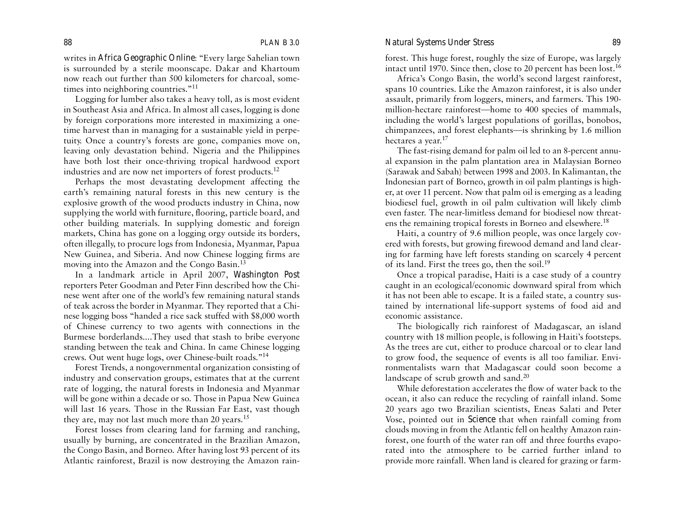writes in *Africa Geographic Online*: "Every large Sahelian town is surrounded by a sterile moonscape. Dakar and Khartoum now reach out further than 500 kilometers for charcoal, sometimes into neighboring countries."<sup>11</sup>

Logging for lumber also takes a heavy toll, as is most evident in Southeast Asia and Africa. In almost all cases, logging is done by foreign corporations more interested in maximizing a onetime harvest than in managing for a sustainable yield in perpetuity. Once a country's forests are gone, companies move on, leaving only devastation behind. Nigeria and the Philippines have both lost their once-thriving tropical hardwood export industries and are now net importers of forest products.<sup>12</sup>

Perhaps the most devastating development affecting the earth's remaining natural forests in this new century is the explosive growth of the wood products industry in China, now supplying the world with furniture, flooring, particle board, and other building materials. In supplying domestic and foreign markets, China has gone on a logging orgy outside its borders, often illegally, to procure logs from Indonesia, Myanmar, Papua New Guinea, and Siberia. And now Chinese logging firms are moving into the Amazon and the Congo Basin.13

In a landmark article in April 2007, *Washington Post* reporters Peter Goodman and Peter Finn described how the Chinese went after one of the world's few remaining natural stands of teak across the border in Myanmar. They reported that a Chinese logging boss "handed a rice sack stuffed with \$8,000 worth of Chinese currency to two agents with connections in the Burmese borderlands....They used that stash to bribe everyone standing between the teak and China. In came Chinese logging crews. Out went huge logs, over Chinese-built roads."14

Forest Trends, a nongovernmental organization consisting of industry and conservation groups, estimates that at the current rate of logging, the natural forests in Indonesia and Myanmar will be gone within a decade or so. Those in Papua New Guinea will last 16 years. Those in the Russian Far East, vast though they are, may not last much more than 20 years.<sup>15</sup>

Forest losses from clearing land for farming and ranching, usually by burning, are concentrated in the Brazilian Amazon, the Congo Basin, and Borneo. After having lost 93 percent of its Atlantic rainforest, Brazil is now destroying the Amazon rainforest. This huge forest, roughly the size of Europe, was largely intact until 1970. Since then, close to 20 percent has been lost.<sup>16</sup>

Africa's Congo Basin, the world's second largest rainforest, spans 10 countries. Like the Amazon rainforest, it is also under assault, primarily from loggers, miners, and farmers. This 190 million-hectare rainforest—home to 400 species of mammals, including the world's largest populations of gorillas, bonobos, chimpanzees, and forest elephants—is shrinking by 1.6 million hectares a year.<sup>17</sup>

The fast-rising demand for palm oil led to an 8-percent annual expansion in the palm plantation area in Malaysian Borneo (Sarawak and Sabah) between 1998 and 2003. In Kalimantan, the Indonesian part of Borneo, growth in oil palm plantings is higher, at over 11 percent. Now that palm oil is emerging as a leading biodiesel fuel, growth in oil palm cultivation will likely climb even faster. The near-limitless demand for biodiesel now threatens the remaining tropical forests in Borneo and elsewhere.<sup>18</sup>

Haiti, a country of 9.6 million people, was once largely covered with forests, but growing firewood demand and land clearing for farming have left forests standing on scarcely 4 percent of its land. First the trees go, then the soil.19

Once a tropical paradise, Haiti is a case study of a country caught in an ecological/economic downward spiral from which it has not been able to escape. It is a failed state, a country sustained by international life-support systems of food aid and economic assistance.

The biologically rich rainforest of Madagascar, an island country with 18 million people, is following in Haiti's footsteps. As the trees are cut, either to produce charcoal or to clear land to grow food, the sequence of events is all too familiar. Environmentalists warn that Madagascar could soon become a landscape of scrub growth and sand.<sup>20</sup>

While deforestation accelerates the flow of water back to the ocean, it also can reduce the recycling of rainfall inland. Some 20 years ago two Brazilian scientists, Eneas Salati and Peter Vose, pointed out in *Science* that when rainfall coming from clouds moving in from the Atlantic fell on healthy Amazon rainforest, one fourth of the water ran off and three fourths evaporated into the atmosphere to be carried further inland to provide more rainfall. When land is cleared for grazing or farm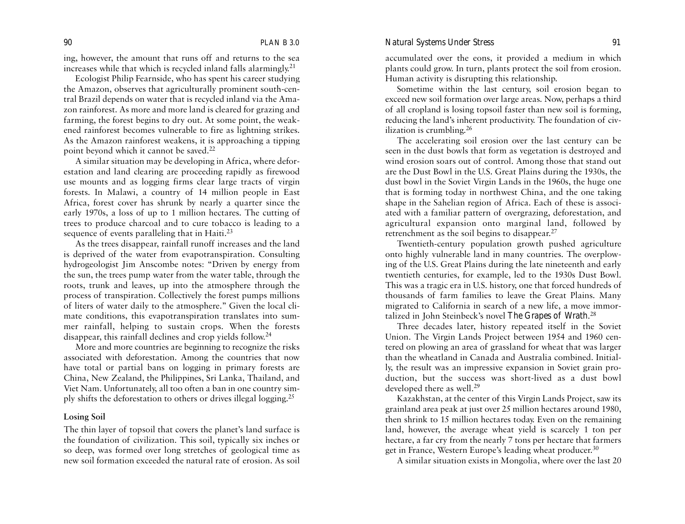ing, however, the amount that runs off and returns to the sea increases while that which is recycled inland falls alarmingly.<sup>21</sup>

Ecologist Philip Fearnside, who has spent his career studying the Amazon, observes that agriculturally prominent south-central Brazil depends on water that is recycled inland via the Amazon rainforest. As more and more land is cleared for grazing and farming, the forest begins to dry out. At some point, the weakened rainforest becomes vulnerable to fire as lightning strikes. As the Amazon rainforest weakens, it is approaching a tipping point beyond which it cannot be saved.22

A similar situation may be developing in Africa, where deforestation and land clearing are proceeding rapidly as firewood use mounts and as logging firms clear large tracts of virgin forests. In Malawi, a country of 14 million people in East Africa, forest cover has shrunk by nearly a quarter since the early 1970s, a loss of up to 1 million hectares. The cutting of trees to produce charcoal and to cure tobacco is leading to a sequence of events paralleling that in Haiti.<sup>23</sup>

As the trees disappear, rainfall runoff increases and the land is deprived of the water from evapotranspiration. Consulting hydrogeologist Jim Anscombe notes: "Driven by energy from the sun, the trees pump water from the water table, through the roots, trunk and leaves, up into the atmosphere through the process of transpiration. Collectively the forest pumps millions of liters of water daily to the atmosphere." Given the local climate conditions, this evapotranspiration translates into summer rainfall, helping to sustain crops. When the forests disappear, this rainfall declines and crop yields follow.<sup>24</sup>

More and more countries are beginning to recognize the risks associated with deforestation. Among the countries that now have total or partial bans on logging in primary forests are China, New Zealand, the Philippines, Sri Lanka, Thailand, and Viet Nam. Unfortunately, all too often a ban in one country simply shifts the deforestation to others or drives illegal logging.25

#### **Losing Soil**

The thin layer of topsoil that covers the planet's land surface is the foundation of civilization. This soil, typically six inches or so deep, was formed over long stretches of geological time as new soil formation exceeded the natural rate of erosion. As soil

accumulated over the eons, it provided a medium in which plants could grow. In turn, plants protect the soil from erosion. Human activity is disrupting this relationship.

Sometime within the last century, soil erosion began to exceed new soil formation over large areas. Now, perhaps a third of all cropland is losing topsoil faster than new soil is forming, reducing the land's inherent productivity. The foundation of civilization is crumbling. $26$ 

The accelerating soil erosion over the last century can be seen in the dust bowls that form as vegetation is destroyed and wind erosion soars out of control. Among those that stand out are the Dust Bowl in the U.S. Great Plains during the 1930s, the dust bowl in the Soviet Virgin Lands in the 1960s, the huge one that is forming today in northwest China, and the one taking shape in the Sahelian region of Africa. Each of these is associated with a familiar pattern of overgrazing, deforestation, and agricultural expansion onto marginal land, followed by retrenchment as the soil begins to disappear.<sup>27</sup>

Twentieth-century population growth pushed agriculture onto highly vulnerable land in many countries. The overplowing of the U.S. Great Plains during the late nineteenth and early twentieth centuries, for example, led to the 1930s Dust Bowl. This was a tragic era in U.S. history, one that forced hundreds of thousands of farm families to leave the Great Plains. Many migrated to California in search of a new life, a move immortalized in John Steinbeck's novel *The Grapes of Wrath*. 28

Three decades later, history repeated itself in the Soviet Union. The Virgin Lands Project between 1954 and 1960 centered on plowing an area of grassland for wheat that was larger than the wheatland in Canada and Australia combined. Initially, the result was an impressive expansion in Soviet grain production, but the success was short-lived as a dust bowl developed there as well.<sup>29</sup>

Kazakhstan, at the center of this Virgin Lands Project, saw its grainland area peak at just over 25 million hectares around 1980, then shrink to 15 million hectares today. Even on the remaining land, however, the average wheat yield is scarcely 1 ton per hectare, a far cry from the nearly 7 tons per hectare that farmers get in France, Western Europe's leading wheat producer.<sup>30</sup>

A similar situation exists in Mongolia, where over the last 20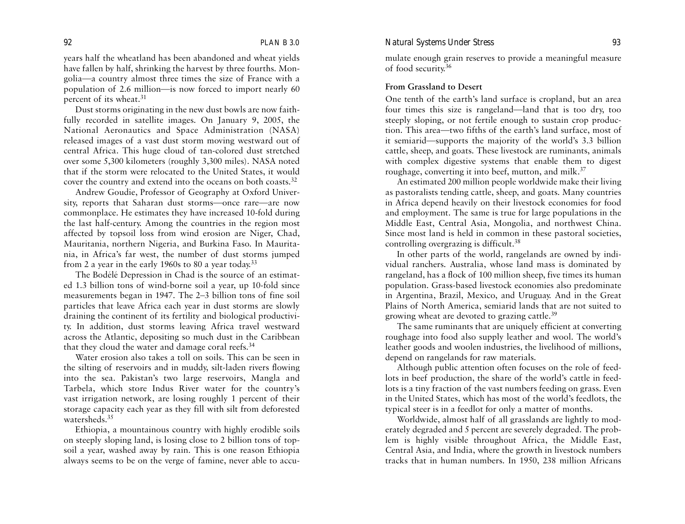years half the wheatland has been abandoned and wheat yields have fallen by half, shrinking the harvest by three fourths. Mongolia—a country almost three times the size of France with a population of 2.6 million—is now forced to import nearly 60 percent of its wheat.<sup>31</sup>

Dust storms originating in the new dust bowls are now faithfully recorded in satellite images. On January 9, 2005, the National Aeronautics and Space Administration (NASA) released images of a vast dust storm moving westward out of central Africa. This huge cloud of tan-colored dust stretched over some 5,300 kilometers (roughly 3,300 miles). NASA noted that if the storm were relocated to the United States, it would cover the country and extend into the oceans on both coasts. $32$ 

Andrew Goudie, Professor of Geography at Oxford University, reports that Saharan dust storms—once rare—are now commonplace. He estimates they have increased 10-fold during the last half-century. Among the countries in the region most affected by topsoil loss from wind erosion are Niger, Chad, Mauritania, northern Nigeria, and Burkina Faso. In Mauritania, in Africa's far west, the number of dust storms jumped from 2 a year in the early 1960s to 80 a year today.<sup>33</sup>

The Bodélé Depression in Chad is the source of an estimated 1.3 billion tons of wind-borne soil a year, up 10-fold since measurements began in 1947. The 2–3 billion tons of fine soil particles that leave Africa each year in dust storms are slowly draining the continent of its fertility and biological productivity. In addition, dust storms leaving Africa travel westward across the Atlantic, depositing so much dust in the Caribbean that they cloud the water and damage coral reefs.<sup>34</sup>

Water erosion also takes a toll on soils. This can be seen in the silting of reservoirs and in muddy, silt-laden rivers flowing into the sea. Pakistan's two large reservoirs, Mangla and Tarbela, which store Indus River water for the country's vast irrigation network, are losing roughly 1 percent of their storage capacity each year as they fill with silt from deforested watersheds.35

Ethiopia, a mountainous country with highly erodible soils on steeply sloping land, is losing close to 2 billion tons of topsoil a year, washed away by rain. This is one reason Ethiopia always seems to be on the verge of famine, never able to accu*Natural Systems Under Stress 93*

mulate enough grain reserves to provide a meaningful measure of food security.36

#### **From Grassland to Desert**

One tenth of the earth's land surface is cropland, but an area four times this size is rangeland—land that is too dry, too steeply sloping, or not fertile enough to sustain crop production. This area—two fifths of the earth's land surface, most of it semiarid—supports the majority of the world's 3.3 billion cattle, sheep, and goats. These livestock are ruminants, animals with complex digestive systems that enable them to digest roughage, converting it into beef, mutton, and milk.<sup>37</sup>

An estimated 200 million people worldwide make their living as pastoralists tending cattle, sheep, and goats. Many countries in Africa depend heavily on their livestock economies for food and employment. The same is true for large populations in the Middle East, Central Asia, Mongolia, and northwest China. Since most land is held in common in these pastoral societies, controlling overgrazing is difficult.38

In other parts of the world, rangelands are owned by individual ranchers. Australia, whose land mass is dominated by rangeland, has a flock of 100 million sheep, five times its human population. Grass-based livestock economies also predominate in Argentina, Brazil, Mexico, and Uruguay. And in the Great Plains of North America, semiarid lands that are not suited to growing wheat are devoted to grazing cattle.39

The same ruminants that are uniquely efficient at converting roughage into food also supply leather and wool. The world's leather goods and woolen industries, the livelihood of millions, depend on rangelands for raw materials.

Although public attention often focuses on the role of feedlots in beef production, the share of the world's cattle in feedlots is a tiny fraction of the vast numbers feeding on grass. Even in the United States, which has most of the world's feedlots, the typical steer is in a feedlot for only a matter of months.

Worldwide, almost half of all grasslands are lightly to moderately degraded and 5 percent are severely degraded. The problem is highly visible throughout Africa, the Middle East, Central Asia, and India, where the growth in livestock numbers tracks that in human numbers. In 1950, 238 million Africans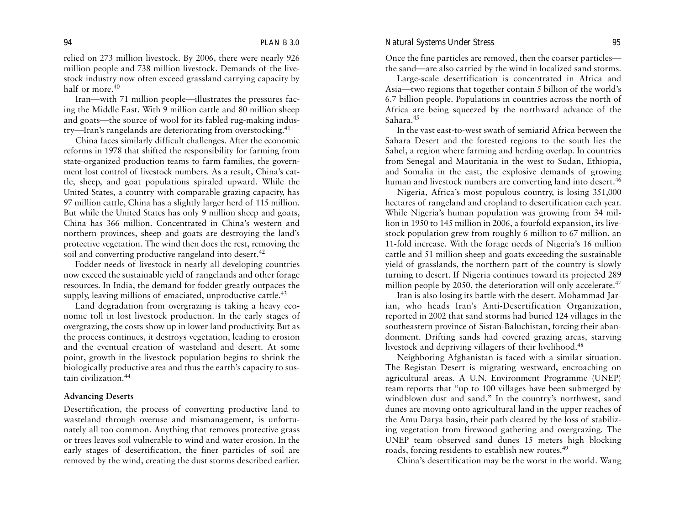relied on 273 million livestock. By 2006, there were nearly 926 million people and 738 million livestock. Demands of the livestock industry now often exceed grassland carrying capacity by half or more.<sup>40</sup>

Iran—with 71 million people—illustrates the pressures facing the Middle East. With 9 million cattle and 80 million sheep and goats—the source of wool for its fabled rug-making industry—Iran's rangelands are deteriorating from overstocking.<sup>41</sup>

China faces similarly difficult challenges. After the economic reforms in 1978 that shifted the responsibility for farming from state-organized production teams to farm families, the government lost control of livestock numbers. As a result, China's cattle, sheep, and goat populations spiraled upward. While the United States, a country with comparable grazing capacity, has 97 million cattle, China has a slightly larger herd of 115 million. But while the United States has only 9 million sheep and goats, China has 366 million. Concentrated in China's western and northern provinces, sheep and goats are destroying the land's protective vegetation. The wind then does the rest, removing the soil and converting productive rangeland into desert.<sup>42</sup>

Fodder needs of livestock in nearly all developing countries now exceed the sustainable yield of rangelands and other forage resources. In India, the demand for fodder greatly outpaces the supply, leaving millions of emaciated, unproductive cattle.<sup>43</sup>

Land degradation from overgrazing is taking a heavy economic toll in lost livestock production. In the early stages of overgrazing, the costs show up in lower land productivity. But as the process continues, it destroys vegetation, leading to erosion and the eventual creation of wasteland and desert. At some point, growth in the livestock population begins to shrink the biologically productive area and thus the earth's capacity to sustain civilization.44

#### **Advancing Deserts**

Desertification, the process of converting productive land to wasteland through overuse and mismanagement, is unfortunately all too common. Anything that removes protective grass or trees leaves soil vulnerable to wind and water erosion. In the early stages of desertification, the finer particles of soil are removed by the wind, creating the dust storms described earlier.

Once the fine particles are removed, then the coarser particles the sand—are also carried by the wind in localized sand storms.

Large-scale desertification is concentrated in Africa and Asia—two regions that together contain 5 billion of the world's 6.7 billion people. Populations in countries across the north of Africa are being squeezed by the northward advance of the Sahara.45

In the vast east-to-west swath of semiarid Africa between the Sahara Desert and the forested regions to the south lies the Sahel, a region where farming and herding overlap. In countries from Senegal and Mauritania in the west to Sudan, Ethiopia, and Somalia in the east, the explosive demands of growing human and livestock numbers are converting land into desert.<sup>46</sup>

Nigeria, Africa's most populous country, is losing 351,000 hectares of rangeland and cropland to desertification each year. While Nigeria's human population was growing from 34 million in 1950 to 145 million in 2006, a fourfold expansion, its livestock population grew from roughly 6 million to 67 million, an 11-fold increase. With the forage needs of Nigeria's 16 million cattle and 51 million sheep and goats exceeding the sustainable yield of grasslands, the northern part of the country is slowly turning to desert. If Nigeria continues toward its projected 289 million people by 2050, the deterioration will only accelerate.<sup>47</sup>

Iran is also losing its battle with the desert. Mohammad Jarian, who heads Iran's Anti-Desertification Organization, reported in 2002 that sand storms had buried 124 villages in the southeastern province of Sistan-Baluchistan, forcing their abandonment. Drifting sands had covered grazing areas, starving livestock and depriving villagers of their livelihood.<sup>48</sup>

Neighboring Afghanistan is faced with a similar situation. The Registan Desert is migrating westward, encroaching on agricultural areas. A U.N. Environment Programme (UNEP) team reports that "up to 100 villages have been submerged by windblown dust and sand." In the country's northwest, sand dunes are moving onto agricultural land in the upper reaches of the Amu Darya basin, their path cleared by the loss of stabilizing vegetation from firewood gathering and overgrazing. The UNEP team observed sand dunes 15 meters high blocking roads, forcing residents to establish new routes.<sup>49</sup>

China's desertification may be the worst in the world. Wang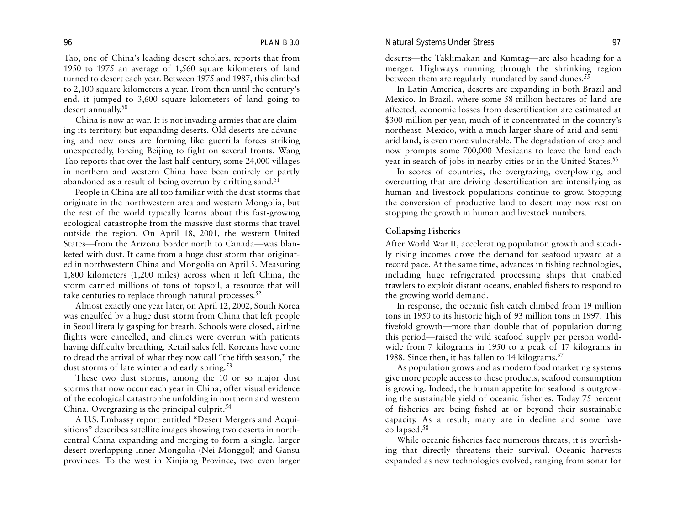Tao, one of China's leading desert scholars, reports that from 1950 to 1975 an average of 1,560 square kilometers of land turned to desert each year. Between 1975 and 1987, this climbed to 2,100 square kilometers a year. From then until the century's end, it jumped to 3,600 square kilometers of land going to desert annually.<sup>50</sup>

China is now at war. It is not invading armies that are claiming its territory, but expanding deserts. Old deserts are advancing and new ones are forming like guerrilla forces striking unexpectedly, forcing Beijing to fight on several fronts. Wang Tao reports that over the last half-century, some 24,000 villages in northern and western China have been entirely or partly abandoned as a result of being overrun by drifting sand.<sup>51</sup>

People in China are all too familiar with the dust storms that originate in the northwestern area and western Mongolia, but the rest of the world typically learns about this fast-growing ecological catastrophe from the massive dust storms that travel outside the region. On April 18, 2001, the western United States—from the Arizona border north to Canada—was blanketed with dust. It came from a huge dust storm that originated in northwestern China and Mongolia on April 5. Measuring 1,800 kilometers (1,200 miles) across when it left China, the storm carried millions of tons of topsoil, a resource that will take centuries to replace through natural processes. $52$ 

Almost exactly one year later, on April 12, 2002, South Korea was engulfed by a huge dust storm from China that left people in Seoul literally gasping for breath. Schools were closed, airline flights were cancelled, and clinics were overrun with patients having difficulty breathing. Retail sales fell. Koreans have come to dread the arrival of what they now call "the fifth season," the dust storms of late winter and early spring.<sup>53</sup>

These two dust storms, among the 10 or so major dust storms that now occur each year in China, offer visual evidence of the ecological catastrophe unfolding in northern and western China. Overgrazing is the principal culprit.<sup>54</sup>

A U.S. Embassy report entitled "Desert Mergers and Acquisitions" describes satellite images showing two deserts in northcentral China expanding and merging to form a single, larger desert overlapping Inner Mongolia (Nei Monggol) and Gansu provinces. To the west in Xinjiang Province, two even larger

deserts—the Taklimakan and Kumtag—are also heading for a merger. Highways running through the shrinking region between them are regularly inundated by sand dunes.<sup>55</sup>

In Latin America, deserts are expanding in both Brazil and Mexico. In Brazil, where some 58 million hectares of land are affected, economic losses from desertification are estimated at \$300 million per year, much of it concentrated in the country's northeast. Mexico, with a much larger share of arid and semiarid land, is even more vulnerable. The degradation of cropland now prompts some 700,000 Mexicans to leave the land each year in search of jobs in nearby cities or in the United States.<sup>56</sup>

In scores of countries, the overgrazing, overplowing, and overcutting that are driving desertification are intensifying as human and livestock populations continue to grow. Stopping the conversion of productive land to desert may now rest on stopping the growth in human and livestock numbers.

#### **Collapsing Fisheries**

After World War II, accelerating population growth and steadily rising incomes drove the demand for seafood upward at a record pace. At the same time, advances in fishing technologies, including huge refrigerated processing ships that enabled trawlers to exploit distant oceans, enabled fishers to respond to the growing world demand.

In response, the oceanic fish catch climbed from 19 million tons in 1950 to its historic high of 93 million tons in 1997. This fivefold growth—more than double that of population during this period—raised the wild seafood supply per person worldwide from 7 kilograms in 1950 to a peak of 17 kilograms in 1988. Since then, it has fallen to 14 kilograms.<sup>57</sup>

As population grows and as modern food marketing systems give more people access to these products, seafood consumption is growing. Indeed, the human appetite for seafood is outgrowing the sustainable yield of oceanic fisheries. Today 75 percent of fisheries are being fished at or beyond their sustainable capacity. As a result, many are in decline and some have collapsed.<sup>58</sup>

While oceanic fisheries face numerous threats, it is overfishing that directly threatens their survival. Oceanic harvests expanded as new technologies evolved, ranging from sonar for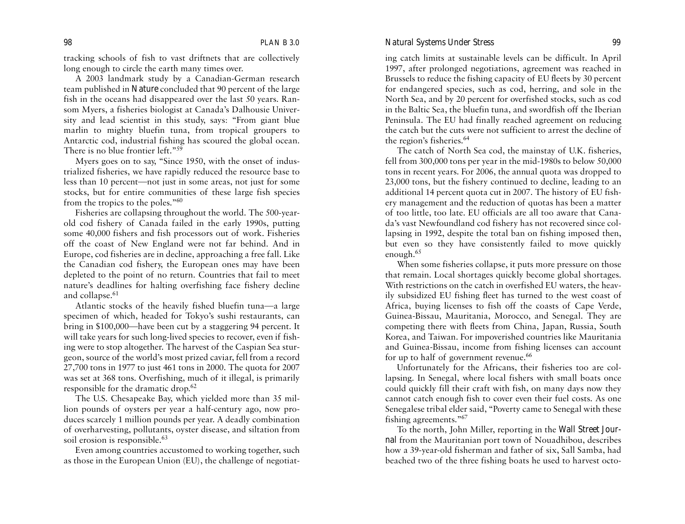tracking schools of fish to vast driftnets that are collectively long enough to circle the earth many times over.

A 2003 landmark study by a Canadian-German research team published in *Nature* concluded that 90 percent of the large fish in the oceans had disappeared over the last 50 years. Ransom Myers, a fisheries biologist at Canada's Dalhousie University and lead scientist in this study, says: "From giant blue marlin to mighty bluefin tuna, from tropical groupers to Antarctic cod, industrial fishing has scoured the global ocean. There is no blue frontier left."<sup>59</sup>

Myers goes on to say, "Since 1950, with the onset of industrialized fisheries, we have rapidly reduced the resource base to less than 10 percent—not just in some areas, not just for some stocks, but for entire communities of these large fish species from the tropics to the poles."60

Fisheries are collapsing throughout the world. The 500-yearold cod fishery of Canada failed in the early 1990s, putting some 40,000 fishers and fish processors out of work. Fisheries off the coast of New England were not far behind. And in Europe, cod fisheries are in decline, approaching a free fall. Like the Canadian cod fishery, the European ones may have been depleted to the point of no return. Countries that fail to meet nature's deadlines for halting overfishing face fishery decline and collapse.<sup>61</sup>

Atlantic stocks of the heavily fished bluefin tuna—a large specimen of which, headed for Tokyo's sushi restaurants, can bring in \$100,000—have been cut by a staggering 94 percent. It will take years for such long-lived species to recover, even if fishing were to stop altogether. The harvest of the Caspian Sea sturgeon, source of the world's most prized caviar, fell from a record 27,700 tons in 1977 to just 461 tons in 2000. The quota for 2007 was set at 368 tons. Overfishing, much of it illegal, is primarily responsible for the dramatic drop.62

The U.S. Chesapeake Bay, which yielded more than 35 million pounds of oysters per year a half-century ago, now produces scarcely 1 million pounds per year. A deadly combination of overharvesting, pollutants, oyster disease, and siltation from soil erosion is responsible.<sup>63</sup>

Even among countries accustomed to working together, such as those in the European Union (EU), the challenge of negotiat-

ing catch limits at sustainable levels can be difficult. In April 1997, after prolonged negotiations, agreement was reached in Brussels to reduce the fishing capacity of EU fleets by 30 percent for endangered species, such as cod, herring, and sole in the North Sea, and by 20 percent for overfished stocks, such as cod in the Baltic Sea, the bluefin tuna, and swordfish off the Iberian Peninsula. The EU had finally reached agreement on reducing the catch but the cuts were not sufficient to arrest the decline of the region's fisheries.64

The catch of North Sea cod, the mainstay of U.K. fisheries, fell from 300,000 tons per year in the mid-1980s to below 50,000 tons in recent years. For 2006, the annual quota was dropped to 23,000 tons, but the fishery continued to decline, leading to an additional 14 percent quota cut in 2007. The history of EU fishery management and the reduction of quotas has been a matter of too little, too late. EU officials are all too aware that Canada's vast Newfoundland cod fishery has not recovered since collapsing in 1992, despite the total ban on fishing imposed then, but even so they have consistently failed to move quickly enough.<sup>65</sup>

When some fisheries collapse, it puts more pressure on those that remain. Local shortages quickly become global shortages. With restrictions on the catch in overfished EU waters, the heavily subsidized EU fishing fleet has turned to the west coast of Africa, buying licenses to fish off the coasts of Cape Verde, Guinea-Bissau, Mauritania, Morocco, and Senegal. They are competing there with fleets from China, Japan, Russia, South Korea, and Taiwan. For impoverished countries like Mauritania and Guinea-Bissau, income from fishing licenses can account for up to half of government revenue.<sup>66</sup>

Unfortunately for the Africans, their fisheries too are collapsing. In Senegal, where local fishers with small boats once could quickly fill their craft with fish, on many days now they cannot catch enough fish to cover even their fuel costs. As one Senegalese tribal elder said, "Poverty came to Senegal with these fishing agreements."67

To the north, John Miller, reporting in the *Wall Street Journal* from the Mauritanian port town of Nouadhibou, describes how a 39-year-old fisherman and father of six, Sall Samba, had beached two of the three fishing boats he used to harvest octo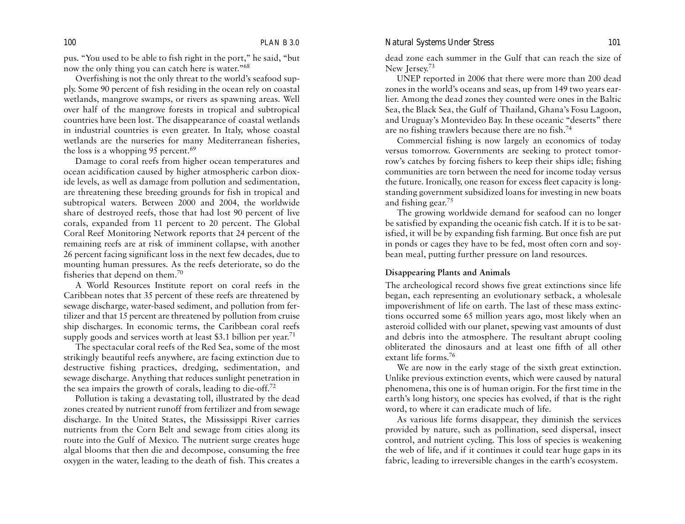pus. "You used to be able to fish right in the port," he said, "but now the only thing you can catch here is water."68

Overfishing is not the only threat to the world's seafood supply. Some 90 percent of fish residing in the ocean rely on coastal wetlands, mangrove swamps, or rivers as spawning areas. Well over half of the mangrove forests in tropical and subtropical countries have been lost. The disappearance of coastal wetlands in industrial countries is even greater. In Italy, whose coastal wetlands are the nurseries for many Mediterranean fisheries, the loss is a whopping 95 percent.<sup>69</sup>

Damage to coral reefs from higher ocean temperatures and ocean acidification caused by higher atmospheric carbon dioxide levels, as well as damage from pollution and sedimentation, are threatening these breeding grounds for fish in tropical and subtropical waters. Between 2000 and 2004, the worldwide share of destroyed reefs, those that had lost 90 percent of live corals, expanded from 11 percent to 20 percent. The Global Coral Reef Monitoring Network reports that 24 percent of the remaining reefs are at risk of imminent collapse, with another 26 percent facing significant loss in the next few decades, due to mounting human pressures. As the reefs deteriorate, so do the fisheries that depend on them.<sup>70</sup>

A World Resources Institute report on coral reefs in the Caribbean notes that 35 percent of these reefs are threatened by sewage discharge, water-based sediment, and pollution from fertilizer and that 15 percent are threatened by pollution from cruise ship discharges. In economic terms, the Caribbean coral reefs supply goods and services worth at least \$3.1 billion per year.<sup>71</sup>

The spectacular coral reefs of the Red Sea, some of the most strikingly beautiful reefs anywhere, are facing extinction due to destructive fishing practices, dredging, sedimentation, and sewage discharge. Anything that reduces sunlight penetration in the sea impairs the growth of corals, leading to die-off.72

Pollution is taking a devastating toll, illustrated by the dead zones created by nutrient runoff from fertilizer and from sewage discharge. In the United States, the Mississippi River carries nutrients from the Corn Belt and sewage from cities along its route into the Gulf of Mexico. The nutrient surge creates huge algal blooms that then die and decompose, consuming the free oxygen in the water, leading to the death of fish. This creates a dead zone each summer in the Gulf that can reach the size of New Jersey.<sup>73</sup>

UNEP reported in 2006 that there were more than 200 dead zones in the world's oceans and seas, up from 149 two years earlier. Among the dead zones they counted were ones in the Baltic Sea, the Black Sea, the Gulf of Thailand, Ghana's Fosu Lagoon, and Uruguay's Montevideo Bay. In these oceanic "deserts" there are no fishing trawlers because there are no fish.74

Commercial fishing is now largely an economics of today versus tomorrow. Governments are seeking to protect tomorrow's catches by forcing fishers to keep their ships idle; fishing communities are torn between the need for income today versus the future. Ironically, one reason for excess fleet capacity is longstanding government subsidized loans for investing in new boats and fishing gear.75

The growing worldwide demand for seafood can no longer be satisfied by expanding the oceanic fish catch. If it is to be satisfied, it will be by expanding fish farming. But once fish are put in ponds or cages they have to be fed, most often corn and soybean meal, putting further pressure on land resources.

#### **Disappearing Plants and Animals**

The archeological record shows five great extinctions since life began, each representing an evolutionary setback, a wholesale impoverishment of life on earth. The last of these mass extinctions occurred some 65 million years ago, most likely when an asteroid collided with our planet, spewing vast amounts of dust and debris into the atmosphere. The resultant abrupt cooling obliterated the dinosaurs and at least one fifth of all other extant life forms.76

We are now in the early stage of the sixth great extinction. Unlike previous extinction events, which were caused by natural phenomena, this one is of human origin. For the first time in the earth's long history, one species has evolved, if that is the right word, to where it can eradicate much of life.

As various life forms disappear, they diminish the services provided by nature, such as pollination, seed dispersal, insect control, and nutrient cycling. This loss of species is weakening the web of life, and if it continues it could tear huge gaps in its fabric, leading to irreversible changes in the earth's ecosystem.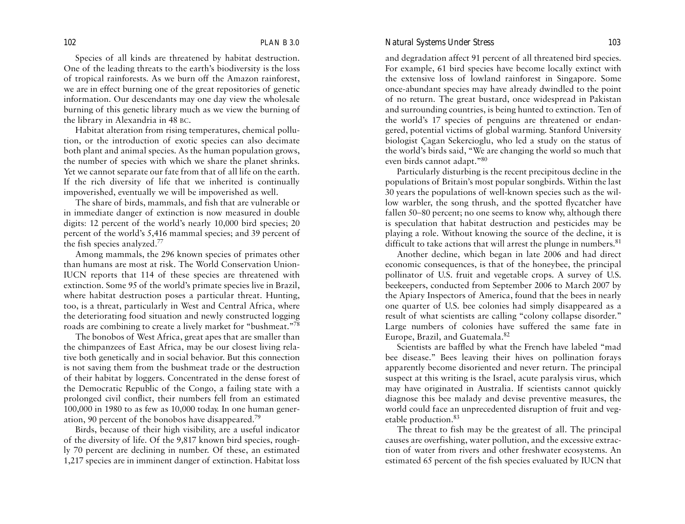Species of all kinds are threatened by habitat destruction. One of the leading threats to the earth's biodiversity is the loss of tropical rainforests. As we burn off the Amazon rainforest, we are in effect burning one of the great repositories of genetic information. Our descendants may one day view the wholesale burning of this genetic library much as we view the burning of the library in Alexandria in 48 BC.

Habitat alteration from rising temperatures, chemical pollution, or the introduction of exotic species can also decimate both plant and animal species. As the human population grows, the number of species with which we share the planet shrinks. Yet we cannot separate our fate from that of all life on the earth. If the rich diversity of life that we inherited is continually impoverished, eventually we will be impoverished as well.

The share of birds, mammals, and fish that are vulnerable or in immediate danger of extinction is now measured in double digits: 12 percent of the world's nearly 10,000 bird species; 20 percent of the world's 5,416 mammal species; and 39 percent of the fish species analyzed.<sup>77</sup>

Among mammals, the 296 known species of primates other than humans are most at risk. The World Conservation Union-IUCN reports that 114 of these species are threatened with extinction. Some 95 of the world's primate species live in Brazil, where habitat destruction poses a particular threat. Hunting, too, is a threat, particularly in West and Central Africa, where the deteriorating food situation and newly constructed logging roads are combining to create a lively market for "bushmeat."<sup>78</sup>

The bonobos of West Africa, great apes that are smaller than the chimpanzees of East Africa, may be our closest living relative both genetically and in social behavior. But this connection is not saving them from the bushmeat trade or the destruction of their habitat by loggers. Concentrated in the dense forest of the Democratic Republic of the Congo, a failing state with a prolonged civil conflict, their numbers fell from an estimated 100,000 in 1980 to as few as 10,000 today. In one human generation, 90 percent of the bonobos have disappeared.<sup>79</sup>

Birds, because of their high visibility, are a useful indicator of the diversity of life. Of the 9,817 known bird species, roughly 70 percent are declining in number. Of these, an estimated 1,217 species are in imminent danger of extinction. Habitat loss and degradation affect 91 percent of all threatened bird species. For example, 61 bird species have become locally extinct with the extensive loss of lowland rainforest in Singapore. Some once-abundant species may have already dwindled to the point of no return. The great bustard, once widespread in Pakistan and surrounding countries, is being hunted to extinction. Ten of the world's 17 species of penguins are threatened or endangered, potential victims of global warming. Stanford University biologist Çagan Sekercioglu, who led a study on the status of the world's birds said, "We are changing the world so much that even birds cannot adapt."80

Particularly disturbing is the recent precipitous decline in the populations of Britain's most popular songbirds. Within the last 30 years the populations of well-known species such as the willow warbler, the song thrush, and the spotted flycatcher have fallen 50–80 percent; no one seems to know why, although there is speculation that habitat destruction and pesticides may be playing a role. Without knowing the source of the decline, it is difficult to take actions that will arrest the plunge in numbers.  $81$ 

Another decline, which began in late 2006 and had direct economic consequences, is that of the honeybee, the principal pollinator of U.S. fruit and vegetable crops. A survey of U.S. beekeepers, conducted from September 2006 to March 2007 by the Apiary Inspectors of America, found that the bees in nearly one quarter of U.S. bee colonies had simply disappeared as a result of what scientists are calling "colony collapse disorder." Large numbers of colonies have suffered the same fate in Europe, Brazil, and Guatemala.<sup>82</sup>

Scientists are baffled by what the French have labeled "mad bee disease." Bees leaving their hives on pollination forays apparently become disoriented and never return. The principal suspect at this writing is the Israel, acute paralysis virus, which may have originated in Australia. If scientists cannot quickly diagnose this bee malady and devise preventive measures, the world could face an unprecedented disruption of fruit and vegetable production.<sup>83</sup>

The threat to fish may be the greatest of all. The principal causes are overfishing, water pollution, and the excessive extraction of water from rivers and other freshwater ecosystems. An estimated 65 percent of the fish species evaluated by IUCN that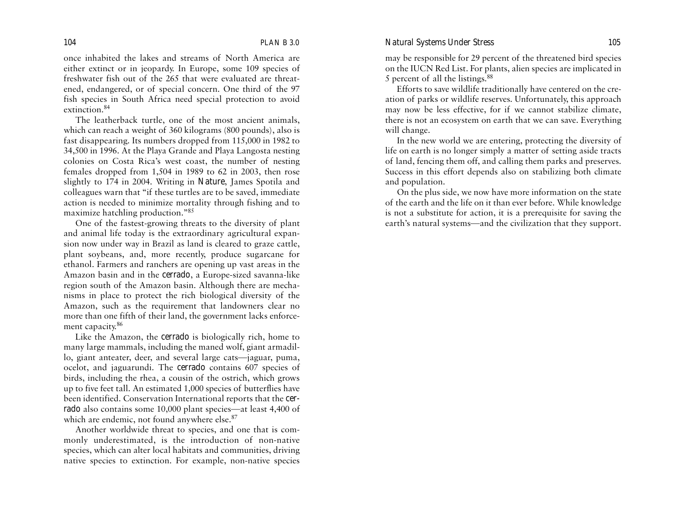once inhabited the lakes and streams of North America are either extinct or in jeopardy. In Europe, some 109 species of freshwater fish out of the 265 that were evaluated are threatened, endangered, or of special concern. One third of the 97 fish species in South Africa need special protection to avoid extinction.84

The leatherback turtle, one of the most ancient animals, which can reach a weight of 360 kilograms (800 pounds), also is fast disappearing. Its numbers dropped from 115,000 in 1982 to 34,500 in 1996. At the Playa Grande and Playa Langosta nesting colonies on Costa Rica's west coast, the number of nesting females dropped from 1,504 in 1989 to 62 in 2003, then rose slightly to 174 in 2004. Writing in *Nature*, James Spotila and colleagues warn that "if these turtles are to be saved, immediate action is needed to minimize mortality through fishing and to maximize hatchling production."85

One of the fastest-growing threats to the diversity of plant and animal life today is the extraordinary agricultural expansion now under way in Brazil as land is cleared to graze cattle, plant soybeans, and, more recently, produce sugarcane for ethanol. Farmers and ranchers are opening up vast areas in the Amazon basin and in the *cerrado*, a Europe-sized savanna-like region south of the Amazon basin. Although there are mechanisms in place to protect the rich biological diversity of the Amazon, such as the requirement that landowners clear no more than one fifth of their land, the government lacks enforcement capacity.<sup>86</sup>

Like the Amazon, the *cerrado* is biologically rich, home to many large mammals, including the maned wolf, giant armadillo, giant anteater, deer, and several large cats—jaguar, puma, ocelot, and jaguarundi. The *cerrado* contains 607 species of birds, including the rhea, a cousin of the ostrich, which grows up to five feet tall. An estimated 1,000 species of butterflies have been identified. Conservation International reports that the *cerrado* also contains some 10,000 plant species—at least 4,400 of which are endemic, not found anywhere else.<sup>87</sup>

Another worldwide threat to species, and one that is commonly underestimated, is the introduction of non-native species, which can alter local habitats and communities, driving native species to extinction. For example, non-native species may be responsible for 29 percent of the threatened bird species on the IUCN Red List. For plants, alien species are implicated in 5 percent of all the listings.<sup>88</sup>

Efforts to save wildlife traditionally have centered on the creation of parks or wildlife reserves. Unfortunately, this approach may now be less effective, for if we cannot stabilize climate, there is not an ecosystem on earth that we can save. Everything will change.

In the new world we are entering, protecting the diversity of life on earth is no longer simply a matter of setting aside tracts of land, fencing them off, and calling them parks and preserves. Success in this effort depends also on stabilizing both climate and population.

On the plus side, we now have more information on the state of the earth and the life on it than ever before. While knowledge is not a substitute for action, it is a prerequisite for saving the earth's natural systems—and the civilization that they support.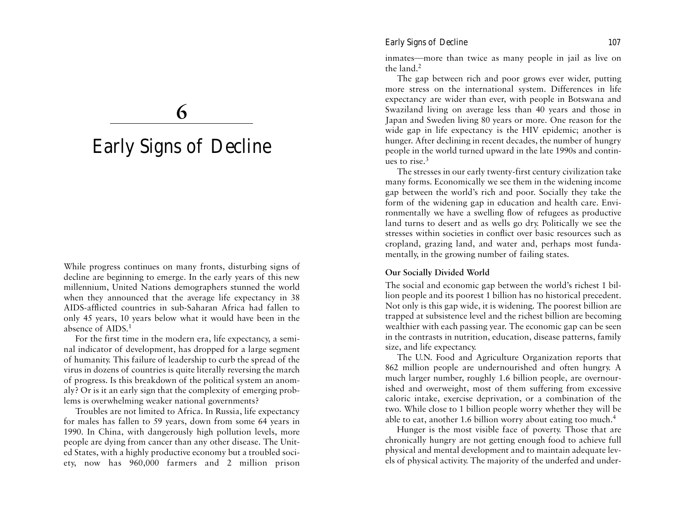#### *Early Signs of Decline 107*

inmates—more than twice as many people in jail as live on the land. $2$ 

The gap between rich and poor grows ever wider, putting more stress on the international system. Differences in life expectancy are wider than ever, with people in Botswana and Swaziland living on average less than 40 years and those in Japan and Sweden living 80 years or more. One reason for the wide gap in life expectancy is the HIV epidemic; another is hunger. After declining in recent decades, the number of hungry people in the world turned upward in the late 1990s and continues to rise. $3$ 

The stresses in our early twenty-first century civilization take many forms. Economically we see them in the widening income gap between the world's rich and poor. Socially they take the form of the widening gap in education and health care. Environmentally we have a swelling flow of refugees as productive land turns to desert and as wells go dry. Politically we see the stresses within societies in conflict over basic resources such as cropland, grazing land, and water and, perhaps most fundamentally, in the growing number of failing states.

#### **Our Socially Divided World**

The social and economic gap between the world's richest 1 billion people and its poorest 1 billion has no historical precedent. Not only is this gap wide, it is widening. The poorest billion are trapped at subsistence level and the richest billion are becoming wealthier with each passing year. The economic gap can be seen in the contrasts in nutrition, education, disease patterns, family size, and life expectancy.

The U.N. Food and Agriculture Organization reports that 862 million people are undernourished and often hungry. A much larger number, roughly 1.6 billion people, are overnourished and overweight, most of them suffering from excessive caloric intake, exercise deprivation, or a combination of the two. While close to 1 billion people worry whether they will be able to eat, another 1.6 billion worry about eating too much.<sup>4</sup>

Hunger is the most visible face of poverty. Those that are chronically hungry are not getting enough food to achieve full physical and mental development and to maintain adequate levels of physical activity. The majority of the underfed and under-

### **6**

# *Early Signs of Decline*

While progress continues on many fronts, disturbing signs of decline are beginning to emerge. In the early years of this new millennium, United Nations demographers stunned the world when they announced that the average life expectancy in 38 AIDS-afflicted countries in sub-Saharan Africa had fallen to only 45 years, 10 years below what it would have been in the absence of AIDS.<sup>1</sup>

For the first time in the modern era, life expectancy, a seminal indicator of development, has dropped for a large segment of humanity. This failure of leadership to curb the spread of the virus in dozens of countries is quite literally reversing the march of progress. Is this breakdown of the political system an anomaly? Or is it an early sign that the complexity of emerging problems is overwhelming weaker national governments?

Troubles are not limited to Africa. In Russia, life expectancy for males has fallen to 59 years, down from some 64 years in 1990. In China, with dangerously high pollution levels, more people are dying from cancer than any other disease. The United States, with a highly productive economy but a troubled society, now has 960,000 farmers and 2 million prison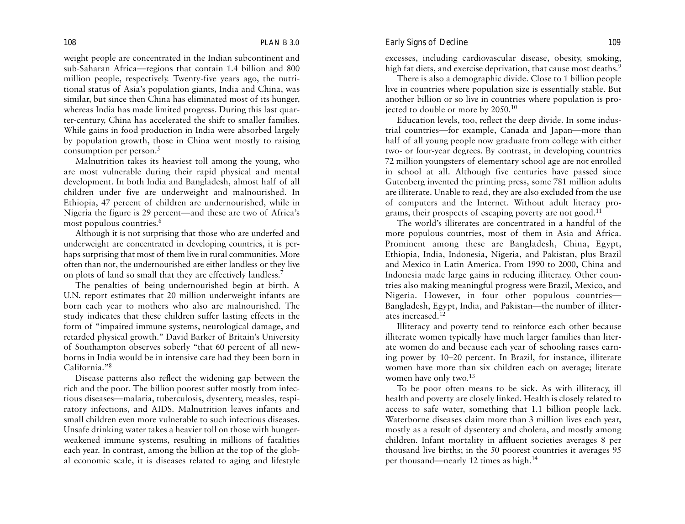weight people are concentrated in the Indian subcontinent and sub-Saharan Africa—regions that contain 1.4 billion and 800 million people, respectively. Twenty-five years ago, the nutritional status of Asia's population giants, India and China, was similar, but since then China has eliminated most of its hunger, whereas India has made limited progress. During this last quarter-century, China has accelerated the shift to smaller families. While gains in food production in India were absorbed largely by population growth, those in China went mostly to raising consumption per person. $5$ 

Malnutrition takes its heaviest toll among the young, who are most vulnerable during their rapid physical and mental development. In both India and Bangladesh, almost half of all children under five are underweight and malnourished. In Ethiopia, 47 percent of children are undernourished, while in Nigeria the figure is 29 percent—and these are two of Africa's most populous countries.<sup>6</sup>

Although it is not surprising that those who are underfed and underweight are concentrated in developing countries, it is perhaps surprising that most of them live in rural communities. More often than not, the undernourished are either landless or they live on plots of land so small that they are effectively landless.7

The penalties of being undernourished begin at birth. A U.N. report estimates that 20 million underweight infants are born each year to mothers who also are malnourished. The study indicates that these children suffer lasting effects in the form of "impaired immune systems, neurological damage, and retarded physical growth." David Barker of Britain's University of Southampton observes soberly "that 60 percent of all newborns in India would be in intensive care had they been born in California."8

Disease patterns also reflect the widening gap between the rich and the poor. The billion poorest suffer mostly from infectious diseases—malaria, tuberculosis, dysentery, measles, respiratory infections, and AIDS. Malnutrition leaves infants and small children even more vulnerable to such infectious diseases. Unsafe drinking water takes a heavier toll on those with hungerweakened immune systems, resulting in millions of fatalities each year. In contrast, among the billion at the top of the global economic scale, it is diseases related to aging and lifestyle excesses, including cardiovascular disease, obesity, smoking, high fat diets, and exercise deprivation, that cause most deaths.<sup>9</sup>

There is also a demographic divide. Close to 1 billion people live in countries where population size is essentially stable. But another billion or so live in countries where population is projected to double or more by 2050.10

Education levels, too, reflect the deep divide. In some industrial countries—for example, Canada and Japan—more than half of all young people now graduate from college with either two- or four-year degrees. By contrast, in developing countries 72 million youngsters of elementary school age are not enrolled in school at all. Although five centuries have passed since Gutenberg invented the printing press, some 781 million adults are illiterate. Unable to read, they are also excluded from the use of computers and the Internet. Without adult literacy programs, their prospects of escaping poverty are not good.<sup>11</sup>

The world's illiterates are concentrated in a handful of the more populous countries, most of them in Asia and Africa. Prominent among these are Bangladesh, China, Egypt, Ethiopia, India, Indonesia, Nigeria, and Pakistan, plus Brazil and Mexico in Latin America. From 1990 to 2000, China and Indonesia made large gains in reducing illiteracy. Other countries also making meaningful progress were Brazil, Mexico, and Nigeria. However, in four other populous countries— Bangladesh, Egypt, India, and Pakistan—the number of illiterates increased.12

Illiteracy and poverty tend to reinforce each other because illiterate women typically have much larger families than literate women do and because each year of schooling raises earning power by 10–20 percent. In Brazil, for instance, illiterate women have more than six children each on average; literate women have only two.<sup>13</sup>

To be poor often means to be sick. As with illiteracy, ill health and poverty are closely linked. Health is closely related to access to safe water, something that 1.1 billion people lack. Waterborne diseases claim more than 3 million lives each year, mostly as a result of dysentery and cholera, and mostly among children. Infant mortality in affluent societies averages 8 per thousand live births; in the 50 poorest countries it averages 95 per thousand—nearly 12 times as high.<sup>14</sup>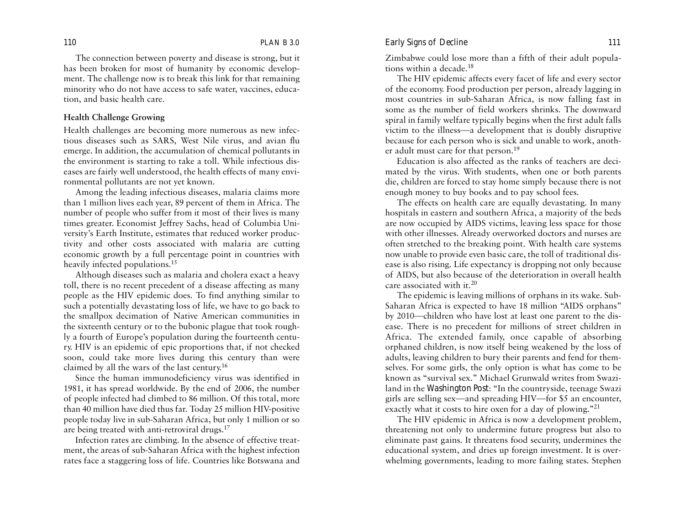The connection between poverty and disease is strong, but it has been broken for most of humanity by economic development. The challenge now is to break this link for that remaining minority who do not have access to safe water, vaccines, education, and basic health care.

#### **Health Challenge Growing**

Health challenges are becoming more numerous as new infectious diseases such as SARS, West Nile virus, and avian flu emerge. In addition, the accumulation of chemical pollutants in the environment is starting to take a toll. While infectious diseases are fairly well understood, the health effects of many environmental pollutants are not yet known.

Among the leading infectious diseases, malaria claims more than 1 million lives each year, 89 percent of them in Africa. The number of people who suffer from it most of their lives is many times greater. Economist Jeffrey Sachs, head of Columbia University's Earth Institute, estimates that reduced worker productivity and other costs associated with malaria are cutting economic growth by a full percentage point in countries with heavily infected populations.<sup>15</sup>

Although diseases such as malaria and cholera exact a heavy toll, there is no recent precedent of a disease affecting as many people as the HIV epidemic does. To find anything similar to such a potentially devastating loss of life, we have to go back to the smallpox decimation of Native American communities in the sixteenth century or to the bubonic plague that took roughly a fourth of Europe's population during the fourteenth century. HIV is an epidemic of epic proportions that, if not checked soon, could take more lives during this century than were claimed by all the wars of the last century.16

Since the human immunodeficiency virus was identified in 1981, it has spread worldwide. By the end of 2006, the number of people infected had climbed to 86 million. Of this total, more than 40 million have died thus far. Today 25 million HIV-positive people today live in sub-Saharan Africa, but only 1 million or so are being treated with anti-retroviral drugs.<sup>17</sup>

Infection rates are climbing. In the absence of effective treatment, the areas of sub-Saharan Africa with the highest infection rates face a staggering loss of life. Countries like Botswana and

Zimbabwe could lose more than a fifth of their adult populations within a decade. $18$ 

The HIV epidemic affects every facet of life and every sector of the economy. Food production per person, already lagging in most countries in sub-Saharan Africa, is now falling fast in some as the number of field workers shrinks. The downward spiral in family welfare typically begins when the first adult falls victim to the illness—a development that is doubly disruptive because for each person who is sick and unable to work, another adult must care for that person.19

Education is also affected as the ranks of teachers are decimated by the virus. With students, when one or both parents die, children are forced to stay home simply because there is not enough money to buy books and to pay school fees.

The effects on health care are equally devastating. In many hospitals in eastern and southern Africa, a majority of the beds are now occupied by AIDS victims, leaving less space for those with other illnesses. Already overworked doctors and nurses are often stretched to the breaking point. With health care systems now unable to provide even basic care, the toll of traditional disease is also rising. Life expectancy is dropping not only because of AIDS, but also because of the deterioration in overall health care associated with it.<sup>20</sup>

The epidemic is leaving millions of orphans in its wake. Sub-Saharan Africa is expected to have 18 million "AIDS orphans" by 2010—children who have lost at least one parent to the disease. There is no precedent for millions of street children in Africa. The extended family, once capable of absorbing orphaned children, is now itself being weakened by the loss of adults, leaving children to bury their parents and fend for themselves. For some girls, the only option is what has come to be known as "survival sex." Michael Grunwald writes from Swaziland in the *Washington Post*: "In the countryside, teenage Swazi girls are selling sex—and spreading HIV—for \$5 an encounter, exactly what it costs to hire oxen for a day of plowing."<sup>21</sup>

The HIV epidemic in Africa is now a development problem, threatening not only to undermine future progress but also to eliminate past gains. It threatens food security, undermines the educational system, and dries up foreign investment. It is overwhelming governments, leading to more failing states. Stephen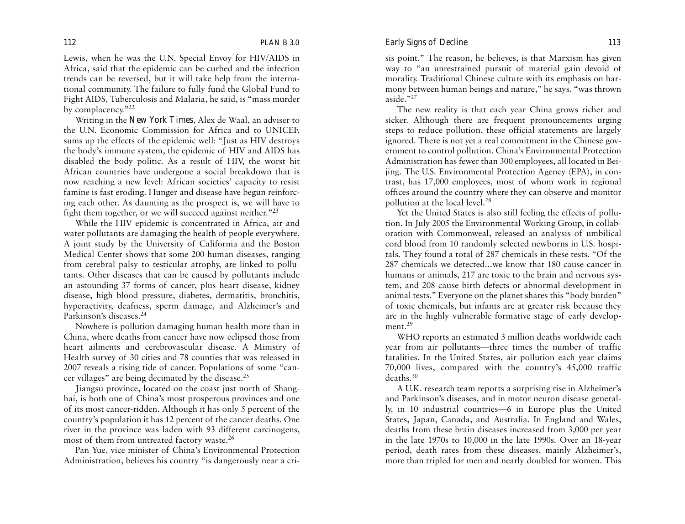Lewis, when he was the U.N. Special Envoy for HIV/AIDS in Africa, said that the epidemic can be curbed and the infection trends can be reversed, but it will take help from the international community. The failure to fully fund the Global Fund to Fight AIDS, Tuberculosis and Malaria, he said, is "mass murder by complacency."<sup>22</sup>

Writing in the *New York Times*, Alex de Waal, an adviser to the U.N. Economic Commission for Africa and to UNICEF, sums up the effects of the epidemic well: "Just as HIV destroys the body's immune system, the epidemic of HIV and AIDS has disabled the body politic. As a result of HIV, the worst hit African countries have undergone a social breakdown that is now reaching a new level: African societies' capacity to resist famine is fast eroding. Hunger and disease have begun reinforcing each other. As daunting as the prospect is, we will have to fight them together, or we will succeed against neither."<sup>23</sup>

While the HIV epidemic is concentrated in Africa, air and water pollutants are damaging the health of people everywhere. A joint study by the University of California and the Boston Medical Center shows that some 200 human diseases, ranging from cerebral palsy to testicular atrophy, are linked to pollutants. Other diseases that can be caused by pollutants include an astounding 37 forms of cancer, plus heart disease, kidney disease, high blood pressure, diabetes, dermatitis, bronchitis, hyperactivity, deafness, sperm damage, and Alzheimer's and Parkinson's diseases.<sup>24</sup>

Nowhere is pollution damaging human health more than in China, where deaths from cancer have now eclipsed those from heart ailments and cerebrovascular disease. A Ministry of Health survey of 30 cities and 78 counties that was released in 2007 reveals a rising tide of cancer. Populations of some "cancer villages" are being decimated by the disease.25

Jiangsu province, located on the coast just north of Shanghai, is both one of China's most prosperous provinces and one of its most cancer-ridden. Although it has only 5 percent of the country's population it has 12 percent of the cancer deaths. One river in the province was laden with 93 different carcinogens, most of them from untreated factory waste.<sup>26</sup>

Pan Yue, vice minister of China's Environmental Protection Administration, believes his country "is dangerously near a crisis point." The reason, he believes, is that Marxism has given way to "an unrestrained pursuit of material gain devoid of morality. Traditional Chinese culture with its emphasis on harmony between human beings and nature," he says, "was thrown aside."27

The new reality is that each year China grows richer and sicker. Although there are frequent pronouncements urging steps to reduce pollution, these official statements are largely ignored. There is not yet a real commitment in the Chinese government to control pollution. China's Environmental Protection Administration has fewer than 300 employees, all located in Beijing. The U.S. Environmental Protection Agency (EPA), in contrast, has 17,000 employees, most of whom work in regional offices around the country where they can observe and monitor pollution at the local level.28

Yet the United States is also still feeling the effects of pollution. In July 2005 the Environmental Working Group, in collaboration with Commonweal, released an analysis of umbilical cord blood from 10 randomly selected newborns in U.S. hospitals. They found a total of 287 chemicals in these tests. "Of the 287 chemicals we detected...we know that 180 cause cancer in humans or animals, 217 are toxic to the brain and nervous system, and 208 cause birth defects or abnormal development in animal tests." Everyone on the planet shares this "body burden" of toxic chemicals, but infants are at greater risk because they are in the highly vulnerable formative stage of early development.<sup>29</sup>

WHO reports an estimated 3 million deaths worldwide each year from air pollutants—three times the number of traffic fatalities. In the United States, air pollution each year claims 70,000 lives, compared with the country's 45,000 traffic deaths.30

A U.K. research team reports a surprising rise in Alzheimer's and Parkinson's diseases, and in motor neuron disease generally, in 10 industrial countries—6 in Europe plus the United States, Japan, Canada, and Australia. In England and Wales, deaths from these brain diseases increased from 3,000 per year in the late 1970s to 10,000 in the late 1990s. Over an 18-year period, death rates from these diseases, mainly Alzheimer's, more than tripled for men and nearly doubled for women. This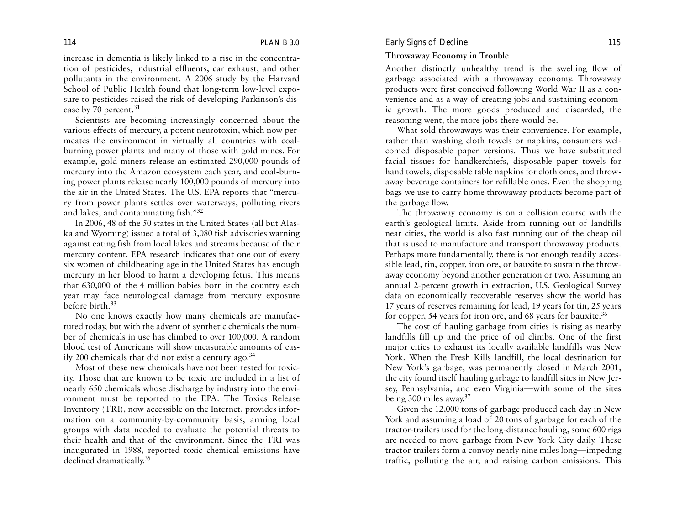increase in dementia is likely linked to a rise in the concentration of pesticides, industrial effluents, car exhaust, and other pollutants in the environment. A 2006 study by the Harvard School of Public Health found that long-term low-level exposure to pesticides raised the risk of developing Parkinson's disease by 70 percent.<sup>31</sup>

Scientists are becoming increasingly concerned about the various effects of mercury, a potent neurotoxin, which now permeates the environment in virtually all countries with coalburning power plants and many of those with gold mines. For example, gold miners release an estimated 290,000 pounds of mercury into the Amazon ecosystem each year, and coal-burning power plants release nearly 100,000 pounds of mercury into the air in the United States. The U.S. EPA reports that "mercury from power plants settles over waterways, polluting rivers and lakes, and contaminating fish."<sup>32</sup>

In 2006, 48 of the 50 states in the United States (all but Alaska and Wyoming) issued a total of 3,080 fish advisories warning against eating fish from local lakes and streams because of their mercury content. EPA research indicates that one out of every six women of childbearing age in the United States has enough mercury in her blood to harm a developing fetus. This means that 630,000 of the 4 million babies born in the country each year may face neurological damage from mercury exposure before birth.33

No one knows exactly how many chemicals are manufactured today, but with the advent of synthetic chemicals the number of chemicals in use has climbed to over 100,000. A random blood test of Americans will show measurable amounts of easily 200 chemicals that did not exist a century ago. $34$ 

Most of these new chemicals have not been tested for toxicity. Those that are known to be toxic are included in a list of nearly 650 chemicals whose discharge by industry into the environment must be reported to the EPA. The Toxics Release Inventory (TRI), now accessible on the Internet, provides information on a community-by-community basis, arming local groups with data needed to evaluate the potential threats to their health and that of the environment. Since the TRI was inaugurated in 1988, reported toxic chemical emissions have declined dramatically.<sup>35</sup>

#### *Early Signs of Decline 115*

#### **Throwaway Economy in Trouble**

Another distinctly unhealthy trend is the swelling flow of garbage associated with a throwaway economy. Throwaway products were first conceived following World War II as a convenience and as a way of creating jobs and sustaining economic growth. The more goods produced and discarded, the reasoning went, the more jobs there would be.

What sold throwaways was their convenience. For example, rather than washing cloth towels or napkins, consumers welcomed disposable paper versions. Thus we have substituted facial tissues for handkerchiefs, disposable paper towels for hand towels, disposable table napkins for cloth ones, and throwaway beverage containers for refillable ones. Even the shopping bags we use to carry home throwaway products become part of the garbage flow.

The throwaway economy is on a collision course with the earth's geological limits. Aside from running out of landfills near cities, the world is also fast running out of the cheap oil that is used to manufacture and transport throwaway products. Perhaps more fundamentally, there is not enough readily accessible lead, tin, copper, iron ore, or bauxite to sustain the throwaway economy beyond another generation or two. Assuming an annual 2-percent growth in extraction, U.S. Geological Survey data on economically recoverable reserves show the world has 17 years of reserves remaining for lead, 19 years for tin, 25 years for copper, 54 years for iron ore, and 68 years for bauxite.<sup>36</sup>

The cost of hauling garbage from cities is rising as nearby landfills fill up and the price of oil climbs. One of the first major cities to exhaust its locally available landfills was New York. When the Fresh Kills landfill, the local destination for New York's garbage, was permanently closed in March 2001, the city found itself hauling garbage to landfill sites in New Jersey, Pennsylvania, and even Virginia—with some of the sites being 300 miles away.<sup>37</sup>

Given the 12,000 tons of garbage produced each day in New York and assuming a load of 20 tons of garbage for each of the tractor-trailers used for the long-distance hauling, some 600 rigs are needed to move garbage from New York City daily. These tractor-trailers form a convoy nearly nine miles long—impeding traffic, polluting the air, and raising carbon emissions. This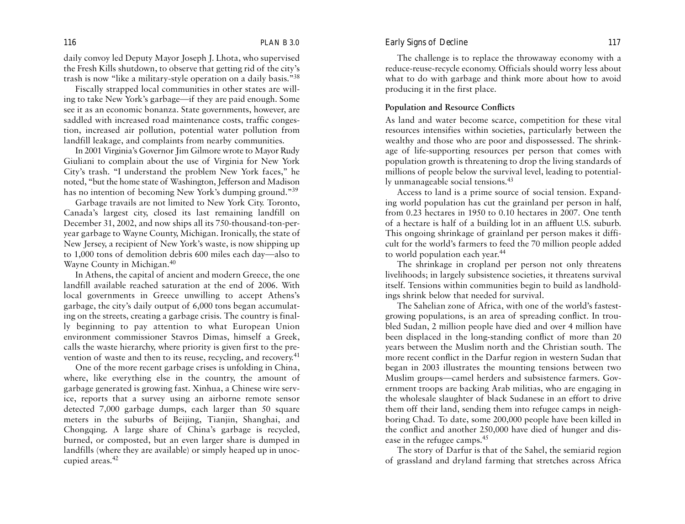daily convoy led Deputy Mayor Joseph J. Lhota, who supervised the Fresh Kills shutdown, to observe that getting rid of the city's trash is now "like a military-style operation on a daily basis."38

Fiscally strapped local communities in other states are willing to take New York's garbage—if they are paid enough. Some see it as an economic bonanza. State governments, however, are saddled with increased road maintenance costs, traffic congestion, increased air pollution, potential water pollution from landfill leakage, and complaints from nearby communities.

In 2001 Virginia's Governor Jim Gilmore wrote to Mayor Rudy Giuliani to complain about the use of Virginia for New York City's trash. "I understand the problem New York faces," he noted, "but the home state of Washington, Jefferson and Madison has no intention of becoming New York's dumping ground."<sup>39</sup>

Garbage travails are not limited to New York City. Toronto, Canada's largest city, closed its last remaining landfill on December 31, 2002, and now ships all its 750-thousand-ton-peryear garbage to Wayne County, Michigan. Ironically, the state of New Jersey, a recipient of New York's waste, is now shipping up to 1,000 tons of demolition debris 600 miles each day—also to Wayne County in Michigan.40

In Athens, the capital of ancient and modern Greece, the one landfill available reached saturation at the end of 2006. With local governments in Greece unwilling to accept Athens's garbage, the city's daily output of 6,000 tons began accumulating on the streets, creating a garbage crisis. The country is finally beginning to pay attention to what European Union environment commissioner Stavros Dimas, himself a Greek, calls the waste hierarchy, where priority is given first to the prevention of waste and then to its reuse, recycling, and recovery.<sup>41</sup>

One of the more recent garbage crises is unfolding in China, where, like everything else in the country, the amount of garbage generated is growing fast. Xinhua, a Chinese wire service, reports that a survey using an airborne remote sensor detected 7,000 garbage dumps, each larger than 50 square meters in the suburbs of Beijing, Tianjin, Shanghai, and Chongqing. A large share of China's garbage is recycled, burned, or composted, but an even larger share is dumped in landfills (where they are available) or simply heaped up in unoccupied areas.<sup>42</sup>

The challenge is to replace the throwaway economy with a reduce-reuse-recycle economy. Officials should worry less about what to do with garbage and think more about how to avoid producing it in the first place.

#### **Population and Resource Conflicts**

As land and water become scarce, competition for these vital resources intensifies within societies, particularly between the wealthy and those who are poor and dispossessed. The shrinkage of life-supporting resources per person that comes with population growth is threatening to drop the living standards of millions of people below the survival level, leading to potentially unmanageable social tensions.43

Access to land is a prime source of social tension. Expanding world population has cut the grainland per person in half, from 0.23 hectares in 1950 to 0.10 hectares in 2007. One tenth of a hectare is half of a building lot in an affluent U.S. suburb. This ongoing shrinkage of grainland per person makes it difficult for the world's farmers to feed the 70 million people added to world population each year.<sup>44</sup>

The shrinkage in cropland per person not only threatens livelihoods; in largely subsistence societies, it threatens survival itself. Tensions within communities begin to build as landholdings shrink below that needed for survival.

The Sahelian zone of Africa, with one of the world's fastestgrowing populations, is an area of spreading conflict. In troubled Sudan, 2 million people have died and over 4 million have been displaced in the long-standing conflict of more than 20 years between the Muslim north and the Christian south. The more recent conflict in the Darfur region in western Sudan that began in 2003 illustrates the mounting tensions between two Muslim groups—camel herders and subsistence farmers. Government troops are backing Arab militias, who are engaging in the wholesale slaughter of black Sudanese in an effort to drive them off their land, sending them into refugee camps in neighboring Chad. To date, some 200,000 people have been killed in the conflict and another 250,000 have died of hunger and disease in the refugee camps.45

The story of Darfur is that of the Sahel, the semiarid region of grassland and dryland farming that stretches across Africa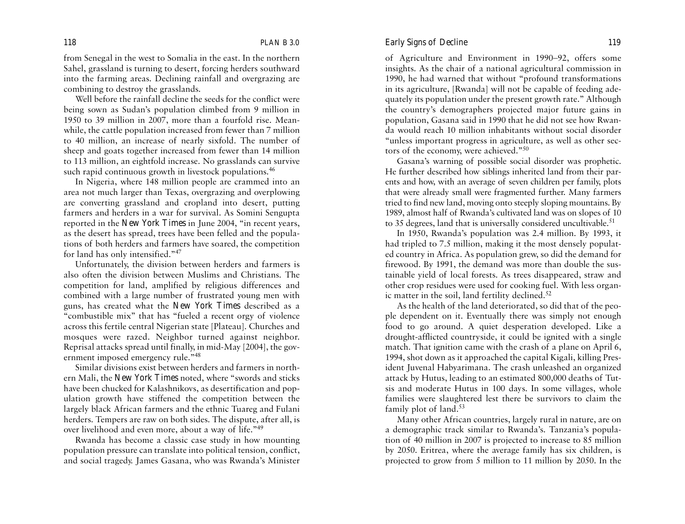from Senegal in the west to Somalia in the east. In the northern Sahel, grassland is turning to desert, forcing herders southward into the farming areas. Declining rainfall and overgrazing are combining to destroy the grasslands.

Well before the rainfall decline the seeds for the conflict were being sown as Sudan's population climbed from 9 million in 1950 to 39 million in 2007, more than a fourfold rise. Meanwhile, the cattle population increased from fewer than 7 million to 40 million, an increase of nearly sixfold. The number of sheep and goats together increased from fewer than 14 million to 113 million, an eightfold increase. No grasslands can survive such rapid continuous growth in livestock populations.<sup>46</sup>

In Nigeria, where 148 million people are crammed into an area not much larger than Texas, overgrazing and overplowing are converting grassland and cropland into desert, putting farmers and herders in a war for survival. As Somini Sengupta reported in the *New York Times* in June 2004, "in recent years, as the desert has spread, trees have been felled and the populations of both herders and farmers have soared, the competition for land has only intensified."<sup>47</sup>

Unfortunately, the division between herders and farmers is also often the division between Muslims and Christians. The competition for land, amplified by religious differences and combined with a large number of frustrated young men with guns, has created what the *New York Times* described as a "combustible mix" that has "fueled a recent orgy of violence across this fertile central Nigerian state [Plateau]. Churches and mosques were razed. Neighbor turned against neighbor. Reprisal attacks spread until finally, in mid-May [2004], the government imposed emergency rule."48

Similar divisions exist between herders and farmers in northern Mali, the *New York Times* noted, where "swords and sticks have been chucked for Kalashnikovs, as desertification and population growth have stiffened the competition between the largely black African farmers and the ethnic Tuareg and Fulani herders. Tempers are raw on both sides. The dispute, after all, is over livelihood and even more, about a way of life."<sup>49</sup>

Rwanda has become a classic case study in how mounting population pressure can translate into political tension, conflict, and social tragedy. James Gasana, who was Rwanda's Minister of Agriculture and Environment in 1990–92, offers some insights. As the chair of a national agricultural commission in 1990, he had warned that without "profound transformations in its agriculture, [Rwanda] will not be capable of feeding adequately its population under the present growth rate." Although the country's demographers projected major future gains in population, Gasana said in 1990 that he did not see how Rwanda would reach 10 million inhabitants without social disorder "unless important progress in agriculture, as well as other sectors of the economy, were achieved."50

Gasana's warning of possible social disorder was prophetic. He further described how siblings inherited land from their parents and how, with an average of seven children per family, plots that were already small were fragmented further. Many farmers tried to find new land, moving onto steeply sloping mountains. By 1989, almost half of Rwanda's cultivated land was on slopes of 10 to 35 degrees, land that is universally considered uncultivable.<sup>51</sup>

In 1950, Rwanda's population was 2.4 million. By 1993, it had tripled to 7.5 million, making it the most densely populated country in Africa. As population grew, so did the demand for firewood. By 1991, the demand was more than double the sustainable yield of local forests. As trees disappeared, straw and other crop residues were used for cooking fuel. With less organic matter in the soil, land fertility declined.<sup>52</sup>

As the health of the land deteriorated, so did that of the people dependent on it. Eventually there was simply not enough food to go around. A quiet desperation developed. Like a drought-afflicted countryside, it could be ignited with a single match. That ignition came with the crash of a plane on April 6, 1994, shot down as it approached the capital Kigali, killing President Juvenal Habyarimana. The crash unleashed an organized attack by Hutus, leading to an estimated 800,000 deaths of Tutsis and moderate Hutus in 100 days. In some villages, whole families were slaughtered lest there be survivors to claim the family plot of land.<sup>53</sup>

Many other African countries, largely rural in nature, are on a demographic track similar to Rwanda's. Tanzania's population of 40 million in 2007 is projected to increase to 85 million by 2050. Eritrea, where the average family has six children, is projected to grow from 5 million to 11 million by 2050. In the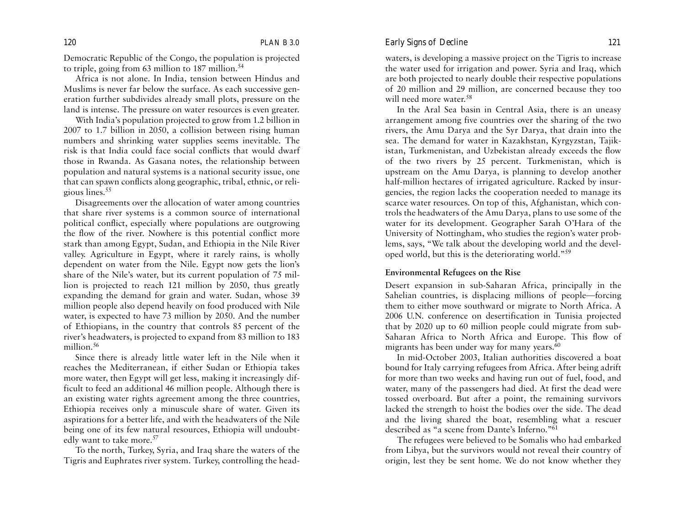Democratic Republic of the Congo, the population is projected to triple, going from 63 million to 187 million.<sup>54</sup>

Africa is not alone. In India, tension between Hindus and Muslims is never far below the surface. As each successive generation further subdivides already small plots, pressure on the land is intense. The pressure on water resources is even greater.

With India's population projected to grow from 1.2 billion in 2007 to 1.7 billion in 2050, a collision between rising human numbers and shrinking water supplies seems inevitable. The risk is that India could face social conflicts that would dwarf those in Rwanda. As Gasana notes, the relationship between population and natural systems is a national security issue, one that can spawn conflicts along geographic, tribal, ethnic, or religious lines.55

Disagreements over the allocation of water among countries that share river systems is a common source of international political conflict, especially where populations are outgrowing the flow of the river. Nowhere is this potential conflict more stark than among Egypt, Sudan, and Ethiopia in the Nile River valley. Agriculture in Egypt, where it rarely rains, is wholly dependent on water from the Nile. Egypt now gets the lion's share of the Nile's water, but its current population of 75 million is projected to reach 121 million by 2050, thus greatly expanding the demand for grain and water. Sudan, whose 39 million people also depend heavily on food produced with Nile water, is expected to have 73 million by 2050. And the number of Ethiopians, in the country that controls 85 percent of the river's headwaters, is projected to expand from 83 million to 183 million.<sup>56</sup>

Since there is already little water left in the Nile when it reaches the Mediterranean, if either Sudan or Ethiopia takes more water, then Egypt will get less, making it increasingly difficult to feed an additional 46 million people. Although there is an existing water rights agreement among the three countries, Ethiopia receives only a minuscule share of water. Given its aspirations for a better life, and with the headwaters of the Nile being one of its few natural resources, Ethiopia will undoubtedly want to take more.<sup>57</sup>

To the north, Turkey, Syria, and Iraq share the waters of the Tigris and Euphrates river system. Turkey, controlling the headwaters, is developing a massive project on the Tigris to increase the water used for irrigation and power. Syria and Iraq, which are both projected to nearly double their respective populations of 20 million and 29 million, are concerned because they too will need more water.<sup>58</sup>

In the Aral Sea basin in Central Asia, there is an uneasy arrangement among five countries over the sharing of the two rivers, the Amu Darya and the Syr Darya, that drain into the sea. The demand for water in Kazakhstan, Kyrgyzstan, Tajikistan, Turkmenistan, and Uzbekistan already exceeds the flow of the two rivers by 25 percent. Turkmenistan, which is upstream on the Amu Darya, is planning to develop another half-million hectares of irrigated agriculture. Racked by insurgencies, the region lacks the cooperation needed to manage its scarce water resources. On top of this, Afghanistan, which controls the headwaters of the Amu Darya, plans to use some of the water for its development. Geographer Sarah O'Hara of the University of Nottingham, who studies the region's water problems, says, "We talk about the developing world and the developed world, but this is the deteriorating world."59

#### **Environmental Refugees on the Rise**

Desert expansion in sub-Saharan Africa, principally in the Sahelian countries, is displacing millions of people—forcing them to either move southward or migrate to North Africa. A 2006 U.N. conference on desertification in Tunisia projected that by 2020 up to 60 million people could migrate from sub-Saharan Africa to North Africa and Europe. This flow of migrants has been under way for many years.<sup>60</sup>

In mid-October 2003, Italian authorities discovered a boat bound for Italy carrying refugees from Africa. After being adrift for more than two weeks and having run out of fuel, food, and water, many of the passengers had died. At first the dead were tossed overboard. But after a point, the remaining survivors lacked the strength to hoist the bodies over the side. The dead and the living shared the boat, resembling what a rescuer described as "a scene from Dante's Inferno."61

The refugees were believed to be Somalis who had embarked from Libya, but the survivors would not reveal their country of origin, lest they be sent home. We do not know whether they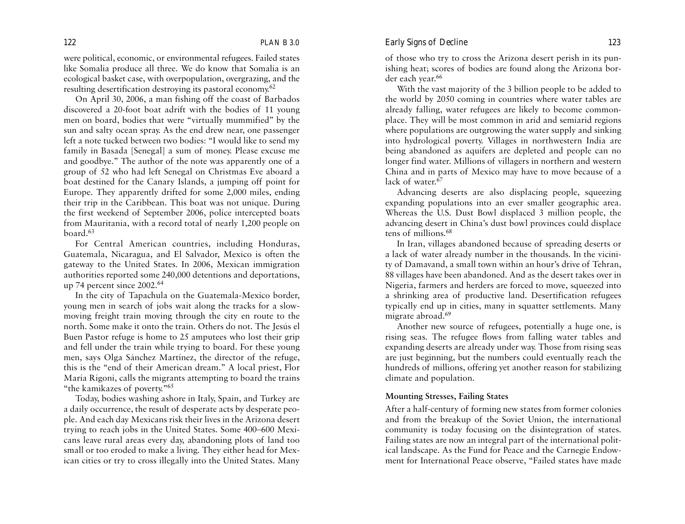were political, economic, or environmental refugees. Failed states like Somalia produce all three. We do know that Somalia is an ecological basket case, with overpopulation, overgrazing, and the resulting desertification destroying its pastoral economy.62

On April 30, 2006, a man fishing off the coast of Barbados discovered a 20-foot boat adrift with the bodies of 11 young men on board, bodies that were "virtually mummified" by the sun and salty ocean spray. As the end drew near, one passenger left a note tucked between two bodies: "I would like to send my family in Basada [Senegal] a sum of money. Please excuse me and goodbye." The author of the note was apparently one of a group of 52 who had left Senegal on Christmas Eve aboard a boat destined for the Canary Islands, a jumping off point for Europe. They apparently drifted for some 2,000 miles, ending their trip in the Caribbean. This boat was not unique. During the first weekend of September 2006, police intercepted boats from Mauritania, with a record total of nearly 1,200 people on board.63

For Central American countries, including Honduras, Guatemala, Nicaragua, and El Salvador, Mexico is often the gateway to the United States. In 2006, Mexican immigration authorities reported some 240,000 detentions and deportations, up 74 percent since 2002.64

In the city of Tapachula on the Guatemala-Mexico border, young men in search of jobs wait along the tracks for a slowmoving freight train moving through the city en route to the north. Some make it onto the train. Others do not. The Jesús el Buen Pastor refuge is home to 25 amputees who lost their grip and fell under the train while trying to board. For these young men, says Olga Sánchez Martínez, the director of the refuge, this is the "end of their American dream." A local priest, Flor María Rigoni, calls the migrants attempting to board the trains "the kamikazes of poverty."65

Today, bodies washing ashore in Italy, Spain, and Turkey are a daily occurrence, the result of desperate acts by desperate people. And each day Mexicans risk their lives in the Arizona desert trying to reach jobs in the United States. Some 400–600 Mexicans leave rural areas every day, abandoning plots of land too small or too eroded to make a living. They either head for Mexican cities or try to cross illegally into the United States. Many

of those who try to cross the Arizona desert perish in its punishing heat; scores of bodies are found along the Arizona border each year.<sup>66</sup>

With the vast majority of the 3 billion people to be added to the world by 2050 coming in countries where water tables are already falling, water refugees are likely to become commonplace. They will be most common in arid and semiarid regions where populations are outgrowing the water supply and sinking into hydrological poverty. Villages in northwestern India are being abandoned as aquifers are depleted and people can no longer find water. Millions of villagers in northern and western China and in parts of Mexico may have to move because of a lack of water.<sup>67</sup>

Advancing deserts are also displacing people, squeezing expanding populations into an ever smaller geographic area. Whereas the U.S. Dust Bowl displaced 3 million people, the advancing desert in China's dust bowl provinces could displace tens of millions.68

In Iran, villages abandoned because of spreading deserts or a lack of water already number in the thousands. In the vicinity of Damavand, a small town within an hour's drive of Tehran, 88 villages have been abandoned. And as the desert takes over in Nigeria, farmers and herders are forced to move, squeezed into a shrinking area of productive land. Desertification refugees typically end up in cities, many in squatter settlements. Many migrate abroad.69

Another new source of refugees, potentially a huge one, is rising seas. The refugee flows from falling water tables and expanding deserts are already under way. Those from rising seas are just beginning, but the numbers could eventually reach the hundreds of millions, offering yet another reason for stabilizing climate and population.

#### **Mounting Stresses, Failing States**

After a half-century of forming new states from former colonies and from the breakup of the Soviet Union, the international community is today focusing on the disintegration of states. Failing states are now an integral part of the international political landscape. As the Fund for Peace and the Carnegie Endowment for International Peace observe, "Failed states have made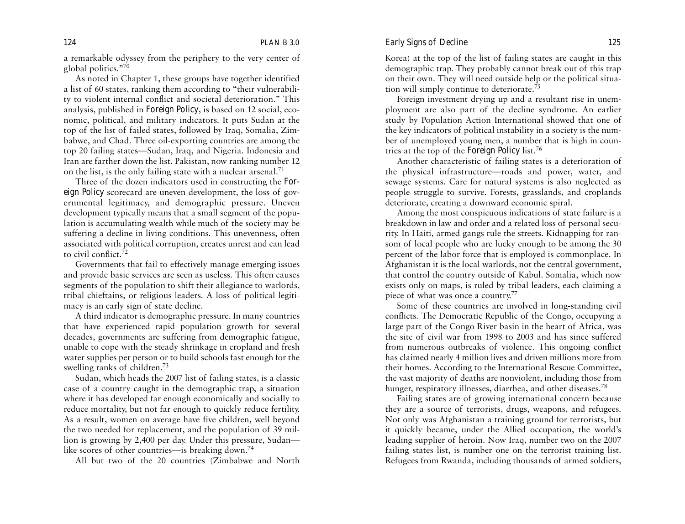a remarkable odyssey from the periphery to the very center of global politics."70

As noted in Chapter 1, these groups have together identified a list of 60 states, ranking them according to "their vulnerability to violent internal conflict and societal deterioration." This analysis, published in *Foreign Policy*, is based on 12 social, economic, political, and military indicators. It puts Sudan at the top of the list of failed states, followed by Iraq, Somalia, Zimbabwe, and Chad. Three oil-exporting countries are among the top 20 failing states—Sudan, Iraq, and Nigeria. Indonesia and Iran are farther down the list. Pakistan, now ranking number 12 on the list, is the only failing state with a nuclear arsenal.<sup>71</sup>

Three of the dozen indicators used in constructing the *Foreign Policy* scorecard are uneven development, the loss of governmental legitimacy, and demographic pressure. Uneven development typically means that a small segment of the population is accumulating wealth while much of the society may be suffering a decline in living conditions. This unevenness, often associated with political corruption, creates unrest and can lead to civil conflict. $\bar{7}^2$ 

Governments that fail to effectively manage emerging issues and provide basic services are seen as useless. This often causes segments of the population to shift their allegiance to warlords, tribal chieftains, or religious leaders. A loss of political legitimacy is an early sign of state decline.

A third indicator is demographic pressure. In many countries that have experienced rapid population growth for several decades, governments are suffering from demographic fatigue, unable to cope with the steady shrinkage in cropland and fresh water supplies per person or to build schools fast enough for the swelling ranks of children.73

Sudan, which heads the 2007 list of failing states, is a classic case of a country caught in the demographic trap, a situation where it has developed far enough economically and socially to reduce mortality, but not far enough to quickly reduce fertility. As a result, women on average have five children, well beyond the two needed for replacement, and the population of 39 million is growing by 2,400 per day. Under this pressure, Sudan like scores of other countries—is breaking down.<sup>74</sup>

All but two of the 20 countries (Zimbabwe and North

Korea) at the top of the list of failing states are caught in this demographic trap. They probably cannot break out of this trap on their own. They will need outside help or the political situation will simply continue to deteriorate.<sup>75</sup>

Foreign investment drying up and a resultant rise in unemployment are also part of the decline syndrome. An earlier study by Population Action International showed that one of the key indicators of political instability in a society is the number of unemployed young men, a number that is high in countries at the top of the *Foreign Policy* list.76

Another characteristic of failing states is a deterioration of the physical infrastructure—roads and power, water, and sewage systems. Care for natural systems is also neglected as people struggle to survive. Forests, grasslands, and croplands deteriorate, creating a downward economic spiral.

Among the most conspicuous indications of state failure is a breakdown in law and order and a related loss of personal security. In Haiti, armed gangs rule the streets. Kidnapping for ransom of local people who are lucky enough to be among the 30 percent of the labor force that is employed is commonplace. In Afghanistan it is the local warlords, not the central government, that control the country outside of Kabul. Somalia, which now exists only on maps, is ruled by tribal leaders, each claiming a piece of what was once a country.<sup>77</sup>

Some of these countries are involved in long-standing civil conflicts. The Democratic Republic of the Congo, occupying a large part of the Congo River basin in the heart of Africa, was the site of civil war from 1998 to 2003 and has since suffered from numerous outbreaks of violence. This ongoing conflict has claimed nearly 4 million lives and driven millions more from their homes. According to the International Rescue Committee, the vast majority of deaths are nonviolent, including those from hunger, respiratory illnesses, diarrhea, and other diseases.<sup>78</sup>

Failing states are of growing international concern because they are a source of terrorists, drugs, weapons, and refugees. Not only was Afghanistan a training ground for terrorists, but it quickly became, under the Allied occupation, the world's leading supplier of heroin. Now Iraq, number two on the 2007 failing states list, is number one on the terrorist training list. Refugees from Rwanda, including thousands of armed soldiers,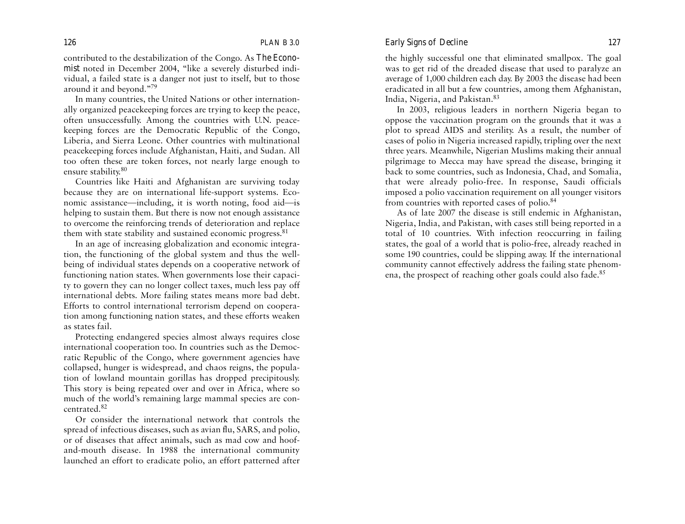contributed to the destabilization of the Congo. As *The Economist* noted in December 2004, "like a severely disturbed individual, a failed state is a danger not just to itself, but to those around it and beyond."79

In many countries, the United Nations or other internationally organized peacekeeping forces are trying to keep the peace, often unsuccessfully. Among the countries with U.N. peacekeeping forces are the Democratic Republic of the Congo, Liberia, and Sierra Leone. Other countries with multinational peacekeeping forces include Afghanistan, Haiti, and Sudan. All too often these are token forces, not nearly large enough to ensure stability.80

Countries like Haiti and Afghanistan are surviving today because they are on international life-support systems. Economic assistance—including, it is worth noting, food aid—is helping to sustain them. But there is now not enough assistance to overcome the reinforcing trends of deterioration and replace them with state stability and sustained economic progress.<sup>81</sup>

In an age of increasing globalization and economic integration, the functioning of the global system and thus the wellbeing of individual states depends on a cooperative network of functioning nation states. When governments lose their capacity to govern they can no longer collect taxes, much less pay off international debts. More failing states means more bad debt. Efforts to control international terrorism depend on cooperation among functioning nation states, and these efforts weaken as states fail.

Protecting endangered species almost always requires close international cooperation too. In countries such as the Democratic Republic of the Congo, where government agencies have collapsed, hunger is widespread, and chaos reigns, the population of lowland mountain gorillas has dropped precipitously. This story is being repeated over and over in Africa, where so much of the world's remaining large mammal species are concentrated.82

Or consider the international network that controls the spread of infectious diseases, such as avian flu, SARS, and polio, or of diseases that affect animals, such as mad cow and hoofand-mouth disease. In 1988 the international community launched an effort to eradicate polio, an effort patterned after the highly successful one that eliminated smallpox. The goal was to get rid of the dreaded disease that used to paralyze an average of 1,000 children each day. By 2003 the disease had been eradicated in all but a few countries, among them Afghanistan, India, Nigeria, and Pakistan.83

In 2003, religious leaders in northern Nigeria began to oppose the vaccination program on the grounds that it was a plot to spread AIDS and sterility. As a result, the number of cases of polio in Nigeria increased rapidly, tripling over the next three years. Meanwhile, Nigerian Muslims making their annual pilgrimage to Mecca may have spread the disease, bringing it back to some countries, such as Indonesia, Chad, and Somalia, that were already polio-free. In response, Saudi officials imposed a polio vaccination requirement on all younger visitors from countries with reported cases of polio.<sup>84</sup>

As of late 2007 the disease is still endemic in Afghanistan, Nigeria, India, and Pakistan, with cases still being reported in a total of 10 countries. With infection reoccurring in failing states, the goal of a world that is polio-free, already reached in some 190 countries, could be slipping away. If the international community cannot effectively address the failing state phenomena, the prospect of reaching other goals could also fade.<sup>85</sup>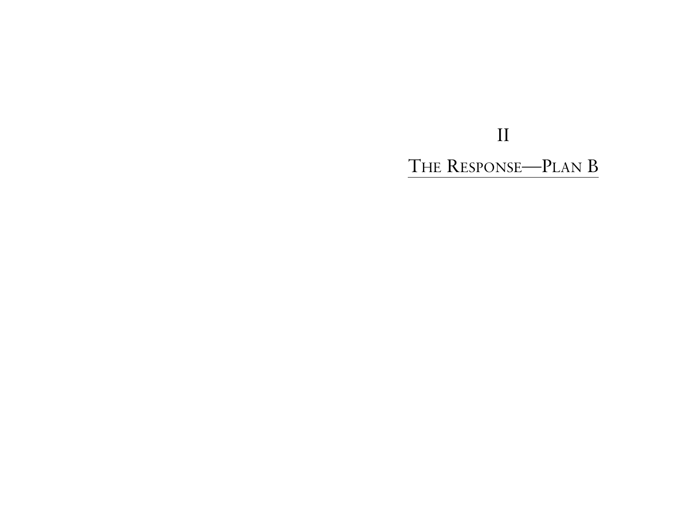II THE RESPONSE—PLAN B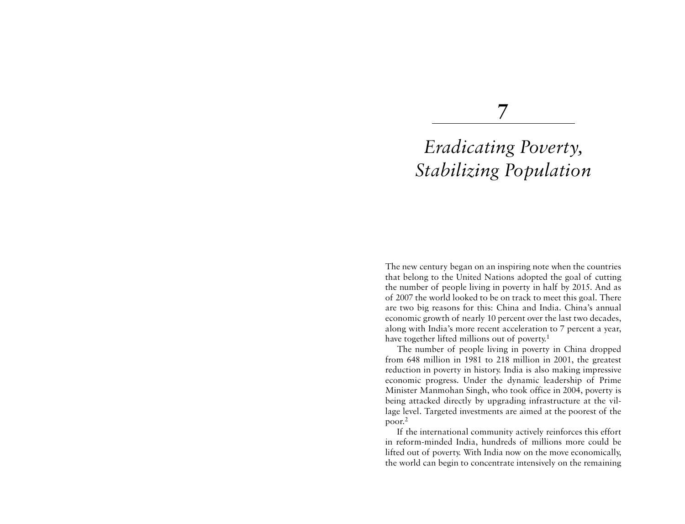## **7**

# *Eradicating Poverty, Stabilizing Population*

The new century began on an inspiring note when the countries that belong to the United Nations adopted the goal of cutting the number of people living in poverty in half by 2015. And as of 2007 the world looked to be on track to meet this goal. There are two big reasons for this: China and India. China's annual economic growth of nearly 10 percent over the last two decades, along with India's more recent acceleration to 7 percent a year, have together lifted millions out of poverty.<sup>1</sup>

The number of people living in poverty in China dropped from 648 million in 1981 to 218 million in 2001, the greatest reduction in poverty in history. India is also making impressive economic progress. Under the dynamic leadership of Prime Minister Manmohan Singh, who took office in 2004, poverty is being attacked directly by upgrading infrastructure at the village level. Targeted investments are aimed at the poorest of the poor.2

If the international community actively reinforces this effort in reform-minded India, hundreds of millions more could be lifted out of poverty. With India now on the move economically, the world can begin to concentrate intensively on the remaining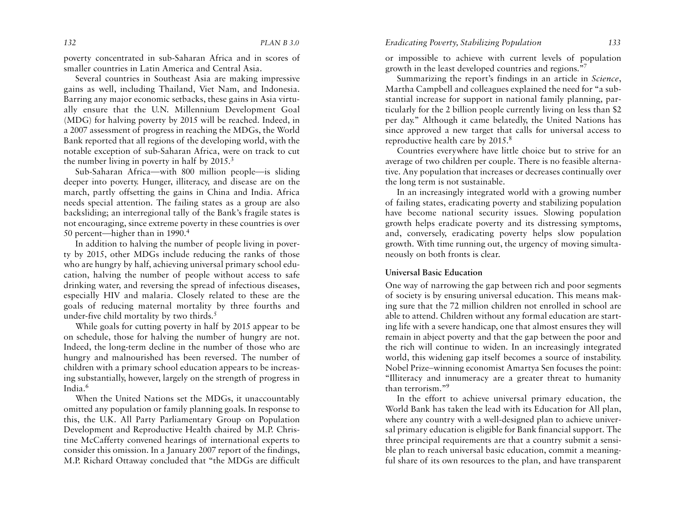poverty concentrated in sub-Saharan Africa and in scores of smaller countries in Latin America and Central Asia.

Several countries in Southeast Asia are making impressive gains as well, including Thailand, Viet Nam, and Indonesia. Barring any major economic setbacks, these gains in Asia virtually ensure that the U.N. Millennium Development Goal (MDG) for halving poverty by 2015 will be reached. Indeed, in a 2007 assessment of progress in reaching the MDGs, the World Bank reported that all regions of the developing world, with the notable exception of sub-Saharan Africa, were on track to cut the number living in poverty in half by 2015.3

Sub-Saharan Africa—with 800 million people—is sliding deeper into poverty. Hunger, illiteracy, and disease are on the march, partly offsetting the gains in China and India. Africa needs special attention. The failing states as a group are also backsliding; an interregional tally of the Bank's fragile states is not encouraging, since extreme poverty in these countries is over 50 percent—higher than in 1990.<sup>4</sup>

In addition to halving the number of people living in poverty by 2015, other MDGs include reducing the ranks of those who are hungry by half, achieving universal primary school education, halving the number of people without access to safe drinking water, and reversing the spread of infectious diseases, especially HIV and malaria. Closely related to these are the goals of reducing maternal mortality by three fourths and under-five child mortality by two thirds.<sup>5</sup>

While goals for cutting poverty in half by 2015 appear to be on schedule, those for halving the number of hungry are not. Indeed, the long-term decline in the number of those who are hungry and malnourished has been reversed. The number of children with a primary school education appears to be increasing substantially, however, largely on the strength of progress in India.6

When the United Nations set the MDGs, it unaccountably omitted any population or family planning goals. In response to this, the U.K. All Party Parliamentary Group on Population Development and Reproductive Health chaired by M.P. Christine McCafferty convened hearings of international experts to consider this omission. In a January 2007 report of the findings, M.P. Richard Ottaway concluded that "the MDGs are difficult or impossible to achieve with current levels of population growth in the least developed countries and regions."7

Summarizing the report's findings in an article in *Science*, Martha Campbell and colleagues explained the need for "a substantial increase for support in national family planning, particularly for the 2 billion people currently living on less than \$2 per day." Although it came belatedly, the United Nations has since approved a new target that calls for universal access to reproductive health care by 2015.8

Countries everywhere have little choice but to strive for an average of two children per couple. There is no feasible alternative. Any population that increases or decreases continually over the long term is not sustainable.

In an increasingly integrated world with a growing number of failing states, eradicating poverty and stabilizing population have become national security issues. Slowing population growth helps eradicate poverty and its distressing symptoms, and, conversely, eradicating poverty helps slow population growth. With time running out, the urgency of moving simultaneously on both fronts is clear.

#### **Universal Basic Education**

One way of narrowing the gap between rich and poor segments of society is by ensuring universal education. This means making sure that the 72 million children not enrolled in school are able to attend. Children without any formal education are starting life with a severe handicap, one that almost ensures they will remain in abject poverty and that the gap between the poor and the rich will continue to widen. In an increasingly integrated world, this widening gap itself becomes a source of instability. Nobel Prize–winning economist Amartya Sen focuses the point: "Illiteracy and innumeracy are a greater threat to humanity than terrorism."9

In the effort to achieve universal primary education, the World Bank has taken the lead with its Education for All plan, where any country with a well-designed plan to achieve universal primary education is eligible for Bank financial support. The three principal requirements are that a country submit a sensible plan to reach universal basic education, commit a meaningful share of its own resources to the plan, and have transparent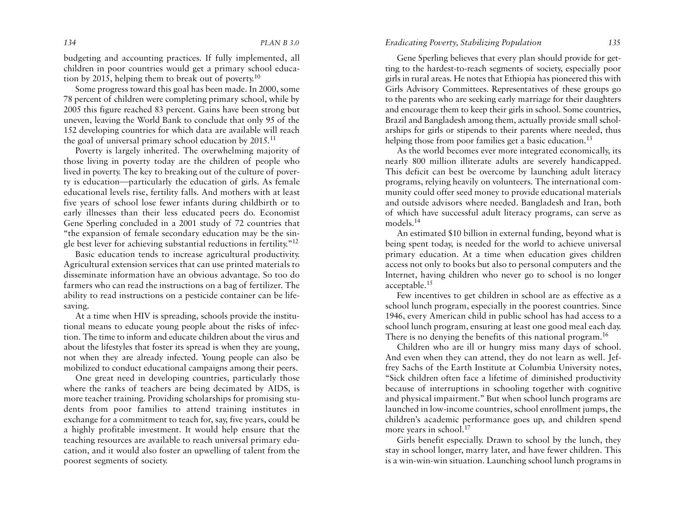budgeting and accounting practices. If fully implemented, all children in poor countries would get a primary school education by 2015, helping them to break out of poverty.10

Some progress toward this goal has been made. In 2000, some 78 percent of children were completing primary school, while by 2005 this figure reached 83 percent. Gains have been strong but uneven, leaving the World Bank to conclude that only 95 of the 152 developing countries for which data are available will reach the goal of universal primary school education by 2015.11

Poverty is largely inherited. The overwhelming majority of those living in poverty today are the children of people who lived in poverty. The key to breaking out of the culture of poverty is education—particularly the education of girls. As female educational levels rise, fertility falls. And mothers with at least five years of school lose fewer infants during childbirth or to early illnesses than their less educated peers do. Economist Gene Sperling concluded in a 2001 study of 72 countries that "the expansion of female secondary education may be the single best lever for achieving substantial reductions in fertility."12

Basic education tends to increase agricultural productivity. Agricultural extension services that can use printed materials to disseminate information have an obvious advantage. So too do farmers who can read the instructions on a bag of fertilizer. The ability to read instructions on a pesticide container can be lifesaving.

At a time when HIV is spreading, schools provide the institutional means to educate young people about the risks of infection. The time to inform and educate children about the virus and about the lifestyles that foster its spread is when they are young, not when they are already infected. Young people can also be mobilized to conduct educational campaigns among their peers.

One great need in developing countries, particularly those where the ranks of teachers are being decimated by AIDS, is more teacher training. Providing scholarships for promising students from poor families to attend training institutes in exchange for a commitment to teach for, say, five years, could be a highly profitable investment. It would help ensure that the teaching resources are available to reach universal primary education, and it would also foster an upwelling of talent from the poorest segments of society.

Gene Sperling believes that every plan should provide for getting to the hardest-to-reach segments of society, especially poor girls in rural areas. He notes that Ethiopia has pioneered this with Girls Advisory Committees. Representatives of these groups go to the parents who are seeking early marriage for their daughters and encourage them to keep their girls in school. Some countries, Brazil and Bangladesh among them, actually provide small scholarships for girls or stipends to their parents where needed, thus helping those from poor families get a basic education.<sup>13</sup>

As the world becomes ever more integrated economically, its nearly 800 million illiterate adults are severely handicapped. This deficit can best be overcome by launching adult literacy programs, relying heavily on volunteers. The international community could offer seed money to provide educational materials and outside advisors where needed. Bangladesh and Iran, both of which have successful adult literacy programs, can serve as models.14

An estimated \$10 billion in external funding, beyond what is being spent today, is needed for the world to achieve universal primary education. At a time when education gives children access not only to books but also to personal computers and the Internet, having children who never go to school is no longer acceptable.15

Few incentives to get children in school are as effective as a school lunch program, especially in the poorest countries. Since 1946, every American child in public school has had access to a school lunch program, ensuring at least one good meal each day. There is no denying the benefits of this national program.<sup>16</sup>

Children who are ill or hungry miss many days of school. And even when they can attend, they do not learn as well. Jeffrey Sachs of the Earth Institute at Columbia University notes, "Sick children often face a lifetime of diminished productivity because of interruptions in schooling together with cognitive and physical impairment." But when school lunch programs are launched in low-income countries, school enrollment jumps, the children's academic performance goes up, and children spend more years in school.<sup>17</sup>

Girls benefit especially. Drawn to school by the lunch, they stay in school longer, marry later, and have fewer children. This is a win-win-win situation. Launching school lunch programs in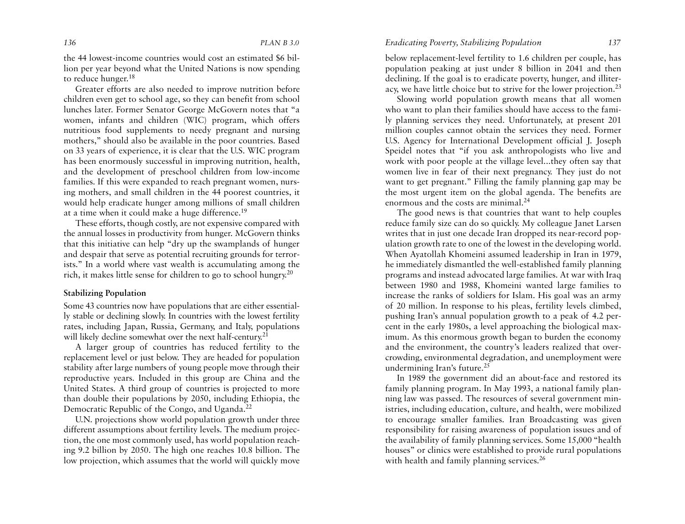the 44 lowest-income countries would cost an estimated \$6 billion per year beyond what the United Nations is now spending to reduce hunger.18

Greater efforts are also needed to improve nutrition before children even get to school age, so they can benefit from school lunches later. Former Senator George McGovern notes that "a women, infants and children (WIC) program, which offers nutritious food supplements to needy pregnant and nursing mothers," should also be available in the poor countries. Based on 33 years of experience, it is clear that the U.S. WIC program has been enormously successful in improving nutrition, health, and the development of preschool children from low-income families. If this were expanded to reach pregnant women, nursing mothers, and small children in the 44 poorest countries, it would help eradicate hunger among millions of small children at a time when it could make a huge difference.19

These efforts, though costly, are not expensive compared with the annual losses in productivity from hunger. McGovern thinks that this initiative can help "dry up the swamplands of hunger and despair that serve as potential recruiting grounds for terrorists." In a world where vast wealth is accumulating among the rich, it makes little sense for children to go to school hungry.<sup>20</sup>

#### **Stabilizing Population**

Some 43 countries now have populations that are either essentially stable or declining slowly. In countries with the lowest fertility rates, including Japan, Russia, Germany, and Italy, populations will likely decline somewhat over the next half-century.<sup>21</sup>

A larger group of countries has reduced fertility to the replacement level or just below. They are headed for population stability after large numbers of young people move through their reproductive years. Included in this group are China and the United States. A third group of countries is projected to more than double their populations by 2050, including Ethiopia, the Democratic Republic of the Congo, and Uganda.<sup>22</sup>

U.N. projections show world population growth under three different assumptions about fertility levels. The medium projection, the one most commonly used, has world population reaching 9.2 billion by 2050. The high one reaches 10.8 billion. The low projection, which assumes that the world will quickly move below replacement-level fertility to 1.6 children per couple, has population peaking at just under 8 billion in 2041 and then declining. If the goal is to eradicate poverty, hunger, and illiteracy, we have little choice but to strive for the lower projection.<sup>23</sup>

Slowing world population growth means that all women who want to plan their families should have access to the family planning services they need. Unfortunately, at present 201 million couples cannot obtain the services they need. Former U.S. Agency for International Development official J. Joseph Speidel notes that "if you ask anthropologists who live and work with poor people at the village level...they often say that women live in fear of their next pregnancy. They just do not want to get pregnant." Filling the family planning gap may be the most urgent item on the global agenda. The benefits are enormous and the costs are minimal.24

The good news is that countries that want to help couples reduce family size can do so quickly. My colleague Janet Larsen writes that in just one decade Iran dropped its near-record population growth rate to one of the lowest in the developing world. When Ayatollah Khomeini assumed leadership in Iran in 1979, he immediately dismantled the well-established family planning programs and instead advocated large families. At war with Iraq between 1980 and 1988, Khomeini wanted large families to increase the ranks of soldiers for Islam. His goal was an army of 20 million. In response to his pleas, fertility levels climbed, pushing Iran's annual population growth to a peak of 4.2 percent in the early 1980s, a level approaching the biological maximum. As this enormous growth began to burden the economy and the environment, the country's leaders realized that overcrowding, environmental degradation, and unemployment were undermining Iran's future.<sup>25</sup>

In 1989 the government did an about-face and restored its family planning program. In May 1993, a national family planning law was passed. The resources of several government ministries, including education, culture, and health, were mobilized to encourage smaller families. Iran Broadcasting was given responsibility for raising awareness of population issues and of the availability of family planning services. Some 15,000 "health houses" or clinics were established to provide rural populations with health and family planning services.<sup>26</sup>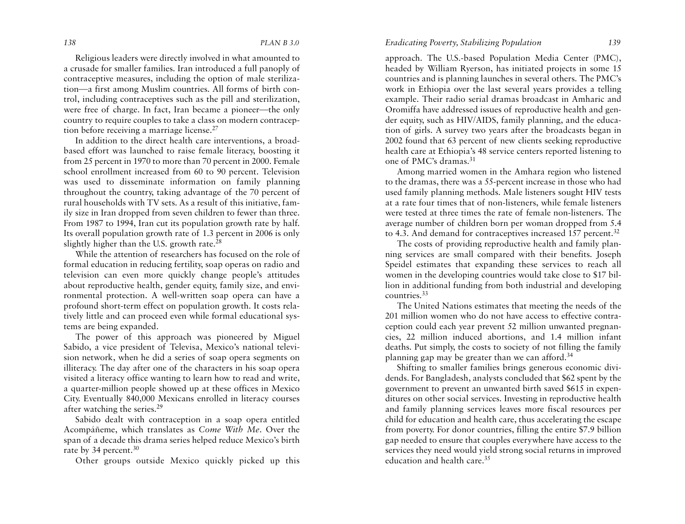Religious leaders were directly involved in what amounted to a crusade for smaller families. Iran introduced a full panoply of contraceptive measures, including the option of male sterilization—a first among Muslim countries. All forms of birth control, including contraceptives such as the pill and sterilization, were free of charge. In fact, Iran became a pioneer—the only country to require couples to take a class on modern contraception before receiving a marriage license.<sup>27</sup>

In addition to the direct health care interventions, a broadbased effort was launched to raise female literacy, boosting it from 25 percent in 1970 to more than 70 percent in 2000. Female school enrollment increased from 60 to 90 percent. Television was used to disseminate information on family planning throughout the country, taking advantage of the 70 percent of rural households with TV sets. As a result of this initiative, family size in Iran dropped from seven children to fewer than three. From 1987 to 1994, Iran cut its population growth rate by half. Its overall population growth rate of 1.3 percent in 2006 is only slightly higher than the U.S. growth rate. $^{28}$ 

While the attention of researchers has focused on the role of formal education in reducing fertility, soap operas on radio and television can even more quickly change people's attitudes about reproductive health, gender equity, family size, and environmental protection. A well-written soap opera can have a profound short-term effect on population growth. It costs relatively little and can proceed even while formal educational systems are being expanded.

The power of this approach was pioneered by Miguel Sabido, a vice president of Televisa, Mexico's national television network, when he did a series of soap opera segments on illiteracy. The day after one of the characters in his soap opera visited a literacy office wanting to learn how to read and write, a quarter-million people showed up at these offices in Mexico City. Eventually 840,000 Mexicans enrolled in literacy courses after watching the series.29

Sabido dealt with contraception in a soap opera entitled Acompáñeme, which translates as *Come With Me*. Over the span of a decade this drama series helped reduce Mexico's birth rate by 34 percent.<sup>30</sup>

Other groups outside Mexico quickly picked up this

approach. The U.S.-based Population Media Center (PMC), headed by William Ryerson, has initiated projects in some 15 countries and is planning launches in several others. The PMC's work in Ethiopia over the last several years provides a telling example. Their radio serial dramas broadcast in Amharic and Oromiffa have addressed issues of reproductive health and gender equity, such as HIV/AIDS, family planning, and the education of girls. A survey two years after the broadcasts began in 2002 found that 63 percent of new clients seeking reproductive health care at Ethiopia's 48 service centers reported listening to one of PMC's dramas.31

Among married women in the Amhara region who listened to the dramas, there was a 55-percent increase in those who had used family planning methods. Male listeners sought HIV tests at a rate four times that of non-listeners, while female listeners were tested at three times the rate of female non-listeners. The average number of children born per woman dropped from 5.4 to 4.3. And demand for contraceptives increased 157 percent.<sup>32</sup>

The costs of providing reproductive health and family planning services are small compared with their benefits. Joseph Speidel estimates that expanding these services to reach all women in the developing countries would take close to \$17 billion in additional funding from both industrial and developing countries. 33

The United Nations estimates that meeting the needs of the 201 million women who do not have access to effective contraception could each year prevent 52 million unwanted pregnancies, 22 million induced abortions, and 1.4 million infant deaths. Put simply, the costs to society of not filling the family planning gap may be greater than we can afford. $34$ 

Shifting to smaller families brings generous economic dividends. For Bangladesh, analysts concluded that \$62 spent by the government to prevent an unwanted birth saved \$615 in expenditures on other social services. Investing in reproductive health and family planning services leaves more fiscal resources per child for education and health care, thus accelerating the escape from poverty. For donor countries, filling the entire \$7.9 billion gap needed to ensure that couples everywhere have access to the services they need would yield strong social returns in improved education and health care.35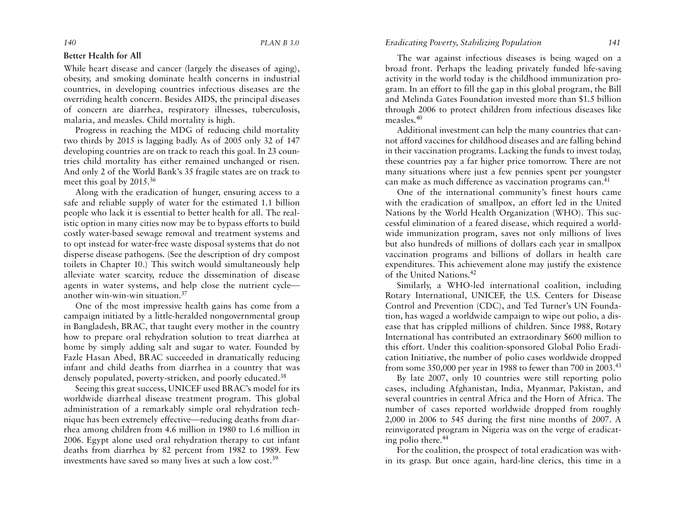#### **Better Health for All**

While heart disease and cancer (largely the diseases of aging), obesity, and smoking dominate health concerns in industrial countries, in developing countries infectious diseases are the overriding health concern. Besides AIDS, the principal diseases of concern are diarrhea, respiratory illnesses, tuberculosis, malaria, and measles. Child mortality is high.

Progress in reaching the MDG of reducing child mortality two thirds by 2015 is lagging badly. As of 2005 only 32 of 147 developing countries are on track to reach this goal. In 23 countries child mortality has either remained unchanged or risen. And only 2 of the World Bank's 35 fragile states are on track to meet this goal by 2015.<sup>36</sup>

Along with the eradication of hunger, ensuring access to a safe and reliable supply of water for the estimated 1.1 billion people who lack it is essential to better health for all. The realistic option in many cities now may be to bypass efforts to build costly water-based sewage removal and treatment systems and to opt instead for water-free waste disposal systems that do not disperse disease pathogens. (See the description of dry compost toilets in Chapter 10.) This switch would simultaneously help alleviate water scarcity, reduce the dissemination of disease agents in water systems, and help close the nutrient cycle another win-win-win situation.37

One of the most impressive health gains has come from a campaign initiated by a little-heralded nongovernmental group in Bangladesh, BRAC, that taught every mother in the country how to prepare oral rehydration solution to treat diarrhea at home by simply adding salt and sugar to water. Founded by Fazle Hasan Abed, BRAC succeeded in dramatically reducing infant and child deaths from diarrhea in a country that was densely populated, poverty-stricken, and poorly educated.<sup>38</sup>

Seeing this great success, UNICEF used BRAC's model for its worldwide diarrheal disease treatment program. This global administration of a remarkably simple oral rehydration technique has been extremely effective—reducing deaths from diarrhea among children from 4.6 million in 1980 to 1.6 million in 2006. Egypt alone used oral rehydration therapy to cut infant deaths from diarrhea by 82 percent from 1982 to 1989. Few investments have saved so many lives at such a low cost.39

The war against infectious diseases is being waged on a broad front. Perhaps the leading privately funded life-saving activity in the world today is the childhood immunization program. In an effort to fill the gap in this global program, the Bill and Melinda Gates Foundation invested more than \$1.5 billion through 2006 to protect children from infectious diseases like measles.40

Additional investment can help the many countries that cannot afford vaccines for childhood diseases and are falling behind in their vaccination programs. Lacking the funds to invest today, these countries pay a far higher price tomorrow. There are not many situations where just a few pennies spent per youngster can make as much difference as vaccination programs can.41

One of the international community's finest hours came with the eradication of smallpox, an effort led in the United Nations by the World Health Organization (WHO). This successful elimination of a feared disease, which required a worldwide immunization program, saves not only millions of lives but also hundreds of millions of dollars each year in smallpox vaccination programs and billions of dollars in health care expenditures. This achievement alone may justify the existence of the United Nations. 42

Similarly, a WHO-led international coalition, including Rotary International, UNICEF, the U.S. Centers for Disease Control and Prevention (CDC), and Ted Turner's UN Foundation, has waged a worldwide campaign to wipe out polio, a disease that has crippled millions of children. Since 1988, Rotary International has contributed an extraordinary \$600 million to this effort. Under this coalition-sponsored Global Polio Eradication Initiative, the number of polio cases worldwide dropped from some 350,000 per year in 1988 to fewer than 700 in 2003.43

By late 2007, only 10 countries were still reporting polio cases, including Afghanistan, India, Myanmar, Pakistan, and several countries in central Africa and the Horn of Africa. The number of cases reported worldwide dropped from roughly 2,000 in 2006 to 545 during the first nine months of 2007. A reinvigorated program in Nigeria was on the verge of eradicating polio there.44

For the coalition, the prospect of total eradication was within its grasp. But once again, hard-line clerics, this time in a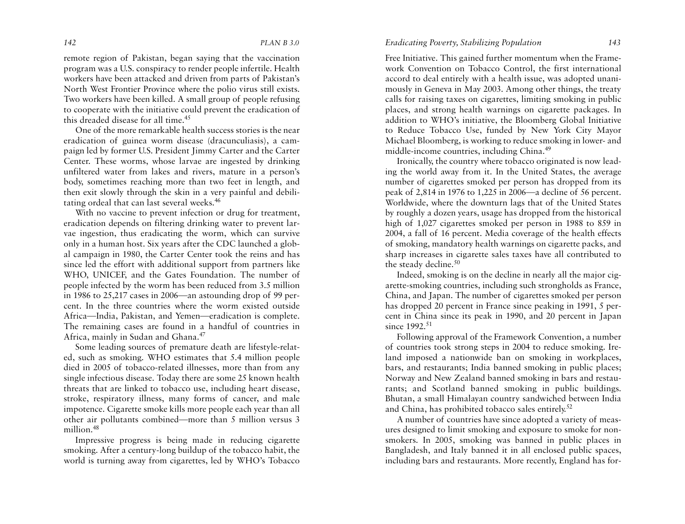remote region of Pakistan, began saying that the vaccination program was a U.S. conspiracy to render people infertile. Health workers have been attacked and driven from parts of Pakistan's North West Frontier Province where the polio virus still exists. Two workers have been killed. A small group of people refusing to cooperate with the initiative could prevent the eradication of this dreaded disease for all time.<sup>45</sup>

One of the more remarkable health success stories is the near eradication of guinea worm disease (dracunculiasis), a campaign led by former U.S. President Jimmy Carter and the Carter Center. These worms, whose larvae are ingested by drinking unfiltered water from lakes and rivers, mature in a person's body, sometimes reaching more than two feet in length, and then exit slowly through the skin in a very painful and debilitating ordeal that can last several weeks.<sup>46</sup>

With no vaccine to prevent infection or drug for treatment, eradication depends on filtering drinking water to prevent larvae ingestion, thus eradicating the worm, which can survive only in a human host. Six years after the CDC launched a global campaign in 1980, the Carter Center took the reins and has since led the effort with additional support from partners like WHO, UNICEF, and the Gates Foundation. The number of people infected by the worm has been reduced from 3.5 million in 1986 to 25,217 cases in 2006—an astounding drop of 99 percent. In the three countries where the worm existed outside Africa—India, Pakistan, and Yemen—eradication is complete. The remaining cases are found in a handful of countries in Africa, mainly in Sudan and Ghana.47

Some leading sources of premature death are lifestyle-related, such as smoking. WHO estimates that 5.4 million people died in 2005 of tobacco-related illnesses, more than from any single infectious disease. Today there are some 25 known health threats that are linked to tobacco use, including heart disease, stroke, respiratory illness, many forms of cancer, and male impotence. Cigarette smoke kills more people each year than all other air pollutants combined—more than 5 million versus 3 million.48

Impressive progress is being made in reducing cigarette smoking. After a century-long buildup of the tobacco habit, the world is turning away from cigarettes, led by WHO's Tobacco Free Initiative. This gained further momentum when the Framework Convention on Tobacco Control, the first international accord to deal entirely with a health issue, was adopted unanimously in Geneva in May 2003. Among other things, the treaty calls for raising taxes on cigarettes, limiting smoking in public places, and strong health warnings on cigarette packages. In addition to WHO's initiative, the Bloomberg Global Initiative to Reduce Tobacco Use, funded by New York City Mayor Michael Bloomberg, is working to reduce smoking in lower- and middle-income countries, including China.49

Ironically, the country where tobacco originated is now leading the world away from it. In the United States, the average number of cigarettes smoked per person has dropped from its peak of 2,814 in 1976 to 1,225 in 2006—a decline of 56 percent. Worldwide, where the downturn lags that of the United States by roughly a dozen years, usage has dropped from the historical high of 1,027 cigarettes smoked per person in 1988 to 859 in 2004, a fall of 16 percent. Media coverage of the health effects of smoking, mandatory health warnings on cigarette packs, and sharp increases in cigarette sales taxes have all contributed to the steady decline.<sup>50</sup>

Indeed, smoking is on the decline in nearly all the major cigarette-smoking countries, including such strongholds as France, China, and Japan. The number of cigarettes smoked per person has dropped 20 percent in France since peaking in 1991, 5 percent in China since its peak in 1990, and 20 percent in Japan since 1992.<sup>51</sup>

Following approval of the Framework Convention, a number of countries took strong steps in 2004 to reduce smoking. Ireland imposed a nationwide ban on smoking in workplaces, bars, and restaurants; India banned smoking in public places; Norway and New Zealand banned smoking in bars and restaurants; and Scotland banned smoking in public buildings. Bhutan, a small Himalayan country sandwiched between India and China, has prohibited tobacco sales entirely.52

A number of countries have since adopted a variety of measures designed to limit smoking and exposure to smoke for nonsmokers. In 2005, smoking was banned in public places in Bangladesh, and Italy banned it in all enclosed public spaces, including bars and restaurants. More recently, England has for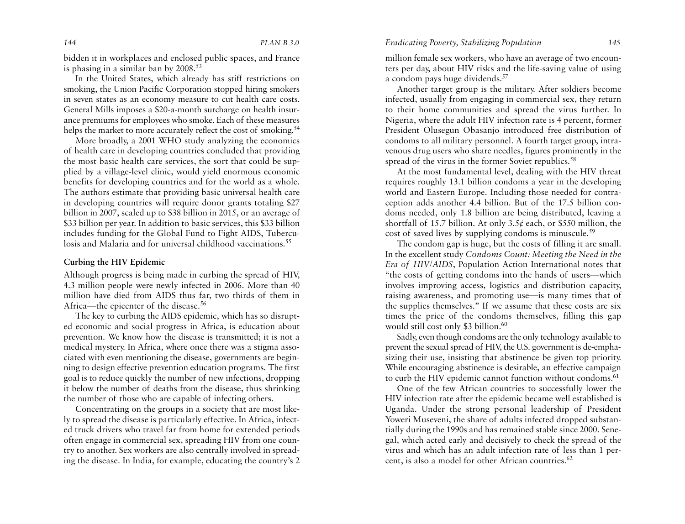bidden it in workplaces and enclosed public spaces, and France is phasing in a similar ban by  $2008.^{53}$ 

In the United States, which already has stiff restrictions on smoking, the Union Pacific Corporation stopped hiring smokers in seven states as an economy measure to cut health care costs. General Mills imposes a \$20-a-month surcharge on health insurance premiums for employees who smoke. Each of these measures helps the market to more accurately reflect the cost of smoking.<sup>54</sup>

More broadly, a 2001 WHO study analyzing the economics of health care in developing countries concluded that providing the most basic health care services, the sort that could be supplied by a village-level clinic, would yield enormous economic benefits for developing countries and for the world as a whole. The authors estimate that providing basic universal health care in developing countries will require donor grants totaling \$27 billion in 2007, scaled up to \$38 billion in 2015, or an average of \$33 billion per year. In addition to basic services, this \$33 billion includes funding for the Global Fund to Fight AIDS, Tuberculosis and Malaria and for universal childhood vaccinations.<sup>55</sup>

#### **Curbing the HIV Epidemic**

Although progress is being made in curbing the spread of HIV, 4.3 million people were newly infected in 2006. More than 40 million have died from AIDS thus far, two thirds of them in Africa—the epicenter of the disease.56

The key to curbing the AIDS epidemic, which has so disrupted economic and social progress in Africa, is education about prevention. We know how the disease is transmitted; it is not a medical mystery. In Africa, where once there was a stigma associated with even mentioning the disease, governments are beginning to design effective prevention education programs. The first goal is to reduce quickly the number of new infections, dropping it below the number of deaths from the disease, thus shrinking the number of those who are capable of infecting others.

Concentrating on the groups in a society that are most likely to spread the disease is particularly effective. In Africa, infected truck drivers who travel far from home for extended periods often engage in commercial sex, spreading HIV from one country to another. Sex workers are also centrally involved in spreading the disease. In India, for example, educating the country's 2 million female sex workers, who have an average of two encounters per day, about HIV risks and the life-saving value of using a condom pays huge dividends.57

Another target group is the military. After soldiers become infected, usually from engaging in commercial sex, they return to their home communities and spread the virus further. In Nigeria, where the adult HIV infection rate is 4 percent, former President Olusegun Obasanjo introduced free distribution of condoms to all military personnel. A fourth target group, intravenous drug users who share needles, figures prominently in the spread of the virus in the former Soviet republics.<sup>58</sup>

At the most fundamental level, dealing with the HIV threat requires roughly 13.1 billion condoms a year in the developing world and Eastern Europe. Including those needed for contraception adds another 4.4 billion. But of the 17.5 billion condoms needed, only 1.8 billion are being distributed, leaving a shortfall of 15.7 billion. At only 3.5¢ each, or \$550 million, the cost of saved lives by supplying condoms is minuscule.<sup>59</sup>

The condom gap is huge, but the costs of filling it are small. In the excellent study *Condoms Count: Meeting the Need in the Era of HIV/AIDS*, Population Action International notes that "the costs of getting condoms into the hands of users—which involves improving access, logistics and distribution capacity, raising awareness, and promoting use—is many times that of the supplies themselves." If we assume that these costs are six times the price of the condoms themselves, filling this gap would still cost only \$3 billion.<sup>60</sup>

Sadly, even though condoms are the only technology available to prevent the sexual spread of HIV, the U.S. government is de-emphasizing their use, insisting that abstinence be given top priority. While encouraging abstinence is desirable, an effective campaign to curb the HIV epidemic cannot function without condoms.<sup>61</sup>

One of the few African countries to successfully lower the HIV infection rate after the epidemic became well established is Uganda. Under the strong personal leadership of President Yoweri Museveni, the share of adults infected dropped substantially during the 1990s and has remained stable since 2000. Senegal, which acted early and decisively to check the spread of the virus and which has an adult infection rate of less than 1 percent, is also a model for other African countries.<sup>62</sup>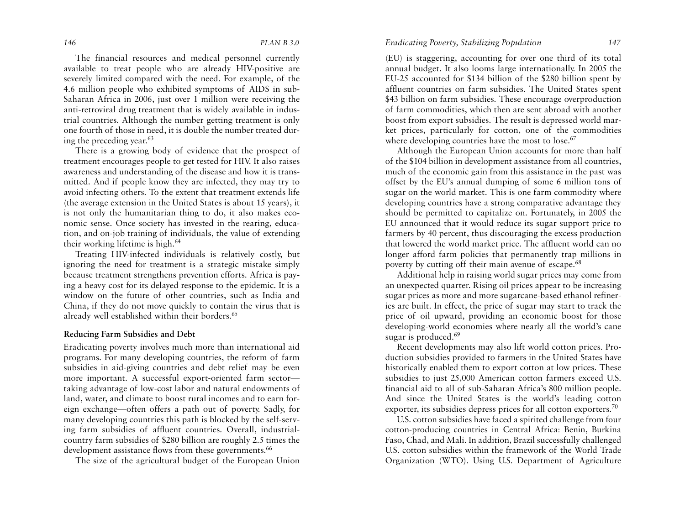The financial resources and medical personnel currently available to treat people who are already HIV-positive are severely limited compared with the need. For example, of the 4.6 million people who exhibited symptoms of AIDS in sub-Saharan Africa in 2006, just over 1 million were receiving the anti-retroviral drug treatment that is widely available in industrial countries. Although the number getting treatment is only one fourth of those in need, it is double the number treated during the preceding year.63

There is a growing body of evidence that the prospect of treatment encourages people to get tested for HIV. It also raises awareness and understanding of the disease and how it is transmitted. And if people know they are infected, they may try to avoid infecting others. To the extent that treatment extends life (the average extension in the United States is about 15 years), it is not only the humanitarian thing to do, it also makes economic sense. Once society has invested in the rearing, education, and on-job training of individuals, the value of extending their working lifetime is high.64

Treating HIV-infected individuals is relatively costly, but ignoring the need for treatment is a strategic mistake simply because treatment strengthens prevention efforts. Africa is paying a heavy cost for its delayed response to the epidemic. It is a window on the future of other countries, such as India and China, if they do not move quickly to contain the virus that is already well established within their borders.<sup>65</sup>

#### **Reducing Farm Subsidies and Debt**

Eradicating poverty involves much more than international aid programs. For many developing countries, the reform of farm subsidies in aid-giving countries and debt relief may be even more important. A successful export-oriented farm sector taking advantage of low-cost labor and natural endowments of land, water, and climate to boost rural incomes and to earn foreign exchange—often offers a path out of poverty. Sadly, for many developing countries this path is blocked by the self-serving farm subsidies of affluent countries. Overall, industrialcountry farm subsidies of \$280 billion are roughly 2.5 times the development assistance flows from these governments.<sup>66</sup>

The size of the agricultural budget of the European Union

(EU) is staggering, accounting for over one third of its total annual budget. It also looms large internationally. In 2005 the EU-25 accounted for \$134 billion of the \$280 billion spent by affluent countries on farm subsidies. The United States spent \$43 billion on farm subsidies. These encourage overproduction of farm commodities, which then are sent abroad with another boost from export subsidies. The result is depressed world market prices, particularly for cotton, one of the commodities where developing countries have the most to lose.<sup>67</sup>

Although the European Union accounts for more than half of the \$104 billion in development assistance from all countries, much of the economic gain from this assistance in the past was offset by the EU's annual dumping of some 6 million tons of sugar on the world market. This is one farm commodity where developing countries have a strong comparative advantage they should be permitted to capitalize on. Fortunately, in 2005 the EU announced that it would reduce its sugar support price to farmers by 40 percent, thus discouraging the excess production that lowered the world market price. The affluent world can no longer afford farm policies that permanently trap millions in poverty by cutting off their main avenue of escape.<sup>68</sup>

Additional help in raising world sugar prices may come from an unexpected quarter. Rising oil prices appear to be increasing sugar prices as more and more sugarcane-based ethanol refineries are built. In effect, the price of sugar may start to track the price of oil upward, providing an economic boost for those developing-world economies where nearly all the world's cane sugar is produced.<sup>69</sup>

Recent developments may also lift world cotton prices. Production subsidies provided to farmers in the United States have historically enabled them to export cotton at low prices. These subsidies to just 25,000 American cotton farmers exceed U.S. financial aid to all of sub-Saharan Africa's 800 million people. And since the United States is the world's leading cotton exporter, its subsidies depress prices for all cotton exporters.<sup>70</sup>

U.S. cotton subsidies have faced a spirited challenge from four cotton-producing countries in Central Africa: Benin, Burkina Faso, Chad, and Mali. In addition, Brazil successfully challenged U.S. cotton subsidies within the framework of the World Trade Organization (WTO). Using U.S. Department of Agriculture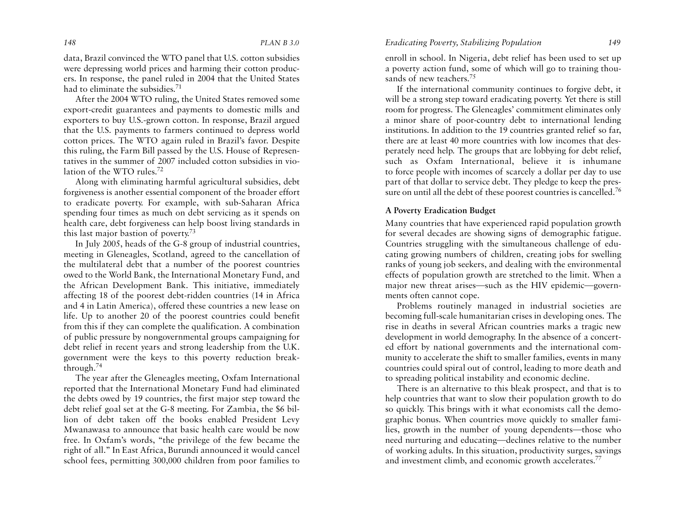data, Brazil convinced the WTO panel that U.S. cotton subsidies were depressing world prices and harming their cotton producers. In response, the panel ruled in 2004 that the United States had to eliminate the subsidies.<sup>71</sup>

After the 2004 WTO ruling, the United States removed some export-credit guarantees and payments to domestic mills and exporters to buy U.S.-grown cotton. In response, Brazil argued that the U.S. payments to farmers continued to depress world cotton prices. The WTO again ruled in Brazil's favor. Despite this ruling, the Farm Bill passed by the U.S. House of Representatives in the summer of 2007 included cotton subsidies in violation of the WTO rules.72

Along with eliminating harmful agricultural subsidies, debt forgiveness is another essential component of the broader effort to eradicate poverty. For example, with sub-Saharan Africa spending four times as much on debt servicing as it spends on health care, debt forgiveness can help boost living standards in this last major bastion of poverty.73

In July 2005, heads of the G-8 group of industrial countries, meeting in Gleneagles, Scotland, agreed to the cancellation of the multilateral debt that a number of the poorest countries owed to the World Bank, the International Monetary Fund, and the African Development Bank. This initiative, immediately affecting 18 of the poorest debt-ridden countries (14 in Africa and 4 in Latin America), offered these countries a new lease on life. Up to another 20 of the poorest countries could benefit from this if they can complete the qualification. A combination of public pressure by nongovernmental groups campaigning for debt relief in recent years and strong leadership from the U.K. government were the keys to this poverty reduction breakthrough.74

The year after the Gleneagles meeting, Oxfam International reported that the International Monetary Fund had eliminated the debts owed by 19 countries, the first major step toward the debt relief goal set at the G-8 meeting. For Zambia, the \$6 billion of debt taken off the books enabled President Levy Mwanawasa to announce that basic health care would be now free. In Oxfam's words, "the privilege of the few became the right of all." In East Africa, Burundi announced it would cancel school fees, permitting 300,000 children from poor families to enroll in school. In Nigeria, debt relief has been used to set up a poverty action fund, some of which will go to training thousands of new teachers.<sup>75</sup>

If the international community continues to forgive debt, it will be a strong step toward eradicating poverty. Yet there is still room for progress. The Gleneagles' commitment eliminates only a minor share of poor-country debt to international lending institutions. In addition to the 19 countries granted relief so far, there are at least 40 more countries with low incomes that desperately need help. The groups that are lobbying for debt relief, such as Oxfam International, believe it is inhumane to force people with incomes of scarcely a dollar per day to use part of that dollar to service debt. They pledge to keep the pressure on until all the debt of these poorest countries is cancelled.<sup>76</sup>

#### **A Poverty Eradication Budget**

Many countries that have experienced rapid population growth for several decades are showing signs of demographic fatigue. Countries struggling with the simultaneous challenge of educating growing numbers of children, creating jobs for swelling ranks of young job seekers, and dealing with the environmental effects of population growth are stretched to the limit. When a major new threat arises—such as the HIV epidemic—governments often cannot cope.

Problems routinely managed in industrial societies are becoming full-scale humanitarian crises in developing ones. The rise in deaths in several African countries marks a tragic new development in world demography. In the absence of a concerted effort by national governments and the international community to accelerate the shift to smaller families, events in many countries could spiral out of control, leading to more death and to spreading political instability and economic decline.

There is an alternative to this bleak prospect, and that is to help countries that want to slow their population growth to do so quickly. This brings with it what economists call the demographic bonus. When countries move quickly to smaller families, growth in the number of young dependents—those who need nurturing and educating—declines relative to the number of working adults. In this situation, productivity surges, savings and investment climb, and economic growth accelerates.<sup>77</sup>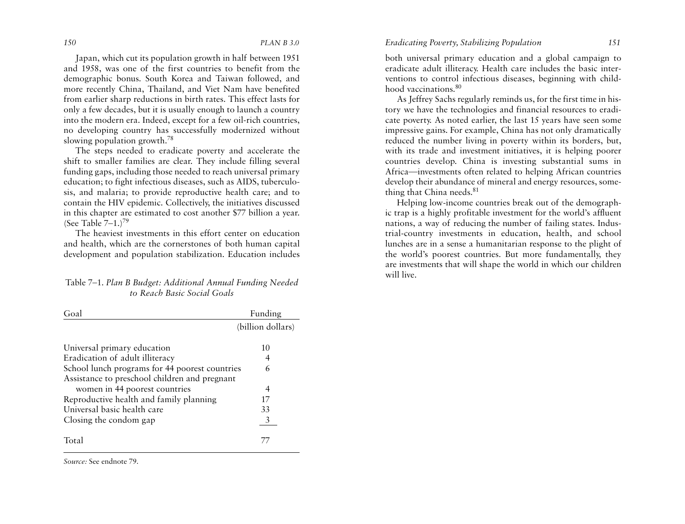Japan, which cut its population growth in half between 1951 and 1958, was one of the first countries to benefit from the demographic bonus. South Korea and Taiwan followed, and more recently China, Thailand, and Viet Nam have benefited from earlier sharp reductions in birth rates. This effect lasts for only a few decades, but it is usually enough to launch a country into the modern era. Indeed, except for a few oil-rich countries, no developing country has successfully modernized without slowing population growth.78

The steps needed to eradicate poverty and accelerate the shift to smaller families are clear. They include filling several funding gaps, including those needed to reach universal primary education; to fight infectious diseases, such as AIDS, tuberculosis, and malaria; to provide reproductive health care; and to contain the HIV epidemic. Collectively, the initiatives discussed in this chapter are estimated to cost another \$77 billion a year. (See Table  $7-1.7^{9}$ )

The heaviest investments in this effort center on education and health, which are the cornerstones of both human capital development and population stabilization. Education includes

#### Table 7–1. *Plan B Budget: Additional Annual Funding Needed to Reach Basic Social Goals*

| Goal                                           | Funding           |
|------------------------------------------------|-------------------|
|                                                | (billion dollars) |
|                                                | 10                |
| Universal primary education                    |                   |
| Eradication of adult illiteracy                |                   |
| School lunch programs for 44 poorest countries | 6                 |
| Assistance to preschool children and pregnant  |                   |
| women in 44 poorest countries                  |                   |
| Reproductive health and family planning        | 17                |
| Universal basic health care                    | 33                |
| Closing the condom gap                         |                   |
| Total                                          |                   |

*Source:* See endnote 79.

both universal primary education and a global campaign to eradicate adult illiteracy. Health care includes the basic interventions to control infectious diseases, beginning with childhood vaccinations.<sup>80</sup>

As Jeffrey Sachs regularly reminds us, for the first time in history we have the technologies and financial resources to eradicate poverty. As noted earlier, the last 15 years have seen some impressive gains. For example, China has not only dramatically reduced the number living in poverty within its borders, but, with its trade and investment initiatives, it is helping poorer countries develop. China is investing substantial sums in Africa—investments often related to helping African countries develop their abundance of mineral and energy resources, something that China needs.<sup>81</sup>

Helping low-income countries break out of the demographic trap is a highly profitable investment for the world's affluent nations, a way of reducing the number of failing states. Industrial-country investments in education, health, and school lunches are in a sense a humanitarian response to the plight of the world's poorest countries. But more fundamentally, they are investments that will shape the world in which our children will live.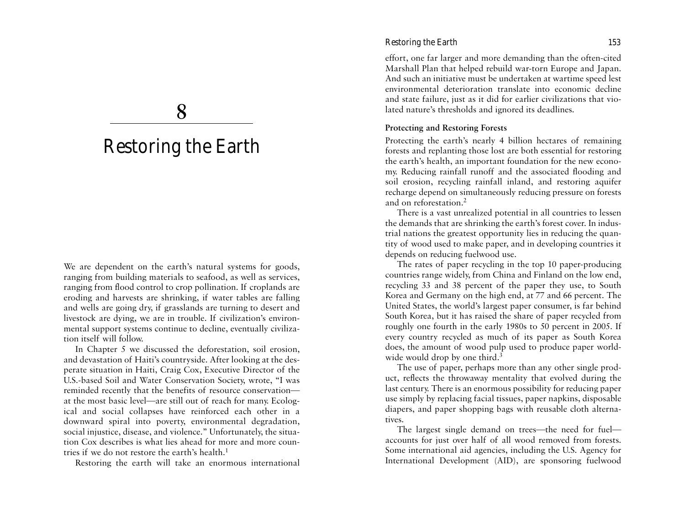## **8**

## *Restoring the Earth*

We are dependent on the earth's natural systems for goods, ranging from building materials to seafood, as well as services, ranging from flood control to crop pollination. If croplands are eroding and harvests are shrinking, if water tables are falling and wells are going dry, if grasslands are turning to desert and livestock are dying, we are in trouble. If civilization's environmental support systems continue to decline, eventually civilization itself will follow.

In Chapter 5 we discussed the deforestation, soil erosion, and devastation of Haiti's countryside. After looking at the desperate situation in Haiti, Craig Cox, Executive Director of the U.S.-based Soil and Water Conservation Society, wrote, "I was reminded recently that the benefits of resource conservation at the most basic level—are still out of reach for many. Ecological and social collapses have reinforced each other in a downward spiral into poverty, environmental degradation, social injustice, disease, and violence." Unfortunately, the situation Cox describes is what lies ahead for more and more countries if we do not restore the earth's health.<sup>1</sup>

Restoring the earth will take an enormous international

#### *Restoring the Earth 153*

effort, one far larger and more demanding than the often-cited Marshall Plan that helped rebuild war-torn Europe and Japan. And such an initiative must be undertaken at wartime speed lest environmental deterioration translate into economic decline and state failure, just as it did for earlier civilizations that violated nature's thresholds and ignored its deadlines.

#### **Protecting and Restoring Forests**

Protecting the earth's nearly 4 billion hectares of remaining forests and replanting those lost are both essential for restoring the earth's health, an important foundation for the new economy. Reducing rainfall runoff and the associated flooding and soil erosion, recycling rainfall inland, and restoring aquifer recharge depend on simultaneously reducing pressure on forests and on reforestation.2

There is a vast unrealized potential in all countries to lessen the demands that are shrinking the earth's forest cover. In industrial nations the greatest opportunity lies in reducing the quantity of wood used to make paper, and in developing countries it depends on reducing fuelwood use.

The rates of paper recycling in the top 10 paper-producing countries range widely, from China and Finland on the low end, recycling 33 and 38 percent of the paper they use, to South Korea and Germany on the high end, at 77 and 66 percent. The United States, the world's largest paper consumer, is far behind South Korea, but it has raised the share of paper recycled from roughly one fourth in the early 1980s to 50 percent in 2005. If every country recycled as much of its paper as South Korea does, the amount of wood pulp used to produce paper worldwide would drop by one third.<sup>3</sup>

The use of paper, perhaps more than any other single product, reflects the throwaway mentality that evolved during the last century. There is an enormous possibility for reducing paper use simply by replacing facial tissues, paper napkins, disposable diapers, and paper shopping bags with reusable cloth alternatives.

The largest single demand on trees—the need for fuel accounts for just over half of all wood removed from forests. Some international aid agencies, including the U.S. Agency for International Development (AID), are sponsoring fuelwood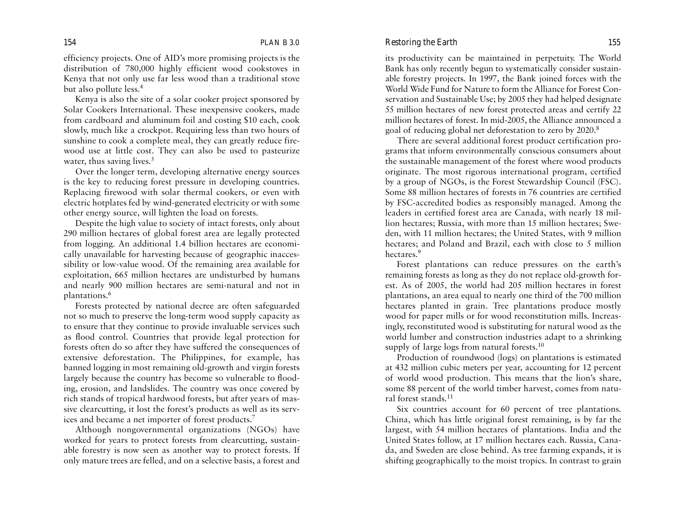its productivity can be maintained in perpetuity. The World Bank has only recently begun to systematically consider sustainable forestry projects. In 1997, the Bank joined forces with the World Wide Fund for Nature to form the Alliance for Forest Conservation and Sustainable Use; by 2005 they had helped designate 55 million hectares of new forest protected areas and certify 22 million hectares of forest. In mid-2005, the Alliance announced a

> There are several additional forest product certification programs that inform environmentally conscious consumers about the sustainable management of the forest where wood products originate. The most rigorous international program, certified by a group of NGOs, is the Forest Stewardship Council (FSC). Some 88 million hectares of forests in 76 countries are certified by FSC-accredited bodies as responsibly managed. Among the leaders in certified forest area are Canada, with nearly 18 million hectares; Russia, with more than 15 million hectares; Sweden, with 11 million hectares; the United States, with 9 million hectares; and Poland and Brazil, each with close to 5 million hectares.<sup>9</sup>

goal of reducing global net deforestation to zero by 2020.8

Forest plantations can reduce pressures on the earth's remaining forests as long as they do not replace old-growth forest. As of 2005, the world had 205 million hectares in forest plantations, an area equal to nearly one third of the 700 million hectares planted in grain. Tree plantations produce mostly wood for paper mills or for wood reconstitution mills. Increasingly, reconstituted wood is substituting for natural wood as the world lumber and construction industries adapt to a shrinking supply of large logs from natural forests.<sup>10</sup>

Production of roundwood (logs) on plantations is estimated at 432 million cubic meters per year, accounting for 12 percent of world wood production. This means that the lion's share, some 88 percent of the world timber harvest, comes from natural forest stands.<sup>11</sup>

Six countries account for 60 percent of tree plantations. China, which has little original forest remaining, is by far the largest, with 54 million hectares of plantations. India and the United States follow, at 17 million hectares each. Russia, Canada, and Sweden are close behind. As tree farming expands, it is shifting geographically to the moist tropics. In contrast to grain

efficiency projects. One of AID's more promising projects is the distribution of 780,000 highly efficient wood cookstoves in Kenya that not only use far less wood than a traditional stove but also pollute less.<sup>4</sup>

Kenya is also the site of a solar cooker project sponsored by Solar Cookers International. These inexpensive cookers, made from cardboard and aluminum foil and costing \$10 each, cook slowly, much like a crockpot. Requiring less than two hours of sunshine to cook a complete meal, they can greatly reduce firewood use at little cost. They can also be used to pasteurize water, thus saving lives. $5$ 

Over the longer term, developing alternative energy sources is the key to reducing forest pressure in developing countries. Replacing firewood with solar thermal cookers, or even with electric hotplates fed by wind-generated electricity or with some other energy source, will lighten the load on forests.

Despite the high value to society of intact forests, only about 290 million hectares of global forest area are legally protected from logging. An additional 1.4 billion hectares are economically unavailable for harvesting because of geographic inaccessibility or low-value wood. Of the remaining area available for exploitation, 665 million hectares are undisturbed by humans and nearly 900 million hectares are semi-natural and not in plantations.6

Forests protected by national decree are often safeguarded not so much to preserve the long-term wood supply capacity as to ensure that they continue to provide invaluable services such as flood control. Countries that provide legal protection for forests often do so after they have suffered the consequences of extensive deforestation. The Philippines, for example, has banned logging in most remaining old-growth and virgin forests largely because the country has become so vulnerable to flooding, erosion, and landslides. The country was once covered by rich stands of tropical hardwood forests, but after years of massive clearcutting, it lost the forest's products as well as its services and became a net importer of forest products.7

Although nongovernmental organizations (NGOs) have worked for years to protect forests from clearcutting, sustainable forestry is now seen as another way to protect forests. If only mature trees are felled, and on a selective basis, a forest and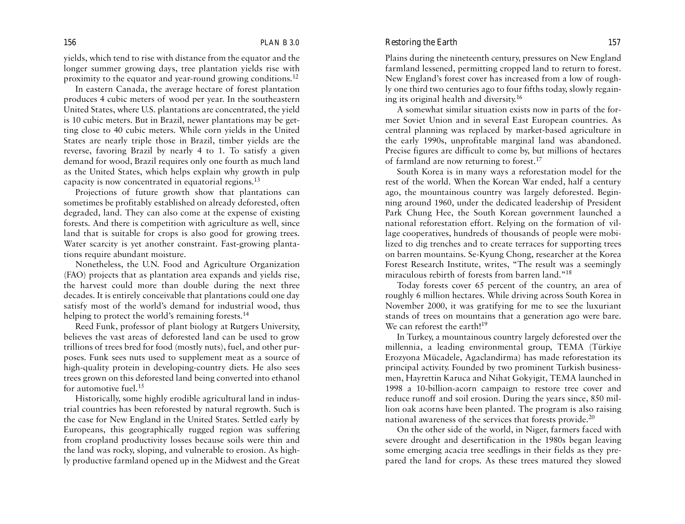yields, which tend to rise with distance from the equator and the longer summer growing days, tree plantation yields rise with proximity to the equator and year-round growing conditions.<sup>12</sup>

In eastern Canada, the average hectare of forest plantation produces 4 cubic meters of wood per year. In the southeastern United States, where U.S. plantations are concentrated, the yield is 10 cubic meters. But in Brazil, newer plantations may be getting close to 40 cubic meters. While corn yields in the United States are nearly triple those in Brazil, timber yields are the reverse, favoring Brazil by nearly 4 to 1. To satisfy a given demand for wood, Brazil requires only one fourth as much land as the United States, which helps explain why growth in pulp capacity is now concentrated in equatorial regions.<sup>13</sup>

Projections of future growth show that plantations can sometimes be profitably established on already deforested, often degraded, land. They can also come at the expense of existing forests. And there is competition with agriculture as well, since land that is suitable for crops is also good for growing trees. Water scarcity is yet another constraint. Fast-growing plantations require abundant moisture.

Nonetheless, the U.N. Food and Agriculture Organization (FAO) projects that as plantation area expands and yields rise, the harvest could more than double during the next three decades. It is entirely conceivable that plantations could one day satisfy most of the world's demand for industrial wood, thus helping to protect the world's remaining forests.<sup>14</sup>

Reed Funk, professor of plant biology at Rutgers University, believes the vast areas of deforested land can be used to grow trillions of trees bred for food (mostly nuts), fuel, and other purposes. Funk sees nuts used to supplement meat as a source of high-quality protein in developing-country diets. He also sees trees grown on this deforested land being converted into ethanol for automotive fuel.<sup>15</sup>

Historically, some highly erodible agricultural land in industrial countries has been reforested by natural regrowth. Such is the case for New England in the United States. Settled early by Europeans, this geographically rugged region was suffering from cropland productivity losses because soils were thin and the land was rocky, sloping, and vulnerable to erosion. As highly productive farmland opened up in the Midwest and the Great

Plains during the nineteenth century, pressures on New England farmland lessened, permitting cropped land to return to forest. New England's forest cover has increased from a low of roughly one third two centuries ago to four fifths today, slowly regaining its original health and diversity.16

A somewhat similar situation exists now in parts of the former Soviet Union and in several East European countries. As central planning was replaced by market-based agriculture in the early 1990s, unprofitable marginal land was abandoned. Precise figures are difficult to come by, but millions of hectares of farmland are now returning to forest.17

South Korea is in many ways a reforestation model for the rest of the world. When the Korean War ended, half a century ago, the mountainous country was largely deforested. Beginning around 1960, under the dedicated leadership of President Park Chung Hee, the South Korean government launched a national reforestation effort. Relying on the formation of village cooperatives, hundreds of thousands of people were mobilized to dig trenches and to create terraces for supporting trees on barren mountains. Se-Kyung Chong, researcher at the Korea Forest Research Institute, writes, "The result was a seemingly miraculous rebirth of forests from barren land."18

Today forests cover 65 percent of the country, an area of roughly 6 million hectares. While driving across South Korea in November 2000, it was gratifying for me to see the luxuriant stands of trees on mountains that a generation ago were bare. We can reforest the earth!<sup>19</sup>

In Turkey, a mountainous country largely deforested over the millennia, a leading environmental group, TEMA (Türkiye Erozyona Mücadele, Agaclandirma) has made reforestation its principal activity. Founded by two prominent Turkish businessmen, Hayrettin Karuca and Nihat Gokyigit, TEMA launched in 1998 a 10-billion-acorn campaign to restore tree cover and reduce runoff and soil erosion. During the years since, 850 million oak acorns have been planted. The program is also raising national awareness of the services that forests provide.<sup>20</sup>

On the other side of the world, in Niger, farmers faced with severe drought and desertification in the 1980s began leaving some emerging acacia tree seedlings in their fields as they prepared the land for crops. As these trees matured they slowed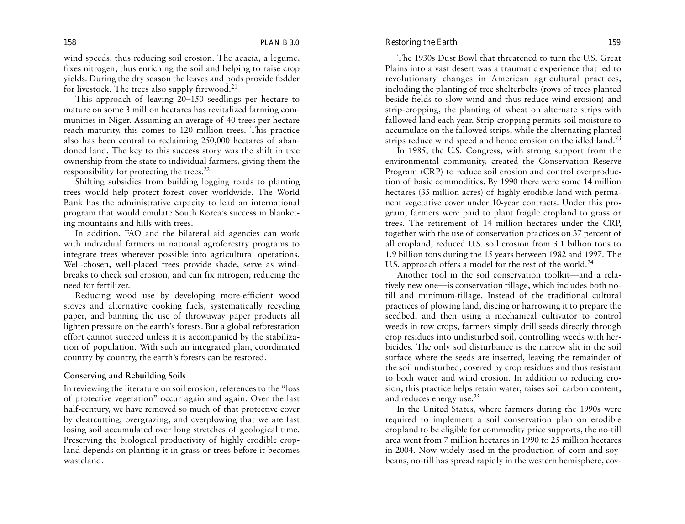wind speeds, thus reducing soil erosion. The acacia, a legume, fixes nitrogen, thus enriching the soil and helping to raise crop yields. During the dry season the leaves and pods provide fodder for livestock. The trees also supply firewood.<sup>21</sup>

This approach of leaving 20–150 seedlings per hectare to mature on some 3 million hectares has revitalized farming communities in Niger. Assuming an average of 40 trees per hectare reach maturity, this comes to 120 million trees. This practice also has been central to reclaiming 250,000 hectares of abandoned land. The key to this success story was the shift in tree ownership from the state to individual farmers, giving them the responsibility for protecting the trees.<sup>22</sup>

Shifting subsidies from building logging roads to planting trees would help protect forest cover worldwide. The World Bank has the administrative capacity to lead an international program that would emulate South Korea's success in blanketing mountains and hills with trees.

In addition, FAO and the bilateral aid agencies can work with individual farmers in national agroforestry programs to integrate trees wherever possible into agricultural operations. Well-chosen, well-placed trees provide shade, serve as windbreaks to check soil erosion, and can fix nitrogen, reducing the need for fertilizer.

Reducing wood use by developing more-efficient wood stoves and alternative cooking fuels, systematically recycling paper, and banning the use of throwaway paper products all lighten pressure on the earth's forests. But a global reforestation effort cannot succeed unless it is accompanied by the stabilization of population. With such an integrated plan, coordinated country by country, the earth's forests can be restored.

#### **Conserving and Rebuilding Soils**

In reviewing the literature on soil erosion, references to the "loss of protective vegetation" occur again and again. Over the last half-century, we have removed so much of that protective cover by clearcutting, overgrazing, and overplowing that we are fast losing soil accumulated over long stretches of geological time. Preserving the biological productivity of highly erodible cropland depends on planting it in grass or trees before it becomes wasteland.

The 1930s Dust Bowl that threatened to turn the U.S. Great Plains into a vast desert was a traumatic experience that led to revolutionary changes in American agricultural practices, including the planting of tree shelterbelts (rows of trees planted beside fields to slow wind and thus reduce wind erosion) and strip-cropping, the planting of wheat on alternate strips with fallowed land each year. Strip-cropping permits soil moisture to accumulate on the fallowed strips, while the alternating planted strips reduce wind speed and hence erosion on the idled land.<sup>23</sup>

In 1985, the U.S. Congress, with strong support from the environmental community, created the Conservation Reserve Program (CRP) to reduce soil erosion and control overproduction of basic commodities. By 1990 there were some 14 million hectares (35 million acres) of highly erodible land with permanent vegetative cover under 10-year contracts. Under this program, farmers were paid to plant fragile cropland to grass or trees. The retirement of 14 million hectares under the CRP, together with the use of conservation practices on 37 percent of all cropland, reduced U.S. soil erosion from 3.1 billion tons to 1.9 billion tons during the 15 years between 1982 and 1997. The U.S. approach offers a model for the rest of the world.<sup>24</sup>

Another tool in the soil conservation toolkit—and a relatively new one—is conservation tillage, which includes both notill and minimum-tillage. Instead of the traditional cultural practices of plowing land, discing or harrowing it to prepare the seedbed, and then using a mechanical cultivator to control weeds in row crops, farmers simply drill seeds directly through crop residues into undisturbed soil, controlling weeds with herbicides. The only soil disturbance is the narrow slit in the soil surface where the seeds are inserted, leaving the remainder of the soil undisturbed, covered by crop residues and thus resistant to both water and wind erosion. In addition to reducing erosion, this practice helps retain water, raises soil carbon content, and reduces energy use.<sup>25</sup>

In the United States, where farmers during the 1990s were required to implement a soil conservation plan on erodible cropland to be eligible for commodity price supports, the no-till area went from 7 million hectares in 1990 to 25 million hectares in 2004. Now widely used in the production of corn and soybeans, no-till has spread rapidly in the western hemisphere, cov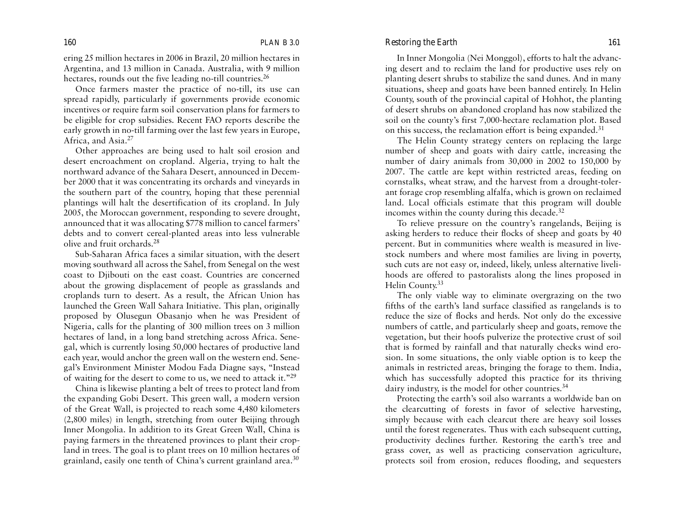ering 25 million hectares in 2006 in Brazil, 20 million hectares in Argentina, and 13 million in Canada. Australia, with 9 million hectares, rounds out the five leading no-till countries.<sup>26</sup>

Once farmers master the practice of no-till, its use can spread rapidly, particularly if governments provide economic incentives or require farm soil conservation plans for farmers to be eligible for crop subsidies. Recent FAO reports describe the early growth in no-till farming over the last few years in Europe, Africa, and Asia.27

Other approaches are being used to halt soil erosion and desert encroachment on cropland. Algeria, trying to halt the northward advance of the Sahara Desert, announced in December 2000 that it was concentrating its orchards and vineyards in the southern part of the country, hoping that these perennial plantings will halt the desertification of its cropland. In July 2005, the Moroccan government, responding to severe drought, announced that it was allocating \$778 million to cancel farmers' debts and to convert cereal-planted areas into less vulnerable olive and fruit orchards.28

Sub-Saharan Africa faces a similar situation, with the desert moving southward all across the Sahel, from Senegal on the west coast to Djibouti on the east coast. Countries are concerned about the growing displacement of people as grasslands and croplands turn to desert. As a result, the African Union has launched the Green Wall Sahara Initiative. This plan, originally proposed by Olusegun Obasanjo when he was President of Nigeria, calls for the planting of 300 million trees on 3 million hectares of land, in a long band stretching across Africa. Senegal, which is currently losing 50,000 hectares of productive land each year, would anchor the green wall on the western end. Senegal's Environment Minister Modou Fada Diagne says, "Instead of waiting for the desert to come to us, we need to attack it."29

China is likewise planting a belt of trees to protect land from the expanding Gobi Desert. This green wall, a modern version of the Great Wall, is projected to reach some 4,480 kilometers (2,800 miles) in length, stretching from outer Beijing through Inner Mongolia. In addition to its Great Green Wall, China is paying farmers in the threatened provinces to plant their cropland in trees. The goal is to plant trees on 10 million hectares of grainland, easily one tenth of China's current grainland area.<sup>30</sup>

In Inner Mongolia (Nei Monggol), efforts to halt the advancing desert and to reclaim the land for productive uses rely on planting desert shrubs to stabilize the sand dunes. And in many situations, sheep and goats have been banned entirely. In Helin County, south of the provincial capital of Hohhot, the planting of desert shrubs on abandoned cropland has now stabilized the soil on the county's first 7,000-hectare reclamation plot. Based on this success, the reclamation effort is being expanded.<sup>31</sup>

The Helin County strategy centers on replacing the large number of sheep and goats with dairy cattle, increasing the number of dairy animals from 30,000 in 2002 to 150,000 by 2007. The cattle are kept within restricted areas, feeding on cornstalks, wheat straw, and the harvest from a drought-tolerant forage crop resembling alfalfa, which is grown on reclaimed land. Local officials estimate that this program will double incomes within the county during this decade.<sup>32</sup>

To relieve pressure on the country's rangelands, Beijing is asking herders to reduce their flocks of sheep and goats by 40 percent. But in communities where wealth is measured in livestock numbers and where most families are living in poverty, such cuts are not easy or, indeed, likely, unless alternative livelihoods are offered to pastoralists along the lines proposed in Helin County.<sup>33</sup>

The only viable way to eliminate overgrazing on the two fifths of the earth's land surface classified as rangelands is to reduce the size of flocks and herds. Not only do the excessive numbers of cattle, and particularly sheep and goats, remove the vegetation, but their hoofs pulverize the protective crust of soil that is formed by rainfall and that naturally checks wind erosion. In some situations, the only viable option is to keep the animals in restricted areas, bringing the forage to them. India, which has successfully adopted this practice for its thriving dairy industry, is the model for other countries.<sup>34</sup>

Protecting the earth's soil also warrants a worldwide ban on the clearcutting of forests in favor of selective harvesting, simply because with each clearcut there are heavy soil losses until the forest regenerates. Thus with each subsequent cutting, productivity declines further. Restoring the earth's tree and grass cover, as well as practicing conservation agriculture, protects soil from erosion, reduces flooding, and sequesters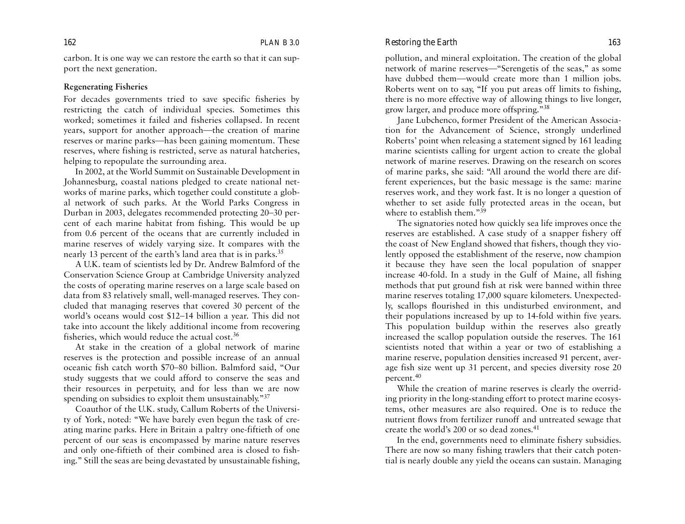carbon. It is one way we can restore the earth so that it can support the next generation.

#### **Regenerating Fisheries**

For decades governments tried to save specific fisheries by restricting the catch of individual species. Sometimes this worked; sometimes it failed and fisheries collapsed. In recent years, support for another approach—the creation of marine reserves or marine parks—has been gaining momentum. These reserves, where fishing is restricted, serve as natural hatcheries, helping to repopulate the surrounding area.

In 2002, at the World Summit on Sustainable Development in Johannesburg, coastal nations pledged to create national networks of marine parks, which together could constitute a global network of such parks. At the World Parks Congress in Durban in 2003, delegates recommended protecting 20–30 percent of each marine habitat from fishing. This would be up from 0.6 percent of the oceans that are currently included in marine reserves of widely varying size. It compares with the nearly 13 percent of the earth's land area that is in parks.<sup>35</sup>

A U.K. team of scientists led by Dr. Andrew Balmford of the Conservation Science Group at Cambridge University analyzed the costs of operating marine reserves on a large scale based on data from 83 relatively small, well-managed reserves. They concluded that managing reserves that covered 30 percent of the world's oceans would cost \$12–14 billion a year. This did not take into account the likely additional income from recovering fisheries, which would reduce the actual cost. $36$ 

At stake in the creation of a global network of marine reserves is the protection and possible increase of an annual oceanic fish catch worth \$70–80 billion. Balmford said, "Our study suggests that we could afford to conserve the seas and their resources in perpetuity, and for less than we are now spending on subsidies to exploit them unsustainably."<sup>37</sup>

Coauthor of the U.K. study, Callum Roberts of the University of York, noted: "We have barely even begun the task of creating marine parks. Here in Britain a paltry one-fiftieth of one percent of our seas is encompassed by marine nature reserves and only one-fiftieth of their combined area is closed to fishing." Still the seas are being devastated by unsustainable fishing,

#### *Restoring the Earth 163*

pollution, and mineral exploitation. The creation of the global network of marine reserves—"Serengetis of the seas," as some have dubbed them—would create more than 1 million jobs. Roberts went on to say, "If you put areas off limits to fishing, there is no more effective way of allowing things to live longer, grow larger, and produce more offspring."<sup>38</sup>

Jane Lubchenco, former President of the American Association for the Advancement of Science, strongly underlined Roberts' point when releasing a statement signed by 161 leading marine scientists calling for urgent action to create the global network of marine reserves. Drawing on the research on scores of marine parks, she said: "All around the world there are different experiences, but the basic message is the same: marine reserves work, and they work fast. It is no longer a question of whether to set aside fully protected areas in the ocean, but where to establish them."39

The signatories noted how quickly sea life improves once the reserves are established. A case study of a snapper fishery off the coast of New England showed that fishers, though they violently opposed the establishment of the reserve, now champion it because they have seen the local population of snapper increase 40-fold. In a study in the Gulf of Maine, all fishing methods that put ground fish at risk were banned within three marine reserves totaling 17,000 square kilometers. Unexpectedly, scallops flourished in this undisturbed environment, and their populations increased by up to 14-fold within five years. This population buildup within the reserves also greatly increased the scallop population outside the reserves. The 161 scientists noted that within a year or two of establishing a marine reserve, population densities increased 91 percent, average fish size went up 31 percent, and species diversity rose 20 percent.40

While the creation of marine reserves is clearly the overriding priority in the long-standing effort to protect marine ecosystems, other measures are also required. One is to reduce the nutrient flows from fertilizer runoff and untreated sewage that create the world's 200 or so dead zones.<sup>41</sup>

In the end, governments need to eliminate fishery subsidies. There are now so many fishing trawlers that their catch potential is nearly double any yield the oceans can sustain. Managing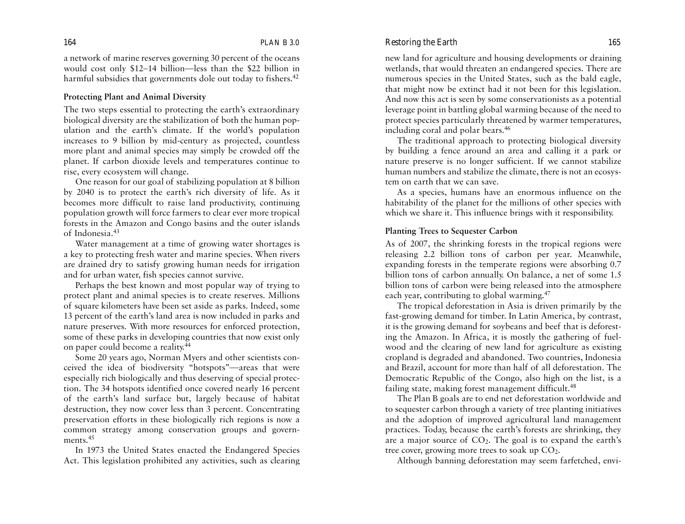a network of marine reserves governing 30 percent of the oceans would cost only \$12–14 billion—less than the \$22 billion in harmful subsidies that governments dole out today to fishers.<sup>42</sup>

#### **Protecting Plant and Animal Diversity**

The two steps essential to protecting the earth's extraordinary biological diversity are the stabilization of both the human population and the earth's climate. If the world's population increases to 9 billion by mid-century as projected, countless more plant and animal species may simply be crowded off the planet. If carbon dioxide levels and temperatures continue to rise, every ecosystem will change.

One reason for our goal of stabilizing population at 8 billion by 2040 is to protect the earth's rich diversity of life. As it becomes more difficult to raise land productivity, continuing population growth will force farmers to clear ever more tropical forests in the Amazon and Congo basins and the outer islands of Indonesia.43

Water management at a time of growing water shortages is a key to protecting fresh water and marine species. When rivers are drained dry to satisfy growing human needs for irrigation and for urban water, fish species cannot survive.

Perhaps the best known and most popular way of trying to protect plant and animal species is to create reserves. Millions of square kilometers have been set aside as parks. Indeed, some 13 percent of the earth's land area is now included in parks and nature preserves. With more resources for enforced protection, some of these parks in developing countries that now exist only on paper could become a reality.<sup>44</sup>

Some 20 years ago, Norman Myers and other scientists conceived the idea of biodiversity "hotspots"—areas that were especially rich biologically and thus deserving of special protection. The 34 hotspots identified once covered nearly 16 percent of the earth's land surface but, largely because of habitat destruction, they now cover less than 3 percent. Concentrating preservation efforts in these biologically rich regions is now a common strategy among conservation groups and governments.<sup>45</sup>

In 1973 the United States enacted the Endangered Species Act. This legislation prohibited any activities, such as clearing *Restoring the Earth 165*

new land for agriculture and housing developments or draining wetlands, that would threaten an endangered species. There are numerous species in the United States, such as the bald eagle, that might now be extinct had it not been for this legislation. And now this act is seen by some conservationists as a potential leverage point in battling global warming because of the need to protect species particularly threatened by warmer temperatures, including coral and polar bears.<sup>46</sup>

The traditional approach to protecting biological diversity by building a fence around an area and calling it a park or nature preserve is no longer sufficient. If we cannot stabilize human numbers and stabilize the climate, there is not an ecosystem on earth that we can save.

As a species, humans have an enormous influence on the habitability of the planet for the millions of other species with which we share it. This influence brings with it responsibility.

#### **Planting Trees to Sequester Carbon**

As of 2007, the shrinking forests in the tropical regions were releasing 2.2 billion tons of carbon per year. Meanwhile, expanding forests in the temperate regions were absorbing 0.7 billion tons of carbon annually. On balance, a net of some 1.5 billion tons of carbon were being released into the atmosphere each year, contributing to global warming.<sup>47</sup>

The tropical deforestation in Asia is driven primarily by the fast-growing demand for timber. In Latin America, by contrast, it is the growing demand for soybeans and beef that is deforesting the Amazon. In Africa, it is mostly the gathering of fuelwood and the clearing of new land for agriculture as existing cropland is degraded and abandoned. Two countries, Indonesia and Brazil, account for more than half of all deforestation. The Democratic Republic of the Congo, also high on the list, is a failing state, making forest management difficult.<sup>48</sup>

The Plan B goals are to end net deforestation worldwide and to sequester carbon through a variety of tree planting initiatives and the adoption of improved agricultural land management practices. Today, because the earth's forests are shrinking, they are a major source of  $CO<sub>2</sub>$ . The goal is to expand the earth's tree cover, growing more trees to soak up  $CO<sub>2</sub>$ .

Although banning deforestation may seem farfetched, envi-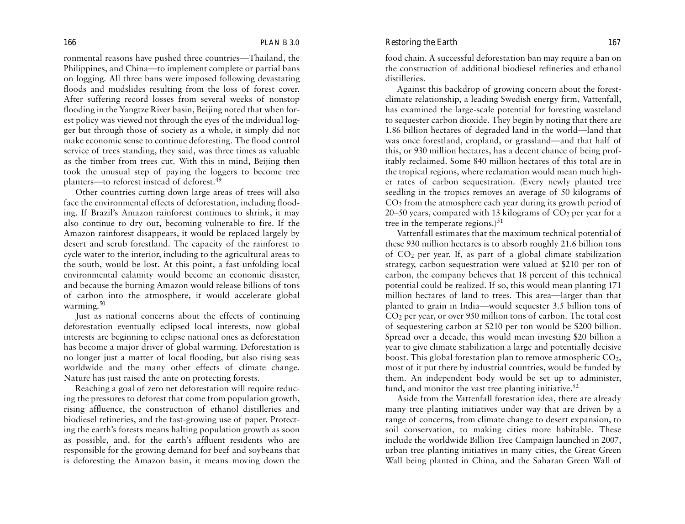ronmental reasons have pushed three countries—Thailand, the Philippines, and China—to implement complete or partial bans on logging. All three bans were imposed following devastating floods and mudslides resulting from the loss of forest cover. After suffering record losses from several weeks of nonstop flooding in the Yangtze River basin, Beijing noted that when forest policy was viewed not through the eyes of the individual logger but through those of society as a whole, it simply did not make economic sense to continue deforesting. The flood control service of trees standing, they said, was three times as valuable as the timber from trees cut. With this in mind, Beijing then took the unusual step of paying the loggers to become tree planters—to reforest instead of deforest.49

Other countries cutting down large areas of trees will also face the environmental effects of deforestation, including flooding. If Brazil's Amazon rainforest continues to shrink, it may also continue to dry out, becoming vulnerable to fire. If the Amazon rainforest disappears, it would be replaced largely by desert and scrub forestland. The capacity of the rainforest to cycle water to the interior, including to the agricultural areas to the south, would be lost. At this point, a fast-unfolding local environmental calamity would become an economic disaster, and because the burning Amazon would release billions of tons of carbon into the atmosphere, it would accelerate global warming. $50$ 

Just as national concerns about the effects of continuing deforestation eventually eclipsed local interests, now global interests are beginning to eclipse national ones as deforestation has become a major driver of global warming. Deforestation is no longer just a matter of local flooding, but also rising seas worldwide and the many other effects of climate change. Nature has just raised the ante on protecting forests.

Reaching a goal of zero net deforestation will require reducing the pressures to deforest that come from population growth, rising affluence, the construction of ethanol distilleries and biodiesel refineries, and the fast-growing use of paper. Protecting the earth's forests means halting population growth as soon as possible, and, for the earth's affluent residents who are responsible for the growing demand for beef and soybeans that is deforesting the Amazon basin, it means moving down the food chain. A successful deforestation ban may require a ban on the construction of additional biodiesel refineries and ethanol distilleries.

Against this backdrop of growing concern about the forestclimate relationship, a leading Swedish energy firm, Vattenfall, has examined the large-scale potential for foresting wasteland to sequester carbon dioxide. They begin by noting that there are 1.86 billion hectares of degraded land in the world—land that was once forestland, cropland, or grassland—and that half of this, or 930 million hectares, has a decent chance of being profitably reclaimed. Some 840 million hectares of this total are in the tropical regions, where reclamation would mean much higher rates of carbon sequestration. (Every newly planted tree seedling in the tropics removes an average of 50 kilograms of CO2 from the atmosphere each year during its growth period of 20–50 years, compared with 13 kilograms of  $CO<sub>2</sub>$  per year for a tree in the temperate regions.) $51$ 

Vattenfall estimates that the maximum technical potential of these 930 million hectares is to absorb roughly 21.6 billion tons of CO2 per year. If, as part of a global climate stabilization strategy, carbon sequestration were valued at \$210 per ton of carbon, the company believes that 18 percent of this technical potential could be realized. If so, this would mean planting 171 million hectares of land to trees. This area—larger than that planted to grain in India—would sequester 3.5 billion tons of CO2 per year, or over 950 million tons of carbon. The total cost of sequestering carbon at \$210 per ton would be \$200 billion. Spread over a decade, this would mean investing \$20 billion a year to give climate stabilization a large and potentially decisive boost. This global forestation plan to remove atmospheric CO2, most of it put there by industrial countries, would be funded by them. An independent body would be set up to administer, fund, and monitor the vast tree planting initiative.<sup>52</sup>

Aside from the Vattenfall forestation idea, there are already many tree planting initiatives under way that are driven by a range of concerns, from climate change to desert expansion, to soil conservation, to making cities more habitable. These include the worldwide Billion Tree Campaign launched in 2007, urban tree planting initiatives in many cities, the Great Green Wall being planted in China, and the Saharan Green Wall of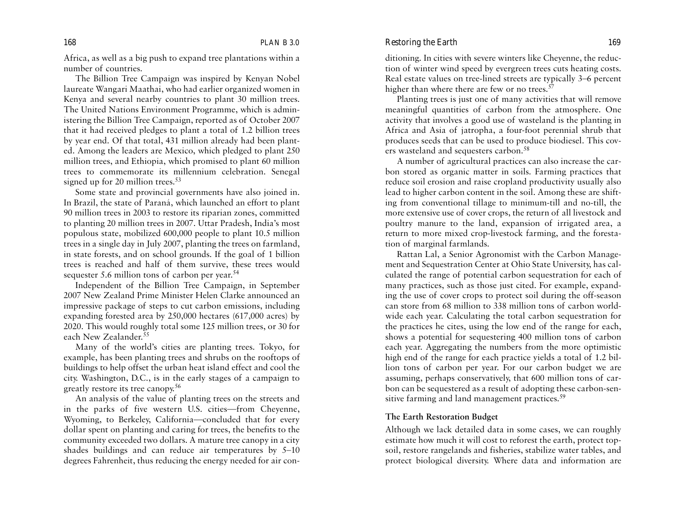Africa, as well as a big push to expand tree plantations within a number of countries.

The Billion Tree Campaign was inspired by Kenyan Nobel laureate Wangari Maathai, who had earlier organized women in Kenya and several nearby countries to plant 30 million trees. The United Nations Environment Programme, which is administering the Billion Tree Campaign, reported as of October 2007 that it had received pledges to plant a total of 1.2 billion trees by year end. Of that total, 431 million already had been planted. Among the leaders are Mexico, which pledged to plant 250 million trees, and Ethiopia, which promised to plant 60 million trees to commemorate its millennium celebration. Senegal signed up for 20 million trees. $53$ 

Some state and provincial governments have also joined in. In Brazil, the state of Paraná, which launched an effort to plant 90 million trees in 2003 to restore its riparian zones, committed to planting 20 million trees in 2007. Uttar Pradesh, India's most populous state, mobilized 600,000 people to plant 10.5 million trees in a single day in July 2007, planting the trees on farmland, in state forests, and on school grounds. If the goal of 1 billion trees is reached and half of them survive, these trees would sequester 5.6 million tons of carbon per year. $54$ 

Independent of the Billion Tree Campaign, in September 2007 New Zealand Prime Minister Helen Clarke announced an impressive package of steps to cut carbon emissions, including expanding forested area by 250,000 hectares (617,000 acres) by 2020. This would roughly total some 125 million trees, or 30 for each New Zealander.<sup>55</sup>

Many of the world's cities are planting trees. Tokyo, for example, has been planting trees and shrubs on the rooftops of buildings to help offset the urban heat island effect and cool the city. Washington, D.C., is in the early stages of a campaign to greatly restore its tree canopy.56

An analysis of the value of planting trees on the streets and in the parks of five western U.S. cities—from Cheyenne, Wyoming, to Berkeley, California—concluded that for every dollar spent on planting and caring for trees, the benefits to the community exceeded two dollars. A mature tree canopy in a city shades buildings and can reduce air temperatures by 5–10 degrees Fahrenheit, thus reducing the energy needed for air con-

ditioning. In cities with severe winters like Cheyenne, the reduction of winter wind speed by evergreen trees cuts heating costs. Real estate values on tree-lined streets are typically 3–6 percent higher than where there are few or no trees.<sup>57</sup>

Planting trees is just one of many activities that will remove meaningful quantities of carbon from the atmosphere. One activity that involves a good use of wasteland is the planting in Africa and Asia of jatropha, a four-foot perennial shrub that produces seeds that can be used to produce biodiesel. This covers wasteland and sequesters carbon.58

A number of agricultural practices can also increase the carbon stored as organic matter in soils. Farming practices that reduce soil erosion and raise cropland productivity usually also lead to higher carbon content in the soil. Among these are shifting from conventional tillage to minimum-till and no-till, the more extensive use of cover crops, the return of all livestock and poultry manure to the land, expansion of irrigated area, a return to more mixed crop-livestock farming, and the forestation of marginal farmlands.

Rattan Lal, a Senior Agronomist with the Carbon Management and Sequestration Center at Ohio State University, has calculated the range of potential carbon sequestration for each of many practices, such as those just cited. For example, expanding the use of cover crops to protect soil during the off-season can store from 68 million to 338 million tons of carbon worldwide each year. Calculating the total carbon sequestration for the practices he cites, using the low end of the range for each, shows a potential for sequestering 400 million tons of carbon each year. Aggregating the numbers from the more optimistic high end of the range for each practice yields a total of 1.2 billion tons of carbon per year. For our carbon budget we are assuming, perhaps conservatively, that 600 million tons of carbon can be sequestered as a result of adopting these carbon-sensitive farming and land management practices.<sup>59</sup>

#### **The Earth Restoration Budget**

Although we lack detailed data in some cases, we can roughly estimate how much it will cost to reforest the earth, protect topsoil, restore rangelands and fisheries, stabilize water tables, and protect biological diversity. Where data and information are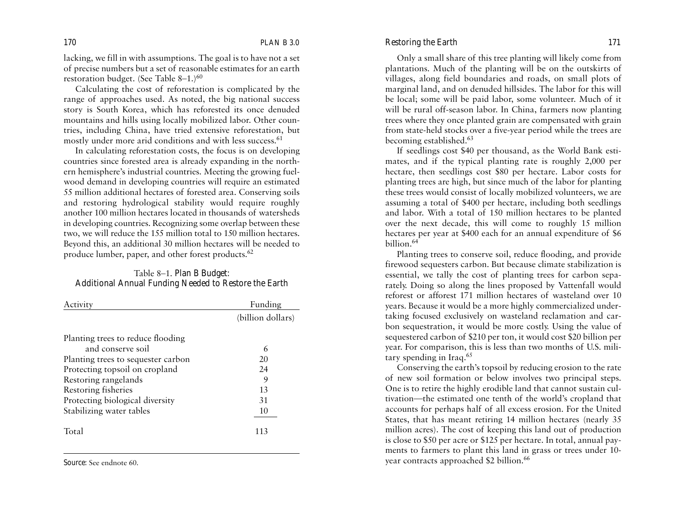lacking, we fill in with assumptions. The goal is to have not a set of precise numbers but a set of reasonable estimates for an earth restoration budget. (See Table  $8-1.$ )<sup>60</sup>

Calculating the cost of reforestation is complicated by the range of approaches used. As noted, the big national success story is South Korea, which has reforested its once denuded mountains and hills using locally mobilized labor. Other countries, including China, have tried extensive reforestation, but mostly under more arid conditions and with less success.<sup>61</sup>

In calculating reforestation costs, the focus is on developing countries since forested area is already expanding in the northern hemisphere's industrial countries. Meeting the growing fuelwood demand in developing countries will require an estimated 55 million additional hectares of forested area. Conserving soils and restoring hydrological stability would require roughly another 100 million hectares located in thousands of watersheds in developing countries. Recognizing some overlap between these two, we will reduce the 155 million total to 150 million hectares. Beyond this, an additional 30 million hectares will be needed to produce lumber, paper, and other forest products.62

#### Table 8–1. *Plan B Budget: Additional Annual Funding Needed to Restore the Earth*

| Activity                           | Funding           |
|------------------------------------|-------------------|
|                                    | (billion dollars) |
| Planting trees to reduce flooding  |                   |
| and conserve soil                  | 6                 |
| Planting trees to sequester carbon | 20                |
| Protecting topsoil on cropland     | 24                |
| Restoring rangelands               | 9                 |
| Restoring fisheries                | 13                |
| Protecting biological diversity    | 31                |
| Stabilizing water tables           | 10                |
| Total                              | 113               |

*Source:* See endnote 60.

*Restoring the Earth 171*

Only a small share of this tree planting will likely come from plantations. Much of the planting will be on the outskirts of villages, along field boundaries and roads, on small plots of marginal land, and on denuded hillsides. The labor for this will be local; some will be paid labor, some volunteer. Much of it will be rural off-season labor. In China, farmers now planting trees where they once planted grain are compensated with grain from state-held stocks over a five-year period while the trees are becoming established.63

If seedlings cost \$40 per thousand, as the World Bank estimates, and if the typical planting rate is roughly 2,000 per hectare, then seedlings cost \$80 per hectare. Labor costs for planting trees are high, but since much of the labor for planting these trees would consist of locally mobilized volunteers, we are assuming a total of \$400 per hectare, including both seedlings and labor. With a total of 150 million hectares to be planted over the next decade, this will come to roughly 15 million hectares per year at \$400 each for an annual expenditure of \$6 billion.64

Planting trees to conserve soil, reduce flooding, and provide firewood sequesters carbon. But because climate stabilization is essential, we tally the cost of planting trees for carbon separately. Doing so along the lines proposed by Vattenfall would reforest or afforest 171 million hectares of wasteland over 10 years. Because it would be a more highly commercialized undertaking focused exclusively on wasteland reclamation and carbon sequestration, it would be more costly. Using the value of sequestered carbon of \$210 per ton, it would cost \$20 billion per year. For comparison, this is less than two months of U.S. military spending in Iraq.65

Conserving the earth's topsoil by reducing erosion to the rate of new soil formation or below involves two principal steps. One is to retire the highly erodible land that cannot sustain cultivation—the estimated one tenth of the world's cropland that accounts for perhaps half of all excess erosion. For the United States, that has meant retiring 14 million hectares (nearly 35 million acres). The cost of keeping this land out of production is close to \$50 per acre or \$125 per hectare. In total, annual payments to farmers to plant this land in grass or trees under 10 year contracts approached \$2 billion.<sup>66</sup>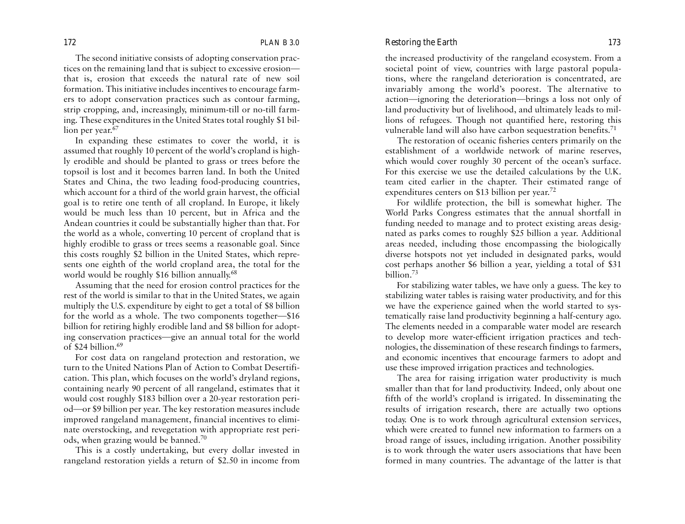The second initiative consists of adopting conservation practices on the remaining land that is subject to excessive erosion that is, erosion that exceeds the natural rate of new soil formation. This initiative includes incentives to encourage farmers to adopt conservation practices such as contour farming, strip cropping, and, increasingly, minimum-till or no-till farming. These expenditures in the United States total roughly \$1 billion per year.<sup>67</sup>

In expanding these estimates to cover the world, it is assumed that roughly 10 percent of the world's cropland is highly erodible and should be planted to grass or trees before the topsoil is lost and it becomes barren land. In both the United States and China, the two leading food-producing countries, which account for a third of the world grain harvest, the official goal is to retire one tenth of all cropland. In Europe, it likely would be much less than 10 percent, but in Africa and the Andean countries it could be substantially higher than that. For the world as a whole, converting 10 percent of cropland that is highly erodible to grass or trees seems a reasonable goal. Since this costs roughly \$2 billion in the United States, which represents one eighth of the world cropland area, the total for the world would be roughly \$16 billion annually.<sup>68</sup>

Assuming that the need for erosion control practices for the rest of the world is similar to that in the United States, we again multiply the U.S. expenditure by eight to get a total of \$8 billion for the world as a whole. The two components together—\$16 billion for retiring highly erodible land and \$8 billion for adopting conservation practices—give an annual total for the world of \$24 billion.69

For cost data on rangeland protection and restoration, we turn to the United Nations Plan of Action to Combat Desertification. This plan, which focuses on the world's dryland regions, containing nearly 90 percent of all rangeland, estimates that it would cost roughly \$183 billion over a 20-year restoration period—or \$9 billion per year. The key restoration measures include improved rangeland management, financial incentives to eliminate overstocking, and revegetation with appropriate rest periods, when grazing would be banned.70

This is a costly undertaking, but every dollar invested in rangeland restoration yields a return of \$2.50 in income from

the increased productivity of the rangeland ecosystem. From a societal point of view, countries with large pastoral populations, where the rangeland deterioration is concentrated, are invariably among the world's poorest. The alternative to action—ignoring the deterioration—brings a loss not only of land productivity but of livelihood, and ultimately leads to millions of refugees. Though not quantified here, restoring this vulnerable land will also have carbon sequestration benefits.<sup>71</sup>

The restoration of oceanic fisheries centers primarily on the establishment of a worldwide network of marine reserves, which would cover roughly 30 percent of the ocean's surface. For this exercise we use the detailed calculations by the U.K. team cited earlier in the chapter. Their estimated range of expenditures centers on \$13 billion per year.<sup>72</sup>

For wildlife protection, the bill is somewhat higher. The World Parks Congress estimates that the annual shortfall in funding needed to manage and to protect existing areas designated as parks comes to roughly \$25 billion a year. Additional areas needed, including those encompassing the biologically diverse hotspots not yet included in designated parks, would cost perhaps another \$6 billion a year, yielding a total of \$31 billion.73

For stabilizing water tables, we have only a guess. The key to stabilizing water tables is raising water productivity, and for this we have the experience gained when the world started to systematically raise land productivity beginning a half-century ago. The elements needed in a comparable water model are research to develop more water-efficient irrigation practices and technologies, the dissemination of these research findings to farmers, and economic incentives that encourage farmers to adopt and use these improved irrigation practices and technologies.

The area for raising irrigation water productivity is much smaller than that for land productivity. Indeed, only about one fifth of the world's cropland is irrigated. In disseminating the results of irrigation research, there are actually two options today. One is to work through agricultural extension services, which were created to funnel new information to farmers on a broad range of issues, including irrigation. Another possibility is to work through the water users associations that have been formed in many countries. The advantage of the latter is that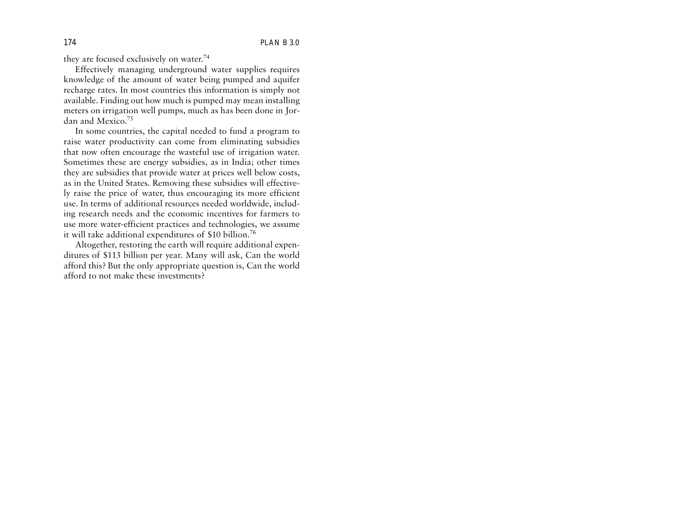they are focused exclusively on water.<sup>74</sup>

Effectively managing underground water supplies requires knowledge of the amount of water being pumped and aquifer recharge rates. In most countries this information is simply not available. Finding out how much is pumped may mean installing meters on irrigation well pumps, much as has been done in Jordan and Mexico.<sup>75</sup>

In some countries, the capital needed to fund a program to raise water productivity can come from eliminating subsidies that now often encourage the wasteful use of irrigation water. Sometimes these are energy subsidies, as in India; other times they are subsidies that provide water at prices well below costs, as in the United States. Removing these subsidies will effectively raise the price of water, thus encouraging its more efficient use. In terms of additional resources needed worldwide, including research needs and the economic incentives for farmers to use more water-efficient practices and technologies, we assume it will take additional expenditures of \$10 billion.76

Altogether, restoring the earth will require additional expenditures of \$113 billion per year. Many will ask, Can the world afford this? But the only appropriate question is, Can the world afford to not make these investments?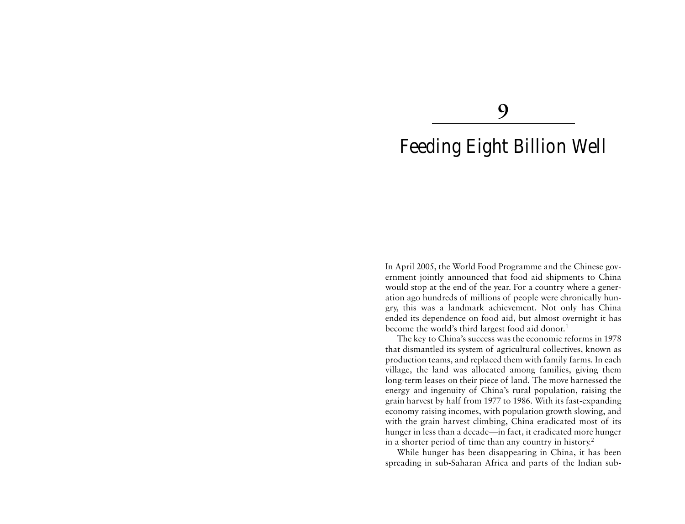# *Feeding Eight Billion Well*

**9**

In April 2005, the World Food Programme and the Chinese government jointly announced that food aid shipments to China would stop at the end of the year. For a country where a generation ago hundreds of millions of people were chronically hungry, this was a landmark achievement. Not only has China ended its dependence on food aid, but almost overnight it has become the world's third largest food aid donor.<sup>1</sup>

The key to China's success was the economic reforms in 1978 that dismantled its system of agricultural collectives, known as production teams, and replaced them with family farms. In each village, the land was allocated among families, giving them long-term leases on their piece of land. The move harnessed the energy and ingenuity of China's rural population, raising the grain harvest by half from 1977 to 1986. With its fast-expanding economy raising incomes, with population growth slowing, and with the grain harvest climbing, China eradicated most of its hunger in less than a decade—in fact, it eradicated more hunger in a shorter period of time than any country in history.<sup>2</sup>

While hunger has been disappearing in China, it has been spreading in sub-Saharan Africa and parts of the Indian sub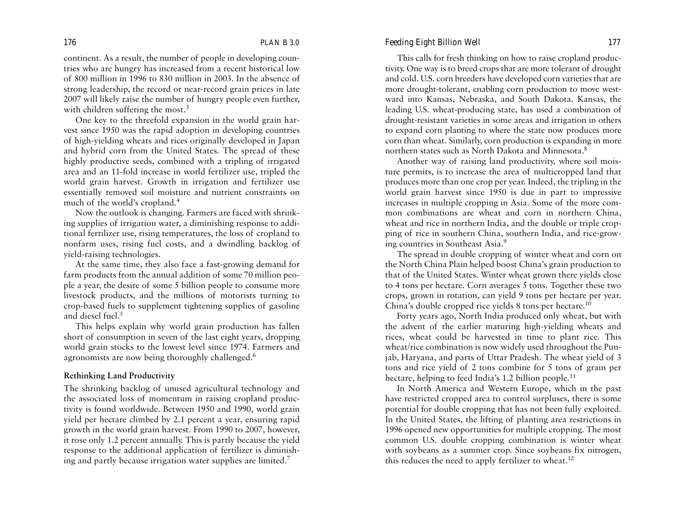continent. As a result, the number of people in developing countries who are hungry has increased from a recent historical low of 800 million in 1996 to 830 million in 2003. In the absence of strong leadership, the record or near-record grain prices in late 2007 will likely raise the number of hungry people even further, with children suffering the most.<sup>3</sup>

One key to the threefold expansion in the world grain harvest since 1950 was the rapid adoption in developing countries of high-yielding wheats and rices originally developed in Japan and hybrid corn from the United States. The spread of these highly productive seeds, combined with a tripling of irrigated area and an 11-fold increase in world fertilizer use, tripled the world grain harvest. Growth in irrigation and fertilizer use essentially removed soil moisture and nutrient constraints on much of the world's cropland.<sup>4</sup>

Now the outlook is changing. Farmers are faced with shrinking supplies of irrigation water, a diminishing response to additional fertilizer use, rising temperatures, the loss of cropland to nonfarm uses, rising fuel costs, and a dwindling backlog of yield-raising technologies.

At the same time, they also face a fast-growing demand for farm products from the annual addition of some 70 million people a year, the desire of some 5 billion people to consume more livestock products, and the millions of motorists turning to crop-based fuels to supplement tightening supplies of gasoline and diesel fuel.<sup>5</sup>

This helps explain why world grain production has fallen short of consumption in seven of the last eight years, dropping world grain stocks to the lowest level since 1974. Farmers and agronomists are now being thoroughly challenged.<sup>6</sup>

#### **Rethinking Land Productivity**

The shrinking backlog of unused agricultural technology and the associated loss of momentum in raising cropland productivity is found worldwide. Between 1950 and 1990, world grain yield per hectare climbed by 2.1 percent a year, ensuring rapid growth in the world grain harvest. From 1990 to 2007, however, it rose only 1.2 percent annually. This is partly because the yield response to the additional application of fertilizer is diminishing and partly because irrigation water supplies are limited.7

This calls for fresh thinking on how to raise cropland productivity. One way is to breed crops that are more tolerant of drought and cold. U.S. corn breeders have developed corn varieties that are more drought-tolerant, enabling corn production to move westward into Kansas, Nebraska, and South Dakota. Kansas, the leading U.S. wheat-producing state, has used a combination of drought-resistant varieties in some areas and irrigation in others to expand corn planting to where the state now produces more corn than wheat. Similarly, corn production is expanding in more northern states such as North Dakota and Minnesota.8

Another way of raising land productivity, where soil moisture permits, is to increase the area of multicropped land that produces more than one crop per year. Indeed, the tripling in the world grain harvest since 1950 is due in part to impressive increases in multiple cropping in Asia. Some of the more common combinations are wheat and corn in northern China, wheat and rice in northern India, and the double or triple cropping of rice in southern China, southern India, and rice-growing countries in Southeast Asia.<sup>9</sup>

The spread in double cropping of winter wheat and corn on the North China Plain helped boost China's grain production to that of the United States. Winter wheat grown there yields close to 4 tons per hectare. Corn averages 5 tons. Together these two crops, grown in rotation, can yield 9 tons per hectare per year. China's double cropped rice yields 8 tons per hectare.10

Forty years ago, North India produced only wheat, but with the advent of the earlier maturing high-yielding wheats and rices, wheat could be harvested in time to plant rice. This wheat/rice combination is now widely used throughout the Punjab, Haryana, and parts of Uttar Pradesh. The wheat yield of 3 tons and rice yield of 2 tons combine for 5 tons of grain per hectare, helping to feed India's 1.2 billion people.<sup>11</sup>

In North America and Western Europe, which in the past have restricted cropped area to control surpluses, there is some potential for double cropping that has not been fully exploited. In the United States, the lifting of planting area restrictions in 1996 opened new opportunities for multiple cropping. The most common U.S. double cropping combination is winter wheat with soybeans as a summer crop. Since soybeans fix nitrogen, this reduces the need to apply fertilizer to wheat.<sup>12</sup>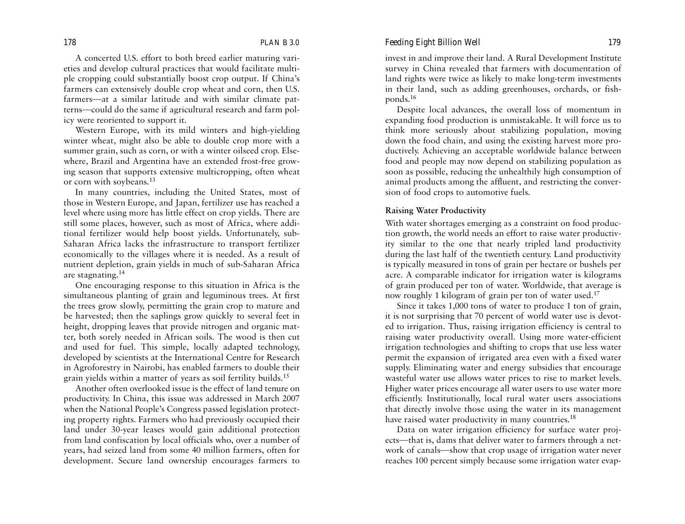A concerted U.S. effort to both breed earlier maturing varieties and develop cultural practices that would facilitate multiple cropping could substantially boost crop output. If China's farmers can extensively double crop wheat and corn, then U.S. farmers—at a similar latitude and with similar climate patterns—could do the same if agricultural research and farm policy were reoriented to support it.

Western Europe, with its mild winters and high-yielding winter wheat, might also be able to double crop more with a summer grain, such as corn, or with a winter oilseed crop. Elsewhere, Brazil and Argentina have an extended frost-free growing season that supports extensive multicropping, often wheat or corn with soybeans.<sup>13</sup>

In many countries, including the United States, most of those in Western Europe, and Japan, fertilizer use has reached a level where using more has little effect on crop yields. There are still some places, however, such as most of Africa, where additional fertilizer would help boost yields. Unfortunately, sub-Saharan Africa lacks the infrastructure to transport fertilizer economically to the villages where it is needed. As a result of nutrient depletion, grain yields in much of sub-Saharan Africa are stagnating.14

One encouraging response to this situation in Africa is the simultaneous planting of grain and leguminous trees. At first the trees grow slowly, permitting the grain crop to mature and be harvested; then the saplings grow quickly to several feet in height, dropping leaves that provide nitrogen and organic matter, both sorely needed in African soils. The wood is then cut and used for fuel. This simple, locally adapted technology, developed by scientists at the International Centre for Research in Agroforestry in Nairobi, has enabled farmers to double their grain yields within a matter of years as soil fertility builds.15

Another often overlooked issue is the effect of land tenure on productivity. In China, this issue was addressed in March 2007 when the National People's Congress passed legislation protecting property rights. Farmers who had previously occupied their land under 30-year leases would gain additional protection from land confiscation by local officials who, over a number of years, had seized land from some 40 million farmers, often for development. Secure land ownership encourages farmers to invest in and improve their land. A Rural Development Institute survey in China revealed that farmers with documentation of land rights were twice as likely to make long-term investments in their land, such as adding greenhouses, orchards, or fishponds.16

Despite local advances, the overall loss of momentum in expanding food production is unmistakable. It will force us to think more seriously about stabilizing population, moving down the food chain, and using the existing harvest more productively. Achieving an acceptable worldwide balance between food and people may now depend on stabilizing population as soon as possible, reducing the unhealthily high consumption of animal products among the affluent, and restricting the conversion of food crops to automotive fuels.

#### **Raising Water Productivity**

With water shortages emerging as a constraint on food production growth, the world needs an effort to raise water productivity similar to the one that nearly tripled land productivity during the last half of the twentieth century. Land productivity is typically measured in tons of grain per hectare or bushels per acre. A comparable indicator for irrigation water is kilograms of grain produced per ton of water. Worldwide, that average is now roughly 1 kilogram of grain per ton of water used.17

Since it takes 1,000 tons of water to produce 1 ton of grain, it is not surprising that 70 percent of world water use is devoted to irrigation. Thus, raising irrigation efficiency is central to raising water productivity overall. Using more water-efficient irrigation technologies and shifting to crops that use less water permit the expansion of irrigated area even with a fixed water supply. Eliminating water and energy subsidies that encourage wasteful water use allows water prices to rise to market levels. Higher water prices encourage all water users to use water more efficiently. Institutionally, local rural water users associations that directly involve those using the water in its management have raised water productivity in many countries.<sup>18</sup>

Data on water irrigation efficiency for surface water projects—that is, dams that deliver water to farmers through a network of canals—show that crop usage of irrigation water never reaches 100 percent simply because some irrigation water evap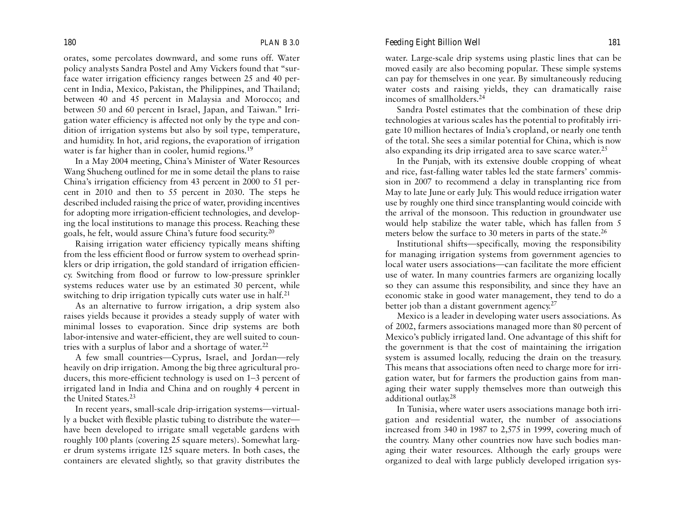orates, some percolates downward, and some runs off. Water policy analysts Sandra Postel and Amy Vickers found that "surface water irrigation efficiency ranges between 25 and 40 percent in India, Mexico, Pakistan, the Philippines, and Thailand; between 40 and 45 percent in Malaysia and Morocco; and between 50 and 60 percent in Israel, Japan, and Taiwan." Irrigation water efficiency is affected not only by the type and condition of irrigation systems but also by soil type, temperature, and humidity. In hot, arid regions, the evaporation of irrigation water is far higher than in cooler, humid regions.<sup>19</sup>

In a May 2004 meeting, China's Minister of Water Resources Wang Shucheng outlined for me in some detail the plans to raise China's irrigation efficiency from 43 percent in 2000 to 51 percent in 2010 and then to 55 percent in 2030. The steps he described included raising the price of water, providing incentives for adopting more irrigation-efficient technologies, and developing the local institutions to manage this process. Reaching these goals, he felt, would assure China's future food security.20

Raising irrigation water efficiency typically means shifting from the less efficient flood or furrow system to overhead sprinklers or drip irrigation, the gold standard of irrigation efficiency. Switching from flood or furrow to low-pressure sprinkler systems reduces water use by an estimated 30 percent, while switching to drip irrigation typically cuts water use in half.<sup>21</sup>

As an alternative to furrow irrigation, a drip system also raises yields because it provides a steady supply of water with minimal losses to evaporation. Since drip systems are both labor-intensive and water-efficient, they are well suited to countries with a surplus of labor and a shortage of water.<sup>22</sup>

A few small countries—Cyprus, Israel, and Jordan—rely heavily on drip irrigation. Among the big three agricultural producers, this more-efficient technology is used on 1–3 percent of irrigated land in India and China and on roughly 4 percent in the United States.<sup>23</sup>

In recent years, small-scale drip-irrigation systems—virtually a bucket with flexible plastic tubing to distribute the water have been developed to irrigate small vegetable gardens with roughly 100 plants (covering 25 square meters). Somewhat larger drum systems irrigate 125 square meters. In both cases, the containers are elevated slightly, so that gravity distributes the water. Large-scale drip systems using plastic lines that can be moved easily are also becoming popular. These simple systems can pay for themselves in one year. By simultaneously reducing water costs and raising yields, they can dramatically raise incomes of smallholders.<sup>24</sup>

Sandra Postel estimates that the combination of these drip technologies at various scales has the potential to profitably irrigate 10 million hectares of India's cropland, or nearly one tenth of the total. She sees a similar potential for China, which is now also expanding its drip irrigated area to save scarce water.<sup>25</sup>

In the Punjab, with its extensive double cropping of wheat and rice, fast-falling water tables led the state farmers' commission in 2007 to recommend a delay in transplanting rice from May to late June or early July. This would reduce irrigation water use by roughly one third since transplanting would coincide with the arrival of the monsoon. This reduction in groundwater use would help stabilize the water table, which has fallen from 5 meters below the surface to 30 meters in parts of the state.<sup>26</sup>

Institutional shifts—specifically, moving the responsibility for managing irrigation systems from government agencies to local water users associations—can facilitate the more efficient use of water. In many countries farmers are organizing locally so they can assume this responsibility, and since they have an economic stake in good water management, they tend to do a better job than a distant government agency.<sup>27</sup>

Mexico is a leader in developing water users associations. As of 2002, farmers associations managed more than 80 percent of Mexico's publicly irrigated land. One advantage of this shift for the government is that the cost of maintaining the irrigation system is assumed locally, reducing the drain on the treasury. This means that associations often need to charge more for irrigation water, but for farmers the production gains from managing their water supply themselves more than outweigh this additional outlay.28

In Tunisia, where water users associations manage both irrigation and residential water, the number of associations increased from 340 in 1987 to 2,575 in 1999, covering much of the country. Many other countries now have such bodies managing their water resources. Although the early groups were organized to deal with large publicly developed irrigation sys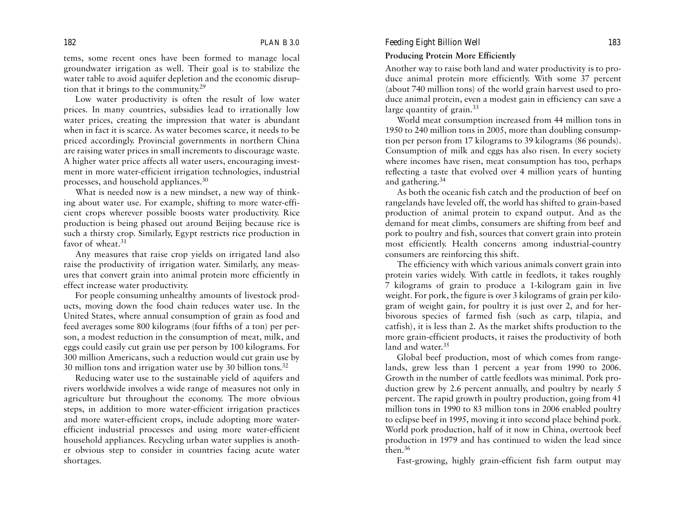tems, some recent ones have been formed to manage local groundwater irrigation as well. Their goal is to stabilize the water table to avoid aquifer depletion and the economic disruption that it brings to the community.29

Low water productivity is often the result of low water prices. In many countries, subsidies lead to irrationally low water prices, creating the impression that water is abundant when in fact it is scarce. As water becomes scarce, it needs to be priced accordingly. Provincial governments in northern China are raising water prices in small increments to discourage waste. A higher water price affects all water users, encouraging investment in more water-efficient irrigation technologies, industrial processes, and household appliances.<sup>30</sup>

What is needed now is a new mindset, a new way of thinking about water use. For example, shifting to more water-efficient crops wherever possible boosts water productivity. Rice production is being phased out around Beijing because rice is such a thirsty crop. Similarly, Egypt restricts rice production in favor of wheat. $31$ 

Any measures that raise crop yields on irrigated land also raise the productivity of irrigation water. Similarly, any measures that convert grain into animal protein more efficiently in effect increase water productivity.

For people consuming unhealthy amounts of livestock products, moving down the food chain reduces water use. In the United States, where annual consumption of grain as food and feed averages some 800 kilograms (four fifths of a ton) per person, a modest reduction in the consumption of meat, milk, and eggs could easily cut grain use per person by 100 kilograms. For 300 million Americans, such a reduction would cut grain use by 30 million tons and irrigation water use by 30 billion tons.<sup>32</sup>

Reducing water use to the sustainable yield of aquifers and rivers worldwide involves a wide range of measures not only in agriculture but throughout the economy. The more obvious steps, in addition to more water-efficient irrigation practices and more water-efficient crops, include adopting more waterefficient industrial processes and using more water-efficient household appliances. Recycling urban water supplies is another obvious step to consider in countries facing acute water shortages.

*Feeding Eight Billion Well 183*

#### **Producing Protein More Efficiently**

Another way to raise both land and water productivity is to produce animal protein more efficiently. With some 37 percent (about 740 million tons) of the world grain harvest used to produce animal protein, even a modest gain in efficiency can save a large quantity of grain.<sup>33</sup>

World meat consumption increased from 44 million tons in 1950 to 240 million tons in 2005, more than doubling consumption per person from 17 kilograms to 39 kilograms (86 pounds). Consumption of milk and eggs has also risen. In every society where incomes have risen, meat consumption has too, perhaps reflecting a taste that evolved over 4 million years of hunting and gathering.<sup>34</sup>

As both the oceanic fish catch and the production of beef on rangelands have leveled off, the world has shifted to grain-based production of animal protein to expand output. And as the demand for meat climbs, consumers are shifting from beef and pork to poultry and fish, sources that convert grain into protein most efficiently. Health concerns among industrial-country consumers are reinforcing this shift.

The efficiency with which various animals convert grain into protein varies widely. With cattle in feedlots, it takes roughly 7 kilograms of grain to produce a 1-kilogram gain in live weight. For pork, the figure is over 3 kilograms of grain per kilogram of weight gain, for poultry it is just over 2, and for herbivorous species of farmed fish (such as carp, tilapia, and catfish), it is less than 2. As the market shifts production to the more grain-efficient products, it raises the productivity of both land and water.<sup>35</sup>

Global beef production, most of which comes from rangelands, grew less than 1 percent a year from 1990 to 2006. Growth in the number of cattle feedlots was minimal. Pork production grew by 2.6 percent annually, and poultry by nearly 5 percent. The rapid growth in poultry production, going from 41 million tons in 1990 to 83 million tons in 2006 enabled poultry to eclipse beef in 1995, moving it into second place behind pork. World pork production, half of it now in China, overtook beef production in 1979 and has continued to widen the lead since then.<sup>36</sup>

Fast-growing, highly grain-efficient fish farm output may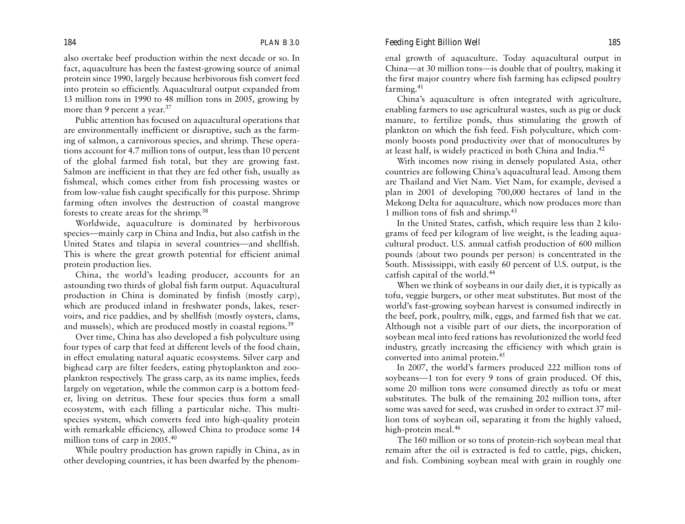also overtake beef production within the next decade or so. In fact, aquaculture has been the fastest-growing source of animal protein since 1990, largely because herbivorous fish convert feed into protein so efficiently. Aquacultural output expanded from 13 million tons in 1990 to 48 million tons in 2005, growing by more than 9 percent a year.<sup>37</sup>

Public attention has focused on aquacultural operations that are environmentally inefficient or disruptive, such as the farming of salmon, a carnivorous species, and shrimp. These operations account for 4.7 million tons of output, less than 10 percent of the global farmed fish total, but they are growing fast. Salmon are inefficient in that they are fed other fish, usually as fishmeal, which comes either from fish processing wastes or from low-value fish caught specifically for this purpose. Shrimp farming often involves the destruction of coastal mangrove forests to create areas for the shrimp.38

Worldwide, aquaculture is dominated by herbivorous species—mainly carp in China and India, but also catfish in the United States and tilapia in several countries—and shellfish. This is where the great growth potential for efficient animal protein production lies.

China, the world's leading producer, accounts for an astounding two thirds of global fish farm output. Aquacultural production in China is dominated by finfish (mostly carp), which are produced inland in freshwater ponds, lakes, reservoirs, and rice paddies, and by shellfish (mostly oysters, clams, and mussels), which are produced mostly in coastal regions.<sup>39</sup>

Over time, China has also developed a fish polyculture using four types of carp that feed at different levels of the food chain, in effect emulating natural aquatic ecosystems. Silver carp and bighead carp are filter feeders, eating phytoplankton and zooplankton respectively. The grass carp, as its name implies, feeds largely on vegetation, while the common carp is a bottom feeder, living on detritus. These four species thus form a small ecosystem, with each filling a particular niche. This multispecies system, which converts feed into high-quality protein with remarkable efficiency, allowed China to produce some 14 million tons of carp in 2005.<sup>40</sup>

While poultry production has grown rapidly in China, as in other developing countries, it has been dwarfed by the phenomenal growth of aquaculture. Today aquacultural output in China—at 30 million tons—is double that of poultry, making it the first major country where fish farming has eclipsed poultry farming.<sup>41</sup>

China's aquaculture is often integrated with agriculture, enabling farmers to use agricultural wastes, such as pig or duck manure, to fertilize ponds, thus stimulating the growth of plankton on which the fish feed. Fish polyculture, which commonly boosts pond productivity over that of monocultures by at least half, is widely practiced in both China and India.42

With incomes now rising in densely populated Asia, other countries are following China's aquacultural lead. Among them are Thailand and Viet Nam. Viet Nam, for example, devised a plan in 2001 of developing 700,000 hectares of land in the Mekong Delta for aquaculture, which now produces more than 1 million tons of fish and shrimp.<sup>43</sup>

In the United States, catfish, which require less than 2 kilograms of feed per kilogram of live weight, is the leading aquacultural product. U.S. annual catfish production of 600 million pounds (about two pounds per person) is concentrated in the South. Mississippi, with easily 60 percent of U.S. output, is the catfish capital of the world.44

When we think of soybeans in our daily diet, it is typically as tofu, veggie burgers, or other meat substitutes. But most of the world's fast-growing soybean harvest is consumed indirectly in the beef, pork, poultry, milk, eggs, and farmed fish that we eat. Although not a visible part of our diets, the incorporation of soybean meal into feed rations has revolutionized the world feed industry, greatly increasing the efficiency with which grain is converted into animal protein.45

In 2007, the world's farmers produced 222 million tons of soybeans—1 ton for every 9 tons of grain produced. Of this, some 20 million tons were consumed directly as tofu or meat substitutes. The bulk of the remaining 202 million tons, after some was saved for seed, was crushed in order to extract 37 million tons of soybean oil, separating it from the highly valued, high-protein meal.<sup>46</sup>

The 160 million or so tons of protein-rich soybean meal that remain after the oil is extracted is fed to cattle, pigs, chicken, and fish. Combining soybean meal with grain in roughly one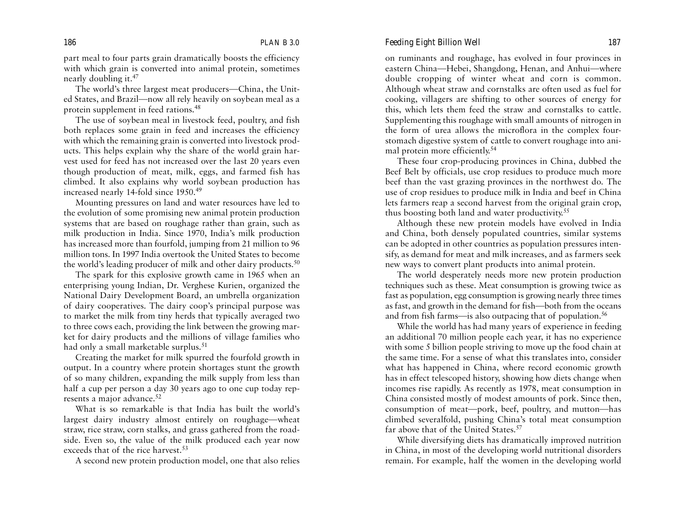part meal to four parts grain dramatically boosts the efficiency with which grain is converted into animal protein, sometimes nearly doubling it.47

The world's three largest meat producers—China, the United States, and Brazil—now all rely heavily on soybean meal as a protein supplement in feed rations.<sup>48</sup>

The use of soybean meal in livestock feed, poultry, and fish both replaces some grain in feed and increases the efficiency with which the remaining grain is converted into livestock products. This helps explain why the share of the world grain harvest used for feed has not increased over the last 20 years even though production of meat, milk, eggs, and farmed fish has climbed. It also explains why world soybean production has increased nearly 14-fold since 1950.49

Mounting pressures on land and water resources have led to the evolution of some promising new animal protein production systems that are based on roughage rather than grain, such as milk production in India. Since 1970, India's milk production has increased more than fourfold, jumping from 21 million to 96 million tons. In 1997 India overtook the United States to become the world's leading producer of milk and other dairy products.<sup>50</sup>

The spark for this explosive growth came in 1965 when an enterprising young Indian, Dr. Verghese Kurien, organized the National Dairy Development Board, an umbrella organization of dairy cooperatives. The dairy coop's principal purpose was to market the milk from tiny herds that typically averaged two to three cows each, providing the link between the growing market for dairy products and the millions of village families who had only a small marketable surplus.<sup>51</sup>

Creating the market for milk spurred the fourfold growth in output. In a country where protein shortages stunt the growth of so many children, expanding the milk supply from less than half a cup per person a day 30 years ago to one cup today represents a major advance.<sup>52</sup>

What is so remarkable is that India has built the world's largest dairy industry almost entirely on roughage—wheat straw, rice straw, corn stalks, and grass gathered from the roadside. Even so, the value of the milk produced each year now exceeds that of the rice harvest.<sup>53</sup>

A second new protein production model, one that also relies

on ruminants and roughage, has evolved in four provinces in eastern China—Hebei, Shangdong, Henan, and Anhui—where double cropping of winter wheat and corn is common. Although wheat straw and cornstalks are often used as fuel for cooking, villagers are shifting to other sources of energy for this, which lets them feed the straw and cornstalks to cattle. Supplementing this roughage with small amounts of nitrogen in the form of urea allows the microflora in the complex fourstomach digestive system of cattle to convert roughage into animal protein more efficiently.54

These four crop-producing provinces in China, dubbed the Beef Belt by officials, use crop residues to produce much more beef than the vast grazing provinces in the northwest do. The use of crop residues to produce milk in India and beef in China lets farmers reap a second harvest from the original grain crop, thus boosting both land and water productivity.<sup>55</sup>

Although these new protein models have evolved in India and China, both densely populated countries, similar systems can be adopted in other countries as population pressures intensify, as demand for meat and milk increases, and as farmers seek new ways to convert plant products into animal protein.

The world desperately needs more new protein production techniques such as these. Meat consumption is growing twice as fast as population, egg consumption is growing nearly three times as fast, and growth in the demand for fish—both from the oceans and from fish farms—is also outpacing that of population.<sup>56</sup>

While the world has had many years of experience in feeding an additional 70 million people each year, it has no experience with some 5 billion people striving to move up the food chain at the same time. For a sense of what this translates into, consider what has happened in China, where record economic growth has in effect telescoped history, showing how diets change when incomes rise rapidly. As recently as 1978, meat consumption in China consisted mostly of modest amounts of pork. Since then, consumption of meat—pork, beef, poultry, and mutton—has climbed severalfold, pushing China's total meat consumption far above that of the United States.<sup>57</sup>

While diversifying diets has dramatically improved nutrition in China, in most of the developing world nutritional disorders remain. For example, half the women in the developing world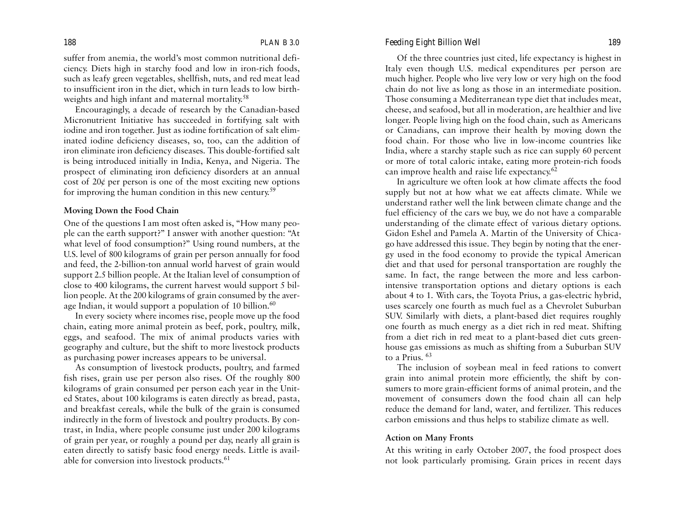suffer from anemia, the world's most common nutritional deficiency. Diets high in starchy food and low in iron-rich foods, such as leafy green vegetables, shellfish, nuts, and red meat lead to insufficient iron in the diet, which in turn leads to low birthweights and high infant and maternal mortality.<sup>58</sup>

Encouragingly, a decade of research by the Canadian-based Micronutrient Initiative has succeeded in fortifying salt with iodine and iron together. Just as iodine fortification of salt eliminated iodine deficiency diseases, so, too, can the addition of iron eliminate iron deficiency diseases. This double-fortified salt is being introduced initially in India, Kenya, and Nigeria. The prospect of eliminating iron deficiency disorders at an annual cost of  $20¢$  per person is one of the most exciting new options for improving the human condition in this new century.<sup>59</sup>

#### **Moving Down the Food Chain**

One of the questions I am most often asked is, "How many people can the earth support?" I answer with another question: "At what level of food consumption?" Using round numbers, at the U.S. level of 800 kilograms of grain per person annually for food and feed, the 2-billion-ton annual world harvest of grain would support 2.5 billion people. At the Italian level of consumption of close to 400 kilograms, the current harvest would support 5 billion people. At the 200 kilograms of grain consumed by the average Indian, it would support a population of 10 billion.<sup>60</sup>

In every society where incomes rise, people move up the food chain, eating more animal protein as beef, pork, poultry, milk, eggs, and seafood. The mix of animal products varies with geography and culture, but the shift to more livestock products as purchasing power increases appears to be universal.

As consumption of livestock products, poultry, and farmed fish rises, grain use per person also rises. Of the roughly 800 kilograms of grain consumed per person each year in the United States, about 100 kilograms is eaten directly as bread, pasta, and breakfast cereals, while the bulk of the grain is consumed indirectly in the form of livestock and poultry products. By contrast, in India, where people consume just under 200 kilograms of grain per year, or roughly a pound per day, nearly all grain is eaten directly to satisfy basic food energy needs. Little is available for conversion into livestock products.<sup>61</sup>

#### *Feeding Eight Billion Well 189*

Of the three countries just cited, life expectancy is highest in Italy even though U.S. medical expenditures per person are much higher. People who live very low or very high on the food chain do not live as long as those in an intermediate position. Those consuming a Mediterranean type diet that includes meat, cheese, and seafood, but all in moderation, are healthier and live longer. People living high on the food chain, such as Americans or Canadians, can improve their health by moving down the food chain. For those who live in low-income countries like India, where a starchy staple such as rice can supply 60 percent or more of total caloric intake, eating more protein-rich foods can improve health and raise life expectancy.62

In agriculture we often look at how climate affects the food supply but not at how what we eat affects climate. While we understand rather well the link between climate change and the fuel efficiency of the cars we buy, we do not have a comparable understanding of the climate effect of various dietary options. Gidon Eshel and Pamela A. Martin of the University of Chicago have addressed this issue. They begin by noting that the energy used in the food economy to provide the typical American diet and that used for personal transportation are roughly the same. In fact, the range between the more and less carbonintensive transportation options and dietary options is each about 4 to 1. With cars, the Toyota Prius, a gas-electric hybrid, uses scarcely one fourth as much fuel as a Chevrolet Suburban SUV. Similarly with diets, a plant-based diet requires roughly one fourth as much energy as a diet rich in red meat. Shifting from a diet rich in red meat to a plant-based diet cuts greenhouse gas emissions as much as shifting from a Suburban SUV to a Prius. <sup>63</sup>

The inclusion of soybean meal in feed rations to convert grain into animal protein more efficiently, the shift by consumers to more grain-efficient forms of animal protein, and the movement of consumers down the food chain all can help reduce the demand for land, water, and fertilizer. This reduces carbon emissions and thus helps to stabilize climate as well.

#### **Action on Many Fronts**

At this writing in early October 2007, the food prospect does not look particularly promising. Grain prices in recent days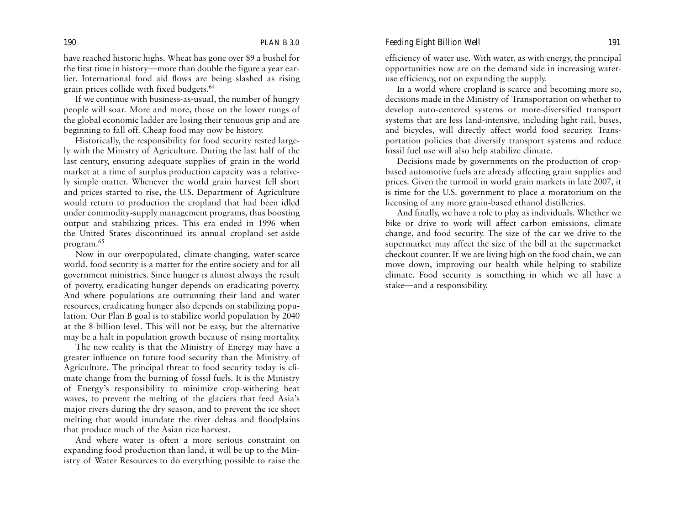*Feeding Eight Billion Well 191*

have reached historic highs. Wheat has gone over \$9 a bushel for the first time in history—more than double the figure a year earlier. International food aid flows are being slashed as rising grain prices collide with fixed budgets.<sup>64</sup>

If we continue with business-as-usual, the number of hungry people will soar. More and more, those on the lower rungs of the global economic ladder are losing their tenuous grip and are beginning to fall off. Cheap food may now be history.

Historically, the responsibility for food security rested largely with the Ministry of Agriculture. During the last half of the last century, ensuring adequate supplies of grain in the world market at a time of surplus production capacity was a relatively simple matter. Whenever the world grain harvest fell short and prices started to rise, the U.S. Department of Agriculture would return to production the cropland that had been idled under commodity-supply management programs, thus boosting output and stabilizing prices. This era ended in 1996 when the United States discontinued its annual cropland set-aside program.<sup>65</sup>

Now in our overpopulated, climate-changing, water-scarce world, food security is a matter for the entire society and for all government ministries. Since hunger is almost always the result of poverty, eradicating hunger depends on eradicating poverty. And where populations are outrunning their land and water resources, eradicating hunger also depends on stabilizing population. Our Plan B goal is to stabilize world population by 2040 at the 8-billion level. This will not be easy, but the alternative may be a halt in population growth because of rising mortality.

The new reality is that the Ministry of Energy may have a greater influence on future food security than the Ministry of Agriculture. The principal threat to food security today is climate change from the burning of fossil fuels. It is the Ministry of Energy's responsibility to minimize crop-withering heat waves, to prevent the melting of the glaciers that feed Asia's major rivers during the dry season, and to prevent the ice sheet melting that would inundate the river deltas and floodplains that produce much of the Asian rice harvest.

And where water is often a more serious constraint on expanding food production than land, it will be up to the Ministry of Water Resources to do everything possible to raise the efficiency of water use. With water, as with energy, the principal opportunities now are on the demand side in increasing wateruse efficiency, not on expanding the supply.

In a world where cropland is scarce and becoming more so, decisions made in the Ministry of Transportation on whether to develop auto-centered systems or more-diversified transport systems that are less land-intensive, including light rail, buses, and bicycles, will directly affect world food security. Transportation policies that diversify transport systems and reduce fossil fuel use will also help stabilize climate.

Decisions made by governments on the production of cropbased automotive fuels are already affecting grain supplies and prices. Given the turmoil in world grain markets in late 2007, it is time for the U.S. government to place a moratorium on the licensing of any more grain-based ethanol distilleries.

And finally, we have a role to play as individuals. Whether we bike or drive to work will affect carbon emissions, climate change, and food security. The size of the car we drive to the supermarket may affect the size of the bill at the supermarket checkout counter. If we are living high on the food chain, we can move down, improving our health while helping to stabilize climate. Food security is something in which we all have a stake—and a responsibility.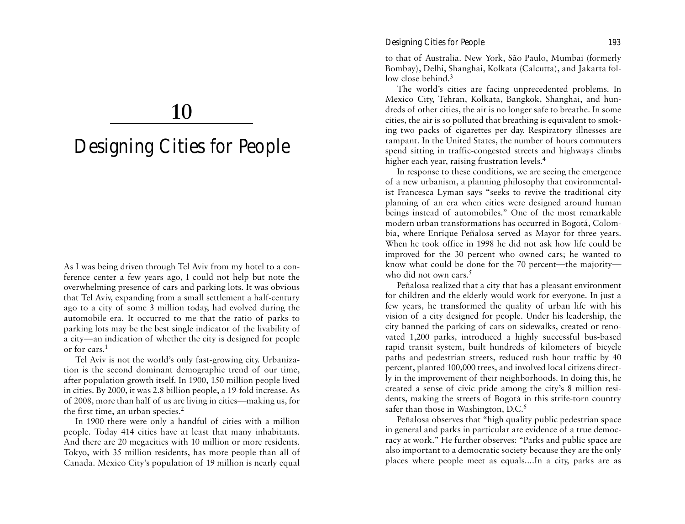#### *Designing Cities for People 193*

The world's cities are facing unprecedented problems. In Mexico City, Tehran, Kolkata, Bangkok, Shanghai, and hundreds of other cities, the air is no longer safe to breathe. In some cities, the air is so polluted that breathing is equivalent to smoking two packs of cigarettes per day. Respiratory illnesses are rampant. In the United States, the number of hours commuters spend sitting in traffic-congested streets and highways climbs higher each year, raising frustration levels.<sup>4</sup>

In response to these conditions, we are seeing the emergence of a new urbanism, a planning philosophy that environmentalist Francesca Lyman says "seeks to revive the traditional city planning of an era when cities were designed around human beings instead of automobiles." One of the most remarkable modern urban transformations has occurred in Bogotá, Colombia, where Enrique Peñalosa served as Mayor for three years. When he took office in 1998 he did not ask how life could be improved for the 30 percent who owned cars; he wanted to know what could be done for the 70 percent—the majority who did not own cars. $5$ 

Peñalosa realized that a city that has a pleasant environment for children and the elderly would work for everyone. In just a few years, he transformed the quality of urban life with his vision of a city designed for people. Under his leadership, the city banned the parking of cars on sidewalks, created or renovated 1,200 parks, introduced a highly successful bus-based rapid transit system, built hundreds of kilometers of bicycle paths and pedestrian streets, reduced rush hour traffic by 40 percent, planted 100,000 trees, and involved local citizens directly in the improvement of their neighborhoods. In doing this, he created a sense of civic pride among the city's 8 million residents, making the streets of Bogotá in this strife-torn country safer than those in Washington, D.C.<sup>6</sup>

Peñalosa observes that "high quality public pedestrian space in general and parks in particular are evidence of a true democracy at work." He further observes: "Parks and public space are also important to a democratic society because they are the only places where people meet as equals....In a city, parks are as

## **10**

# *Designing Cities for People*

As I was being driven through Tel Aviv from my hotel to a conference center a few years ago, I could not help but note the overwhelming presence of cars and parking lots. It was obvious that Tel Aviv, expanding from a small settlement a half-century ago to a city of some 3 million today, had evolved during the automobile era. It occurred to me that the ratio of parks to parking lots may be the best single indicator of the livability of a city—an indication of whether the city is designed for people or for cars.<sup>1</sup>

Tel Aviv is not the world's only fast-growing city. Urbanization is the second dominant demographic trend of our time, after population growth itself. In 1900, 150 million people lived in cities. By 2000, it was 2.8 billion people, a 19-fold increase. As of 2008, more than half of us are living in cities—making us, for the first time, an urban species.<sup>2</sup>

In 1900 there were only a handful of cities with a million people. Today 414 cities have at least that many inhabitants. And there are 20 megacities with 10 million or more residents. Tokyo, with 35 million residents, has more people than all of Canada. Mexico City's population of 19 million is nearly equal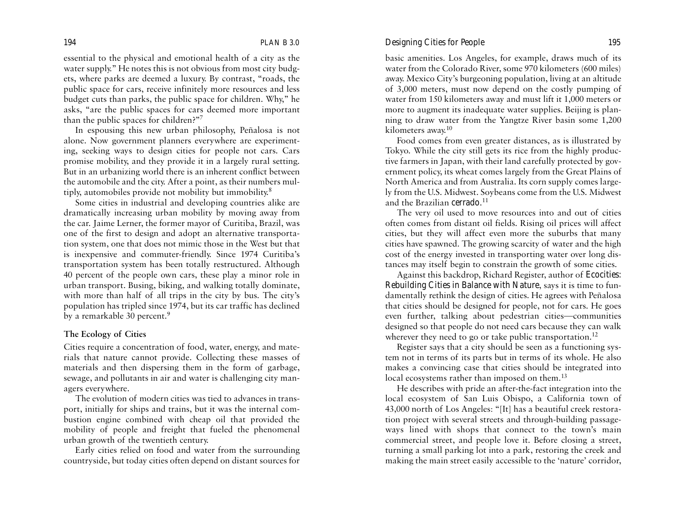essential to the physical and emotional health of a city as the water supply." He notes this is not obvious from most city budgets, where parks are deemed a luxury. By contrast, "roads, the public space for cars, receive infinitely more resources and less budget cuts than parks, the public space for children. Why," he asks, "are the public spaces for cars deemed more important than the public spaces for children?"7

In espousing this new urban philosophy, Peñalosa is not alone. Now government planners everywhere are experimenting, seeking ways to design cities for people not cars. Cars promise mobility, and they provide it in a largely rural setting. But in an urbanizing world there is an inherent conflict between the automobile and the city. After a point, as their numbers multiply, automobiles provide not mobility but immobility.8

Some cities in industrial and developing countries alike are dramatically increasing urban mobility by moving away from the car. Jaime Lerner, the former mayor of Curitiba, Brazil, was one of the first to design and adopt an alternative transportation system, one that does not mimic those in the West but that is inexpensive and commuter-friendly. Since 1974 Curitiba's transportation system has been totally restructured. Although 40 percent of the people own cars, these play a minor role in urban transport. Busing, biking, and walking totally dominate, with more than half of all trips in the city by bus. The city's population has tripled since 1974, but its car traffic has declined by a remarkable 30 percent.<sup>9</sup>

#### **The Ecology of Cities**

Cities require a concentration of food, water, energy, and materials that nature cannot provide. Collecting these masses of materials and then dispersing them in the form of garbage, sewage, and pollutants in air and water is challenging city managers everywhere.

The evolution of modern cities was tied to advances in transport, initially for ships and trains, but it was the internal combustion engine combined with cheap oil that provided the mobility of people and freight that fueled the phenomenal urban growth of the twentieth century.

Early cities relied on food and water from the surrounding countryside, but today cities often depend on distant sources for

basic amenities. Los Angeles, for example, draws much of its water from the Colorado River, some 970 kilometers (600 miles) away. Mexico City's burgeoning population, living at an altitude of 3,000 meters, must now depend on the costly pumping of water from 150 kilometers away and must lift it 1,000 meters or more to augment its inadequate water supplies. Beijing is planning to draw water from the Yangtze River basin some 1,200 kilometers away.<sup>10</sup>

Food comes from even greater distances, as is illustrated by Tokyo. While the city still gets its rice from the highly productive farmers in Japan, with their land carefully protected by government policy, its wheat comes largely from the Great Plains of North America and from Australia. Its corn supply comes largely from the U.S. Midwest. Soybeans come from the U.S. Midwest and the Brazilian *cerrado*. 11

The very oil used to move resources into and out of cities often comes from distant oil fields. Rising oil prices will affect cities, but they will affect even more the suburbs that many cities have spawned. The growing scarcity of water and the high cost of the energy invested in transporting water over long distances may itself begin to constrain the growth of some cities.

Against this backdrop, Richard Register, author of *Ecocities: Rebuilding Cities in Balance with Nature*, says it is time to fundamentally rethink the design of cities. He agrees with Peñalosa that cities should be designed for people, not for cars. He goes even further, talking about pedestrian cities—communities designed so that people do not need cars because they can walk wherever they need to go or take public transportation.<sup>12</sup>

Register says that a city should be seen as a functioning system not in terms of its parts but in terms of its whole. He also makes a convincing case that cities should be integrated into local ecosystems rather than imposed on them.<sup>13</sup>

He describes with pride an after-the-fact integration into the local ecosystem of San Luis Obispo, a California town of 43,000 north of Los Angeles: "[It] has a beautiful creek restoration project with several streets and through-building passageways lined with shops that connect to the town's main commercial street, and people love it. Before closing a street, turning a small parking lot into a park, restoring the creek and making the main street easily accessible to the 'nature' corridor,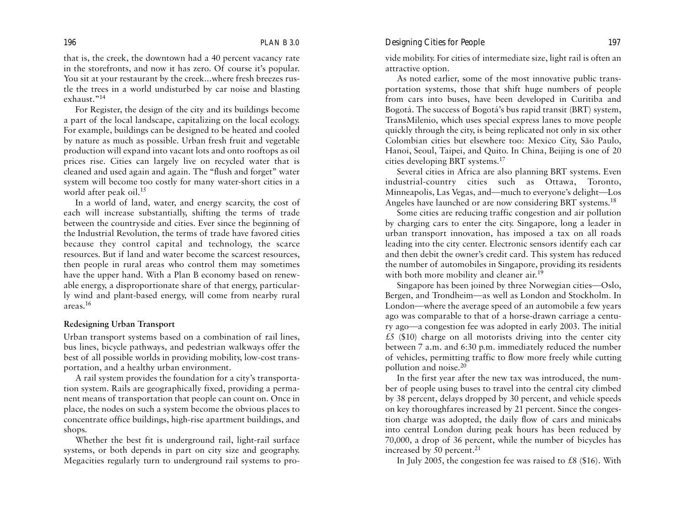*196 PLAN B 3.0 Designing Cities for People 197*

that is, the creek, the downtown had a 40 percent vacancy rate in the storefronts, and now it has zero. Of course it's popular. You sit at your restaurant by the creek...where fresh breezes rustle the trees in a world undisturbed by car noise and blasting exhaust."14

For Register, the design of the city and its buildings become a part of the local landscape, capitalizing on the local ecology. For example, buildings can be designed to be heated and cooled by nature as much as possible. Urban fresh fruit and vegetable production will expand into vacant lots and onto rooftops as oil prices rise. Cities can largely live on recycled water that is cleaned and used again and again. The "flush and forget" water system will become too costly for many water-short cities in a world after peak oil.<sup>15</sup>

In a world of land, water, and energy scarcity, the cost of each will increase substantially, shifting the terms of trade between the countryside and cities. Ever since the beginning of the Industrial Revolution, the terms of trade have favored cities because they control capital and technology, the scarce resources. But if land and water become the scarcest resources, then people in rural areas who control them may sometimes have the upper hand. With a Plan B economy based on renewable energy, a disproportionate share of that energy, particularly wind and plant-based energy, will come from nearby rural areas.16

#### **Redesigning Urban Transport**

Urban transport systems based on a combination of rail lines, bus lines, bicycle pathways, and pedestrian walkways offer the best of all possible worlds in providing mobility, low-cost transportation, and a healthy urban environment.

A rail system provides the foundation for a city's transportation system. Rails are geographically fixed, providing a permanent means of transportation that people can count on. Once in place, the nodes on such a system become the obvious places to concentrate office buildings, high-rise apartment buildings, and shops.

Whether the best fit is underground rail, light-rail surface systems, or both depends in part on city size and geography. Megacities regularly turn to underground rail systems to provide mobility. For cities of intermediate size, light rail is often an attractive option.

As noted earlier, some of the most innovative public transportation systems, those that shift huge numbers of people from cars into buses, have been developed in Curitiba and Bogotá. The success of Bogotá's bus rapid transit (BRT) system, TransMilenio, which uses special express lanes to move people quickly through the city, is being replicated not only in six other Colombian cities but elsewhere too: Mexico City, São Paulo, Hanoi, Seoul, Taipei, and Quito. In China, Beijing is one of 20 cities developing BRT systems.17

Several cities in Africa are also planning BRT systems. Even industrial-country cities such as Ottawa, Toronto, Minneapolis, Las Vegas, and—much to everyone's delight—Los Angeles have launched or are now considering BRT systems.18

Some cities are reducing traffic congestion and air pollution by charging cars to enter the city. Singapore, long a leader in urban transport innovation, has imposed a tax on all roads leading into the city center. Electronic sensors identify each car and then debit the owner's credit card. This system has reduced the number of automobiles in Singapore, providing its residents with both more mobility and cleaner air.<sup>19</sup>

Singapore has been joined by three Norwegian cities—Oslo, Bergen, and Trondheim—as well as London and Stockholm. In London—where the average speed of an automobile a few years ago was comparable to that of a horse-drawn carriage a century ago—a congestion fee was adopted in early 2003. The initial  $£5$  (\$10) charge on all motorists driving into the center city between 7 a.m. and 6:30 p.m. immediately reduced the number of vehicles, permitting traffic to flow more freely while cutting pollution and noise.<sup>20</sup>

In the first year after the new tax was introduced, the number of people using buses to travel into the central city climbed by 38 percent, delays dropped by 30 percent, and vehicle speeds on key thoroughfares increased by 21 percent. Since the congestion charge was adopted, the daily flow of cars and minicabs into central London during peak hours has been reduced by 70,000, a drop of 36 percent, while the number of bicycles has increased by 50 percent.<sup>21</sup>

In July 2005, the congestion fee was raised to £8 (\$16). With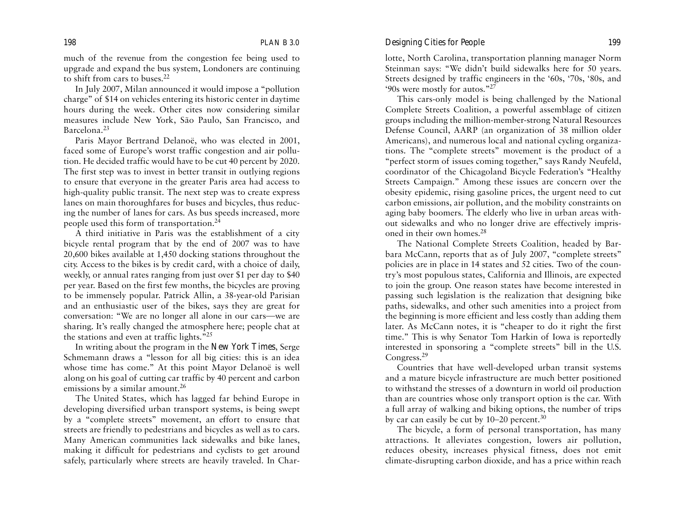much of the revenue from the congestion fee being used to upgrade and expand the bus system, Londoners are continuing to shift from cars to buses.<sup>22</sup>

In July 2007, Milan announced it would impose a "pollution charge" of \$14 on vehicles entering its historic center in daytime hours during the week. Other cites now considering similar measures include New York, São Paulo, San Francisco, and Barcelona.23

Paris Mayor Bertrand Delanoë, who was elected in 2001, faced some of Europe's worst traffic congestion and air pollution. He decided traffic would have to be cut 40 percent by 2020. The first step was to invest in better transit in outlying regions to ensure that everyone in the greater Paris area had access to high-quality public transit. The next step was to create express lanes on main thoroughfares for buses and bicycles, thus reducing the number of lanes for cars. As bus speeds increased, more people used this form of transportation.24

A third initiative in Paris was the establishment of a city bicycle rental program that by the end of 2007 was to have 20,600 bikes available at 1,450 docking stations throughout the city. Access to the bikes is by credit card, with a choice of daily, weekly, or annual rates ranging from just over \$1 per day to \$40 per year. Based on the first few months, the bicycles are proving to be immensely popular. Patrick Allin, a 38-year-old Parisian and an enthusiastic user of the bikes, says they are great for conversation: "We are no longer all alone in our cars—we are sharing. It's really changed the atmosphere here; people chat at the stations and even at traffic lights. $\frac{1}{25}$ 

In writing about the program in the *New York Times*, Serge Schmemann draws a "lesson for all big cities: this is an idea whose time has come." At this point Mayor Delanoë is well along on his goal of cutting car traffic by 40 percent and carbon emissions by a similar amount.<sup>26</sup>

The United States, which has lagged far behind Europe in developing diversified urban transport systems, is being swept by a "complete streets" movement, an effort to ensure that streets are friendly to pedestrians and bicycles as well as to cars. Many American communities lack sidewalks and bike lanes, making it difficult for pedestrians and cyclists to get around safely, particularly where streets are heavily traveled. In Charlotte, North Carolina, transportation planning manager Norm Steinman says: "We didn't build sidewalks here for 50 years. Streets designed by traffic engineers in the '60s, '70s, '80s, and '90s were mostly for autos."27

This cars-only model is being challenged by the National Complete Streets Coalition, a powerful assemblage of citizen groups including the million-member-strong Natural Resources Defense Council, AARP (an organization of 38 million older Americans), and numerous local and national cycling organizations. The "complete streets" movement is the product of a "perfect storm of issues coming together," says Randy Neufeld, coordinator of the Chicagoland Bicycle Federation's "Healthy Streets Campaign." Among these issues are concern over the obesity epidemic, rising gasoline prices, the urgent need to cut carbon emissions, air pollution, and the mobility constraints on aging baby boomers. The elderly who live in urban areas without sidewalks and who no longer drive are effectively imprisoned in their own homes.28

The National Complete Streets Coalition, headed by Barbara McCann, reports that as of July 2007, "complete streets" policies are in place in 14 states and 52 cities. Two of the country's most populous states, California and Illinois, are expected to join the group. One reason states have become interested in passing such legislation is the realization that designing bike paths, sidewalks, and other such amenities into a project from the beginning is more efficient and less costly than adding them later. As McCann notes, it is "cheaper to do it right the first time." This is why Senator Tom Harkin of Iowa is reportedly interested in sponsoring a "complete streets" bill in the U.S. Congress.<sup>29</sup>

Countries that have well-developed urban transit systems and a mature bicycle infrastructure are much better positioned to withstand the stresses of a downturn in world oil production than are countries whose only transport option is the car. With a full array of walking and biking options, the number of trips by car can easily be cut by 10–20 percent.30

The bicycle, a form of personal transportation, has many attractions. It alleviates congestion, lowers air pollution, reduces obesity, increases physical fitness, does not emit climate-disrupting carbon dioxide, and has a price within reach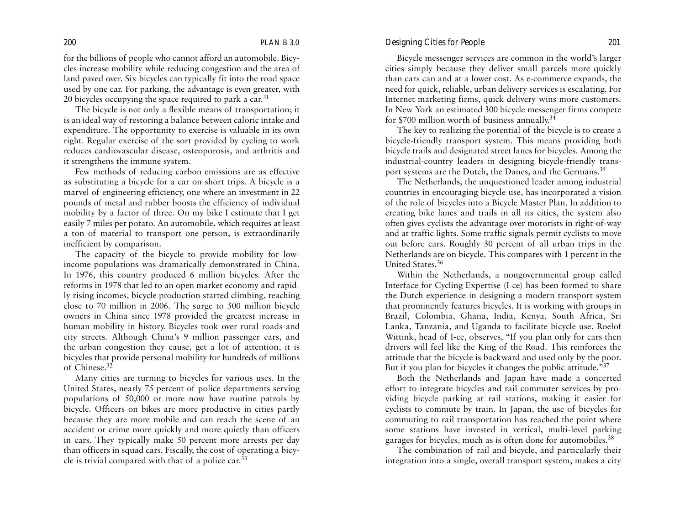### *Designing Cities for People 201*

for the billions of people who cannot afford an automobile. Bicycles increase mobility while reducing congestion and the area of land paved over. Six bicycles can typically fit into the road space used by one car. For parking, the advantage is even greater, with 20 bicycles occupying the space required to park a car.<sup>31</sup>

The bicycle is not only a flexible means of transportation; it is an ideal way of restoring a balance between caloric intake and expenditure. The opportunity to exercise is valuable in its own right. Regular exercise of the sort provided by cycling to work reduces cardiovascular disease, osteoporosis, and arthritis and it strengthens the immune system.

Few methods of reducing carbon emissions are as effective as substituting a bicycle for a car on short trips. A bicycle is a marvel of engineering efficiency, one where an investment in 22 pounds of metal and rubber boosts the efficiency of individual mobility by a factor of three. On my bike I estimate that I get easily 7 miles per potato. An automobile, which requires at least a ton of material to transport one person, is extraordinarily inefficient by comparison.

The capacity of the bicycle to provide mobility for lowincome populations was dramatically demonstrated in China. In 1976, this country produced 6 million bicycles. After the reforms in 1978 that led to an open market economy and rapidly rising incomes, bicycle production started climbing, reaching close to 70 million in 2006. The surge to 500 million bicycle owners in China since 1978 provided the greatest increase in human mobility in history. Bicycles took over rural roads and city streets. Although China's 9 million passenger cars, and the urban congestion they cause, get a lot of attention, it is bicycles that provide personal mobility for hundreds of millions of Chinese.32

Many cities are turning to bicycles for various uses. In the United States, nearly 75 percent of police departments serving populations of 50,000 or more now have routine patrols by bicycle. Officers on bikes are more productive in cities partly because they are more mobile and can reach the scene of an accident or crime more quickly and more quietly than officers in cars. They typically make 50 percent more arrests per day than officers in squad cars. Fiscally, the cost of operating a bicycle is trivial compared with that of a police car.33

Bicycle messenger services are common in the world's larger cities simply because they deliver small parcels more quickly than cars can and at a lower cost. As e-commerce expands, the need for quick, reliable, urban delivery services is escalating. For Internet marketing firms, quick delivery wins more customers. In New York an estimated 300 bicycle messenger firms compete for \$700 million worth of business annually.34

The key to realizing the potential of the bicycle is to create a bicycle-friendly transport system. This means providing both bicycle trails and designated street lanes for bicycles. Among the industrial-country leaders in designing bicycle-friendly transport systems are the Dutch, the Danes, and the Germans.<sup>35</sup>

The Netherlands, the unquestioned leader among industrial countries in encouraging bicycle use, has incorporated a vision of the role of bicycles into a Bicycle Master Plan. In addition to creating bike lanes and trails in all its cities, the system also often gives cyclists the advantage over motorists in right-of-way and at traffic lights. Some traffic signals permit cyclists to move out before cars. Roughly 30 percent of all urban trips in the Netherlands are on bicycle. This compares with 1 percent in the United States.36

Within the Netherlands, a nongovernmental group called Interface for Cycling Expertise (I-ce) has been formed to share the Dutch experience in designing a modern transport system that prominently features bicycles. It is working with groups in Brazil, Colombia, Ghana, India, Kenya, South Africa, Sri Lanka, Tanzania, and Uganda to facilitate bicycle use. Roelof Wittink, head of I-ce, observes, "If you plan only for cars then drivers will feel like the King of the Road. This reinforces the attitude that the bicycle is backward and used only by the poor. But if you plan for bicycles it changes the public attitude."<sup>37</sup>

Both the Netherlands and Japan have made a concerted effort to integrate bicycles and rail commuter services by providing bicycle parking at rail stations, making it easier for cyclists to commute by train. In Japan, the use of bicycles for commuting to rail transportation has reached the point where some stations have invested in vertical, multi-level parking garages for bicycles, much as is often done for automobiles.<sup>38</sup>

The combination of rail and bicycle, and particularly their integration into a single, overall transport system, makes a city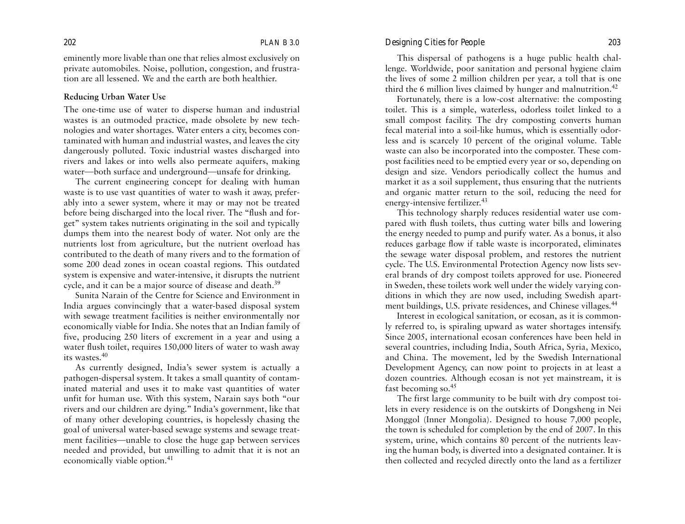eminently more livable than one that relies almost exclusively on private automobiles. Noise, pollution, congestion, and frustration are all lessened. We and the earth are both healthier.

### **Reducing Urban Water Use**

The one-time use of water to disperse human and industrial wastes is an outmoded practice, made obsolete by new technologies and water shortages. Water enters a city, becomes contaminated with human and industrial wastes, and leaves the city dangerously polluted. Toxic industrial wastes discharged into rivers and lakes or into wells also permeate aquifers, making water—both surface and underground—unsafe for drinking.

The current engineering concept for dealing with human waste is to use vast quantities of water to wash it away, preferably into a sewer system, where it may or may not be treated before being discharged into the local river. The "flush and forget" system takes nutrients originating in the soil and typically dumps them into the nearest body of water. Not only are the nutrients lost from agriculture, but the nutrient overload has contributed to the death of many rivers and to the formation of some 200 dead zones in ocean coastal regions. This outdated system is expensive and water-intensive, it disrupts the nutrient cycle, and it can be a major source of disease and death.39

Sunita Narain of the Centre for Science and Environment in India argues convincingly that a water-based disposal system with sewage treatment facilities is neither environmentally nor economically viable for India. She notes that an Indian family of five, producing 250 liters of excrement in a year and using a water flush toilet, requires 150,000 liters of water to wash away its wastes.40

As currently designed, India's sewer system is actually a pathogen-dispersal system. It takes a small quantity of contaminated material and uses it to make vast quantities of water unfit for human use. With this system, Narain says both "our rivers and our children are dying." India's government, like that of many other developing countries, is hopelessly chasing the goal of universal water-based sewage systems and sewage treatment facilities—unable to close the huge gap between services needed and provided, but unwilling to admit that it is not an economically viable option.<sup>41</sup>

This dispersal of pathogens is a huge public health challenge. Worldwide, poor sanitation and personal hygiene claim the lives of some 2 million children per year, a toll that is one third the 6 million lives claimed by hunger and malnutrition.<sup>42</sup>

Fortunately, there is a low-cost alternative: the composting toilet. This is a simple, waterless, odorless toilet linked to a small compost facility. The dry composting converts human fecal material into a soil-like humus, which is essentially odorless and is scarcely 10 percent of the original volume. Table waste can also be incorporated into the composter. These compost facilities need to be emptied every year or so, depending on design and size. Vendors periodically collect the humus and market it as a soil supplement, thus ensuring that the nutrients and organic matter return to the soil, reducing the need for energy-intensive fertilizer.<sup>43</sup>

This technology sharply reduces residential water use compared with flush toilets, thus cutting water bills and lowering the energy needed to pump and purify water. As a bonus, it also reduces garbage flow if table waste is incorporated, eliminates the sewage water disposal problem, and restores the nutrient cycle. The U.S. Environmental Protection Agency now lists several brands of dry compost toilets approved for use. Pioneered in Sweden, these toilets work well under the widely varying conditions in which they are now used, including Swedish apartment buildings, U.S. private residences, and Chinese villages.<sup>44</sup>

Interest in ecological sanitation, or ecosan, as it is commonly referred to, is spiraling upward as water shortages intensify. Since 2005, international ecosan conferences have been held in several countries, including India, South Africa, Syria, Mexico, and China. The movement, led by the Swedish International Development Agency, can now point to projects in at least a dozen countries. Although ecosan is not yet mainstream, it is fast becoming so.<sup>45</sup>

The first large community to be built with dry compost toilets in every residence is on the outskirts of Dongsheng in Nei Monggol (Inner Mongolia). Designed to house 7,000 people, the town is scheduled for completion by the end of 2007. In this system, urine, which contains 80 percent of the nutrients leaving the human body, is diverted into a designated container. It is then collected and recycled directly onto the land as a fertilizer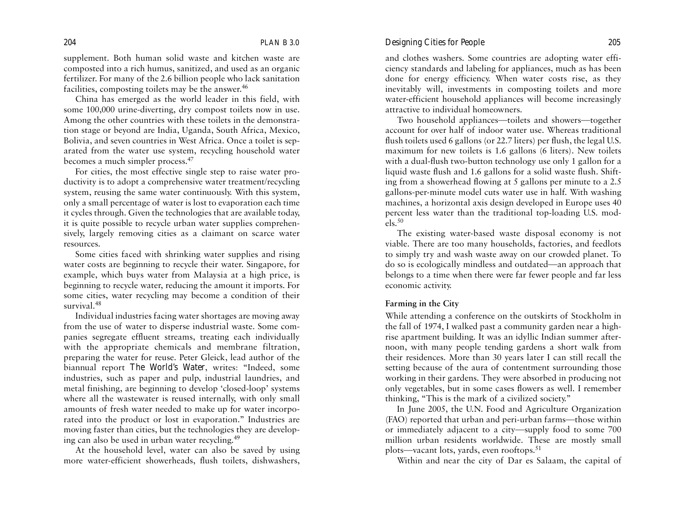supplement. Both human solid waste and kitchen waste are composted into a rich humus, sanitized, and used as an organic fertilizer. For many of the 2.6 billion people who lack sanitation facilities, composting toilets may be the answer.<sup>46</sup>

China has emerged as the world leader in this field, with some 100,000 urine-diverting, dry compost toilets now in use. Among the other countries with these toilets in the demonstration stage or beyond are India, Uganda, South Africa, Mexico, Bolivia, and seven countries in West Africa. Once a toilet is separated from the water use system, recycling household water becomes a much simpler process.47

For cities, the most effective single step to raise water productivity is to adopt a comprehensive water treatment/recycling system, reusing the same water continuously. With this system, only a small percentage of water is lost to evaporation each time it cycles through. Given the technologies that are available today, it is quite possible to recycle urban water supplies comprehensively, largely removing cities as a claimant on scarce water resources.

Some cities faced with shrinking water supplies and rising water costs are beginning to recycle their water. Singapore, for example, which buys water from Malaysia at a high price, is beginning to recycle water, reducing the amount it imports. For some cities, water recycling may become a condition of their survival.<sup>48</sup>

Individual industries facing water shortages are moving away from the use of water to disperse industrial waste. Some companies segregate effluent streams, treating each individually with the appropriate chemicals and membrane filtration, preparing the water for reuse. Peter Gleick, lead author of the biannual report *The World's Water*, writes: "Indeed, some industries, such as paper and pulp, industrial laundries, and metal finishing, are beginning to develop 'closed-loop' systems where all the wastewater is reused internally, with only small amounts of fresh water needed to make up for water incorporated into the product or lost in evaporation." Industries are moving faster than cities, but the technologies they are developing can also be used in urban water recycling.49

At the household level, water can also be saved by using more water-efficient showerheads, flush toilets, dishwashers, and clothes washers. Some countries are adopting water efficiency standards and labeling for appliances, much as has been done for energy efficiency. When water costs rise, as they inevitably will, investments in composting toilets and more water-efficient household appliances will become increasingly attractive to individual homeowners.

Two household appliances—toilets and showers—together account for over half of indoor water use. Whereas traditional flush toilets used 6 gallons (or 22.7 liters) per flush, the legal U.S. maximum for new toilets is 1.6 gallons (6 liters). New toilets with a dual-flush two-button technology use only 1 gallon for a liquid waste flush and 1.6 gallons for a solid waste flush. Shifting from a showerhead flowing at 5 gallons per minute to a 2.5 gallons-per-minute model cuts water use in half. With washing machines, a horizontal axis design developed in Europe uses 40 percent less water than the traditional top-loading U.S. mod $els.^{50}$ 

The existing water-based waste disposal economy is not viable. There are too many households, factories, and feedlots to simply try and wash waste away on our crowded planet. To do so is ecologically mindless and outdated—an approach that belongs to a time when there were far fewer people and far less economic activity.

### **Farming in the City**

While attending a conference on the outskirts of Stockholm in the fall of 1974, I walked past a community garden near a highrise apartment building. It was an idyllic Indian summer afternoon, with many people tending gardens a short walk from their residences. More than 30 years later I can still recall the setting because of the aura of contentment surrounding those working in their gardens. They were absorbed in producing not only vegetables, but in some cases flowers as well. I remember thinking, "This is the mark of a civilized society."

In June 2005, the U.N. Food and Agriculture Organization (FAO) reported that urban and peri-urban farms—those within or immediately adjacent to a city—supply food to some 700 million urban residents worldwide. These are mostly small plots—vacant lots, yards, even rooftops.51

Within and near the city of Dar es Salaam, the capital of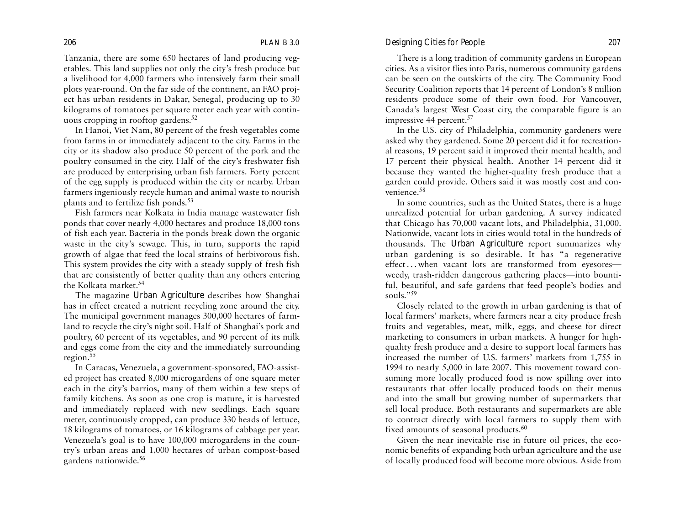Tanzania, there are some 650 hectares of land producing vegetables. This land supplies not only the city's fresh produce but a livelihood for 4,000 farmers who intensively farm their small plots year-round. On the far side of the continent, an FAO project has urban residents in Dakar, Senegal, producing up to 30 kilograms of tomatoes per square meter each year with continuous cropping in rooftop gardens. $52$ 

In Hanoi, Viet Nam, 80 percent of the fresh vegetables come from farms in or immediately adjacent to the city. Farms in the city or its shadow also produce 50 percent of the pork and the poultry consumed in the city. Half of the city's freshwater fish are produced by enterprising urban fish farmers. Forty percent of the egg supply is produced within the city or nearby. Urban farmers ingeniously recycle human and animal waste to nourish plants and to fertilize fish ponds.53

Fish farmers near Kolkata in India manage wastewater fish ponds that cover nearly 4,000 hectares and produce 18,000 tons of fish each year. Bacteria in the ponds break down the organic waste in the city's sewage. This, in turn, supports the rapid growth of algae that feed the local strains of herbivorous fish. This system provides the city with a steady supply of fresh fish that are consistently of better quality than any others entering the Kolkata market.54

The magazine *Urban Agriculture* describes how Shanghai has in effect created a nutrient recycling zone around the city. The municipal government manages 300,000 hectares of farmland to recycle the city's night soil. Half of Shanghai's pork and poultry, 60 percent of its vegetables, and 90 percent of its milk and eggs come from the city and the immediately surrounding region.<sup>55</sup>

In Caracas, Venezuela, a government-sponsored, FAO-assisted project has created 8,000 microgardens of one square meter each in the city's barrios, many of them within a few steps of family kitchens. As soon as one crop is mature, it is harvested and immediately replaced with new seedlings. Each square meter, continuously cropped, can produce 330 heads of lettuce, 18 kilograms of tomatoes, or 16 kilograms of cabbage per year. Venezuela's goal is to have 100,000 microgardens in the country's urban areas and 1,000 hectares of urban compost-based gardens nationwide.<sup>56</sup>

There is a long tradition of community gardens in European cities. As a visitor flies into Paris, numerous community gardens can be seen on the outskirts of the city. The Community Food Security Coalition reports that 14 percent of London's 8 million residents produce some of their own food. For Vancouver, Canada's largest West Coast city, the comparable figure is an impressive 44 percent.<sup>57</sup>

In the U.S. city of Philadelphia, community gardeners were asked why they gardened. Some 20 percent did it for recreational reasons, 19 percent said it improved their mental health, and 17 percent their physical health. Another 14 percent did it because they wanted the higher-quality fresh produce that a garden could provide. Others said it was mostly cost and convenience.<sup>58</sup>

In some countries, such as the United States, there is a huge unrealized potential for urban gardening. A survey indicated that Chicago has 70,000 vacant lots, and Philadelphia, 31,000. Nationwide, vacant lots in cities would total in the hundreds of thousands. The *Urban Agriculture* report summarizes why urban gardening is so desirable. It has "a regenerative effect...when vacant lots are transformed from eyesores weedy, trash-ridden dangerous gathering places—into bountiful, beautiful, and safe gardens that feed people's bodies and souls."59

Closely related to the growth in urban gardening is that of local farmers' markets, where farmers near a city produce fresh fruits and vegetables, meat, milk, eggs, and cheese for direct marketing to consumers in urban markets. A hunger for highquality fresh produce and a desire to support local farmers has increased the number of U.S. farmers' markets from 1,755 in 1994 to nearly 5,000 in late 2007. This movement toward consuming more locally produced food is now spilling over into restaurants that offer locally produced foods on their menus and into the small but growing number of supermarkets that sell local produce. Both restaurants and supermarkets are able to contract directly with local farmers to supply them with fixed amounts of seasonal products.<sup>60</sup>

Given the near inevitable rise in future oil prices, the economic benefits of expanding both urban agriculture and the use of locally produced food will become more obvious. Aside from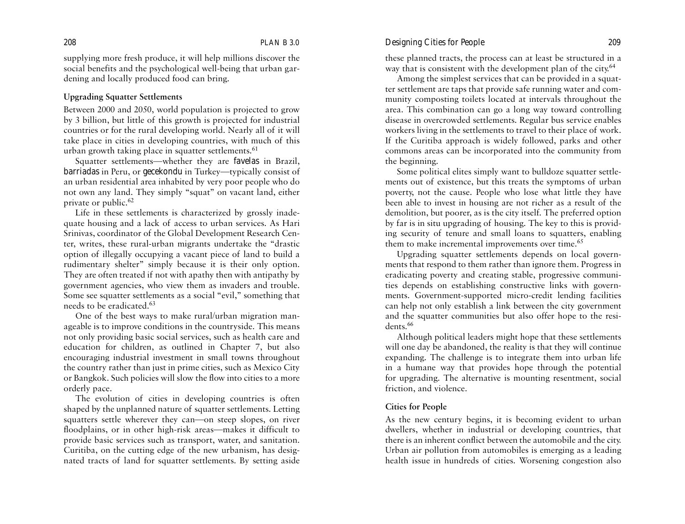supplying more fresh produce, it will help millions discover the social benefits and the psychological well-being that urban gardening and locally produced food can bring.

### **Upgrading Squatter Settlements**

Between 2000 and 2050, world population is projected to grow by 3 billion, but little of this growth is projected for industrial countries or for the rural developing world. Nearly all of it will take place in cities in developing countries, with much of this urban growth taking place in squatter settlements.<sup>61</sup>

Squatter settlements—whether they are *favelas* in Brazil, *barriadas* in Peru, or *gecekondu* in Turkey—typically consist of an urban residential area inhabited by very poor people who do not own any land. They simply "squat" on vacant land, either private or public.<sup>62</sup>

Life in these settlements is characterized by grossly inadequate housing and a lack of access to urban services. As Hari Srinivas, coordinator of the Global Development Research Center, writes, these rural-urban migrants undertake the "drastic option of illegally occupying a vacant piece of land to build a rudimentary shelter" simply because it is their only option. They are often treated if not with apathy then with antipathy by government agencies, who view them as invaders and trouble. Some see squatter settlements as a social "evil," something that needs to be eradicated.63

One of the best ways to make rural/urban migration manageable is to improve conditions in the countryside. This means not only providing basic social services, such as health care and education for children, as outlined in Chapter 7, but also encouraging industrial investment in small towns throughout the country rather than just in prime cities, such as Mexico City or Bangkok. Such policies will slow the flow into cities to a more orderly pace.

The evolution of cities in developing countries is often shaped by the unplanned nature of squatter settlements. Letting squatters settle wherever they can—on steep slopes, on river floodplains, or in other high-risk areas—makes it difficult to provide basic services such as transport, water, and sanitation. Curitiba, on the cutting edge of the new urbanism, has designated tracts of land for squatter settlements. By setting aside these planned tracts, the process can at least be structured in a way that is consistent with the development plan of the city.<sup>64</sup>

Among the simplest services that can be provided in a squatter settlement are taps that provide safe running water and community composting toilets located at intervals throughout the area. This combination can go a long way toward controlling disease in overcrowded settlements. Regular bus service enables workers living in the settlements to travel to their place of work. If the Curitiba approach is widely followed, parks and other commons areas can be incorporated into the community from the beginning.

Some political elites simply want to bulldoze squatter settlements out of existence, but this treats the symptoms of urban poverty, not the cause. People who lose what little they have been able to invest in housing are not richer as a result of the demolition, but poorer, as is the city itself. The preferred option by far is in situ upgrading of housing. The key to this is providing security of tenure and small loans to squatters, enabling them to make incremental improvements over time.<sup>65</sup>

Upgrading squatter settlements depends on local governments that respond to them rather than ignore them. Progress in eradicating poverty and creating stable, progressive communities depends on establishing constructive links with governments. Government-supported micro-credit lending facilities can help not only establish a link between the city government and the squatter communities but also offer hope to the residents.<sup>66</sup>

Although political leaders might hope that these settlements will one day be abandoned, the reality is that they will continue expanding. The challenge is to integrate them into urban life in a humane way that provides hope through the potential for upgrading. The alternative is mounting resentment, social friction, and violence.

### **Cities for People**

As the new century begins, it is becoming evident to urban dwellers, whether in industrial or developing countries, that there is an inherent conflict between the automobile and the city. Urban air pollution from automobiles is emerging as a leading health issue in hundreds of cities. Worsening congestion also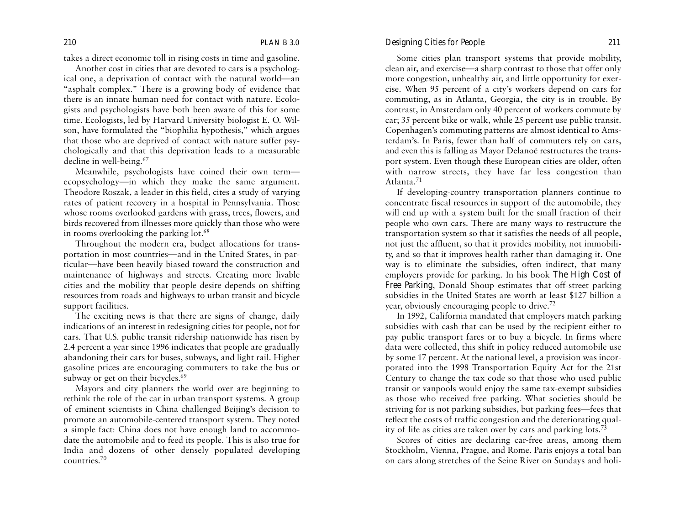takes a direct economic toll in rising costs in time and gasoline.

Another cost in cities that are devoted to cars is a psychological one, a deprivation of contact with the natural world—an "asphalt complex." There is a growing body of evidence that there is an innate human need for contact with nature. Ecologists and psychologists have both been aware of this for some time. Ecologists, led by Harvard University biologist E. O. Wilson, have formulated the "biophilia hypothesis," which argues that those who are deprived of contact with nature suffer psychologically and that this deprivation leads to a measurable decline in well-being.67

Meanwhile, psychologists have coined their own term ecopsychology—in which they make the same argument. Theodore Roszak, a leader in this field, cites a study of varying rates of patient recovery in a hospital in Pennsylvania. Those whose rooms overlooked gardens with grass, trees, flowers, and birds recovered from illnesses more quickly than those who were in rooms overlooking the parking lot.<sup>68</sup>

Throughout the modern era, budget allocations for transportation in most countries—and in the United States, in particular—have been heavily biased toward the construction and maintenance of highways and streets. Creating more livable cities and the mobility that people desire depends on shifting resources from roads and highways to urban transit and bicycle support facilities.

The exciting news is that there are signs of change, daily indications of an interest in redesigning cities for people, not for cars. That U.S. public transit ridership nationwide has risen by 2.4 percent a year since 1996 indicates that people are gradually abandoning their cars for buses, subways, and light rail. Higher gasoline prices are encouraging commuters to take the bus or subway or get on their bicycles.<sup>69</sup>

Mayors and city planners the world over are beginning to rethink the role of the car in urban transport systems. A group of eminent scientists in China challenged Beijing's decision to promote an automobile-centered transport system. They noted a simple fact: China does not have enough land to accommodate the automobile and to feed its people. This is also true for India and dozens of other densely populated developing countries.70

*Designing Cities for People 211*

Some cities plan transport systems that provide mobility, clean air, and exercise—a sharp contrast to those that offer only more congestion, unhealthy air, and little opportunity for exercise. When 95 percent of a city's workers depend on cars for commuting, as in Atlanta, Georgia, the city is in trouble. By contrast, in Amsterdam only 40 percent of workers commute by car; 35 percent bike or walk, while 25 percent use public transit. Copenhagen's commuting patterns are almost identical to Amsterdam's. In Paris, fewer than half of commuters rely on cars, and even this is falling as Mayor Delanoë restructures the transport system. Even though these European cities are older, often with narrow streets, they have far less congestion than Atlanta.<sup>71</sup>

If developing-country transportation planners continue to concentrate fiscal resources in support of the automobile, they will end up with a system built for the small fraction of their people who own cars. There are many ways to restructure the transportation system so that it satisfies the needs of all people, not just the affluent, so that it provides mobility, not immobility, and so that it improves health rather than damaging it. One way is to eliminate the subsidies, often indirect, that many employers provide for parking. In his book *The High Cost of Free Parking*, Donald Shoup estimates that off-street parking subsidies in the United States are worth at least \$127 billion a year, obviously encouraging people to drive.72

In 1992, California mandated that employers match parking subsidies with cash that can be used by the recipient either to pay public transport fares or to buy a bicycle. In firms where data were collected, this shift in policy reduced automobile use by some 17 percent. At the national level, a provision was incorporated into the 1998 Transportation Equity Act for the 21st Century to change the tax code so that those who used public transit or vanpools would enjoy the same tax-exempt subsidies as those who received free parking. What societies should be striving for is not parking subsidies, but parking fees—fees that reflect the costs of traffic congestion and the deteriorating quality of life as cities are taken over by cars and parking lots.73

Scores of cities are declaring car-free areas, among them Stockholm, Vienna, Prague, and Rome. Paris enjoys a total ban on cars along stretches of the Seine River on Sundays and holi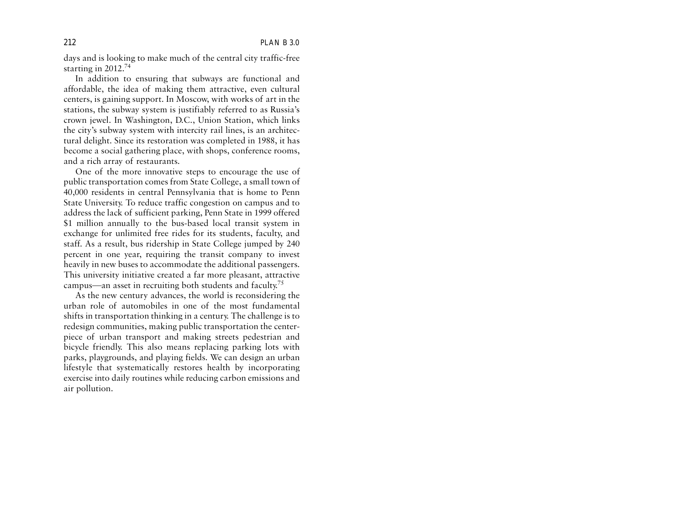days and is looking to make much of the central city traffic-free starting in 2012.<sup>74</sup>

In addition to ensuring that subways are functional and affordable, the idea of making them attractive, even cultural centers, is gaining support. In Moscow, with works of art in the stations, the subway system is justifiably referred to as Russia's crown jewel. In Washington, D.C., Union Station, which links the city's subway system with intercity rail lines, is an architectural delight. Since its restoration was completed in 1988, it has become a social gathering place, with shops, conference rooms, and a rich array of restaurants.

One of the more innovative steps to encourage the use of public transportation comes from State College, a small town of 40,000 residents in central Pennsylvania that is home to Penn State University. To reduce traffic congestion on campus and to address the lack of sufficient parking, Penn State in 1999 offered \$1 million annually to the bus-based local transit system in exchange for unlimited free rides for its students, faculty, and staff. As a result, bus ridership in State College jumped by 240 percent in one year, requiring the transit company to invest heavily in new buses to accommodate the additional passengers. This university initiative created a far more pleasant, attractive campus—an asset in recruiting both students and faculty.75

As the new century advances, the world is reconsidering the urban role of automobiles in one of the most fundamental shifts in transportation thinking in a century. The challenge is to redesign communities, making public transportation the centerpiece of urban transport and making streets pedestrian and bicycle friendly. This also means replacing parking lots with parks, playgrounds, and playing fields. We can design an urban lifestyle that systematically restores health by incorporating exercise into daily routines while reducing carbon emissions and air pollution.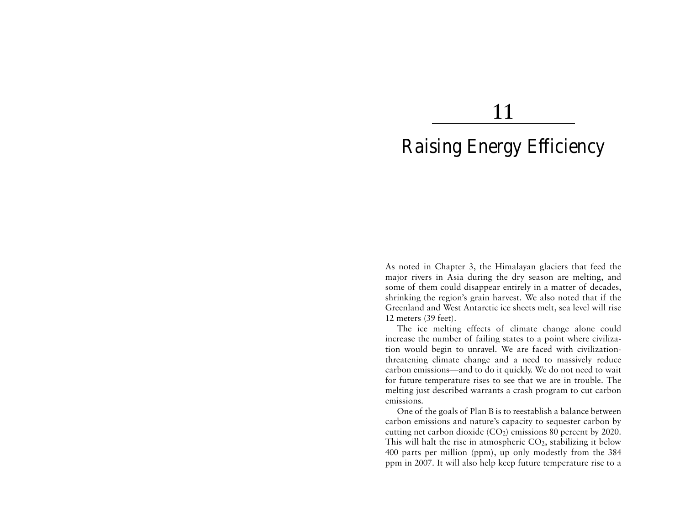# **11**

# *Raising Energy Efficiency*

As noted in Chapter 3, the Himalayan glaciers that feed the major rivers in Asia during the dry season are melting, and some of them could disappear entirely in a matter of decades, shrinking the region's grain harvest. We also noted that if the Greenland and West Antarctic ice sheets melt, sea level will rise 12 meters (39 feet).

The ice melting effects of climate change alone could increase the number of failing states to a point where civilization would begin to unravel. We are faced with civilizationthreatening climate change and a need to massively reduce carbon emissions—and to do it quickly. We do not need to wait for future temperature rises to see that we are in trouble. The melting just described warrants a crash program to cut carbon emissions.

One of the goals of Plan B is to reestablish a balance between carbon emissions and nature's capacity to sequester carbon by cutting net carbon dioxide  $(CO_2)$  emissions 80 percent by 2020. This will halt the rise in atmospheric  $CO<sub>2</sub>$ , stabilizing it below 400 parts per million (ppm), up only modestly from the 384 ppm in 2007. It will also help keep future temperature rise to a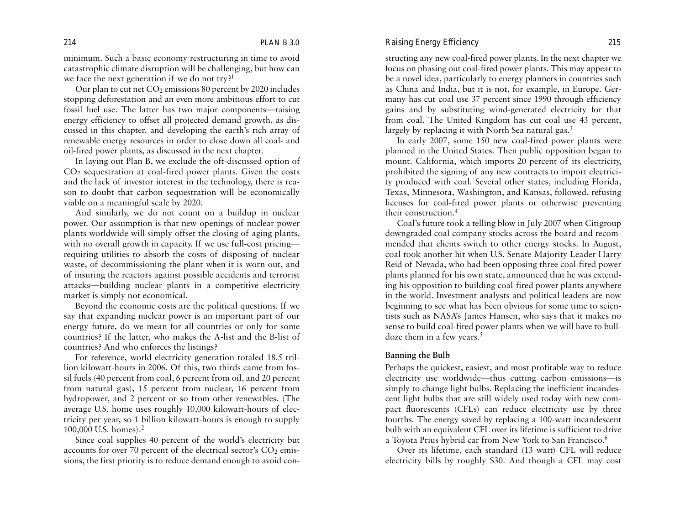minimum. Such a basic economy restructuring in time to avoid catastrophic climate disruption will be challenging, but how can we face the next generation if we do not try?<sup>1</sup>

Our plan to cut net CO2 emissions 80 percent by 2020 includes stopping deforestation and an even more ambitious effort to cut fossil fuel use. The latter has two major components—raising energy efficiency to offset all projected demand growth, as discussed in this chapter, and developing the earth's rich array of renewable energy resources in order to close down all coal- and oil-fired power plants, as discussed in the next chapter.

In laying out Plan B, we exclude the oft-discussed option of  $CO<sub>2</sub>$  sequestration at coal-fired power plants. Given the costs and the lack of investor interest in the technology, there is reason to doubt that carbon sequestration will be economically viable on a meaningful scale by 2020.

And similarly, we do not count on a buildup in nuclear power. Our assumption is that new openings of nuclear power plants worldwide will simply offset the closing of aging plants, with no overall growth in capacity. If we use full-cost pricing requiring utilities to absorb the costs of disposing of nuclear waste, of decommissioning the plant when it is worn out, and of insuring the reactors against possible accidents and terrorist attacks—building nuclear plants in a competitive electricity market is simply not economical.

Beyond the economic costs are the political questions. If we say that expanding nuclear power is an important part of our energy future, do we mean for all countries or only for some countries? If the latter, who makes the A-list and the B-list of countries? And who enforces the listings?

For reference, world electricity generation totaled 18.5 trillion kilowatt-hours in 2006. Of this, two thirds came from fossil fuels (40 percent from coal, 6 percent from oil, and 20 percent from natural gas), 15 percent from nuclear, 16 percent from hydropower, and 2 percent or so from other renewables. (The average U.S. home uses roughly 10,000 kilowatt-hours of electricity per year, so 1 billion kilowatt-hours is enough to supply 100,000 U.S. homes).2

Since coal supplies 40 percent of the world's electricity but accounts for over 70 percent of the electrical sector's  $CO<sub>2</sub>$  emissions, the first priority is to reduce demand enough to avoid con-

structing any new coal-fired power plants. In the next chapter we focus on phasing out coal-fired power plants. This may appear to be a novel idea, particularly to energy planners in countries such as China and India, but it is not, for example, in Europe. Germany has cut coal use 37 percent since 1990 through efficiency gains and by substituting wind-generated electricity for that from coal. The United Kingdom has cut coal use 43 percent, largely by replacing it with North Sea natural gas.<sup>3</sup>

In early 2007, some 150 new coal-fired power plants were planned in the United States. Then public opposition began to mount. California, which imports 20 percent of its electricity, prohibited the signing of any new contracts to import electricity produced with coal. Several other states, including Florida, Texas, Minnesota, Washington, and Kansas, followed, refusing licenses for coal-fired power plants or otherwise preventing their construction.<sup>4</sup>

Coal's future took a telling blow in July 2007 when Citigroup downgraded coal company stocks across the board and recommended that clients switch to other energy stocks. In August, coal took another hit when U.S. Senate Majority Leader Harry Reid of Nevada, who had been opposing three coal-fired power plants planned for his own state, announced that he was extending his opposition to building coal-fired power plants anywhere in the world. Investment analysts and political leaders are now beginning to see what has been obvious for some time to scientists such as NASA's James Hansen, who says that it makes no sense to build coal-fired power plants when we will have to bulldoze them in a few years.<sup>5</sup>

### **Banning the Bulb**

Perhaps the quickest, easiest, and most profitable way to reduce electricity use worldwide—thus cutting carbon emissions—is simply to change light bulbs. Replacing the inefficient incandescent light bulbs that are still widely used today with new compact fluorescents (CFLs) can reduce electricity use by three fourths. The energy saved by replacing a 100-watt incandescent bulb with an equivalent CFL over its lifetime is sufficient to drive a Toyota Prius hybrid car from New York to San Francisco.6

Over its lifetime, each standard (13 watt) CFL will reduce electricity bills by roughly \$30. And though a CFL may cost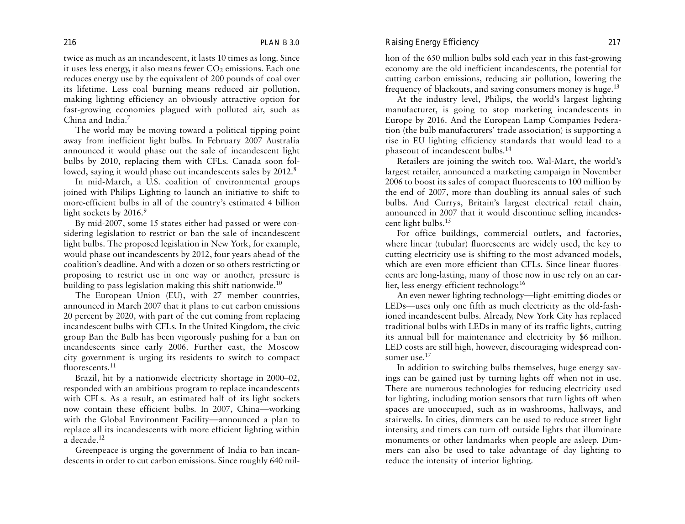twice as much as an incandescent, it lasts 10 times as long. Since it uses less energy, it also means fewer  $CO<sub>2</sub>$  emissions. Each one reduces energy use by the equivalent of 200 pounds of coal over its lifetime. Less coal burning means reduced air pollution, making lighting efficiency an obviously attractive option for fast-growing economies plagued with polluted air, such as China and India.<sup>7</sup>

The world may be moving toward a political tipping point away from inefficient light bulbs. In February 2007 Australia announced it would phase out the sale of incandescent light bulbs by 2010, replacing them with CFLs. Canada soon followed, saying it would phase out incandescents sales by 2012.<sup>8</sup>

In mid-March, a U.S. coalition of environmental groups joined with Philips Lighting to launch an initiative to shift to more-efficient bulbs in all of the country's estimated 4 billion light sockets by 2016.<sup>9</sup>

By mid-2007, some 15 states either had passed or were considering legislation to restrict or ban the sale of incandescent light bulbs. The proposed legislation in New York, for example, would phase out incandescents by 2012, four years ahead of the coalition's deadline. And with a dozen or so others restricting or proposing to restrict use in one way or another, pressure is building to pass legislation making this shift nationwide.<sup>10</sup>

The European Union (EU), with 27 member countries, announced in March 2007 that it plans to cut carbon emissions 20 percent by 2020, with part of the cut coming from replacing incandescent bulbs with CFLs. In the United Kingdom, the civic group Ban the Bulb has been vigorously pushing for a ban on incandescents since early 2006. Further east, the Moscow city government is urging its residents to switch to compact fluorescents.<sup>11</sup>

Brazil, hit by a nationwide electricity shortage in 2000–02, responded with an ambitious program to replace incandescents with CFLs. As a result, an estimated half of its light sockets now contain these efficient bulbs. In 2007, China—working with the Global Environment Facility—announced a plan to replace all its incandescents with more efficient lighting within a decade.<sup>12</sup>

Greenpeace is urging the government of India to ban incandescents in order to cut carbon emissions. Since roughly 640 million of the 650 million bulbs sold each year in this fast-growing economy are the old inefficient incandescents, the potential for cutting carbon emissions, reducing air pollution, lowering the frequency of blackouts, and saving consumers money is huge.<sup>13</sup>

At the industry level, Philips, the world's largest lighting manufacturer, is going to stop marketing incandescents in Europe by 2016. And the European Lamp Companies Federation (the bulb manufacturers' trade association) is supporting a rise in EU lighting efficiency standards that would lead to a phaseout of incandescent bulbs.14

Retailers are joining the switch too. Wal-Mart, the world's largest retailer, announced a marketing campaign in November 2006 to boost its sales of compact fluorescents to 100 million by the end of 2007, more than doubling its annual sales of such bulbs. And Currys, Britain's largest electrical retail chain, announced in 2007 that it would discontinue selling incandescent light bulbs.<sup>15</sup>

For office buildings, commercial outlets, and factories, where linear (tubular) fluorescents are widely used, the key to cutting electricity use is shifting to the most advanced models, which are even more efficient than CFLs. Since linear fluorescents are long-lasting, many of those now in use rely on an earlier, less energy-efficient technology.16

An even newer lighting technology—light-emitting diodes or LEDs—uses only one fifth as much electricity as the old-fashioned incandescent bulbs. Already, New York City has replaced traditional bulbs with LEDs in many of its traffic lights, cutting its annual bill for maintenance and electricity by \$6 million. LED costs are still high, however, discouraging widespread consumer use.<sup>17</sup>

In addition to switching bulbs themselves, huge energy savings can be gained just by turning lights off when not in use. There are numerous technologies for reducing electricity used for lighting, including motion sensors that turn lights off when spaces are unoccupied, such as in washrooms, hallways, and stairwells. In cities, dimmers can be used to reduce street light intensity, and timers can turn off outside lights that illuminate monuments or other landmarks when people are asleep. Dimmers can also be used to take advantage of day lighting to reduce the intensity of interior lighting.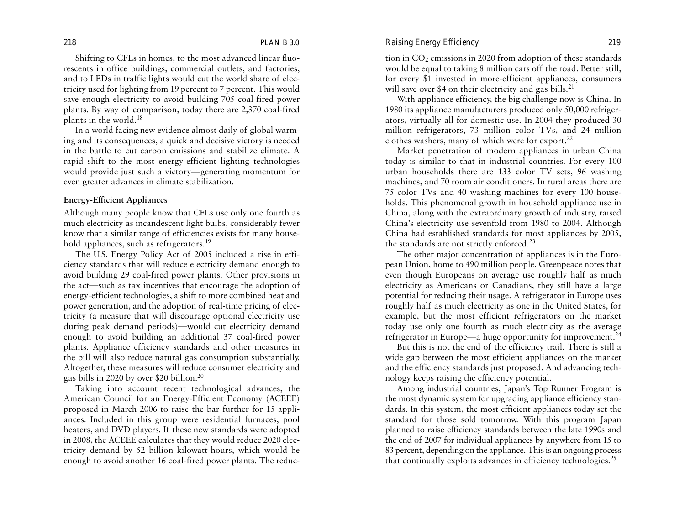Shifting to CFLs in homes, to the most advanced linear fluorescents in office buildings, commercial outlets, and factories, and to LEDs in traffic lights would cut the world share of electricity used for lighting from 19 percent to 7 percent. This would save enough electricity to avoid building 705 coal-fired power plants. By way of comparison, today there are 2,370 coal-fired plants in the world.18

In a world facing new evidence almost daily of global warming and its consequences, a quick and decisive victory is needed in the battle to cut carbon emissions and stabilize climate. A rapid shift to the most energy-efficient lighting technologies would provide just such a victory—generating momentum for even greater advances in climate stabilization.

### **Energy-Efficient Appliances**

Although many people know that CFLs use only one fourth as much electricity as incandescent light bulbs, considerably fewer know that a similar range of efficiencies exists for many household appliances, such as refrigerators.<sup>19</sup>

The U.S. Energy Policy Act of 2005 included a rise in efficiency standards that will reduce electricity demand enough to avoid building 29 coal-fired power plants. Other provisions in the act—such as tax incentives that encourage the adoption of energy-efficient technologies, a shift to more combined heat and power generation, and the adoption of real-time pricing of electricity (a measure that will discourage optional electricity use during peak demand periods)—would cut electricity demand enough to avoid building an additional 37 coal-fired power plants. Appliance efficiency standards and other measures in the bill will also reduce natural gas consumption substantially. Altogether, these measures will reduce consumer electricity and gas bills in 2020 by over \$20 billion.20

Taking into account recent technological advances, the American Council for an Energy-Efficient Economy (ACEEE) proposed in March 2006 to raise the bar further for 15 appliances. Included in this group were residential furnaces, pool heaters, and DVD players. If these new standards were adopted in 2008, the ACEEE calculates that they would reduce 2020 electricity demand by 52 billion kilowatt-hours, which would be enough to avoid another 16 coal-fired power plants. The reduc-

tion in  $CO<sub>2</sub>$  emissions in 2020 from adoption of these standards would be equal to taking 8 million cars off the road. Better still, for every \$1 invested in more-efficient appliances, consumers will save over \$4 on their electricity and gas bills. $^{21}$ 

With appliance efficiency, the big challenge now is China. In 1980 its appliance manufacturers produced only 50,000 refrigerators, virtually all for domestic use. In 2004 they produced 30 million refrigerators, 73 million color TVs, and 24 million clothes washers, many of which were for export.<sup>22</sup>

Market penetration of modern appliances in urban China today is similar to that in industrial countries. For every 100 urban households there are 133 color TV sets, 96 washing machines, and 70 room air conditioners. In rural areas there are 75 color TVs and 40 washing machines for every 100 households. This phenomenal growth in household appliance use in China, along with the extraordinary growth of industry, raised China's electricity use sevenfold from 1980 to 2004. Although China had established standards for most appliances by 2005, the standards are not strictly enforced.<sup>23</sup>

The other major concentration of appliances is in the European Union, home to 490 million people. Greenpeace notes that even though Europeans on average use roughly half as much electricity as Americans or Canadians, they still have a large potential for reducing their usage. A refrigerator in Europe uses roughly half as much electricity as one in the United States, for example, but the most efficient refrigerators on the market today use only one fourth as much electricity as the average refrigerator in Europe—a huge opportunity for improvement.<sup>24</sup>

But this is not the end of the efficiency trail. There is still a wide gap between the most efficient appliances on the market and the efficiency standards just proposed. And advancing technology keeps raising the efficiency potential.

Among industrial countries, Japan's Top Runner Program is the most dynamic system for upgrading appliance efficiency standards. In this system, the most efficient appliances today set the standard for those sold tomorrow. With this program Japan planned to raise efficiency standards between the late 1990s and the end of 2007 for individual appliances by anywhere from 15 to 83 percent, depending on the appliance. This is an ongoing process that continually exploits advances in efficiency technologies.25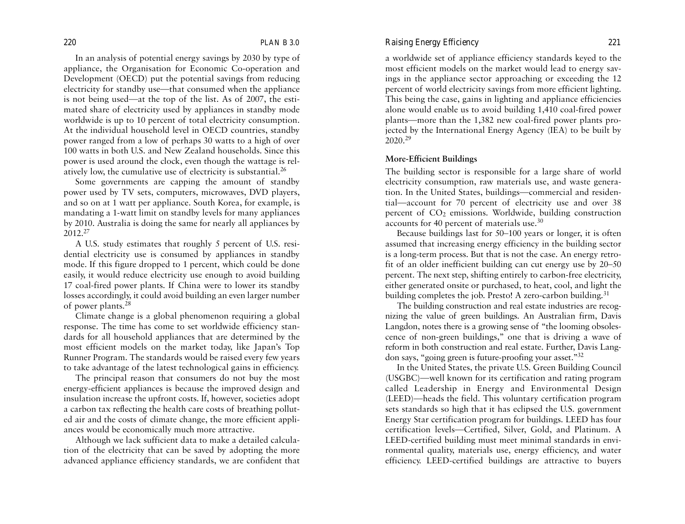In an analysis of potential energy savings by 2030 by type of appliance, the Organisation for Economic Co-operation and Development (OECD) put the potential savings from reducing electricity for standby use—that consumed when the appliance is not being used—at the top of the list. As of 2007, the estimated share of electricity used by appliances in standby mode worldwide is up to 10 percent of total electricity consumption. At the individual household level in OECD countries, standby power ranged from a low of perhaps 30 watts to a high of over 100 watts in both U.S. and New Zealand households. Since this power is used around the clock, even though the wattage is relatively low, the cumulative use of electricity is substantial.26

Some governments are capping the amount of standby power used by TV sets, computers, microwaves, DVD players, and so on at 1 watt per appliance. South Korea, for example, is mandating a 1-watt limit on standby levels for many appliances by 2010. Australia is doing the same for nearly all appliances by 2012.<sup>27</sup>

A U.S. study estimates that roughly 5 percent of U.S. residential electricity use is consumed by appliances in standby mode. If this figure dropped to 1 percent, which could be done easily, it would reduce electricity use enough to avoid building 17 coal-fired power plants. If China were to lower its standby losses accordingly, it could avoid building an even larger number of power plants.28

Climate change is a global phenomenon requiring a global response. The time has come to set worldwide efficiency standards for all household appliances that are determined by the most efficient models on the market today, like Japan's Top Runner Program. The standards would be raised every few years to take advantage of the latest technological gains in efficiency.

The principal reason that consumers do not buy the most energy-efficient appliances is because the improved design and insulation increase the upfront costs. If, however, societies adopt a carbon tax reflecting the health care costs of breathing polluted air and the costs of climate change, the more efficient appliances would be economically much more attractive.

Although we lack sufficient data to make a detailed calculation of the electricity that can be saved by adopting the more advanced appliance efficiency standards, we are confident that *Raising Energy Efficiency 221*

a worldwide set of appliance efficiency standards keyed to the most efficient models on the market would lead to energy savings in the appliance sector approaching or exceeding the 12 percent of world electricity savings from more efficient lighting. This being the case, gains in lighting and appliance efficiencies alone would enable us to avoid building 1,410 coal-fired power plants—more than the 1,382 new coal-fired power plants projected by the International Energy Agency (IEA) to be built by 2020.<sup>29</sup>

### **More-Efficient Buildings**

The building sector is responsible for a large share of world electricity consumption, raw materials use, and waste generation. In the United States, buildings—commercial and residential—account for 70 percent of electricity use and over 38 percent of  $CO<sub>2</sub>$  emissions. Worldwide, building construction accounts for 40 percent of materials use.30

Because buildings last for 50–100 years or longer, it is often assumed that increasing energy efficiency in the building sector is a long-term process. But that is not the case. An energy retrofit of an older inefficient building can cut energy use by 20–50 percent. The next step, shifting entirely to carbon-free electricity, either generated onsite or purchased, to heat, cool, and light the building completes the job. Presto! A zero-carbon building.<sup>31</sup>

The building construction and real estate industries are recognizing the value of green buildings. An Australian firm, Davis Langdon, notes there is a growing sense of "the looming obsolescence of non-green buildings," one that is driving a wave of reform in both construction and real estate. Further, Davis Langdon says, "going green is future-proofing your asset."32

In the United States, the private U.S. Green Building Council (USGBC)—well known for its certification and rating program called Leadership in Energy and Environmental Design (LEED)—heads the field. This voluntary certification program sets standards so high that it has eclipsed the U.S. government Energy Star certification program for buildings. LEED has four certification levels—Certified, Silver, Gold, and Platinum. A LEED-certified building must meet minimal standards in environmental quality, materials use, energy efficiency, and water efficiency. LEED-certified buildings are attractive to buyers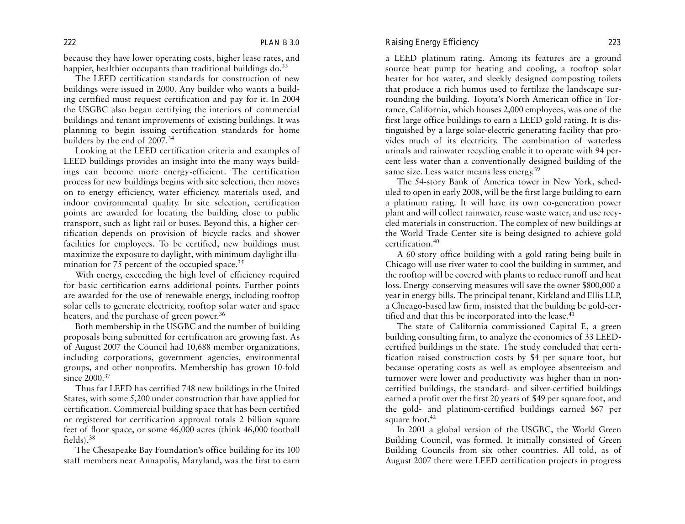because they have lower operating costs, higher lease rates, and happier, healthier occupants than traditional buildings do. $33$ 

The LEED certification standards for construction of new buildings were issued in 2000. Any builder who wants a building certified must request certification and pay for it. In 2004 the USGBC also began certifying the interiors of commercial buildings and tenant improvements of existing buildings. It was planning to begin issuing certification standards for home builders by the end of 2007.34

Looking at the LEED certification criteria and examples of LEED buildings provides an insight into the many ways buildings can become more energy-efficient. The certification process for new buildings begins with site selection, then moves on to energy efficiency, water efficiency, materials used, and indoor environmental quality. In site selection, certification points are awarded for locating the building close to public transport, such as light rail or buses. Beyond this, a higher certification depends on provision of bicycle racks and shower facilities for employees. To be certified, new buildings must maximize the exposure to daylight, with minimum daylight illumination for 75 percent of the occupied space.<sup>35</sup>

With energy, exceeding the high level of efficiency required for basic certification earns additional points. Further points are awarded for the use of renewable energy, including rooftop solar cells to generate electricity, rooftop solar water and space heaters, and the purchase of green power.<sup>36</sup>

Both membership in the USGBC and the number of building proposals being submitted for certification are growing fast. As of August 2007 the Council had 10,688 member organizations, including corporations, government agencies, environmental groups, and other nonprofits. Membership has grown 10-fold since 2000.<sup>37</sup>

Thus far LEED has certified 748 new buildings in the United States, with some 5,200 under construction that have applied for certification. Commercial building space that has been certified or registered for certification approval totals 2 billion square feet of floor space, or some 46,000 acres (think 46,000 football fields). $38$ 

The Chesapeake Bay Foundation's office building for its 100 staff members near Annapolis, Maryland, was the first to earn a LEED platinum rating. Among its features are a ground source heat pump for heating and cooling, a rooftop solar heater for hot water, and sleekly designed composting toilets that produce a rich humus used to fertilize the landscape surrounding the building. Toyota's North American office in Torrance, California, which houses 2,000 employees, was one of the first large office buildings to earn a LEED gold rating. It is distinguished by a large solar-electric generating facility that provides much of its electricity. The combination of waterless urinals and rainwater recycling enable it to operate with 94 percent less water than a conventionally designed building of the same size. Less water means less energy.<sup>39</sup>

The 54-story Bank of America tower in New York, scheduled to open in early 2008, will be the first large building to earn a platinum rating. It will have its own co-generation power plant and will collect rainwater, reuse waste water, and use recycled materials in construction. The complex of new buildings at the World Trade Center site is being designed to achieve gold certification.40

A 60-story office building with a gold rating being built in Chicago will use river water to cool the building in summer, and the rooftop will be covered with plants to reduce runoff and heat loss. Energy-conserving measures will save the owner \$800,000 a year in energy bills. The principal tenant, Kirkland and Ellis LLP, a Chicago-based law firm, insisted that the building be gold-certified and that this be incorporated into the lease.<sup>41</sup>

The state of California commissioned Capital E, a green building consulting firm, to analyze the economics of 33 LEEDcertified buildings in the state. The study concluded that certification raised construction costs by \$4 per square foot, but because operating costs as well as employee absenteeism and turnover were lower and productivity was higher than in noncertified buildings, the standard- and silver-certified buildings earned a profit over the first 20 years of \$49 per square foot, and the gold- and platinum-certified buildings earned \$67 per square foot.<sup>42</sup>

In 2001 a global version of the USGBC, the World Green Building Council, was formed. It initially consisted of Green Building Councils from six other countries. All told, as of August 2007 there were LEED certification projects in progress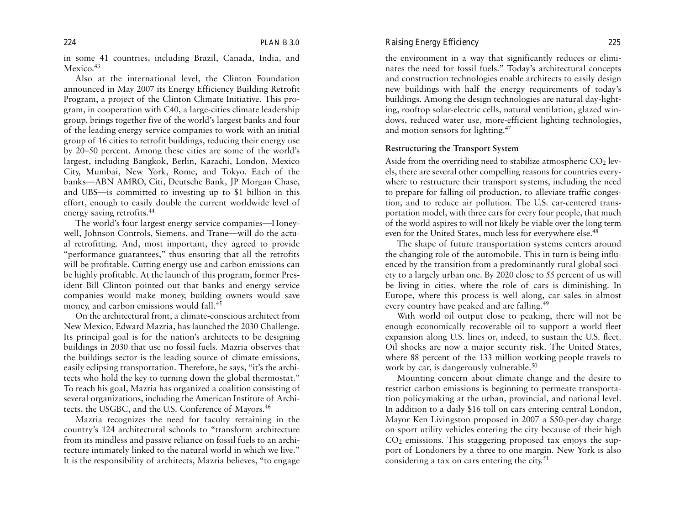in some 41 countries, including Brazil, Canada, India, and Mexico.<sup>43</sup>

Also at the international level, the Clinton Foundation announced in May 2007 its Energy Efficiency Building Retrofit Program, a project of the Clinton Climate Initiative. This program, in cooperation with C40, a large-cities climate leadership group, brings together five of the world's largest banks and four of the leading energy service companies to work with an initial group of 16 cities to retrofit buildings, reducing their energy use by 20–50 percent. Among these cities are some of the world's largest, including Bangkok, Berlin, Karachi, London, Mexico City, Mumbai, New York, Rome, and Tokyo. Each of the banks—ABN AMRO, Citi, Deutsche Bank, JP Morgan Chase, and UBS—is committed to investing up to \$1 billion in this effort, enough to easily double the current worldwide level of energy saving retrofits.44

The world's four largest energy service companies—Honeywell, Johnson Controls, Siemens, and Trane—will do the actual retrofitting. And, most important, they agreed to provide "performance guarantees," thus ensuring that all the retrofits will be profitable. Cutting energy use and carbon emissions can be highly profitable. At the launch of this program, former President Bill Clinton pointed out that banks and energy service companies would make money, building owners would save money, and carbon emissions would fall.<sup>45</sup>

On the architectural front, a climate-conscious architect from New Mexico, Edward Mazria, has launched the 2030 Challenge. Its principal goal is for the nation's architects to be designing buildings in 2030 that use no fossil fuels. Mazria observes that the buildings sector is the leading source of climate emissions, easily eclipsing transportation. Therefore, he says, "it's the architects who hold the key to turning down the global thermostat." To reach his goal, Mazria has organized a coalition consisting of several organizations, including the American Institute of Architects, the USGBC, and the U.S. Conference of Mayors.46

Mazria recognizes the need for faculty retraining in the country's 124 architectural schools to "transform architecture from its mindless and passive reliance on fossil fuels to an architecture intimately linked to the natural world in which we live." It is the responsibility of architects, Mazria believes, "to engage *Raising Energy Efficiency 225*

the environment in a way that significantly reduces or eliminates the need for fossil fuels." Today's architectural concepts and construction technologies enable architects to easily design new buildings with half the energy requirements of today's buildings. Among the design technologies are natural day-lighting, rooftop solar-electric cells, natural ventilation, glazed windows, reduced water use, more-efficient lighting technologies, and motion sensors for lighting.47

### **Restructuring the Transport System**

Aside from the overriding need to stabilize atmospheric  $CO<sub>2</sub>$  levels, there are several other compelling reasons for countries everywhere to restructure their transport systems, including the need to prepare for falling oil production, to alleviate traffic congestion, and to reduce air pollution. The U.S. car-centered transportation model, with three cars for every four people, that much of the world aspires to will not likely be viable over the long term even for the United States, much less for everywhere else.<sup>48</sup>

The shape of future transportation systems centers around the changing role of the automobile. This in turn is being influenced by the transition from a predominantly rural global society to a largely urban one. By 2020 close to 55 percent of us will be living in cities, where the role of cars is diminishing. In Europe, where this process is well along, car sales in almost every country have peaked and are falling.<sup>49</sup>

With world oil output close to peaking, there will not be enough economically recoverable oil to support a world fleet expansion along U.S. lines or, indeed, to sustain the U.S. fleet. Oil shocks are now a major security risk. The United States, where 88 percent of the 133 million working people travels to work by car, is dangerously vulnerable.<sup>50</sup>

Mounting concern about climate change and the desire to restrict carbon emissions is beginning to permeate transportation policymaking at the urban, provincial, and national level. In addition to a daily \$16 toll on cars entering central London, Mayor Ken Livingston proposed in 2007 a \$50-per-day charge on sport utility vehicles entering the city because of their high  $CO<sub>2</sub>$  emissions. This staggering proposed tax enjoys the support of Londoners by a three to one margin. New York is also considering a tax on cars entering the city. $51$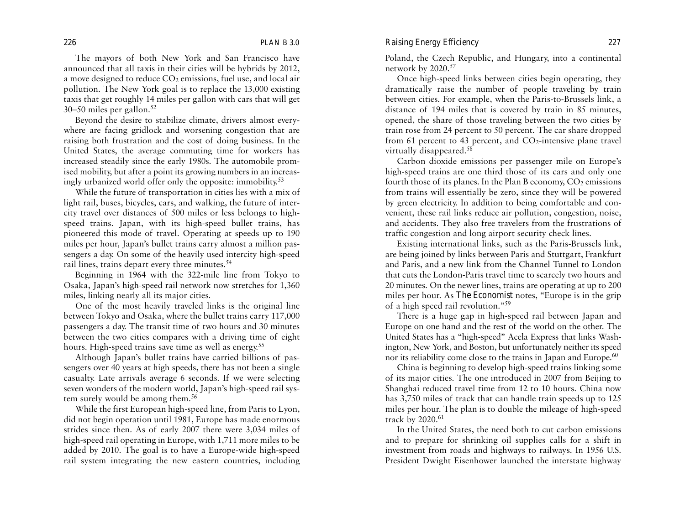The mayors of both New York and San Francisco have announced that all taxis in their cities will be hybrids by 2012, a move designed to reduce  $CO<sub>2</sub>$  emissions, fuel use, and local air pollution. The New York goal is to replace the 13,000 existing taxis that get roughly 14 miles per gallon with cars that will get 30–50 miles per gallon.<sup>52</sup>

Beyond the desire to stabilize climate, drivers almost everywhere are facing gridlock and worsening congestion that are raising both frustration and the cost of doing business. In the United States, the average commuting time for workers has increased steadily since the early 1980s. The automobile promised mobility, but after a point its growing numbers in an increasingly urbanized world offer only the opposite: immobility.<sup>53</sup>

While the future of transportation in cities lies with a mix of light rail, buses, bicycles, cars, and walking, the future of intercity travel over distances of 500 miles or less belongs to highspeed trains. Japan, with its high-speed bullet trains, has pioneered this mode of travel. Operating at speeds up to 190 miles per hour, Japan's bullet trains carry almost a million passengers a day. On some of the heavily used intercity high-speed rail lines, trains depart every three minutes.<sup>54</sup>

Beginning in 1964 with the 322-mile line from Tokyo to Osaka, Japan's high-speed rail network now stretches for 1,360 miles, linking nearly all its major cities.

One of the most heavily traveled links is the original line between Tokyo and Osaka, where the bullet trains carry 117,000 passengers a day. The transit time of two hours and 30 minutes between the two cities compares with a driving time of eight hours. High-speed trains save time as well as energy.<sup>55</sup>

Although Japan's bullet trains have carried billions of passengers over 40 years at high speeds, there has not been a single casualty. Late arrivals average 6 seconds. If we were selecting seven wonders of the modern world, Japan's high-speed rail system surely would be among them.<sup>56</sup>

While the first European high-speed line, from Paris to Lyon, did not begin operation until 1981, Europe has made enormous strides since then. As of early 2007 there were 3,034 miles of high-speed rail operating in Europe, with 1,711 more miles to be added by 2010. The goal is to have a Europe-wide high-speed rail system integrating the new eastern countries, including Poland, the Czech Republic, and Hungary, into a continental network by 2020.57

Once high-speed links between cities begin operating, they dramatically raise the number of people traveling by train between cities. For example, when the Paris-to-Brussels link, a distance of 194 miles that is covered by train in 85 minutes, opened, the share of those traveling between the two cities by train rose from 24 percent to 50 percent. The car share dropped from 61 percent to 43 percent, and  $CO<sub>2</sub>$ -intensive plane travel virtually disappeared.58

Carbon dioxide emissions per passenger mile on Europe's high-speed trains are one third those of its cars and only one fourth those of its planes. In the Plan B economy,  $CO<sub>2</sub>$  emissions from trains will essentially be zero, since they will be powered by green electricity. In addition to being comfortable and convenient, these rail links reduce air pollution, congestion, noise, and accidents. They also free travelers from the frustrations of traffic congestion and long airport security check lines.

Existing international links, such as the Paris-Brussels link, are being joined by links between Paris and Stuttgart, Frankfurt and Paris, and a new link from the Channel Tunnel to London that cuts the London-Paris travel time to scarcely two hours and 20 minutes. On the newer lines, trains are operating at up to 200 miles per hour. As *The Economist* notes, "Europe is in the grip of a high speed rail revolution."59

There is a huge gap in high-speed rail between Japan and Europe on one hand and the rest of the world on the other. The United States has a "high-speed" Acela Express that links Washington, New York, and Boston, but unfortunately neither its speed nor its reliability come close to the trains in Japan and Europe.<sup>60</sup>

China is beginning to develop high-speed trains linking some of its major cities. The one introduced in 2007 from Beijing to Shanghai reduced travel time from 12 to 10 hours. China now has 3,750 miles of track that can handle train speeds up to 125 miles per hour. The plan is to double the mileage of high-speed track by 2020.<sup>61</sup>

In the United States, the need both to cut carbon emissions and to prepare for shrinking oil supplies calls for a shift in investment from roads and highways to railways. In 1956 U.S. President Dwight Eisenhower launched the interstate highway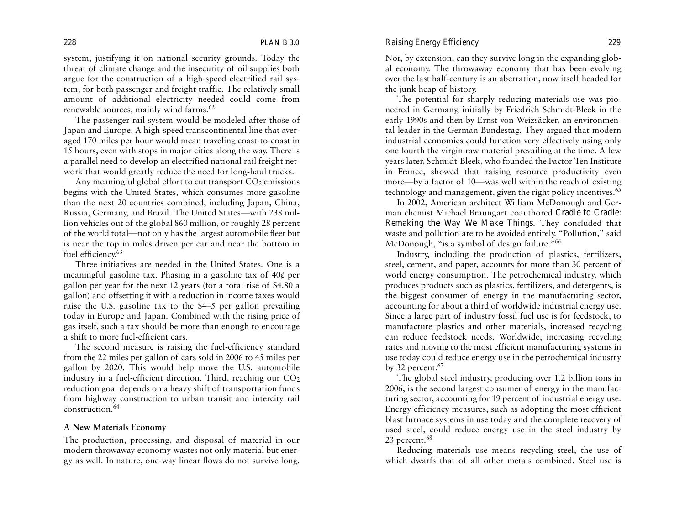system, justifying it on national security grounds. Today the threat of climate change and the insecurity of oil supplies both argue for the construction of a high-speed electrified rail system, for both passenger and freight traffic. The relatively small amount of additional electricity needed could come from renewable sources, mainly wind farms.<sup>62</sup>

The passenger rail system would be modeled after those of Japan and Europe. A high-speed transcontinental line that averaged 170 miles per hour would mean traveling coast-to-coast in 15 hours, even with stops in major cities along the way. There is a parallel need to develop an electrified national rail freight network that would greatly reduce the need for long-haul trucks.

Any meaningful global effort to cut transport  $CO<sub>2</sub>$  emissions begins with the United States, which consumes more gasoline than the next 20 countries combined, including Japan, China, Russia, Germany, and Brazil. The United States—with 238 million vehicles out of the global 860 million, or roughly 28 percent of the world total—not only has the largest automobile fleet but is near the top in miles driven per car and near the bottom in fuel efficiency.<sup>63</sup>

Three initiatives are needed in the United States. One is a meaningful gasoline tax. Phasing in a gasoline tax of 40¢ per gallon per year for the next 12 years (for a total rise of \$4.80 a gallon) and offsetting it with a reduction in income taxes would raise the U.S. gasoline tax to the \$4–5 per gallon prevailing today in Europe and Japan. Combined with the rising price of gas itself, such a tax should be more than enough to encourage a shift to more fuel-efficient cars.

The second measure is raising the fuel-efficiency standard from the 22 miles per gallon of cars sold in 2006 to 45 miles per gallon by 2020. This would help move the U.S. automobile industry in a fuel-efficient direction. Third, reaching our  $CO<sub>2</sub>$ reduction goal depends on a heavy shift of transportation funds from highway construction to urban transit and intercity rail construction.<sup>64</sup>

### **A New Materials Economy**

The production, processing, and disposal of material in our modern throwaway economy wastes not only material but energy as well. In nature, one-way linear flows do not survive long.

Nor, by extension, can they survive long in the expanding global economy. The throwaway economy that has been evolving over the last half-century is an aberration, now itself headed for the junk heap of history.

The potential for sharply reducing materials use was pioneered in Germany, initially by Friedrich Schmidt-Bleek in the early 1990s and then by Ernst von Weizsäcker, an environmental leader in the German Bundestag. They argued that modern industrial economies could function very effectively using only one fourth the virgin raw material prevailing at the time. A few years later, Schmidt-Bleek, who founded the Factor Ten Institute in France, showed that raising resource productivity even more—by a factor of 10—was well within the reach of existing technology and management, given the right policy incentives.<sup>65</sup>

In 2002, American architect William McDonough and German chemist Michael Braungart coauthored *Cradle to Cradle: Remaking the Way We Make Things*. They concluded that waste and pollution are to be avoided entirely. "Pollution," said McDonough, "is a symbol of design failure."<sup>66</sup>

Industry, including the production of plastics, fertilizers, steel, cement, and paper, accounts for more than 30 percent of world energy consumption. The petrochemical industry, which produces products such as plastics, fertilizers, and detergents, is the biggest consumer of energy in the manufacturing sector, accounting for about a third of worldwide industrial energy use. Since a large part of industry fossil fuel use is for feedstock, to manufacture plastics and other materials, increased recycling can reduce feedstock needs. Worldwide, increasing recycling rates and moving to the most efficient manufacturing systems in use today could reduce energy use in the petrochemical industry by 32 percent.<sup>67</sup>

The global steel industry, producing over 1.2 billion tons in 2006, is the second largest consumer of energy in the manufacturing sector, accounting for 19 percent of industrial energy use. Energy efficiency measures, such as adopting the most efficient blast furnace systems in use today and the complete recovery of used steel, could reduce energy use in the steel industry by 23 percent.<sup>68</sup>

Reducing materials use means recycling steel, the use of which dwarfs that of all other metals combined. Steel use is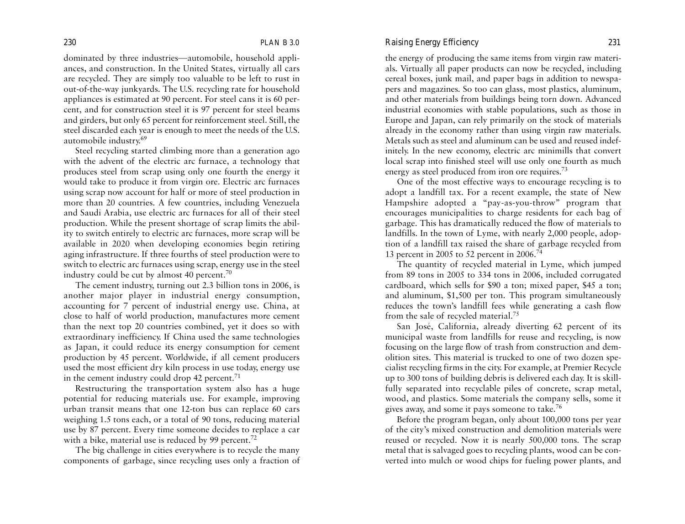dominated by three industries—automobile, household appliances, and construction. In the United States, virtually all cars are recycled. They are simply too valuable to be left to rust in out-of-the-way junkyards. The U.S. recycling rate for household appliances is estimated at 90 percent. For steel cans it is 60 percent, and for construction steel it is 97 percent for steel beams and girders, but only 65 percent for reinforcement steel. Still, the steel discarded each year is enough to meet the needs of the U.S. automobile industry.69

Steel recycling started climbing more than a generation ago with the advent of the electric arc furnace, a technology that produces steel from scrap using only one fourth the energy it would take to produce it from virgin ore. Electric arc furnaces using scrap now account for half or more of steel production in more than 20 countries. A few countries, including Venezuela and Saudi Arabia, use electric arc furnaces for all of their steel production. While the present shortage of scrap limits the ability to switch entirely to electric arc furnaces, more scrap will be available in 2020 when developing economies begin retiring aging infrastructure. If three fourths of steel production were to switch to electric arc furnaces using scrap, energy use in the steel industry could be cut by almost 40 percent.<sup>70</sup>

The cement industry, turning out 2.3 billion tons in 2006, is another major player in industrial energy consumption, accounting for 7 percent of industrial energy use. China, at close to half of world production, manufactures more cement than the next top 20 countries combined, yet it does so with extraordinary inefficiency. If China used the same technologies as Japan, it could reduce its energy consumption for cement production by 45 percent. Worldwide, if all cement producers used the most efficient dry kiln process in use today, energy use in the cement industry could drop 42 percent.<sup>71</sup>

Restructuring the transportation system also has a huge potential for reducing materials use. For example, improving urban transit means that one 12-ton bus can replace 60 cars weighing 1.5 tons each, or a total of 90 tons, reducing material use by 87 percent. Every time someone decides to replace a car with a bike, material use is reduced by 99 percent.<sup>72</sup>

The big challenge in cities everywhere is to recycle the many components of garbage, since recycling uses only a fraction of

### *Raising Energy Efficiency 231*

the energy of producing the same items from virgin raw materials. Virtually all paper products can now be recycled, including cereal boxes, junk mail, and paper bags in addition to newspapers and magazines. So too can glass, most plastics, aluminum, and other materials from buildings being torn down. Advanced industrial economies with stable populations, such as those in Europe and Japan, can rely primarily on the stock of materials already in the economy rather than using virgin raw materials. Metals such as steel and aluminum can be used and reused indefinitely. In the new economy, electric arc minimills that convert local scrap into finished steel will use only one fourth as much energy as steel produced from iron ore requires.<sup>73</sup>

One of the most effective ways to encourage recycling is to adopt a landfill tax. For a recent example, the state of New Hampshire adopted a "pay-as-you-throw" program that encourages municipalities to charge residents for each bag of garbage. This has dramatically reduced the flow of materials to landfills. In the town of Lyme, with nearly 2,000 people, adoption of a landfill tax raised the share of garbage recycled from 13 percent in 2005 to 52 percent in 2006.74

The quantity of recycled material in Lyme, which jumped from 89 tons in 2005 to 334 tons in 2006, included corrugated cardboard, which sells for \$90 a ton; mixed paper, \$45 a ton; and aluminum, \$1,500 per ton. This program simultaneously reduces the town's landfill fees while generating a cash flow from the sale of recycled material.75

San José, California, already diverting 62 percent of its municipal waste from landfills for reuse and recycling, is now focusing on the large flow of trash from construction and demolition sites. This material is trucked to one of two dozen specialist recycling firms in the city. For example, at Premier Recycle up to 300 tons of building debris is delivered each day. It is skillfully separated into recyclable piles of concrete, scrap metal, wood, and plastics. Some materials the company sells, some it gives away, and some it pays someone to take.<sup>76</sup>

Before the program began, only about 100,000 tons per year of the city's mixed construction and demolition materials were reused or recycled. Now it is nearly 500,000 tons. The scrap metal that is salvaged goes to recycling plants, wood can be converted into mulch or wood chips for fueling power plants, and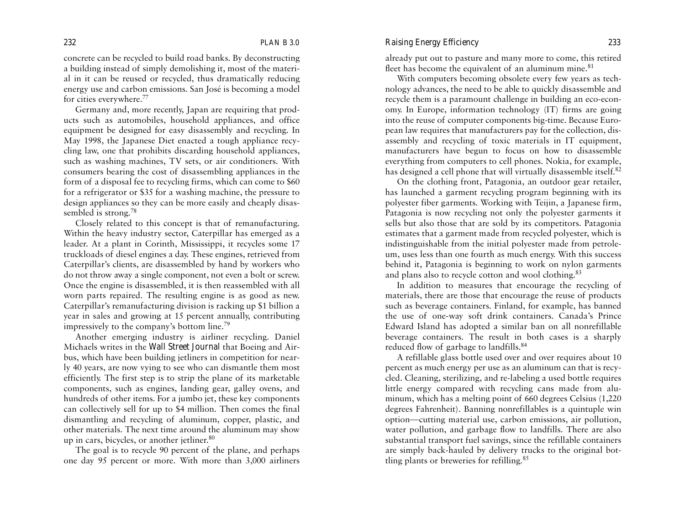concrete can be recycled to build road banks. By deconstructing a building instead of simply demolishing it, most of the material in it can be reused or recycled, thus dramatically reducing energy use and carbon emissions. San José is becoming a model for cities everywhere.77

Germany and, more recently, Japan are requiring that products such as automobiles, household appliances, and office equipment be designed for easy disassembly and recycling. In May 1998, the Japanese Diet enacted a tough appliance recycling law, one that prohibits discarding household appliances, such as washing machines, TV sets, or air conditioners. With consumers bearing the cost of disassembling appliances in the form of a disposal fee to recycling firms, which can come to \$60 for a refrigerator or \$35 for a washing machine, the pressure to design appliances so they can be more easily and cheaply disassembled is strong.78

Closely related to this concept is that of remanufacturing. Within the heavy industry sector, Caterpillar has emerged as a leader. At a plant in Corinth, Mississippi, it recycles some 17 truckloads of diesel engines a day. These engines, retrieved from Caterpillar's clients, are disassembled by hand by workers who do not throw away a single component, not even a bolt or screw. Once the engine is disassembled, it is then reassembled with all worn parts repaired. The resulting engine is as good as new. Caterpillar's remanufacturing division is racking up \$1 billion a year in sales and growing at 15 percent annually, contributing impressively to the company's bottom line.79

Another emerging industry is airliner recycling. Daniel Michaels writes in the *Wall Street Journal* that Boeing and Airbus, which have been building jetliners in competition for nearly 40 years, are now vying to see who can dismantle them most efficiently. The first step is to strip the plane of its marketable components, such as engines, landing gear, galley ovens, and hundreds of other items. For a jumbo jet, these key components can collectively sell for up to \$4 million. Then comes the final dismantling and recycling of aluminum, copper, plastic, and other materials. The next time around the aluminum may show up in cars, bicycles, or another jetliner.<sup>80</sup>

The goal is to recycle 90 percent of the plane, and perhaps one day 95 percent or more. With more than 3,000 airliners already put out to pasture and many more to come, this retired fleet has become the equivalent of an aluminum mine. $81$ 

With computers becoming obsolete every few years as technology advances, the need to be able to quickly disassemble and recycle them is a paramount challenge in building an eco-economy. In Europe, information technology (IT) firms are going into the reuse of computer components big-time. Because European law requires that manufacturers pay for the collection, disassembly and recycling of toxic materials in IT equipment, manufacturers have begun to focus on how to disassemble everything from computers to cell phones. Nokia, for example, has designed a cell phone that will virtually disassemble itself.<sup>82</sup>

On the clothing front, Patagonia, an outdoor gear retailer, has launched a garment recycling program beginning with its polyester fiber garments. Working with Teijin, a Japanese firm, Patagonia is now recycling not only the polyester garments it sells but also those that are sold by its competitors. Patagonia estimates that a garment made from recycled polyester, which is indistinguishable from the initial polyester made from petroleum, uses less than one fourth as much energy. With this success behind it, Patagonia is beginning to work on nylon garments and plans also to recycle cotton and wool clothing.83

In addition to measures that encourage the recycling of materials, there are those that encourage the reuse of products such as beverage containers. Finland, for example, has banned the use of one-way soft drink containers. Canada's Prince Edward Island has adopted a similar ban on all nonrefillable beverage containers. The result in both cases is a sharply reduced flow of garbage to landfills.<sup>84</sup>

A refillable glass bottle used over and over requires about 10 percent as much energy per use as an aluminum can that is recycled. Cleaning, sterilizing, and re-labeling a used bottle requires little energy compared with recycling cans made from aluminum, which has a melting point of 660 degrees Celsius (1,220 degrees Fahrenheit). Banning nonrefillables is a quintuple win option—cutting material use, carbon emissions, air pollution, water pollution, and garbage flow to landfills. There are also substantial transport fuel savings, since the refillable containers are simply back-hauled by delivery trucks to the original bottling plants or breweries for refilling.<sup>85</sup>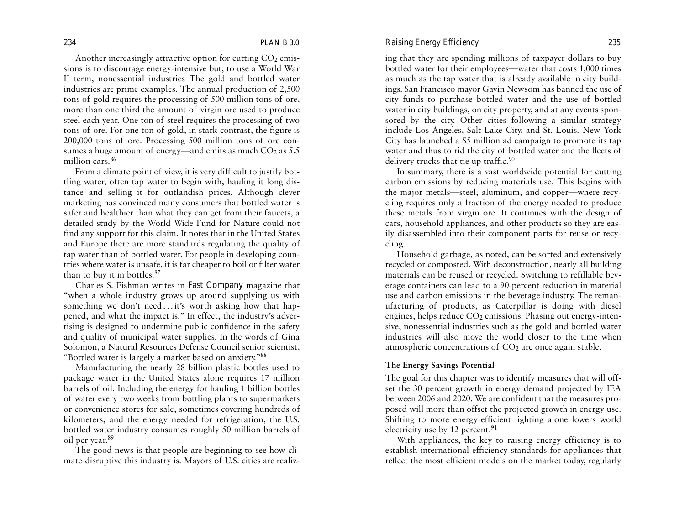Another increasingly attractive option for cutting  $CO<sub>2</sub>$  emissions is to discourage energy-intensive but, to use a World War II term, nonessential industries The gold and bottled water industries are prime examples. The annual production of 2,500 tons of gold requires the processing of 500 million tons of ore, more than one third the amount of virgin ore used to produce steel each year. One ton of steel requires the processing of two tons of ore. For one ton of gold, in stark contrast, the figure is 200,000 tons of ore. Processing 500 million tons of ore consumes a huge amount of energy—and emits as much  $CO<sub>2</sub>$  as 5.5 million cars.<sup>86</sup>

From a climate point of view, it is very difficult to justify bottling water, often tap water to begin with, hauling it long distance and selling it for outlandish prices. Although clever marketing has convinced many consumers that bottled water is safer and healthier than what they can get from their faucets, a detailed study by the World Wide Fund for Nature could not find any support for this claim. It notes that in the United States and Europe there are more standards regulating the quality of tap water than of bottled water. For people in developing countries where water is unsafe, it is far cheaper to boil or filter water than to buy it in bottles.87

Charles S. Fishman writes in *Fast Company* magazine that "when a whole industry grows up around supplying us with something we don't need...it's worth asking how that happened, and what the impact is." In effect, the industry's advertising is designed to undermine public confidence in the safety and quality of municipal water supplies. In the words of Gina Solomon, a Natural Resources Defense Council senior scientist, "Bottled water is largely a market based on anxiety."88

Manufacturing the nearly 28 billion plastic bottles used to package water in the United States alone requires 17 million barrels of oil. Including the energy for hauling 1 billion bottles of water every two weeks from bottling plants to supermarkets or convenience stores for sale, sometimes covering hundreds of kilometers, and the energy needed for refrigeration, the U.S. bottled water industry consumes roughly 50 million barrels of oil per year.<sup>89</sup>

The good news is that people are beginning to see how climate-disruptive this industry is. Mayors of U.S. cities are realizing that they are spending millions of taxpayer dollars to buy bottled water for their employees—water that costs 1,000 times as much as the tap water that is already available in city buildings. San Francisco mayor Gavin Newsom has banned the use of city funds to purchase bottled water and the use of bottled water in city buildings, on city property, and at any events sponsored by the city. Other cities following a similar strategy include Los Angeles, Salt Lake City, and St. Louis. New York City has launched a \$5 million ad campaign to promote its tap water and thus to rid the city of bottled water and the fleets of delivery trucks that tie up traffic.<sup>90</sup>

In summary, there is a vast worldwide potential for cutting carbon emissions by reducing materials use. This begins with the major metals—steel, aluminum, and copper—where recycling requires only a fraction of the energy needed to produce these metals from virgin ore. It continues with the design of cars, household appliances, and other products so they are easily disassembled into their component parts for reuse or recycling.

Household garbage, as noted, can be sorted and extensively recycled or composted. With deconstruction, nearly all building materials can be reused or recycled. Switching to refillable beverage containers can lead to a 90-percent reduction in material use and carbon emissions in the beverage industry. The remanufacturing of products, as Caterpillar is doing with diesel engines, helps reduce  $CO<sub>2</sub>$  emissions. Phasing out energy-intensive, nonessential industries such as the gold and bottled water industries will also move the world closer to the time when atmospheric concentrations of CO<sub>2</sub> are once again stable.

### **The Energy Savings Potential**

The goal for this chapter was to identify measures that will offset the 30 percent growth in energy demand projected by IEA between 2006 and 2020. We are confident that the measures proposed will more than offset the projected growth in energy use. Shifting to more energy-efficient lighting alone lowers world electricity use by 12 percent.<sup>91</sup>

With appliances, the key to raising energy efficiency is to establish international efficiency standards for appliances that reflect the most efficient models on the market today, regularly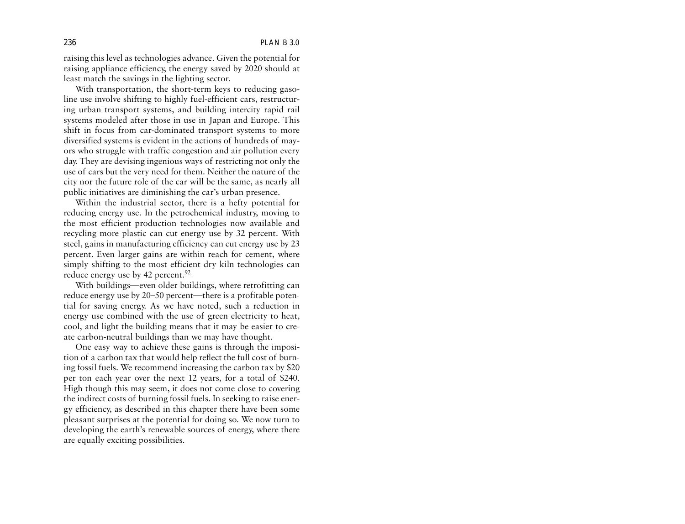raising this level as technologies advance. Given the potential for raising appliance efficiency, the energy saved by 2020 should at least match the savings in the lighting sector.

With transportation, the short-term keys to reducing gasoline use involve shifting to highly fuel-efficient cars, restructuring urban transport systems, and building intercity rapid rail systems modeled after those in use in Japan and Europe. This shift in focus from car-dominated transport systems to more diversified systems is evident in the actions of hundreds of mayors who struggle with traffic congestion and air pollution every day. They are devising ingenious ways of restricting not only the use of cars but the very need for them. Neither the nature of the city nor the future role of the car will be the same, as nearly all public initiatives are diminishing the car's urban presence.

Within the industrial sector, there is a hefty potential for reducing energy use. In the petrochemical industry, moving to the most efficient production technologies now available and recycling more plastic can cut energy use by 32 percent. With steel, gains in manufacturing efficiency can cut energy use by 23 percent. Even larger gains are within reach for cement, where simply shifting to the most efficient dry kiln technologies can reduce energy use by 42 percent.<sup>92</sup>

With buildings—even older buildings, where retrofitting can reduce energy use by 20–50 percent—there is a profitable potential for saving energy. As we have noted, such a reduction in energy use combined with the use of green electricity to heat, cool, and light the building means that it may be easier to create carbon-neutral buildings than we may have thought.

One easy way to achieve these gains is through the imposition of a carbon tax that would help reflect the full cost of burning fossil fuels. We recommend increasing the carbon tax by \$20 per ton each year over the next 12 years, for a total of \$240. High though this may seem, it does not come close to covering the indirect costs of burning fossil fuels. In seeking to raise energy efficiency, as described in this chapter there have been some pleasant surprises at the potential for doing so. We now turn to developing the earth's renewable sources of energy, where there are equally exciting possibilities.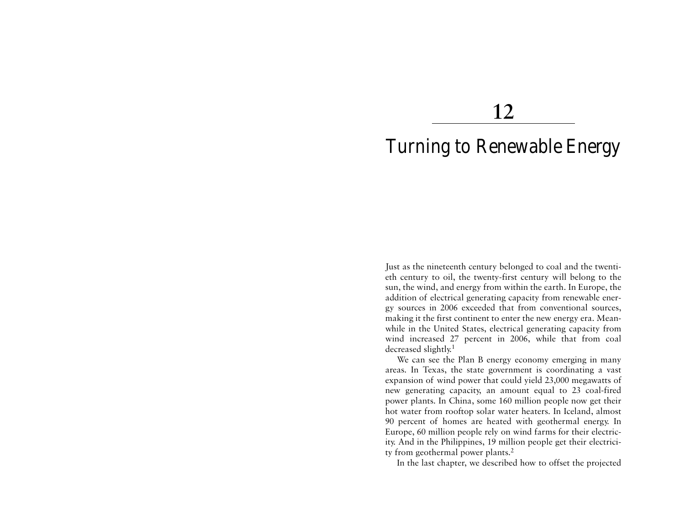### **12**

## *Turning to Renewable Energy*

Just as the nineteenth century belonged to coal and the twentieth century to oil, the twenty-first century will belong to the sun, the wind, and energy from within the earth. In Europe, the addition of electrical generating capacity from renewable energy sources in 2006 exceeded that from conventional sources, making it the first continent to enter the new energy era. Meanwhile in the United States, electrical generating capacity from wind increased 27 percent in 2006, while that from coal decreased slightly.1

We can see the Plan B energy economy emerging in many areas. In Texas, the state government is coordinating a vast expansion of wind power that could yield 23,000 megawatts of new generating capacity, an amount equal to 23 coal-fired power plants. In China, some 160 million people now get their hot water from rooftop solar water heaters. In Iceland, almost 90 percent of homes are heated with geothermal energy. In Europe, 60 million people rely on wind farms for their electricity. And in the Philippines, 19 million people get their electricity from geothermal power plants.2

In the last chapter, we described how to offset the projected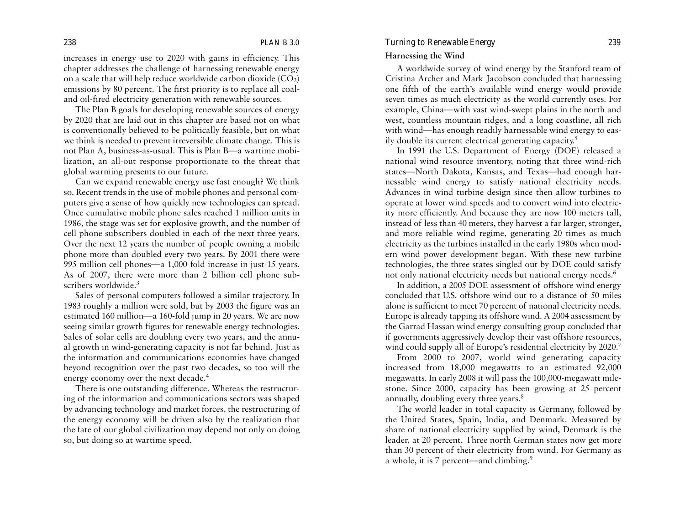increases in energy use to 2020 with gains in efficiency. This chapter addresses the challenge of harnessing renewable energy on a scale that will help reduce worldwide carbon dioxide  $(CO_2)$ emissions by 80 percent. The first priority is to replace all coaland oil-fired electricity generation with renewable sources.

The Plan B goals for developing renewable sources of energy by 2020 that are laid out in this chapter are based not on what is conventionally believed to be politically feasible, but on what we think is needed to prevent irreversible climate change. This is not Plan A, business-as-usual. This is Plan B—a wartime mobilization, an all-out response proportionate to the threat that global warming presents to our future.

Can we expand renewable energy use fast enough? We think so. Recent trends in the use of mobile phones and personal computers give a sense of how quickly new technologies can spread. Once cumulative mobile phone sales reached 1 million units in 1986, the stage was set for explosive growth, and the number of cell phone subscribers doubled in each of the next three years. Over the next 12 years the number of people owning a mobile phone more than doubled every two years. By 2001 there were 995 million cell phones—a 1,000-fold increase in just 15 years. As of 2007, there were more than 2 billion cell phone subscribers worldwide.<sup>3</sup>

Sales of personal computers followed a similar trajectory. In 1983 roughly a million were sold, but by 2003 the figure was an estimated 160 million—a 160-fold jump in 20 years. We are now seeing similar growth figures for renewable energy technologies. Sales of solar cells are doubling every two years, and the annual growth in wind-generating capacity is not far behind. Just as the information and communications economies have changed beyond recognition over the past two decades, so too will the energy economy over the next decade.<sup>4</sup>

There is one outstanding difference. Whereas the restructuring of the information and communications sectors was shaped by advancing technology and market forces, the restructuring of the energy economy will be driven also by the realization that the fate of our global civilization may depend not only on doing so, but doing so at wartime speed.

### **Harnessing the Wind**

A worldwide survey of wind energy by the Stanford team of Cristina Archer and Mark Jacobson concluded that harnessing one fifth of the earth's available wind energy would provide seven times as much electricity as the world currently uses. For example, China—with vast wind-swept plains in the north and west, countless mountain ridges, and a long coastline, all rich with wind—has enough readily harnessable wind energy to easily double its current electrical generating capacity.5

In 1991 the U.S. Department of Energy (DOE) released a national wind resource inventory, noting that three wind-rich states—North Dakota, Kansas, and Texas—had enough harnessable wind energy to satisfy national electricity needs. Advances in wind turbine design since then allow turbines to operate at lower wind speeds and to convert wind into electricity more efficiently. And because they are now 100 meters tall, instead of less than 40 meters, they harvest a far larger, stronger, and more reliable wind regime, generating 20 times as much electricity as the turbines installed in the early 1980s when modern wind power development began. With these new turbine technologies, the three states singled out by DOE could satisfy not only national electricity needs but national energy needs.<sup>6</sup>

In addition, a 2005 DOE assessment of offshore wind energy concluded that U.S. offshore wind out to a distance of 50 miles alone is sufficient to meet 70 percent of national electricity needs. Europe is already tapping its offshore wind. A 2004 assessment by the Garrad Hassan wind energy consulting group concluded that if governments aggressively develop their vast offshore resources, wind could supply all of Europe's residential electricity by 2020.<sup>7</sup>

From 2000 to 2007, world wind generating capacity increased from 18,000 megawatts to an estimated 92,000 megawatts. In early 2008 it will pass the 100,000-megawatt milestone. Since 2000, capacity has been growing at 25 percent annually, doubling every three years.<sup>8</sup>

The world leader in total capacity is Germany, followed by the United States, Spain, India, and Denmark. Measured by share of national electricity supplied by wind, Denmark is the leader, at 20 percent. Three north German states now get more than 30 percent of their electricity from wind. For Germany as a whole, it is 7 percent—and climbing.9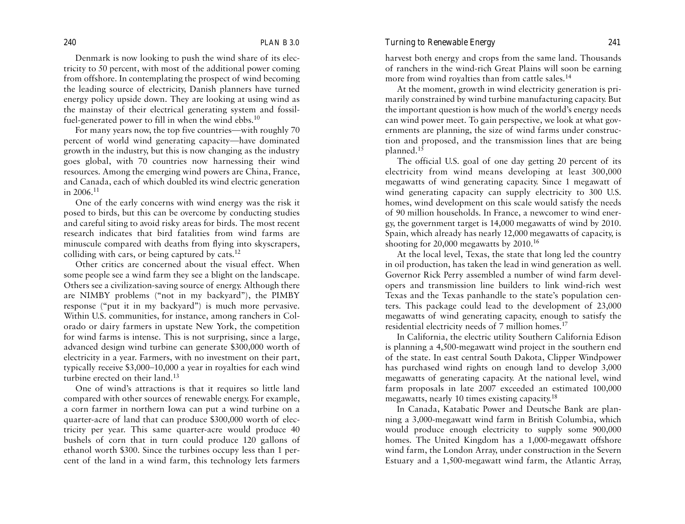Denmark is now looking to push the wind share of its electricity to 50 percent, with most of the additional power coming from offshore. In contemplating the prospect of wind becoming the leading source of electricity, Danish planners have turned energy policy upside down. They are looking at using wind as the mainstay of their electrical generating system and fossilfuel-generated power to fill in when the wind ebbs.<sup>10</sup>

For many years now, the top five countries—with roughly 70 percent of world wind generating capacity—have dominated growth in the industry, but this is now changing as the industry goes global, with 70 countries now harnessing their wind resources. Among the emerging wind powers are China, France, and Canada, each of which doubled its wind electric generation in 2006. $11$ 

One of the early concerns with wind energy was the risk it posed to birds, but this can be overcome by conducting studies and careful siting to avoid risky areas for birds. The most recent research indicates that bird fatalities from wind farms are minuscule compared with deaths from flying into skyscrapers, colliding with cars, or being captured by cats.<sup>12</sup>

Other critics are concerned about the visual effect. When some people see a wind farm they see a blight on the landscape. Others see a civilization-saving source of energy. Although there are NIMBY problems ("not in my backyard"), the PIMBY response ("put it in my backyard") is much more pervasive. Within U.S. communities, for instance, among ranchers in Colorado or dairy farmers in upstate New York, the competition for wind farms is intense. This is not surprising, since a large, advanced design wind turbine can generate \$300,000 worth of electricity in a year. Farmers, with no investment on their part, typically receive \$3,000–10,000 a year in royalties for each wind turbine erected on their land.<sup>13</sup>

One of wind's attractions is that it requires so little land compared with other sources of renewable energy. For example, a corn farmer in northern Iowa can put a wind turbine on a quarter-acre of land that can produce \$300,000 worth of electricity per year. This same quarter-acre would produce 40 bushels of corn that in turn could produce 120 gallons of ethanol worth \$300. Since the turbines occupy less than 1 percent of the land in a wind farm, this technology lets farmers harvest both energy and crops from the same land. Thousands of ranchers in the wind-rich Great Plains will soon be earning more from wind royalties than from cattle sales.<sup>14</sup>

At the moment, growth in wind electricity generation is primarily constrained by wind turbine manufacturing capacity. But the important question is how much of the world's energy needs can wind power meet. To gain perspective, we look at what governments are planning, the size of wind farms under construction and proposed, and the transmission lines that are being planned.<sup>15</sup>

The official U.S. goal of one day getting 20 percent of its electricity from wind means developing at least 300,000 megawatts of wind generating capacity. Since 1 megawatt of wind generating capacity can supply electricity to 300 U.S. homes, wind development on this scale would satisfy the needs of 90 million households. In France, a newcomer to wind energy, the government target is 14,000 megawatts of wind by 2010. Spain, which already has nearly 12,000 megawatts of capacity, is shooting for 20,000 megawatts by 2010.<sup>16</sup>

At the local level, Texas, the state that long led the country in oil production, has taken the lead in wind generation as well. Governor Rick Perry assembled a number of wind farm developers and transmission line builders to link wind-rich west Texas and the Texas panhandle to the state's population centers. This package could lead to the development of 23,000 megawatts of wind generating capacity, enough to satisfy the residential electricity needs of 7 million homes.<sup>17</sup>

In California, the electric utility Southern California Edison is planning a 4,500-megawatt wind project in the southern end of the state. In east central South Dakota, Clipper Windpower has purchased wind rights on enough land to develop 3,000 megawatts of generating capacity. At the national level, wind farm proposals in late 2007 exceeded an estimated 100,000 megawatts, nearly 10 times existing capacity.<sup>18</sup>

In Canada, Katabatic Power and Deutsche Bank are planning a 3,000-megawatt wind farm in British Columbia, which would produce enough electricity to supply some 900,000 homes. The United Kingdom has a 1,000-megawatt offshore wind farm, the London Array, under construction in the Severn Estuary and a 1,500-megawatt wind farm, the Atlantic Array,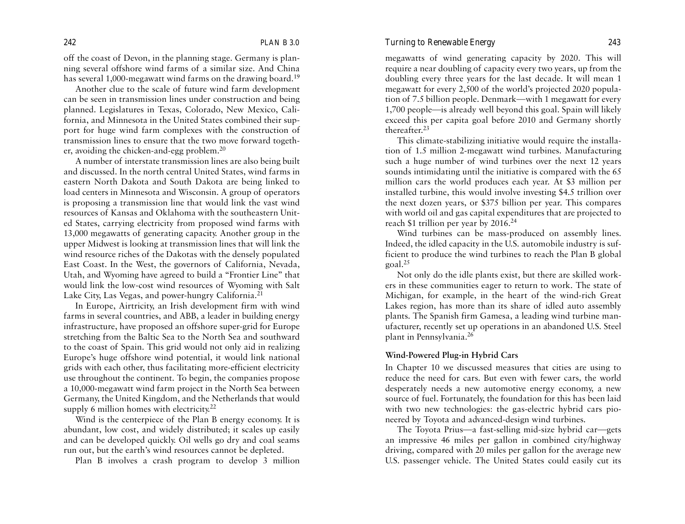off the coast of Devon, in the planning stage. Germany is planning several offshore wind farms of a similar size. And China has several 1,000-megawatt wind farms on the drawing board.<sup>19</sup>

Another clue to the scale of future wind farm development can be seen in transmission lines under construction and being planned. Legislatures in Texas, Colorado, New Mexico, California, and Minnesota in the United States combined their support for huge wind farm complexes with the construction of transmission lines to ensure that the two move forward together, avoiding the chicken-and-egg problem.20

A number of interstate transmission lines are also being built and discussed. In the north central United States, wind farms in eastern North Dakota and South Dakota are being linked to load centers in Minnesota and Wisconsin. A group of operators is proposing a transmission line that would link the vast wind resources of Kansas and Oklahoma with the southeastern United States, carrying electricity from proposed wind farms with 13,000 megawatts of generating capacity. Another group in the upper Midwest is looking at transmission lines that will link the wind resource riches of the Dakotas with the densely populated East Coast. In the West, the governors of California, Nevada, Utah, and Wyoming have agreed to build a "Frontier Line" that would link the low-cost wind resources of Wyoming with Salt Lake City, Las Vegas, and power-hungry California.21

In Europe, Airtricity, an Irish development firm with wind farms in several countries, and ABB, a leader in building energy infrastructure, have proposed an offshore super-grid for Europe stretching from the Baltic Sea to the North Sea and southward to the coast of Spain. This grid would not only aid in realizing Europe's huge offshore wind potential, it would link national grids with each other, thus facilitating more-efficient electricity use throughout the continent. To begin, the companies propose a 10,000-megawatt wind farm project in the North Sea between Germany, the United Kingdom, and the Netherlands that would supply 6 million homes with electricity.<sup>22</sup>

Wind is the centerpiece of the Plan B energy economy. It is abundant, low cost, and widely distributed; it scales up easily and can be developed quickly. Oil wells go dry and coal seams run out, but the earth's wind resources cannot be depleted.

Plan B involves a crash program to develop 3 million

megawatts of wind generating capacity by 2020. This will require a near doubling of capacity every two years, up from the doubling every three years for the last decade. It will mean 1 megawatt for every 2,500 of the world's projected 2020 population of 7.5 billion people. Denmark—with 1 megawatt for every 1,700 people—is already well beyond this goal. Spain will likely exceed this per capita goal before 2010 and Germany shortly thereafter.23

This climate-stabilizing initiative would require the installation of 1.5 million 2-megawatt wind turbines. Manufacturing such a huge number of wind turbines over the next 12 years sounds intimidating until the initiative is compared with the 65 million cars the world produces each year. At \$3 million per installed turbine, this would involve investing \$4.5 trillion over the next dozen years, or \$375 billion per year. This compares with world oil and gas capital expenditures that are projected to reach \$1 trillion per year by 2016.<sup>24</sup>

Wind turbines can be mass-produced on assembly lines. Indeed, the idled capacity in the U.S. automobile industry is sufficient to produce the wind turbines to reach the Plan B global  $\text{goal}$ <sup>25</sup>

Not only do the idle plants exist, but there are skilled workers in these communities eager to return to work. The state of Michigan, for example, in the heart of the wind-rich Great Lakes region, has more than its share of idled auto assembly plants. The Spanish firm Gamesa, a leading wind turbine manufacturer, recently set up operations in an abandoned U.S. Steel plant in Pennsylvania.<sup>26</sup>

### **Wind-Powered Plug-in Hybrid Cars**

In Chapter 10 we discussed measures that cities are using to reduce the need for cars. But even with fewer cars, the world desperately needs a new automotive energy economy, a new source of fuel. Fortunately, the foundation for this has been laid with two new technologies: the gas-electric hybrid cars pioneered by Toyota and advanced-design wind turbines.

The Toyota Prius—a fast-selling mid-size hybrid car—gets an impressive 46 miles per gallon in combined city/highway driving, compared with 20 miles per gallon for the average new U.S. passenger vehicle. The United States could easily cut its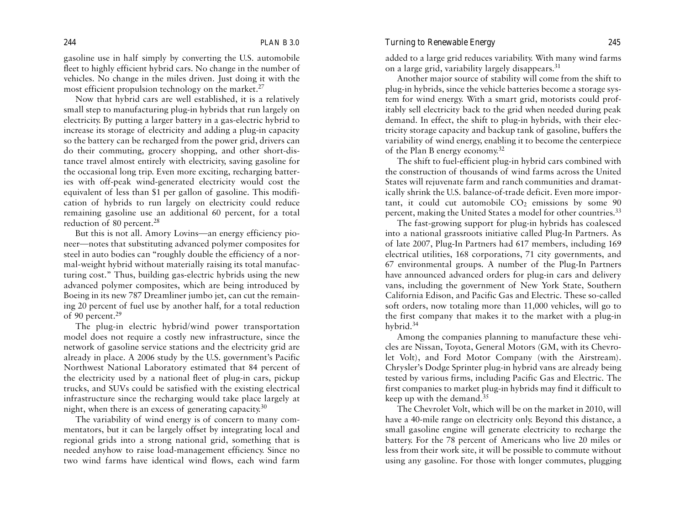gasoline use in half simply by converting the U.S. automobile fleet to highly efficient hybrid cars. No change in the number of vehicles. No change in the miles driven. Just doing it with the most efficient propulsion technology on the market.<sup>27</sup>

Now that hybrid cars are well established, it is a relatively small step to manufacturing plug-in hybrids that run largely on electricity. By putting a larger battery in a gas-electric hybrid to increase its storage of electricity and adding a plug-in capacity so the battery can be recharged from the power grid, drivers can do their commuting, grocery shopping, and other short-distance travel almost entirely with electricity, saving gasoline for the occasional long trip. Even more exciting, recharging batteries with off-peak wind-generated electricity would cost the equivalent of less than \$1 per gallon of gasoline. This modification of hybrids to run largely on electricity could reduce remaining gasoline use an additional 60 percent, for a total reduction of 80 percent.<sup>28</sup>

But this is not all. Amory Lovins—an energy efficiency pioneer—notes that substituting advanced polymer composites for steel in auto bodies can "roughly double the efficiency of a normal-weight hybrid without materially raising its total manufacturing cost." Thus, building gas-electric hybrids using the new advanced polymer composites, which are being introduced by Boeing in its new 787 Dreamliner jumbo jet, can cut the remaining 20 percent of fuel use by another half, for a total reduction of 90 percent.29

The plug-in electric hybrid/wind power transportation model does not require a costly new infrastructure, since the network of gasoline service stations and the electricity grid are already in place. A 2006 study by the U.S. government's Pacific Northwest National Laboratory estimated that 84 percent of the electricity used by a national fleet of plug-in cars, pickup trucks, and SUVs could be satisfied with the existing electrical infrastructure since the recharging would take place largely at night, when there is an excess of generating capacity.30

The variability of wind energy is of concern to many commentators, but it can be largely offset by integrating local and regional grids into a strong national grid, something that is needed anyhow to raise load-management efficiency. Since no two wind farms have identical wind flows, each wind farm added to a large grid reduces variability. With many wind farms on a large grid, variability largely disappears.<sup>31</sup>

Another major source of stability will come from the shift to plug-in hybrids, since the vehicle batteries become a storage system for wind energy. With a smart grid, motorists could profitably sell electricity back to the grid when needed during peak demand. In effect, the shift to plug-in hybrids, with their electricity storage capacity and backup tank of gasoline, buffers the variability of wind energy, enabling it to become the centerpiece of the Plan B energy economy.32

The shift to fuel-efficient plug-in hybrid cars combined with the construction of thousands of wind farms across the United States will rejuvenate farm and ranch communities and dramatically shrink the U.S. balance-of-trade deficit. Even more important, it could cut automobile  $CO<sub>2</sub>$  emissions by some 90 percent, making the United States a model for other countries.<sup>33</sup>

The fast-growing support for plug-in hybrids has coalesced into a national grassroots initiative called Plug-In Partners. As of late 2007, Plug-In Partners had 617 members, including 169 electrical utilities, 168 corporations, 71 city governments, and 67 environmental groups. A number of the Plug-In Partners have announced advanced orders for plug-in cars and delivery vans, including the government of New York State, Southern California Edison, and Pacific Gas and Electric. These so-called soft orders, now totaling more than 11,000 vehicles, will go to the first company that makes it to the market with a plug-in hybrid.<sup>34</sup>

Among the companies planning to manufacture these vehicles are Nissan, Toyota, General Motors (GM, with its Chevrolet Volt), and Ford Motor Company (with the Airstream). Chrysler's Dodge Sprinter plug-in hybrid vans are already being tested by various firms, including Pacific Gas and Electric. The first companies to market plug-in hybrids may find it difficult to keep up with the demand. $35$ 

The Chevrolet Volt, which will be on the market in 2010, will have a 40-mile range on electricity only. Beyond this distance, a small gasoline engine will generate electricity to recharge the battery. For the 78 percent of Americans who live 20 miles or less from their work site, it will be possible to commute without using any gasoline. For those with longer commutes, plugging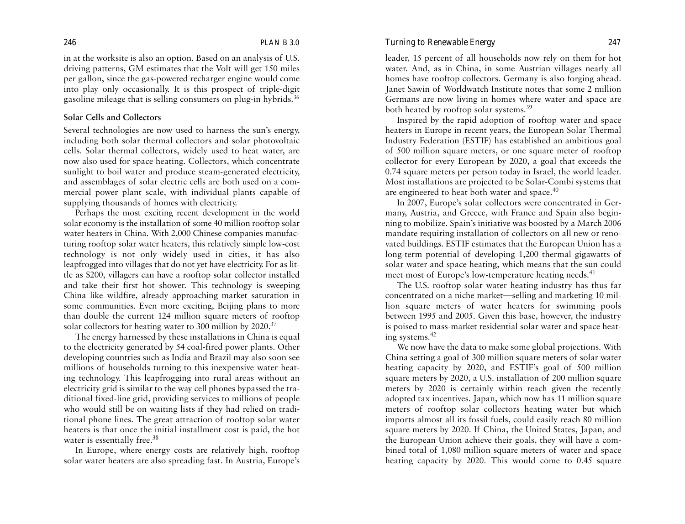in at the worksite is also an option. Based on an analysis of U.S. driving patterns, GM estimates that the Volt will get 150 miles per gallon, since the gas-powered recharger engine would come into play only occasionally. It is this prospect of triple-digit gasoline mileage that is selling consumers on plug-in hybrids.<sup>36</sup>

### **Solar Cells and Collectors**

Several technologies are now used to harness the sun's energy, including both solar thermal collectors and solar photovoltaic cells. Solar thermal collectors, widely used to heat water, are now also used for space heating. Collectors, which concentrate sunlight to boil water and produce steam-generated electricity, and assemblages of solar electric cells are both used on a commercial power plant scale, with individual plants capable of supplying thousands of homes with electricity.

Perhaps the most exciting recent development in the world solar economy is the installation of some 40 million rooftop solar water heaters in China. With 2,000 Chinese companies manufacturing rooftop solar water heaters, this relatively simple low-cost technology is not only widely used in cities, it has also leapfrogged into villages that do not yet have electricity. For as little as \$200, villagers can have a rooftop solar collector installed and take their first hot shower. This technology is sweeping China like wildfire, already approaching market saturation in some communities. Even more exciting, Beijing plans to more than double the current 124 million square meters of rooftop solar collectors for heating water to 300 million by 2020.<sup>37</sup>

The energy harnessed by these installations in China is equal to the electricity generated by 54 coal-fired power plants. Other developing countries such as India and Brazil may also soon see millions of households turning to this inexpensive water heating technology. This leapfrogging into rural areas without an electricity grid is similar to the way cell phones bypassed the traditional fixed-line grid, providing services to millions of people who would still be on waiting lists if they had relied on traditional phone lines. The great attraction of rooftop solar water heaters is that once the initial installment cost is paid, the hot water is essentially free.<sup>38</sup>

In Europe, where energy costs are relatively high, rooftop solar water heaters are also spreading fast. In Austria, Europe's leader, 15 percent of all households now rely on them for hot water. And, as in China, in some Austrian villages nearly all homes have rooftop collectors. Germany is also forging ahead. Janet Sawin of Worldwatch Institute notes that some 2 million Germans are now living in homes where water and space are both heated by rooftop solar systems.39

Inspired by the rapid adoption of rooftop water and space heaters in Europe in recent years, the European Solar Thermal Industry Federation (ESTIF) has established an ambitious goal of 500 million square meters, or one square meter of rooftop collector for every European by 2020, a goal that exceeds the 0.74 square meters per person today in Israel, the world leader. Most installations are projected to be Solar-Combi systems that are engineered to heat both water and space.40

In 2007, Europe's solar collectors were concentrated in Germany, Austria, and Greece, with France and Spain also beginning to mobilize. Spain's initiative was boosted by a March 2006 mandate requiring installation of collectors on all new or renovated buildings. ESTIF estimates that the European Union has a long-term potential of developing 1,200 thermal gigawatts of solar water and space heating, which means that the sun could meet most of Europe's low-temperature heating needs.<sup>41</sup>

The U.S. rooftop solar water heating industry has thus far concentrated on a niche market—selling and marketing 10 million square meters of water heaters for swimming pools between 1995 and 2005. Given this base, however, the industry is poised to mass-market residential solar water and space heating systems.42

We now have the data to make some global projections. With China setting a goal of 300 million square meters of solar water heating capacity by 2020, and ESTIF's goal of 500 million square meters by 2020, a U.S. installation of 200 million square meters by 2020 is certainly within reach given the recently adopted tax incentives. Japan, which now has 11 million square meters of rooftop solar collectors heating water but which imports almost all its fossil fuels, could easily reach 80 million square meters by 2020. If China, the United States, Japan, and the European Union achieve their goals, they will have a combined total of 1,080 million square meters of water and space heating capacity by 2020. This would come to 0.45 square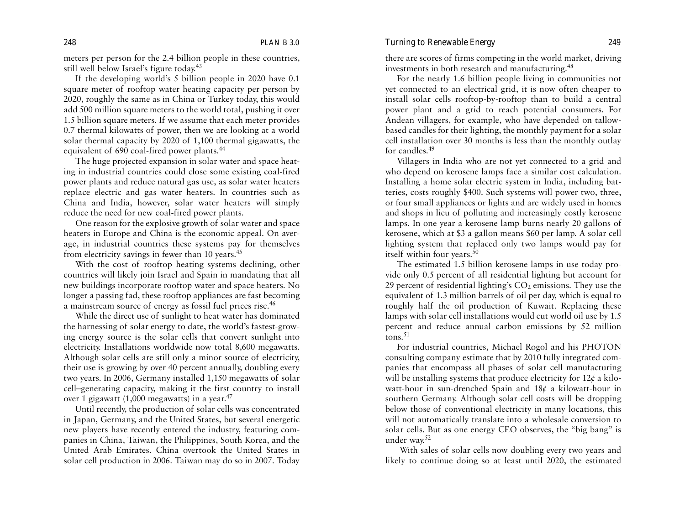meters per person for the 2.4 billion people in these countries, still well below Israel's figure today.<sup>43</sup>

If the developing world's 5 billion people in 2020 have 0.1 square meter of rooftop water heating capacity per person by 2020, roughly the same as in China or Turkey today, this would add 500 million square meters to the world total, pushing it over 1.5 billion square meters. If we assume that each meter provides 0.7 thermal kilowatts of power, then we are looking at a world solar thermal capacity by 2020 of 1,100 thermal gigawatts, the equivalent of 690 coal-fired power plants.<sup>44</sup>

The huge projected expansion in solar water and space heating in industrial countries could close some existing coal-fired power plants and reduce natural gas use, as solar water heaters replace electric and gas water heaters. In countries such as China and India, however, solar water heaters will simply reduce the need for new coal-fired power plants.

One reason for the explosive growth of solar water and space heaters in Europe and China is the economic appeal. On average, in industrial countries these systems pay for themselves from electricity savings in fewer than 10 years.<sup>45</sup>

With the cost of rooftop heating systems declining, other countries will likely join Israel and Spain in mandating that all new buildings incorporate rooftop water and space heaters. No longer a passing fad, these rooftop appliances are fast becoming a mainstream source of energy as fossil fuel prices rise.<sup>46</sup>

While the direct use of sunlight to heat water has dominated the harnessing of solar energy to date, the world's fastest-growing energy source is the solar cells that convert sunlight into electricity. Installations worldwide now total 8,600 megawatts. Although solar cells are still only a minor source of electricity, their use is growing by over 40 percent annually, doubling every two years. In 2006, Germany installed 1,150 megawatts of solar cell–generating capacity, making it the first country to install over 1 gigawatt (1,000 megawatts) in a year. $47$ 

Until recently, the production of solar cells was concentrated in Japan, Germany, and the United States, but several energetic new players have recently entered the industry, featuring companies in China, Taiwan, the Philippines, South Korea, and the United Arab Emirates. China overtook the United States in solar cell production in 2006. Taiwan may do so in 2007. Today

there are scores of firms competing in the world market, driving investments in both research and manufacturing.<sup>48</sup>

For the nearly 1.6 billion people living in communities not yet connected to an electrical grid, it is now often cheaper to install solar cells rooftop-by-rooftop than to build a central power plant and a grid to reach potential consumers. For Andean villagers, for example, who have depended on tallowbased candles for their lighting, the monthly payment for a solar cell installation over 30 months is less than the monthly outlay for candles.49

Villagers in India who are not yet connected to a grid and who depend on kerosene lamps face a similar cost calculation. Installing a home solar electric system in India, including batteries, costs roughly \$400. Such systems will power two, three, or four small appliances or lights and are widely used in homes and shops in lieu of polluting and increasingly costly kerosene lamps. In one year a kerosene lamp burns nearly 20 gallons of kerosene, which at \$3 a gallon means \$60 per lamp. A solar cell lighting system that replaced only two lamps would pay for itself within four years.<sup>50</sup>

The estimated 1.5 billion kerosene lamps in use today provide only 0.5 percent of all residential lighting but account for 29 percent of residential lighting's  $CO<sub>2</sub>$  emissions. They use the equivalent of 1.3 million barrels of oil per day, which is equal to roughly half the oil production of Kuwait. Replacing these lamps with solar cell installations would cut world oil use by 1.5 percent and reduce annual carbon emissions by 52 million tons. $51$ 

For industrial countries, Michael Rogol and his PHOTON consulting company estimate that by 2010 fully integrated companies that encompass all phases of solar cell manufacturing will be installing systems that produce electricity for 12¢ a kilowatt-hour in sun-drenched Spain and 18¢ a kilowatt-hour in southern Germany. Although solar cell costs will be dropping below those of conventional electricity in many locations, this will not automatically translate into a wholesale conversion to solar cells. But as one energy CEO observes, the "big bang" is under way.52

With sales of solar cells now doubling every two years and likely to continue doing so at least until 2020, the estimated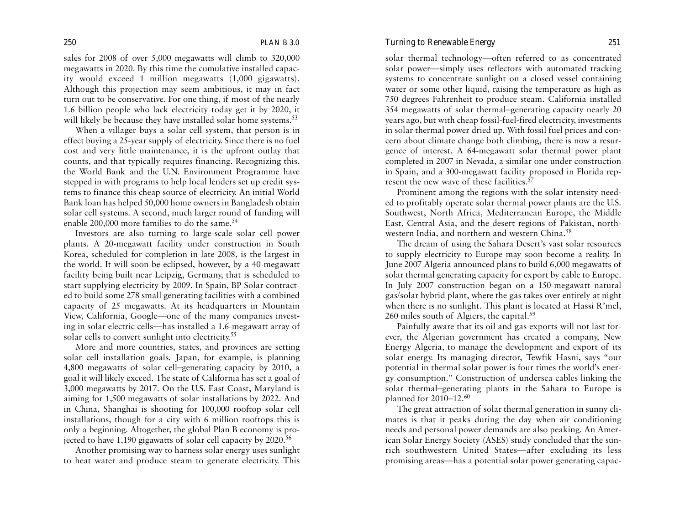sales for 2008 of over 5,000 megawatts will climb to 320,000 megawatts in 2020. By this time the cumulative installed capacity would exceed 1 million megawatts (1,000 gigawatts). Although this projection may seem ambitious, it may in fact turn out to be conservative. For one thing, if most of the nearly 1.6 billion people who lack electricity today get it by 2020, it will likely be because they have installed solar home systems.<sup>53</sup>

When a villager buys a solar cell system, that person is in effect buying a 25-year supply of electricity. Since there is no fuel cost and very little maintenance, it is the upfront outlay that counts, and that typically requires financing. Recognizing this, the World Bank and the U.N. Environment Programme have stepped in with programs to help local lenders set up credit systems to finance this cheap source of electricity. An initial World Bank loan has helped 50,000 home owners in Bangladesh obtain solar cell systems. A second, much larger round of funding will enable 200,000 more families to do the same.<sup>54</sup>

Investors are also turning to large-scale solar cell power plants. A 20-megawatt facility under construction in South Korea, scheduled for completion in late 2008, is the largest in the world. It will soon be eclipsed, however, by a 40-megawatt facility being built near Leipzig, Germany, that is scheduled to start supplying electricity by 2009. In Spain, BP Solar contracted to build some 278 small generating facilities with a combined capacity of 25 megawatts. At its headquarters in Mountain View, California, Google—one of the many companies investing in solar electric cells—has installed a 1.6-megawatt array of solar cells to convert sunlight into electricity.<sup>55</sup>

More and more countries, states, and provinces are setting solar cell installation goals. Japan, for example, is planning 4,800 megawatts of solar cell–generating capacity by 2010, a goal it will likely exceed. The state of California has set a goal of 3,000 megawatts by 2017. On the U.S. East Coast, Maryland is aiming for 1,500 megawatts of solar installations by 2022. And in China, Shanghai is shooting for 100,000 rooftop solar cell installations, though for a city with 6 million rooftops this is only a beginning. Altogether, the global Plan B economy is projected to have 1,190 gigawatts of solar cell capacity by 2020.<sup>56</sup>

Another promising way to harness solar energy uses sunlight to heat water and produce steam to generate electricity. This

### *Turning to Renewable Energy 251*

solar thermal technology—often referred to as concentrated solar power—simply uses reflectors with automated tracking systems to concentrate sunlight on a closed vessel containing water or some other liquid, raising the temperature as high as 750 degrees Fahrenheit to produce steam. California installed 354 megawatts of solar thermal–generating capacity nearly 20 years ago, but with cheap fossil-fuel-fired electricity, investments in solar thermal power dried up. With fossil fuel prices and concern about climate change both climbing, there is now a resurgence of interest. A 64-megawatt solar thermal power plant completed in 2007 in Nevada, a similar one under construction in Spain, and a 300-megawatt facility proposed in Florida represent the new wave of these facilities.<sup>57</sup>

Prominent among the regions with the solar intensity needed to profitably operate solar thermal power plants are the U.S. Southwest, North Africa, Mediterranean Europe, the Middle East, Central Asia, and the desert regions of Pakistan, northwestern India, and northern and western China.<sup>58</sup>

The dream of using the Sahara Desert's vast solar resources to supply electricity to Europe may soon become a reality. In June 2007 Algeria announced plans to build 6,000 megawatts of solar thermal generating capacity for export by cable to Europe. In July 2007 construction began on a 150-megawatt natural gas/solar hybrid plant, where the gas takes over entirely at night when there is no sunlight. This plant is located at Hassi R'mel, 260 miles south of Algiers, the capital.59

Painfully aware that its oil and gas exports will not last forever, the Algerian government has created a company, New Energy Algeria, to manage the development and export of its solar energy. Its managing director, Tewfik Hasni, says "our potential in thermal solar power is four times the world's energy consumption." Construction of undersea cables linking the solar thermal–generating plants in the Sahara to Europe is planned for  $2010-12$ .<sup>60</sup>

The great attraction of solar thermal generation in sunny climates is that it peaks during the day when air conditioning needs and personal power demands are also peaking. An American Solar Energy Society (ASES) study concluded that the sunrich southwestern United States—after excluding its less promising areas—has a potential solar power generating capac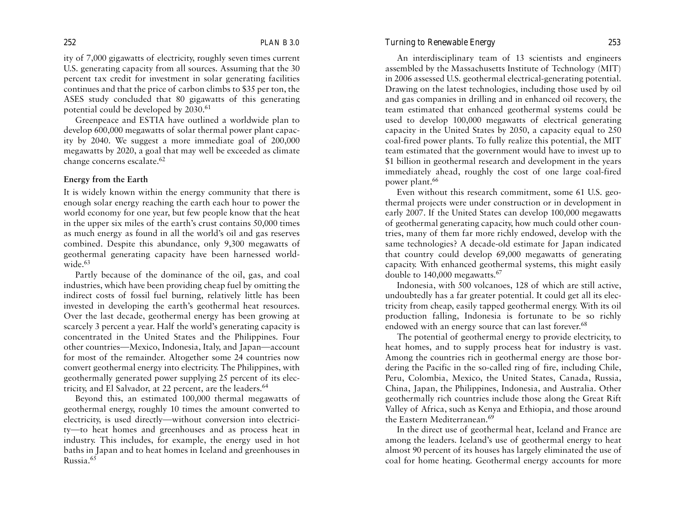ity of 7,000 gigawatts of electricity, roughly seven times current U.S. generating capacity from all sources. Assuming that the 30 percent tax credit for investment in solar generating facilities continues and that the price of carbon climbs to \$35 per ton, the ASES study concluded that 80 gigawatts of this generating potential could be developed by 2030.<sup>61</sup>

Greenpeace and ESTIA have outlined a worldwide plan to develop 600,000 megawatts of solar thermal power plant capacity by 2040. We suggest a more immediate goal of 200,000 megawatts by 2020, a goal that may well be exceeded as climate change concerns escalate.62

### **Energy from the Earth**

It is widely known within the energy community that there is enough solar energy reaching the earth each hour to power the world economy for one year, but few people know that the heat in the upper six miles of the earth's crust contains 50,000 times as much energy as found in all the world's oil and gas reserves combined. Despite this abundance, only 9,300 megawatts of geothermal generating capacity have been harnessed worldwide. $63$ 

Partly because of the dominance of the oil, gas, and coal industries, which have been providing cheap fuel by omitting the indirect costs of fossil fuel burning, relatively little has been invested in developing the earth's geothermal heat resources. Over the last decade, geothermal energy has been growing at scarcely 3 percent a year. Half the world's generating capacity is concentrated in the United States and the Philippines. Four other countries—Mexico, Indonesia, Italy, and Japan—account for most of the remainder. Altogether some 24 countries now convert geothermal energy into electricity. The Philippines, with geothermally generated power supplying 25 percent of its electricity, and El Salvador, at 22 percent, are the leaders.<sup>64</sup>

Beyond this, an estimated 100,000 thermal megawatts of geothermal energy, roughly 10 times the amount converted to electricity, is used directly—without conversion into electricity—to heat homes and greenhouses and as process heat in industry. This includes, for example, the energy used in hot baths in Japan and to heat homes in Iceland and greenhouses in Russia.<sup>65</sup>

An interdisciplinary team of 13 scientists and engineers assembled by the Massachusetts Institute of Technology (MIT) in 2006 assessed U.S. geothermal electrical-generating potential. Drawing on the latest technologies, including those used by oil and gas companies in drilling and in enhanced oil recovery, the team estimated that enhanced geothermal systems could be used to develop 100,000 megawatts of electrical generating capacity in the United States by 2050, a capacity equal to 250 coal-fired power plants. To fully realize this potential, the MIT team estimated that the government would have to invest up to \$1 billion in geothermal research and development in the years immediately ahead, roughly the cost of one large coal-fired power plant.<sup>66</sup>

Even without this research commitment, some 61 U.S. geothermal projects were under construction or in development in early 2007. If the United States can develop 100,000 megawatts of geothermal generating capacity, how much could other countries, many of them far more richly endowed, develop with the same technologies? A decade-old estimate for Japan indicated that country could develop 69,000 megawatts of generating capacity. With enhanced geothermal systems, this might easily double to 140,000 megawatts.<sup>67</sup>

Indonesia, with 500 volcanoes, 128 of which are still active, undoubtedly has a far greater potential. It could get all its electricity from cheap, easily tapped geothermal energy. With its oil production falling, Indonesia is fortunate to be so richly endowed with an energy source that can last forever.<sup>68</sup>

The potential of geothermal energy to provide electricity, to heat homes, and to supply process heat for industry is vast. Among the countries rich in geothermal energy are those bordering the Pacific in the so-called ring of fire, including Chile, Peru, Colombia, Mexico, the United States, Canada, Russia, China, Japan, the Philippines, Indonesia, and Australia. Other geothermally rich countries include those along the Great Rift Valley of Africa, such as Kenya and Ethiopia, and those around the Eastern Mediterranean.<sup>69</sup>

In the direct use of geothermal heat, Iceland and France are among the leaders. Iceland's use of geothermal energy to heat almost 90 percent of its houses has largely eliminated the use of coal for home heating. Geothermal energy accounts for more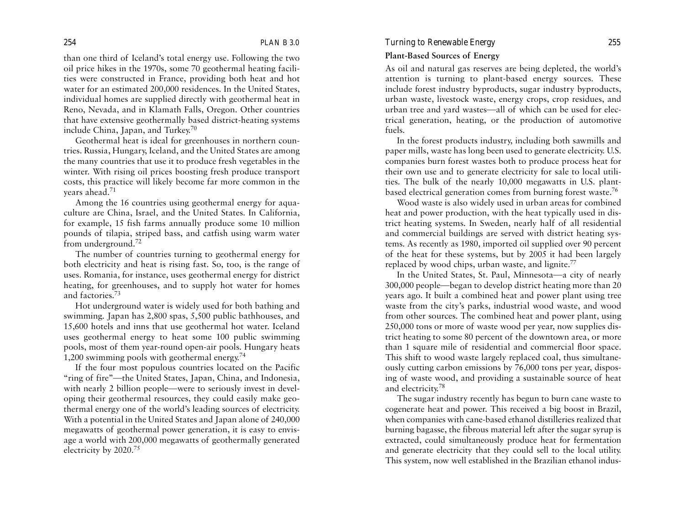than one third of Iceland's total energy use. Following the two oil price hikes in the 1970s, some 70 geothermal heating facilities were constructed in France, providing both heat and hot water for an estimated 200,000 residences. In the United States, individual homes are supplied directly with geothermal heat in Reno, Nevada, and in Klamath Falls, Oregon. Other countries that have extensive geothermally based district-heating systems include China, Japan, and Turkey.<sup>70</sup>

Geothermal heat is ideal for greenhouses in northern countries. Russia, Hungary, Iceland, and the United States are among the many countries that use it to produce fresh vegetables in the winter. With rising oil prices boosting fresh produce transport costs, this practice will likely become far more common in the years ahead.<sup>71</sup>

Among the 16 countries using geothermal energy for aquaculture are China, Israel, and the United States. In California, for example, 15 fish farms annually produce some 10 million pounds of tilapia, striped bass, and catfish using warm water from underground.72

The number of countries turning to geothermal energy for both electricity and heat is rising fast. So, too, is the range of uses. Romania, for instance, uses geothermal energy for district heating, for greenhouses, and to supply hot water for homes and factories.73

Hot underground water is widely used for both bathing and swimming. Japan has 2,800 spas, 5,500 public bathhouses, and 15,600 hotels and inns that use geothermal hot water. Iceland uses geothermal energy to heat some 100 public swimming pools, most of them year-round open-air pools. Hungary heats 1,200 swimming pools with geothermal energy.<sup>74</sup>

If the four most populous countries located on the Pacific "ring of fire"—the United States, Japan, China, and Indonesia, with nearly 2 billion people—were to seriously invest in developing their geothermal resources, they could easily make geothermal energy one of the world's leading sources of electricity. With a potential in the United States and Japan alone of 240,000 megawatts of geothermal power generation, it is easy to envisage a world with 200,000 megawatts of geothermally generated electricity by 2020.75

### **Plant-Based Sources of Energy**

As oil and natural gas reserves are being depleted, the world's attention is turning to plant-based energy sources. These include forest industry byproducts, sugar industry byproducts, urban waste, livestock waste, energy crops, crop residues, and urban tree and yard wastes—all of which can be used for electrical generation, heating, or the production of automotive fuels.

In the forest products industry, including both sawmills and paper mills, waste has long been used to generate electricity. U.S. companies burn forest wastes both to produce process heat for their own use and to generate electricity for sale to local utilities. The bulk of the nearly 10,000 megawatts in U.S. plantbased electrical generation comes from burning forest waste.76

Wood waste is also widely used in urban areas for combined heat and power production, with the heat typically used in district heating systems. In Sweden, nearly half of all residential and commercial buildings are served with district heating systems. As recently as 1980, imported oil supplied over 90 percent of the heat for these systems, but by 2005 it had been largely replaced by wood chips, urban waste, and lignite.<sup>77</sup>

In the United States, St. Paul, Minnesota—a city of nearly 300,000 people—began to develop district heating more than 20 years ago. It built a combined heat and power plant using tree waste from the city's parks, industrial wood waste, and wood from other sources. The combined heat and power plant, using 250,000 tons or more of waste wood per year, now supplies district heating to some 80 percent of the downtown area, or more than 1 square mile of residential and commercial floor space. This shift to wood waste largely replaced coal, thus simultaneously cutting carbon emissions by 76,000 tons per year, disposing of waste wood, and providing a sustainable source of heat and electricity.78

The sugar industry recently has begun to burn cane waste to cogenerate heat and power. This received a big boost in Brazil, when companies with cane-based ethanol distilleries realized that burning bagasse, the fibrous material left after the sugar syrup is extracted, could simultaneously produce heat for fermentation and generate electricity that they could sell to the local utility. This system, now well established in the Brazilian ethanol indus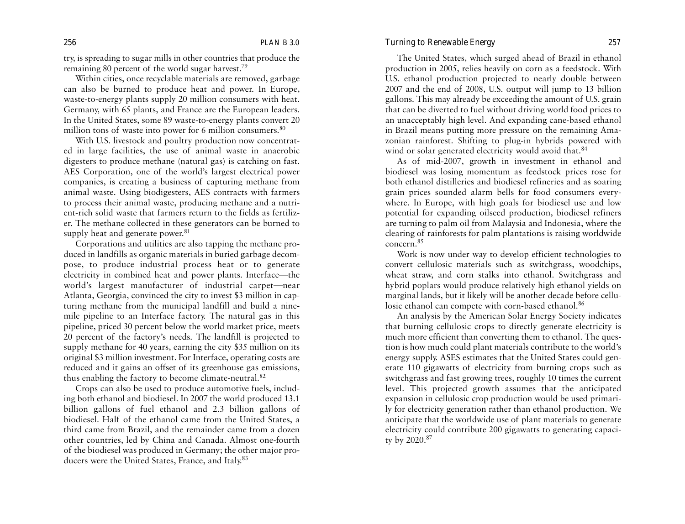try, is spreading to sugar mills in other countries that produce the remaining 80 percent of the world sugar harvest.<sup>79</sup>

Within cities, once recyclable materials are removed, garbage can also be burned to produce heat and power. In Europe, waste-to-energy plants supply 20 million consumers with heat. Germany, with 65 plants, and France are the European leaders. In the United States, some 89 waste-to-energy plants convert 20 million tons of waste into power for 6 million consumers.<sup>80</sup>

With U.S. livestock and poultry production now concentrated in large facilities, the use of animal waste in anaerobic digesters to produce methane (natural gas) is catching on fast. AES Corporation, one of the world's largest electrical power companies, is creating a business of capturing methane from animal waste. Using biodigesters, AES contracts with farmers to process their animal waste, producing methane and a nutrient-rich solid waste that farmers return to the fields as fertilizer. The methane collected in these generators can be burned to supply heat and generate power.<sup>81</sup>

Corporations and utilities are also tapping the methane produced in landfills as organic materials in buried garbage decompose, to produce industrial process heat or to generate electricity in combined heat and power plants. Interface—the world's largest manufacturer of industrial carpet—near Atlanta, Georgia, convinced the city to invest \$3 million in capturing methane from the municipal landfill and build a ninemile pipeline to an Interface factory. The natural gas in this pipeline, priced 30 percent below the world market price, meets 20 percent of the factory's needs. The landfill is projected to supply methane for 40 years, earning the city \$35 million on its original \$3 million investment. For Interface, operating costs are reduced and it gains an offset of its greenhouse gas emissions, thus enabling the factory to become climate-neutral.<sup>82</sup>

Crops can also be used to produce automotive fuels, including both ethanol and biodiesel. In 2007 the world produced 13.1 billion gallons of fuel ethanol and 2.3 billion gallons of biodiesel. Half of the ethanol came from the United States, a third came from Brazil, and the remainder came from a dozen other countries, led by China and Canada. Almost one-fourth of the biodiesel was produced in Germany; the other major producers were the United States, France, and Italy.<sup>83</sup>

### *Turning to Renewable Energy 257*

The United States, which surged ahead of Brazil in ethanol production in 2005, relies heavily on corn as a feedstock. With U.S. ethanol production projected to nearly double between 2007 and the end of 2008, U.S. output will jump to 13 billion gallons. This may already be exceeding the amount of U.S. grain that can be diverted to fuel without driving world food prices to an unacceptably high level. And expanding cane-based ethanol in Brazil means putting more pressure on the remaining Amazonian rainforest. Shifting to plug-in hybrids powered with wind or solar generated electricity would avoid that.<sup>84</sup>

As of mid-2007, growth in investment in ethanol and biodiesel was losing momentum as feedstock prices rose for both ethanol distilleries and biodiesel refineries and as soaring grain prices sounded alarm bells for food consumers everywhere. In Europe, with high goals for biodiesel use and low potential for expanding oilseed production, biodiesel refiners are turning to palm oil from Malaysia and Indonesia, where the clearing of rainforests for palm plantations is raising worldwide concern.85

Work is now under way to develop efficient technologies to convert cellulosic materials such as switchgrass, woodchips, wheat straw, and corn stalks into ethanol. Switchgrass and hybrid poplars would produce relatively high ethanol yields on marginal lands, but it likely will be another decade before cellulosic ethanol can compete with corn-based ethanol.<sup>86</sup>

An analysis by the American Solar Energy Society indicates that burning cellulosic crops to directly generate electricity is much more efficient than converting them to ethanol. The question is how much could plant materials contribute to the world's energy supply. ASES estimates that the United States could generate 110 gigawatts of electricity from burning crops such as switchgrass and fast growing trees, roughly 10 times the current level. This projected growth assumes that the anticipated expansion in cellulosic crop production would be used primarily for electricity generation rather than ethanol production. We anticipate that the worldwide use of plant materials to generate electricity could contribute 200 gigawatts to generating capacity by 2020.87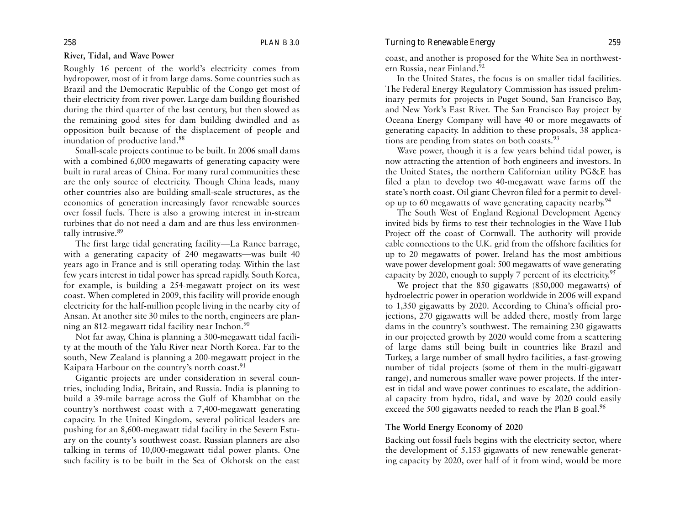### **River, Tidal, and Wave Power**

Roughly 16 percent of the world's electricity comes from hydropower, most of it from large dams. Some countries such as Brazil and the Democratic Republic of the Congo get most of their electricity from river power. Large dam building flourished during the third quarter of the last century, but then slowed as the remaining good sites for dam building dwindled and as opposition built because of the displacement of people and inundation of productive land.<sup>88</sup>

Small-scale projects continue to be built. In 2006 small dams with a combined 6,000 megawatts of generating capacity were built in rural areas of China. For many rural communities these are the only source of electricity. Though China leads, many other countries also are building small-scale structures, as the economics of generation increasingly favor renewable sources over fossil fuels. There is also a growing interest in in-stream turbines that do not need a dam and are thus less environmentally intrusive.<sup>89</sup>

The first large tidal generating facility—La Rance barrage, with a generating capacity of 240 megawatts—was built 40 years ago in France and is still operating today. Within the last few years interest in tidal power has spread rapidly. South Korea, for example, is building a 254-megawatt project on its west coast. When completed in 2009, this facility will provide enough electricity for the half-million people living in the nearby city of Ansan. At another site 30 miles to the north, engineers are planning an 812-megawatt tidal facility near Inchon.<sup>90</sup>

Not far away, China is planning a 300-megawatt tidal facility at the mouth of the Yalu River near North Korea. Far to the south, New Zealand is planning a 200-megawatt project in the Kaipara Harbour on the country's north coast.<sup>91</sup>

Gigantic projects are under consideration in several countries, including India, Britain, and Russia. India is planning to build a 39-mile barrage across the Gulf of Khambhat on the country's northwest coast with a 7,400-megawatt generating capacity. In the United Kingdom, several political leaders are pushing for an 8,600-megawatt tidal facility in the Severn Estuary on the county's southwest coast. Russian planners are also talking in terms of 10,000-megawatt tidal power plants. One such facility is to be built in the Sea of Okhotsk on the east coast, and another is proposed for the White Sea in northwestern Russia, near Finland.92

In the United States, the focus is on smaller tidal facilities. The Federal Energy Regulatory Commission has issued preliminary permits for projects in Puget Sound, San Francisco Bay, and New York's East River. The San Francisco Bay project by Oceana Energy Company will have 40 or more megawatts of generating capacity. In addition to these proposals, 38 applications are pending from states on both coasts.<sup>93</sup>

Wave power, though it is a few years behind tidal power, is now attracting the attention of both engineers and investors. In the United States, the northern Californian utility PG&E has filed a plan to develop two 40-megawatt wave farms off the state's north coast. Oil giant Chevron filed for a permit to develop up to 60 megawatts of wave generating capacity nearby.94

The South West of England Regional Development Agency invited bids by firms to test their technologies in the Wave Hub Project off the coast of Cornwall. The authority will provide cable connections to the U.K. grid from the offshore facilities for up to 20 megawatts of power. Ireland has the most ambitious wave power development goal: 500 megawatts of wave generating capacity by 2020, enough to supply 7 percent of its electricity.95

We project that the 850 gigawatts (850,000 megawatts) of hydroelectric power in operation worldwide in 2006 will expand to 1,350 gigawatts by 2020. According to China's official projections, 270 gigawatts will be added there, mostly from large dams in the country's southwest. The remaining 230 gigawatts in our projected growth by 2020 would come from a scattering of large dams still being built in countries like Brazil and Turkey, a large number of small hydro facilities, a fast-growing number of tidal projects (some of them in the multi-gigawatt range), and numerous smaller wave power projects. If the interest in tidal and wave power continues to escalate, the additional capacity from hydro, tidal, and wave by 2020 could easily exceed the 500 gigawatts needed to reach the Plan B goal.<sup>96</sup>

### **The World Energy Economy of 2020**

Backing out fossil fuels begins with the electricity sector, where the development of 5,153 gigawatts of new renewable generating capacity by 2020, over half of it from wind, would be more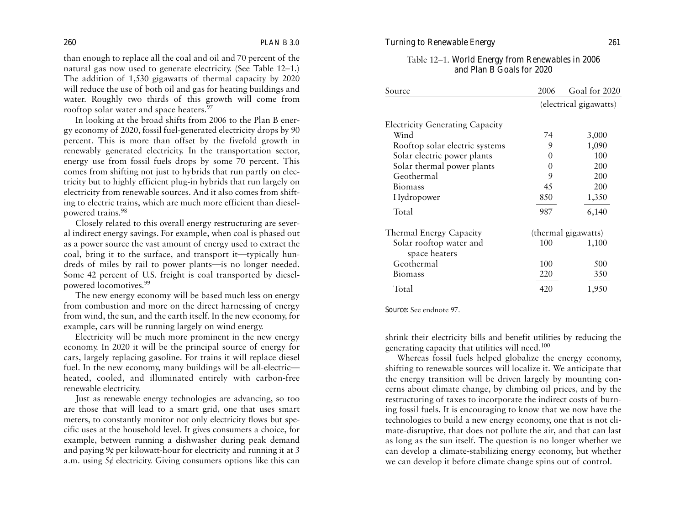than enough to replace all the coal and oil and 70 percent of the natural gas now used to generate electricity. (See Table 12–1.) The addition of 1,530 gigawatts of thermal capacity by 2020 will reduce the use of both oil and gas for heating buildings and water. Roughly two thirds of this growth will come from rooftop solar water and space heaters.97

In looking at the broad shifts from 2006 to the Plan B energy economy of 2020, fossil fuel-generated electricity drops by 90 percent. This is more than offset by the fivefold growth in renewably generated electricity. In the transportation sector, energy use from fossil fuels drops by some 70 percent. This comes from shifting not just to hybrids that run partly on electricity but to highly efficient plug-in hybrids that run largely on electricity from renewable sources. And it also comes from shifting to electric trains, which are much more efficient than dieselpowered trains.98

Closely related to this overall energy restructuring are several indirect energy savings. For example, when coal is phased out as a power source the vast amount of energy used to extract the coal, bring it to the surface, and transport it—typically hundreds of miles by rail to power plants—is no longer needed. Some 42 percent of U.S. freight is coal transported by dieselpowered locomotives.99

The new energy economy will be based much less on energy from combustion and more on the direct harnessing of energy from wind, the sun, and the earth itself. In the new economy, for example, cars will be running largely on wind energy.

Electricity will be much more prominent in the new energy economy. In 2020 it will be the principal source of energy for cars, largely replacing gasoline. For trains it will replace diesel fuel. In the new economy, many buildings will be all-electric heated, cooled, and illuminated entirely with carbon-free renewable electricity.

Just as renewable energy technologies are advancing, so too are those that will lead to a smart grid, one that uses smart meters, to constantly monitor not only electricity flows but specific uses at the household level. It gives consumers a choice, for example, between running a dishwasher during peak demand and paying  $9¢$  per kilowatt-hour for electricity and running it at 3 a.m. using  $5¢$  electricity. Giving consumers options like this can

### *Turning to Renewable Energy 261*

Table 12–1. *World Energy from Renewables in 2006 and Plan B Goals for 2020*

| Source                                 | 2006                   | Goal for 2020 |
|----------------------------------------|------------------------|---------------|
|                                        | (electrical gigawatts) |               |
| <b>Electricity Generating Capacity</b> |                        |               |
| Wind                                   | 74                     | 3,000         |
| Rooftop solar electric systems         | 9                      | 1,090         |
| Solar electric power plants            | $\theta$               | 100           |
| Solar thermal power plants             | 0                      | 200           |
| Geothermal                             | 9                      | 200           |
| <b>Biomass</b>                         | 45                     | 200           |
| Hydropower                             | 850                    | 1,350         |
| Total                                  | 987                    | 6,140         |
| Thermal Energy Capacity                | (thermal gigawatts)    |               |
| Solar rooftop water and                | 100                    | 1,100         |
| space heaters                          |                        |               |
| Geothermal                             | 100                    | 500           |
| Biomass                                | 220                    | 350           |
| Total                                  | 420                    | 1,950         |

*Source:* See endnote 97.

shrink their electricity bills and benefit utilities by reducing the generating capacity that utilities will need.<sup>100</sup>

Whereas fossil fuels helped globalize the energy economy, shifting to renewable sources will localize it. We anticipate that the energy transition will be driven largely by mounting concerns about climate change, by climbing oil prices, and by the restructuring of taxes to incorporate the indirect costs of burning fossil fuels. It is encouraging to know that we now have the technologies to build a new energy economy, one that is not climate-disruptive, that does not pollute the air, and that can last as long as the sun itself. The question is no longer whether we can develop a climate-stabilizing energy economy, but whether we can develop it before climate change spins out of control.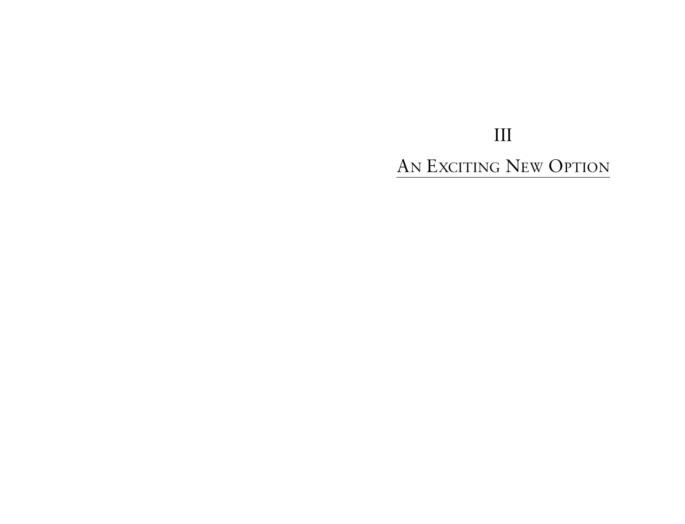III AN EXCITING NEW OPTION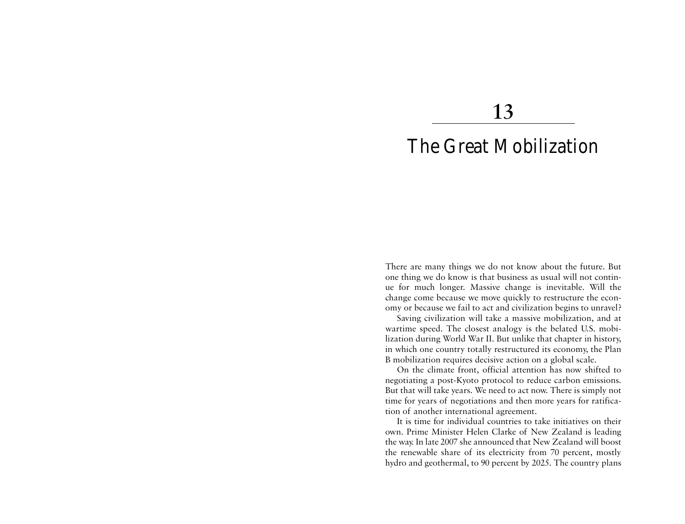### **13**

## *The Great Mobilization*

There are many things we do not know about the future. But one thing we do know is that business as usual will not continue for much longer. Massive change is inevitable. Will the change come because we move quickly to restructure the economy or because we fail to act and civilization begins to unravel?

Saving civilization will take a massive mobilization, and at wartime speed. The closest analogy is the belated U.S. mobilization during World War II. But unlike that chapter in history, in which one country totally restructured its economy, the Plan B mobilization requires decisive action on a global scale.

On the climate front, official attention has now shifted to negotiating a post-Kyoto protocol to reduce carbon emissions. But that will take years. We need to act now. There is simply not time for years of negotiations and then more years for ratification of another international agreement.

It is time for individual countries to take initiatives on their own. Prime Minister Helen Clarke of New Zealand is leading the way. In late 2007 she announced that New Zealand will boost the renewable share of its electricity from 70 percent, mostly hydro and geothermal, to 90 percent by 2025. The country plans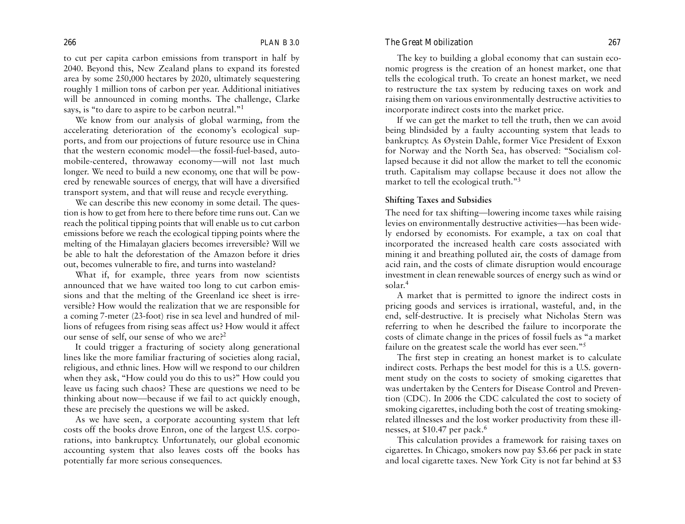to cut per capita carbon emissions from transport in half by 2040. Beyond this, New Zealand plans to expand its forested area by some 250,000 hectares by 2020, ultimately sequestering roughly 1 million tons of carbon per year. Additional initiatives will be announced in coming months. The challenge, Clarke says, is "to dare to aspire to be carbon neutral."<sup>1</sup>

We know from our analysis of global warming, from the accelerating deterioration of the economy's ecological supports, and from our projections of future resource use in China that the western economic model—the fossil-fuel-based, automobile-centered, throwaway economy—will not last much longer. We need to build a new economy, one that will be powered by renewable sources of energy, that will have a diversified transport system, and that will reuse and recycle everything.

We can describe this new economy in some detail. The question is how to get from here to there before time runs out. Can we reach the political tipping points that will enable us to cut carbon emissions before we reach the ecological tipping points where the melting of the Himalayan glaciers becomes irreversible? Will we be able to halt the deforestation of the Amazon before it dries out, becomes vulnerable to fire, and turns into wasteland?

What if, for example, three years from now scientists announced that we have waited too long to cut carbon emissions and that the melting of the Greenland ice sheet is irreversible? How would the realization that we are responsible for a coming 7-meter (23-foot) rise in sea level and hundred of millions of refugees from rising seas affect us? How would it affect our sense of self, our sense of who we are?<sup>2</sup>

It could trigger a fracturing of society along generational lines like the more familiar fracturing of societies along racial, religious, and ethnic lines. How will we respond to our children when they ask, "How could you do this to us?" How could you leave us facing such chaos? These are questions we need to be thinking about now—because if we fail to act quickly enough, these are precisely the questions we will be asked.

As we have seen, a corporate accounting system that left costs off the books drove Enron, one of the largest U.S. corporations, into bankruptcy. Unfortunately, our global economic accounting system that also leaves costs off the books has potentially far more serious consequences.

The key to building a global economy that can sustain economic progress is the creation of an honest market, one that tells the ecological truth. To create an honest market, we need to restructure the tax system by reducing taxes on work and raising them on various environmentally destructive activities to incorporate indirect costs into the market price.

If we can get the market to tell the truth, then we can avoid being blindsided by a faulty accounting system that leads to bankruptcy. As Øystein Dahle, former Vice President of Exxon for Norway and the North Sea, has observed: "Socialism collapsed because it did not allow the market to tell the economic truth. Capitalism may collapse because it does not allow the market to tell the ecological truth."<sup>3</sup>

## **Shifting Taxes and Subsidies**

The need for tax shifting—lowering income taxes while raising levies on environmentally destructive activities—has been widely endorsed by economists. For example, a tax on coal that incorporated the increased health care costs associated with mining it and breathing polluted air, the costs of damage from acid rain, and the costs of climate disruption would encourage investment in clean renewable sources of energy such as wind or solar.<sup>4</sup>

A market that is permitted to ignore the indirect costs in pricing goods and services is irrational, wasteful, and, in the end, self-destructive. It is precisely what Nicholas Stern was referring to when he described the failure to incorporate the costs of climate change in the prices of fossil fuels as "a market failure on the greatest scale the world has ever seen."<sup>5</sup>

The first step in creating an honest market is to calculate indirect costs. Perhaps the best model for this is a U.S. government study on the costs to society of smoking cigarettes that was undertaken by the Centers for Disease Control and Prevention (CDC). In 2006 the CDC calculated the cost to society of smoking cigarettes, including both the cost of treating smokingrelated illnesses and the lost worker productivity from these illnesses, at  $$10.47$  per pack.<sup>6</sup>

This calculation provides a framework for raising taxes on cigarettes. In Chicago, smokers now pay \$3.66 per pack in state and local cigarette taxes. New York City is not far behind at \$3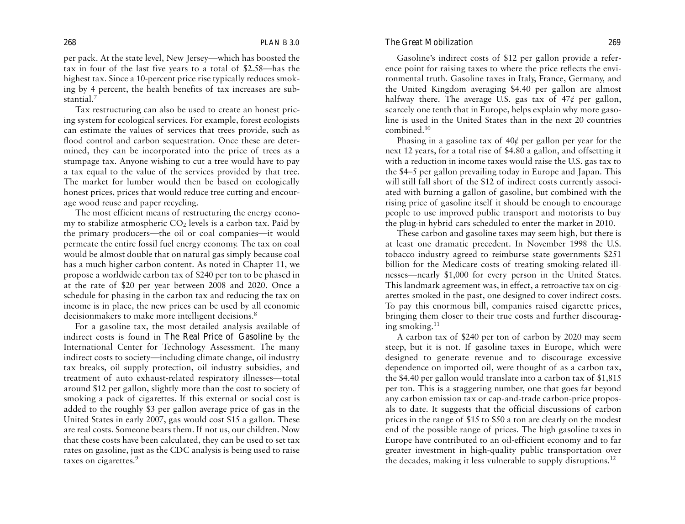per pack. At the state level, New Jersey—which has boosted the tax in four of the last five years to a total of \$2.58—has the highest tax. Since a 10-percent price rise typically reduces smoking by 4 percent, the health benefits of tax increases are substantial.<sup>7</sup>

Tax restructuring can also be used to create an honest pricing system for ecological services. For example, forest ecologists can estimate the values of services that trees provide, such as flood control and carbon sequestration. Once these are determined, they can be incorporated into the price of trees as a stumpage tax. Anyone wishing to cut a tree would have to pay a tax equal to the value of the services provided by that tree. The market for lumber would then be based on ecologically honest prices, prices that would reduce tree cutting and encourage wood reuse and paper recycling.

The most efficient means of restructuring the energy economy to stabilize atmospheric  $CO<sub>2</sub>$  levels is a carbon tax. Paid by the primary producers—the oil or coal companies—it would permeate the entire fossil fuel energy economy. The tax on coal would be almost double that on natural gas simply because coal has a much higher carbon content. As noted in Chapter 11, we propose a worldwide carbon tax of \$240 per ton to be phased in at the rate of \$20 per year between 2008 and 2020. Once a schedule for phasing in the carbon tax and reducing the tax on income is in place, the new prices can be used by all economic decisionmakers to make more intelligent decisions.<sup>8</sup>

For a gasoline tax, the most detailed analysis available of indirect costs is found in *The Real Price of Gasoline* by the International Center for Technology Assessment. The many indirect costs to society—including climate change, oil industry tax breaks, oil supply protection, oil industry subsidies, and treatment of auto exhaust-related respiratory illnesses—total around \$12 per gallon, slightly more than the cost to society of smoking a pack of cigarettes. If this external or social cost is added to the roughly \$3 per gallon average price of gas in the United States in early 2007, gas would cost \$15 a gallon. These are real costs. Someone bears them. If not us, our children. Now that these costs have been calculated, they can be used to set tax rates on gasoline, just as the CDC analysis is being used to raise taxes on cigarettes.<sup>9</sup>

Gasoline's indirect costs of \$12 per gallon provide a reference point for raising taxes to where the price reflects the environmental truth. Gasoline taxes in Italy, France, Germany, and the United Kingdom averaging \$4.40 per gallon are almost halfway there. The average U.S. gas tax of  $47¢$  per gallon, scarcely one tenth that in Europe, helps explain why more gasoline is used in the United States than in the next 20 countries combined.<sup>10</sup>

Phasing in a gasoline tax of  $40¢$  per gallon per year for the next 12 years, for a total rise of \$4.80 a gallon, and offsetting it with a reduction in income taxes would raise the U.S. gas tax to the \$4–5 per gallon prevailing today in Europe and Japan. This will still fall short of the \$12 of indirect costs currently associated with burning a gallon of gasoline, but combined with the rising price of gasoline itself it should be enough to encourage people to use improved public transport and motorists to buy the plug-in hybrid cars scheduled to enter the market in 2010.

These carbon and gasoline taxes may seem high, but there is at least one dramatic precedent. In November 1998 the U.S. tobacco industry agreed to reimburse state governments \$251 billion for the Medicare costs of treating smoking-related illnesses—nearly \$1,000 for every person in the United States. This landmark agreement was, in effect, a retroactive tax on cigarettes smoked in the past, one designed to cover indirect costs. To pay this enormous bill, companies raised cigarette prices, bringing them closer to their true costs and further discouraging smoking. $11$ 

A carbon tax of \$240 per ton of carbon by 2020 may seem steep, but it is not. If gasoline taxes in Europe, which were designed to generate revenue and to discourage excessive dependence on imported oil, were thought of as a carbon tax, the \$4.40 per gallon would translate into a carbon tax of \$1,815 per ton. This is a staggering number, one that goes far beyond any carbon emission tax or cap-and-trade carbon-price proposals to date. It suggests that the official discussions of carbon prices in the range of \$15 to \$50 a ton are clearly on the modest end of the possible range of prices. The high gasoline taxes in Europe have contributed to an oil-efficient economy and to far greater investment in high-quality public transportation over the decades, making it less vulnerable to supply disruptions.<sup>12</sup>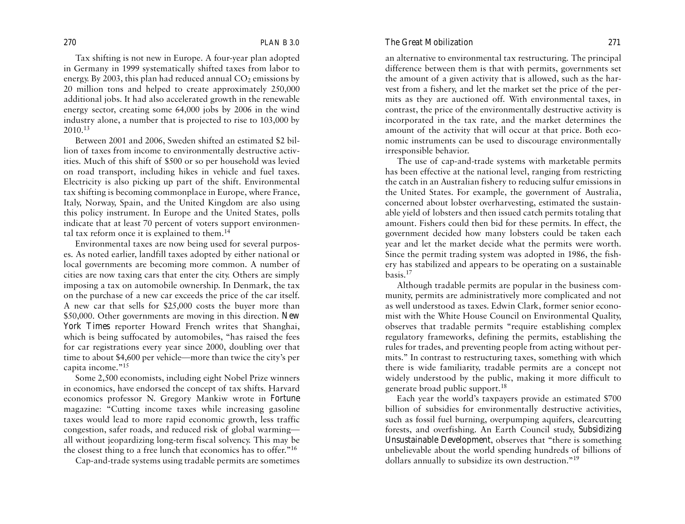Tax shifting is not new in Europe. A four-year plan adopted in Germany in 1999 systematically shifted taxes from labor to energy. By 2003, this plan had reduced annual  $CO<sub>2</sub>$  emissions by 20 million tons and helped to create approximately 250,000 additional jobs. It had also accelerated growth in the renewable energy sector, creating some 64,000 jobs by 2006 in the wind industry alone, a number that is projected to rise to 103,000 by 2010.13

Between 2001 and 2006, Sweden shifted an estimated \$2 billion of taxes from income to environmentally destructive activities. Much of this shift of \$500 or so per household was levied on road transport, including hikes in vehicle and fuel taxes. Electricity is also picking up part of the shift. Environmental tax shifting is becoming commonplace in Europe, where France, Italy, Norway, Spain, and the United Kingdom are also using this policy instrument. In Europe and the United States, polls indicate that at least 70 percent of voters support environmental tax reform once it is explained to them.<sup>14</sup>

Environmental taxes are now being used for several purposes. As noted earlier, landfill taxes adopted by either national or local governments are becoming more common. A number of cities are now taxing cars that enter the city. Others are simply imposing a tax on automobile ownership. In Denmark, the tax on the purchase of a new car exceeds the price of the car itself. A new car that sells for \$25,000 costs the buyer more than \$50,000. Other governments are moving in this direction. *New York Times* reporter Howard French writes that Shanghai, which is being suffocated by automobiles, "has raised the fees for car registrations every year since 2000, doubling over that time to about \$4,600 per vehicle—more than twice the city's per capita income."<sup>15</sup>

Some 2,500 economists, including eight Nobel Prize winners in economics, have endorsed the concept of tax shifts. Harvard economics professor N. Gregory Mankiw wrote in *Fortune* magazine: "Cutting income taxes while increasing gasoline taxes would lead to more rapid economic growth, less traffic congestion, safer roads, and reduced risk of global warming all without jeopardizing long-term fiscal solvency. This may be the closest thing to a free lunch that economics has to offer."<sup>16</sup>

Cap-and-trade systems using tradable permits are sometimes

an alternative to environmental tax restructuring. The principal difference between them is that with permits, governments set the amount of a given activity that is allowed, such as the harvest from a fishery, and let the market set the price of the permits as they are auctioned off. With environmental taxes, in contrast, the price of the environmentally destructive activity is incorporated in the tax rate, and the market determines the amount of the activity that will occur at that price. Both economic instruments can be used to discourage environmentally irresponsible behavior.

The use of cap-and-trade systems with marketable permits has been effective at the national level, ranging from restricting the catch in an Australian fishery to reducing sulfur emissions in the United States. For example, the government of Australia, concerned about lobster overharvesting, estimated the sustainable yield of lobsters and then issued catch permits totaling that amount. Fishers could then bid for these permits. In effect, the government decided how many lobsters could be taken each year and let the market decide what the permits were worth. Since the permit trading system was adopted in 1986, the fishery has stabilized and appears to be operating on a sustainable basis.<sup>17</sup>

Although tradable permits are popular in the business community, permits are administratively more complicated and not as well understood as taxes. Edwin Clark, former senior economist with the White House Council on Environmental Quality, observes that tradable permits "require establishing complex regulatory frameworks, defining the permits, establishing the rules for trades, and preventing people from acting without permits." In contrast to restructuring taxes, something with which there is wide familiarity, tradable permits are a concept not widely understood by the public, making it more difficult to generate broad public support.<sup>18</sup>

Each year the world's taxpayers provide an estimated \$700 billion of subsidies for environmentally destructive activities, such as fossil fuel burning, overpumping aquifers, clearcutting forests, and overfishing. An Earth Council study, *Subsidizing Unsustainable Development*, observes that "there is something unbelievable about the world spending hundreds of billions of dollars annually to subsidize its own destruction."<sup>19</sup>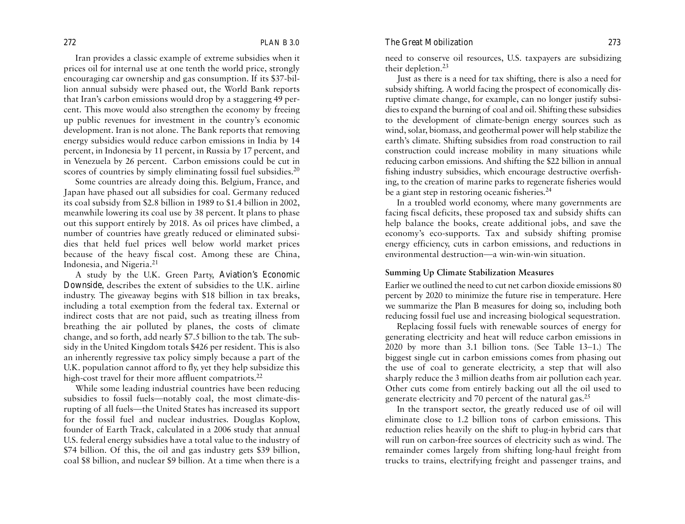Iran provides a classic example of extreme subsidies when it prices oil for internal use at one tenth the world price, strongly encouraging car ownership and gas consumption. If its \$37-billion annual subsidy were phased out, the World Bank reports that Iran's carbon emissions would drop by a staggering 49 percent. This move would also strengthen the economy by freeing up public revenues for investment in the country's economic development. Iran is not alone. The Bank reports that removing energy subsidies would reduce carbon emissions in India by 14 percent, in Indonesia by 11 percent, in Russia by 17 percent, and in Venezuela by 26 percent. Carbon emissions could be cut in scores of countries by simply eliminating fossil fuel subsidies.<sup>20</sup>

Some countries are already doing this. Belgium, France, and Japan have phased out all subsidies for coal. Germany reduced its coal subsidy from \$2.8 billion in 1989 to \$1.4 billion in 2002, meanwhile lowering its coal use by 38 percent. It plans to phase out this support entirely by 2018. As oil prices have climbed, a number of countries have greatly reduced or eliminated subsidies that held fuel prices well below world market prices because of the heavy fiscal cost. Among these are China, Indonesia, and Nigeria.<sup>21</sup>

A study by the U.K. Green Party, *Aviation's Economic Downside*, describes the extent of subsidies to the U.K. airline industry. The giveaway begins with \$18 billion in tax breaks, including a total exemption from the federal tax. External or indirect costs that are not paid, such as treating illness from breathing the air polluted by planes, the costs of climate change, and so forth, add nearly \$7.5 billion to the tab. The subsidy in the United Kingdom totals \$426 per resident. This is also an inherently regressive tax policy simply because a part of the U.K. population cannot afford to fly, yet they help subsidize this high-cost travel for their more affluent compatriots.<sup>22</sup>

While some leading industrial countries have been reducing subsidies to fossil fuels—notably coal, the most climate-disrupting of all fuels—the United States has increased its support for the fossil fuel and nuclear industries. Douglas Koplow, founder of Earth Track, calculated in a 2006 study that annual U.S. federal energy subsidies have a total value to the industry of \$74 billion. Of this, the oil and gas industry gets \$39 billion, coal \$8 billion, and nuclear \$9 billion. At a time when there is a need to conserve oil resources, U.S. taxpayers are subsidizing their depletion.<sup>23</sup>

Just as there is a need for tax shifting, there is also a need for subsidy shifting. A world facing the prospect of economically disruptive climate change, for example, can no longer justify subsidies to expand the burning of coal and oil. Shifting these subsidies to the development of climate-benign energy sources such as wind, solar, biomass, and geothermal power will help stabilize the earth's climate. Shifting subsidies from road construction to rail construction could increase mobility in many situations while reducing carbon emissions. And shifting the \$22 billion in annual fishing industry subsidies, which encourage destructive overfishing, to the creation of marine parks to regenerate fisheries would be a giant step in restoring oceanic fisheries.<sup>24</sup>

In a troubled world economy, where many governments are facing fiscal deficits, these proposed tax and subsidy shifts can help balance the books, create additional jobs, and save the economy's eco-supports. Tax and subsidy shifting promise energy efficiency, cuts in carbon emissions, and reductions in environmental destruction—a win-win-win situation.

#### **Summing Up Climate Stabilization Measures**

Earlier we outlined the need to cut net carbon dioxide emissions 80 percent by 2020 to minimize the future rise in temperature. Here we summarize the Plan B measures for doing so, including both reducing fossil fuel use and increasing biological sequestration.

Replacing fossil fuels with renewable sources of energy for generating electricity and heat will reduce carbon emissions in 2020 by more than 3.1 billion tons. (See Table 13–1.) The biggest single cut in carbon emissions comes from phasing out the use of coal to generate electricity, a step that will also sharply reduce the 3 million deaths from air pollution each year. Other cuts come from entirely backing out all the oil used to generate electricity and 70 percent of the natural gas.<sup>25</sup>

In the transport sector, the greatly reduced use of oil will eliminate close to 1.2 billion tons of carbon emissions. This reduction relies heavily on the shift to plug-in hybrid cars that will run on carbon-free sources of electricity such as wind. The remainder comes largely from shifting long-haul freight from trucks to trains, electrifying freight and passenger trains, and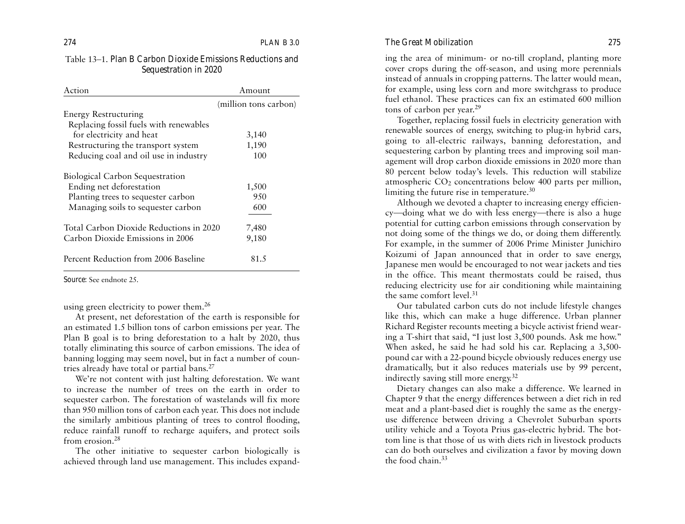### *274 PLAN B 3.0*

# Table 13–1. *Plan B Carbon Dioxide Emissions Reductions and Sequestration in 2020*

| Action                                  | Amount                |
|-----------------------------------------|-----------------------|
|                                         | (million tons carbon) |
| <b>Energy Restructuring</b>             |                       |
| Replacing fossil fuels with renewables  |                       |
| for electricity and heat                | 3,140                 |
| Restructuring the transport system      | 1,190                 |
| Reducing coal and oil use in industry   | 100                   |
| Biological Carbon Sequestration         |                       |
| Ending net deforestation                | 1,500                 |
| Planting trees to sequester carbon      | 950                   |
| Managing soils to sequester carbon      | 600                   |
| Total Carbon Dioxide Reductions in 2020 | 7,480                 |
| Carbon Dioxide Emissions in 2006        | 9,180                 |
| Percent Reduction from 2006 Baseline    | 81.5                  |

*Source:* See endnote 25.

using green electricity to power them.<sup>26</sup>

At present, net deforestation of the earth is responsible for an estimated 1.5 billion tons of carbon emissions per year. The Plan B goal is to bring deforestation to a halt by 2020, thus totally eliminating this source of carbon emissions. The idea of banning logging may seem novel, but in fact a number of countries already have total or partial bans.<sup>27</sup>

We're not content with just halting deforestation. We want to increase the number of trees on the earth in order to sequester carbon. The forestation of wastelands will fix more than 950 million tons of carbon each year. This does not include the similarly ambitious planting of trees to control flooding, reduce rainfall runoff to recharge aquifers, and protect soils from erosion.<sup>28</sup>

The other initiative to sequester carbon biologically is achieved through land use management. This includes expand-

#### *The Great Mobilization 275*

ing the area of minimum- or no-till cropland, planting more cover crops during the off-season, and using more perennials instead of annuals in cropping patterns. The latter would mean, for example, using less corn and more switchgrass to produce fuel ethanol. These practices can fix an estimated 600 million tons of carbon per year.<sup>29</sup>

Together, replacing fossil fuels in electricity generation with renewable sources of energy, switching to plug-in hybrid cars, going to all-electric railways, banning deforestation, and sequestering carbon by planting trees and improving soil management will drop carbon dioxide emissions in 2020 more than 80 percent below today's levels. This reduction will stabilize atmospheric  $CO<sub>2</sub>$  concentrations below 400 parts per million, limiting the future rise in temperature.<sup>30</sup>

Although we devoted a chapter to increasing energy efficiency—doing what we do with less energy—there is also a huge potential for cutting carbon emissions through conservation by not doing some of the things we do, or doing them differently. For example, in the summer of 2006 Prime Minister Junichiro Koizumi of Japan announced that in order to save energy, Japanese men would be encouraged to not wear jackets and ties in the office. This meant thermostats could be raised, thus reducing electricity use for air conditioning while maintaining the same comfort level.<sup>31</sup>

Our tabulated carbon cuts do not include lifestyle changes like this, which can make a huge difference. Urban planner Richard Register recounts meeting a bicycle activist friend wearing a T-shirt that said, "I just lost 3,500 pounds. Ask me how." When asked, he said he had sold his car. Replacing a 3,500 pound car with a 22-pound bicycle obviously reduces energy use dramatically, but it also reduces materials use by 99 percent, indirectly saving still more energy.<sup>32</sup>

Dietary changes can also make a difference. We learned in Chapter 9 that the energy differences between a diet rich in red meat and a plant-based diet is roughly the same as the energyuse difference between driving a Chevrolet Suburban sports utility vehicle and a Toyota Prius gas-electric hybrid. The bottom line is that those of us with diets rich in livestock products can do both ourselves and civilization a favor by moving down the food chain.<sup>33</sup>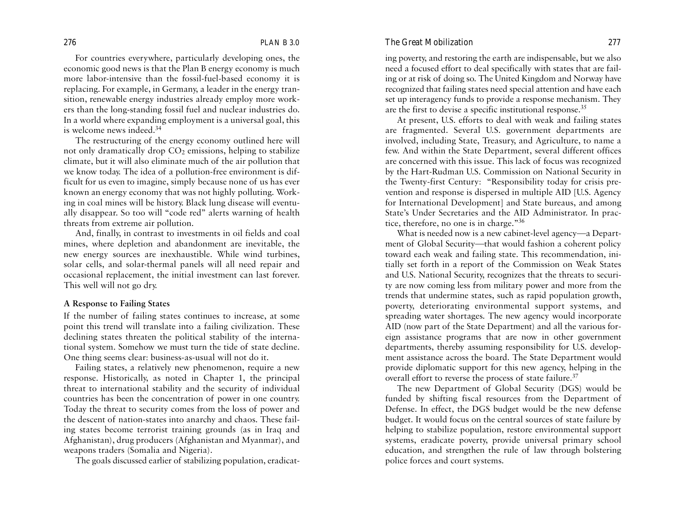For countries everywhere, particularly developing ones, the economic good news is that the Plan B energy economy is much more labor-intensive than the fossil-fuel-based economy it is replacing. For example, in Germany, a leader in the energy transition, renewable energy industries already employ more workers than the long-standing fossil fuel and nuclear industries do. In a world where expanding employment is a universal goal, this is welcome news indeed.<sup>34</sup>

The restructuring of the energy economy outlined here will not only dramatically drop  $CO<sub>2</sub>$  emissions, helping to stabilize climate, but it will also eliminate much of the air pollution that we know today. The idea of a pollution-free environment is difficult for us even to imagine, simply because none of us has ever known an energy economy that was not highly polluting. Working in coal mines will be history. Black lung disease will eventually disappear. So too will "code red" alerts warning of health threats from extreme air pollution.

And, finally, in contrast to investments in oil fields and coal mines, where depletion and abandonment are inevitable, the new energy sources are inexhaustible. While wind turbines, solar cells, and solar-thermal panels will all need repair and occasional replacement, the initial investment can last forever. This well will not go dry.

## **A Response to Failing States**

If the number of failing states continues to increase, at some point this trend will translate into a failing civilization. These declining states threaten the political stability of the international system. Somehow we must turn the tide of state decline. One thing seems clear: business-as-usual will not do it.

Failing states, a relatively new phenomenon, require a new response. Historically, as noted in Chapter 1, the principal threat to international stability and the security of individual countries has been the concentration of power in one country. Today the threat to security comes from the loss of power and the descent of nation-states into anarchy and chaos. These failing states become terrorist training grounds (as in Iraq and Afghanistan), drug producers (Afghanistan and Myanmar), and weapons traders (Somalia and Nigeria).

The goals discussed earlier of stabilizing population, eradicat-

ing poverty, and restoring the earth are indispensable, but we also need a focused effort to deal specifically with states that are failing or at risk of doing so. The United Kingdom and Norway have recognized that failing states need special attention and have each set up interagency funds to provide a response mechanism. They are the first to devise a specific institutional response.<sup>35</sup>

At present, U.S. efforts to deal with weak and failing states are fragmented. Several U.S. government departments are involved, including State, Treasury, and Agriculture, to name a few. And within the State Department, several different offices are concerned with this issue. This lack of focus was recognized by the Hart-Rudman U.S. Commission on National Security in the Twenty-first Century: "Responsibility today for crisis prevention and response is dispersed in multiple AID [U.S. Agency for International Development] and State bureaus, and among State's Under Secretaries and the AID Administrator. In practice, therefore, no one is in charge."<sup>36</sup>

What is needed now is a new cabinet-level agency—a Department of Global Security—that would fashion a coherent policy toward each weak and failing state. This recommendation, initially set forth in a report of the Commission on Weak States and U.S. National Security, recognizes that the threats to security are now coming less from military power and more from the trends that undermine states, such as rapid population growth, poverty, deteriorating environmental support systems, and spreading water shortages. The new agency would incorporate AID (now part of the State Department) and all the various foreign assistance programs that are now in other government departments, thereby assuming responsibility for U.S. development assistance across the board. The State Department would provide diplomatic support for this new agency, helping in the overall effort to reverse the process of state failure.<sup>37</sup>

The new Department of Global Security (DGS) would be funded by shifting fiscal resources from the Department of Defense. In effect, the DGS budget would be the new defense budget. It would focus on the central sources of state failure by helping to stabilize population, restore environmental support systems, eradicate poverty, provide universal primary school education, and strengthen the rule of law through bolstering police forces and court systems.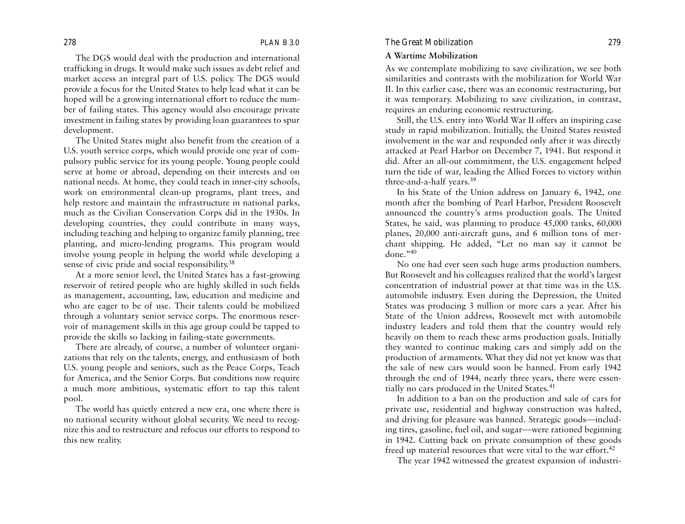The DGS would deal with the production and international trafficking in drugs. It would make such issues as debt relief and market access an integral part of U.S. policy. The DGS would provide a focus for the United States to help lead what it can be hoped will be a growing international effort to reduce the number of failing states. This agency would also encourage private investment in failing states by providing loan guarantees to spur development.

The United States might also benefit from the creation of a U.S. youth service corps, which would provide one year of compulsory public service for its young people. Young people could serve at home or abroad, depending on their interests and on national needs. At home, they could teach in inner-city schools, work on environmental clean-up programs, plant trees, and help restore and maintain the infrastructure in national parks, much as the Civilian Conservation Corps did in the 1930s. In developing countries, they could contribute in many ways, including teaching and helping to organize family planning, tree planting, and micro-lending programs. This program would involve young people in helping the world while developing a sense of civic pride and social responsibility.<sup>38</sup>

At a more senior level, the United States has a fast-growing reservoir of retired people who are highly skilled in such fields as management, accounting, law, education and medicine and who are eager to be of use. Their talents could be mobilized through a voluntary senior service corps. The enormous reservoir of management skills in this age group could be tapped to provide the skills so lacking in failing-state governments.

There are already, of course, a number of volunteer organizations that rely on the talents, energy, and enthusiasm of both U.S. young people and seniors, such as the Peace Corps, Teach for America, and the Senior Corps. But conditions now require a much more ambitious, systematic effort to tap this talent pool.

The world has quietly entered a new era, one where there is no national security without global security. We need to recognize this and to restructure and refocus our efforts to respond to this new reality.

*The Great Mobilization 279*

### **A Wartime Mobilization**

As we contemplate mobilizing to save civilization, we see both similarities and contrasts with the mobilization for World War II. In this earlier case, there was an economic restructuring, but it was temporary. Mobilizing to save civilization, in contrast, requires an enduring economic restructuring.

Still, the U.S. entry into World War II offers an inspiring case study in rapid mobilization. Initially, the United States resisted involvement in the war and responded only after it was directly attacked at Pearl Harbor on December 7, 1941. But respond it did. After an all-out commitment, the U.S. engagement helped turn the tide of war, leading the Allied Forces to victory within three-and-a-half years.<sup>39</sup>

In his State of the Union address on January 6, 1942, one month after the bombing of Pearl Harbor, President Roosevelt announced the country's arms production goals. The United States, he said, was planning to produce 45,000 tanks, 60,000 planes, 20,000 anti-aircraft guns, and 6 million tons of merchant shipping. He added, "Let no man say it cannot be done."<sup>40</sup>

No one had ever seen such huge arms production numbers. But Roosevelt and his colleagues realized that the world's largest concentration of industrial power at that time was in the U.S. automobile industry. Even during the Depression, the United States was producing 3 million or more cars a year. After his State of the Union address, Roosevelt met with automobile industry leaders and told them that the country would rely heavily on them to reach these arms production goals. Initially they wanted to continue making cars and simply add on the production of armaments. What they did not yet know was that the sale of new cars would soon be banned. From early 1942 through the end of 1944, nearly three years, there were essentially no cars produced in the United States.<sup>41</sup>

In addition to a ban on the production and sale of cars for private use, residential and highway construction was halted, and driving for pleasure was banned. Strategic goods—including tires, gasoline, fuel oil, and sugar—were rationed beginning in 1942. Cutting back on private consumption of these goods freed up material resources that were vital to the war effort.<sup>42</sup>

The year 1942 witnessed the greatest expansion of industri-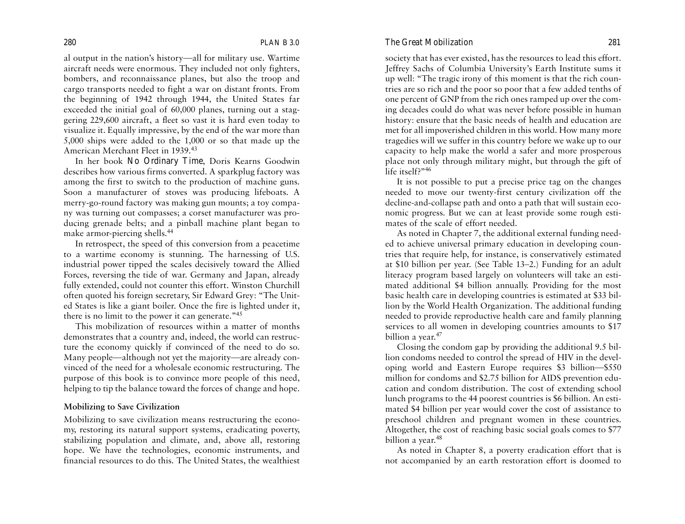al output in the nation's history—all for military use. Wartime aircraft needs were enormous. They included not only fighters, bombers, and reconnaissance planes, but also the troop and cargo transports needed to fight a war on distant fronts. From the beginning of 1942 through 1944, the United States far exceeded the initial goal of 60,000 planes, turning out a staggering 229,600 aircraft, a fleet so vast it is hard even today to visualize it. Equally impressive, by the end of the war more than 5,000 ships were added to the 1,000 or so that made up the American Merchant Fleet in 1939.<sup>43</sup>

In her book *No Ordinary Time*, Doris Kearns Goodwin describes how various firms converted. A sparkplug factory was among the first to switch to the production of machine guns. Soon a manufacturer of stoves was producing lifeboats. A merry-go-round factory was making gun mounts; a toy company was turning out compasses; a corset manufacturer was producing grenade belts; and a pinball machine plant began to make armor-piercing shells.<sup>44</sup>

In retrospect, the speed of this conversion from a peacetime to a wartime economy is stunning. The harnessing of U.S. industrial power tipped the scales decisively toward the Allied Forces, reversing the tide of war. Germany and Japan, already fully extended, could not counter this effort. Winston Churchill often quoted his foreign secretary, Sir Edward Grey: "The United States is like a giant boiler. Once the fire is lighted under it, there is no limit to the power it can generate."<sup>45</sup>

This mobilization of resources within a matter of months demonstrates that a country and, indeed, the world can restructure the economy quickly if convinced of the need to do so. Many people—although not yet the majority—are already convinced of the need for a wholesale economic restructuring. The purpose of this book is to convince more people of this need, helping to tip the balance toward the forces of change and hope.

#### **Mobilizing to Save Civilization**

Mobilizing to save civilization means restructuring the economy, restoring its natural support systems, eradicating poverty, stabilizing population and climate, and, above all, restoring hope. We have the technologies, economic instruments, and financial resources to do this. The United States, the wealthiest

society that has ever existed, has the resources to lead this effort. Jeffrey Sachs of Columbia University's Earth Institute sums it up well: "The tragic irony of this moment is that the rich countries are so rich and the poor so poor that a few added tenths of one percent of GNP from the rich ones ramped up over the coming decades could do what was never before possible in human history: ensure that the basic needs of health and education are met for all impoverished children in this world. How many more tragedies will we suffer in this country before we wake up to our capacity to help make the world a safer and more prosperous place not only through military might, but through the gift of life itself?"46

It is not possible to put a precise price tag on the changes needed to move our twenty-first century civilization off the decline-and-collapse path and onto a path that will sustain economic progress. But we can at least provide some rough estimates of the scale of effort needed.

As noted in Chapter 7, the additional external funding needed to achieve universal primary education in developing countries that require help, for instance, is conservatively estimated at \$10 billion per year. (See Table 13–2.) Funding for an adult literacy program based largely on volunteers will take an estimated additional \$4 billion annually. Providing for the most basic health care in developing countries is estimated at \$33 billion by the World Health Organization. The additional funding needed to provide reproductive health care and family planning services to all women in developing countries amounts to \$17 billion a year.<sup>47</sup>

Closing the condom gap by providing the additional 9.5 billion condoms needed to control the spread of HIV in the developing world and Eastern Europe requires \$3 billion—\$550 million for condoms and \$2.75 billion for AIDS prevention education and condom distribution. The cost of extending school lunch programs to the 44 poorest countries is \$6 billion. An estimated \$4 billion per year would cover the cost of assistance to preschool children and pregnant women in these countries. Altogether, the cost of reaching basic social goals comes to \$77 billion a year.<sup>48</sup>

As noted in Chapter 8, a poverty eradication effort that is not accompanied by an earth restoration effort is doomed to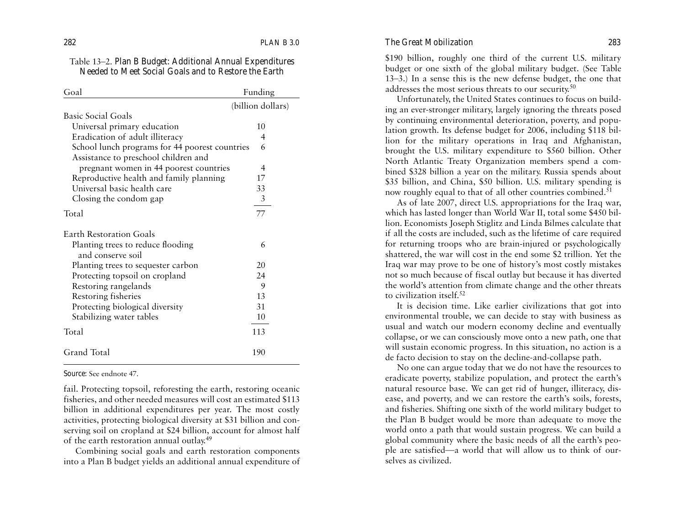| Goal                                                   | Funding           |
|--------------------------------------------------------|-------------------|
|                                                        | (billion dollars) |
| <b>Basic Social Goals</b>                              |                   |
| Universal primary education                            | 10                |
| Eradication of adult illiteracy                        | 4                 |
| School lunch programs for 44 poorest countries         | 6                 |
| Assistance to preschool children and                   |                   |
| pregnant women in 44 poorest countries                 | 4                 |
| Reproductive health and family planning                | 17                |
| Universal basic health care                            | 33                |
| Closing the condom gap                                 | 3                 |
| Total                                                  | 77                |
| <b>Earth Restoration Goals</b>                         |                   |
| Planting trees to reduce flooding<br>and conserve soil | 6                 |
| Planting trees to sequester carbon                     | 20                |
| Protecting topsoil on cropland                         | 24                |
| Restoring rangelands                                   | 9                 |
| Restoring fisheries                                    | 13                |
| Protecting biological diversity                        | 31                |
| Stabilizing water tables                               | 10                |
| Total                                                  | 113               |
| <b>Grand Total</b>                                     | 190               |

*Source:* See endnote 47.

fail. Protecting topsoil, reforesting the earth, restoring oceanic fisheries, and other needed measures will cost an estimated \$113 billion in additional expenditures per year. The most costly activities, protecting biological diversity at \$31 billion and conserving soil on cropland at \$24 billion, account for almost half of the earth restoration annual outlay.<sup>49</sup>

Combining social goals and earth restoration components into a Plan B budget yields an additional annual expenditure of

Unfortunately, the United States continues to focus on building an ever-stronger military, largely ignoring the threats posed by continuing environmental deterioration, poverty, and population growth. Its defense budget for 2006, including \$118 billion for the military operations in Iraq and Afghanistan, brought the U.S. military expenditure to \$560 billion. Other North Atlantic Treaty Organization members spend a combined \$328 billion a year on the military. Russia spends about \$35 billion, and China, \$50 billion. U.S. military spending is now roughly equal to that of all other countries combined.<sup>51</sup>

As of late 2007, direct U.S. appropriations for the Iraq war, which has lasted longer than World War II, total some \$450 billion. Economists Joseph Stiglitz and Linda Bilmes calculate that if all the costs are included, such as the lifetime of care required for returning troops who are brain-injured or psychologically shattered, the war will cost in the end some \$2 trillion. Yet the Iraq war may prove to be one of history's most costly mistakes not so much because of fiscal outlay but because it has diverted the world's attention from climate change and the other threats to civilization itself.<sup>52</sup>

It is decision time. Like earlier civilizations that got into environmental trouble, we can decide to stay with business as usual and watch our modern economy decline and eventually collapse, or we can consciously move onto a new path, one that will sustain economic progress. In this situation, no action is a de facto decision to stay on the decline-and-collapse path.

No one can argue today that we do not have the resources to eradicate poverty, stabilize population, and protect the earth's natural resource base. We can get rid of hunger, illiteracy, disease, and poverty, and we can restore the earth's soils, forests, and fisheries. Shifting one sixth of the world military budget to the Plan B budget would be more than adequate to move the world onto a path that would sustain progress. We can build a global community where the basic needs of all the earth's people are satisfied—a world that will allow us to think of ourselves as civilized.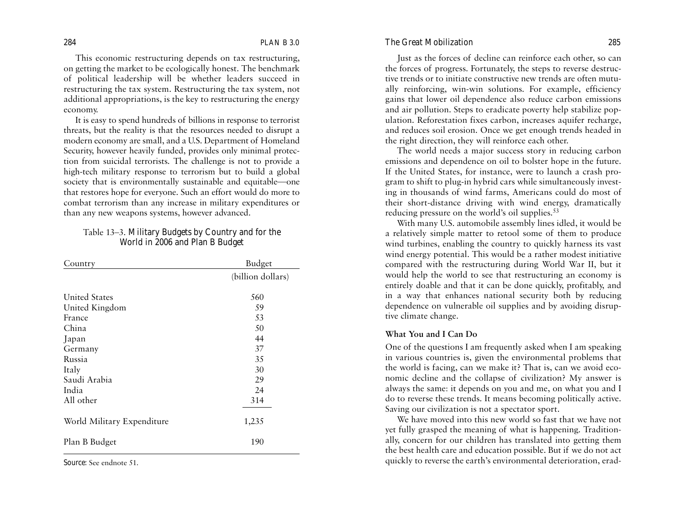This economic restructuring depends on tax restructuring, on getting the market to be ecologically honest. The benchmark of political leadership will be whether leaders succeed in restructuring the tax system. Restructuring the tax system, not additional appropriations, is the key to restructuring the energy economy.

It is easy to spend hundreds of billions in response to terrorist threats, but the reality is that the resources needed to disrupt a modern economy are small, and a U.S. Department of Homeland Security, however heavily funded, provides only minimal protection from suicidal terrorists. The challenge is not to provide a high-tech military response to terrorism but to build a global society that is environmentally sustainable and equitable—one that restores hope for everyone. Such an effort would do more to combat terrorism than any increase in military expenditures or than any new weapons systems, however advanced.

# Table 13–3. *Military Budgets by Country and for the World in 2006 and Plan B Budget*

| Country                    | Budget            |
|----------------------------|-------------------|
|                            | (billion dollars) |
| <b>United States</b>       | 560               |
| United Kingdom             | 59                |
| France                     | 53                |
| China                      | 50                |
| Japan                      | 44                |
| Germany                    | 37                |
| Russia                     | 35                |
| Italy                      | 30                |
| Saudi Arabia               | 29                |
| India                      | 24                |
| All other                  | 314               |
| World Military Expenditure | 1,235             |
| Plan B Budget              | 190               |

*Source:* See endnote 51.

### *The Great Mobilization 285*

Just as the forces of decline can reinforce each other, so can the forces of progress. Fortunately, the steps to reverse destructive trends or to initiate constructive new trends are often mutually reinforcing, win-win solutions. For example, efficiency gains that lower oil dependence also reduce carbon emissions and air pollution. Steps to eradicate poverty help stabilize population. Reforestation fixes carbon, increases aquifer recharge, and reduces soil erosion. Once we get enough trends headed in the right direction, they will reinforce each other.

The world needs a major success story in reducing carbon emissions and dependence on oil to bolster hope in the future. If the United States, for instance, were to launch a crash program to shift to plug-in hybrid cars while simultaneously investing in thousands of wind farms, Americans could do most of their short-distance driving with wind energy, dramatically reducing pressure on the world's oil supplies.<sup>53</sup>

With many U.S. automobile assembly lines idled, it would be a relatively simple matter to retool some of them to produce wind turbines, enabling the country to quickly harness its vast wind energy potential. This would be a rather modest initiative compared with the restructuring during World War II, but it would help the world to see that restructuring an economy is entirely doable and that it can be done quickly, profitably, and in a way that enhances national security both by reducing dependence on vulnerable oil supplies and by avoiding disruptive climate change.

#### **What You and I Can Do**

One of the questions I am frequently asked when I am speaking in various countries is, given the environmental problems that the world is facing, can we make it? That is, can we avoid economic decline and the collapse of civilization? My answer is always the same: it depends on you and me, on what you and I do to reverse these trends. It means becoming politically active. Saving our civilization is not a spectator sport.

We have moved into this new world so fast that we have not yet fully grasped the meaning of what is happening. Traditionally, concern for our children has translated into getting them the best health care and education possible. But if we do not act quickly to reverse the earth's environmental deterioration, erad